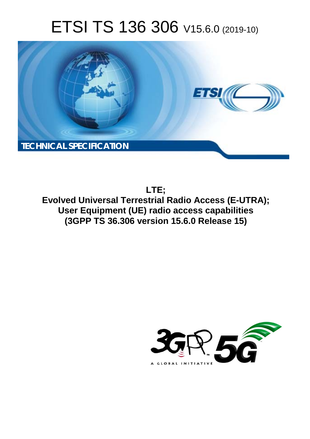# ETSI TS 136 306 V15.6.0 (2019-10)



**LTE; Evolved Universal Terrestrial Radio Access (E-UTRA); User Equipment (UE) radio access capabilities (3GPP TS 36.306 version 15.6.0 Release 15)** 

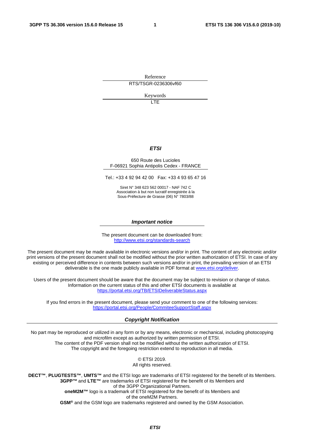Reference RTS/TSGR-0236306vf60

Keywords

LTE

### *ETSI*

#### 650 Route des Lucioles F-06921 Sophia Antipolis Cedex - FRANCE

Tel.: +33 4 92 94 42 00 Fax: +33 4 93 65 47 16

Siret N° 348 623 562 00017 - NAF 742 C Association à but non lucratif enregistrée à la Sous-Préfecture de Grasse (06) N° 7803/88

#### *Important notice*

The present document can be downloaded from: <http://www.etsi.org/standards-search>

The present document may be made available in electronic versions and/or in print. The content of any electronic and/or print versions of the present document shall not be modified without the prior written authorization of ETSI. In case of any existing or perceived difference in contents between such versions and/or in print, the prevailing version of an ETSI deliverable is the one made publicly available in PDF format at [www.etsi.org/deliver](http://www.etsi.org/deliver).

Users of the present document should be aware that the document may be subject to revision or change of status. Information on the current status of this and other ETSI documents is available at <https://portal.etsi.org/TB/ETSIDeliverableStatus.aspx>

If you find errors in the present document, please send your comment to one of the following services: <https://portal.etsi.org/People/CommiteeSupportStaff.aspx>

#### *Copyright Notification*

No part may be reproduced or utilized in any form or by any means, electronic or mechanical, including photocopying and microfilm except as authorized by written permission of ETSI. The content of the PDF version shall not be modified without the written authorization of ETSI. The copyright and the foregoing restriction extend to reproduction in all media.

> © ETSI 2019. All rights reserved.

**DECT™**, **PLUGTESTS™**, **UMTS™** and the ETSI logo are trademarks of ETSI registered for the benefit of its Members. **3GPP™** and **LTE™** are trademarks of ETSI registered for the benefit of its Members and of the 3GPP Organizational Partners. **oneM2M™** logo is a trademark of ETSI registered for the benefit of its Members and of the oneM2M Partners. **GSM®** and the GSM logo are trademarks registered and owned by the GSM Association.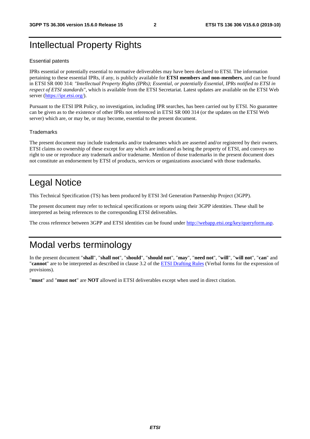# Intellectual Property Rights

#### Essential patents

IPRs essential or potentially essential to normative deliverables may have been declared to ETSI. The information pertaining to these essential IPRs, if any, is publicly available for **ETSI members and non-members**, and can be found in ETSI SR 000 314: *"Intellectual Property Rights (IPRs); Essential, or potentially Essential, IPRs notified to ETSI in respect of ETSI standards"*, which is available from the ETSI Secretariat. Latest updates are available on the ETSI Web server ([https://ipr.etsi.org/\)](https://ipr.etsi.org/).

Pursuant to the ETSI IPR Policy, no investigation, including IPR searches, has been carried out by ETSI. No guarantee can be given as to the existence of other IPRs not referenced in ETSI SR 000 314 (or the updates on the ETSI Web server) which are, or may be, or may become, essential to the present document.

### **Trademarks**

The present document may include trademarks and/or tradenames which are asserted and/or registered by their owners. ETSI claims no ownership of these except for any which are indicated as being the property of ETSI, and conveys no right to use or reproduce any trademark and/or tradename. Mention of those trademarks in the present document does not constitute an endorsement by ETSI of products, services or organizations associated with those trademarks.

# Legal Notice

This Technical Specification (TS) has been produced by ETSI 3rd Generation Partnership Project (3GPP).

The present document may refer to technical specifications or reports using their 3GPP identities. These shall be interpreted as being references to the corresponding ETSI deliverables.

The cross reference between 3GPP and ETSI identities can be found under<http://webapp.etsi.org/key/queryform.asp>.

# Modal verbs terminology

In the present document "**shall**", "**shall not**", "**should**", "**should not**", "**may**", "**need not**", "**will**", "**will not**", "**can**" and "**cannot**" are to be interpreted as described in clause 3.2 of the [ETSI Drafting Rules](https://portal.etsi.org/Services/editHelp!/Howtostart/ETSIDraftingRules.aspx) (Verbal forms for the expression of provisions).

"**must**" and "**must not**" are **NOT** allowed in ETSI deliverables except when used in direct citation.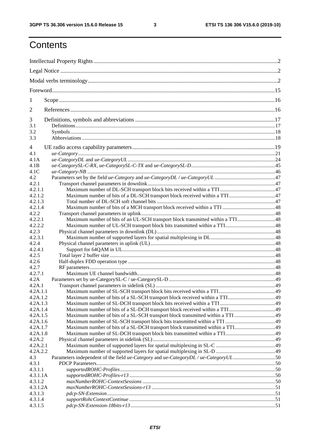# **Contents**

| 1                   |                                                                                       |  |  |
|---------------------|---------------------------------------------------------------------------------------|--|--|
| $\overline{2}$      |                                                                                       |  |  |
| 3                   |                                                                                       |  |  |
| 3.1                 |                                                                                       |  |  |
| 3.2<br>3.3          |                                                                                       |  |  |
|                     |                                                                                       |  |  |
| $\overline{4}$      |                                                                                       |  |  |
| 4.1                 |                                                                                       |  |  |
| 4.1A                |                                                                                       |  |  |
| 4.1B                |                                                                                       |  |  |
| 4.1C                |                                                                                       |  |  |
| 4.2                 |                                                                                       |  |  |
| 4.2.1               |                                                                                       |  |  |
| 4.2.1.1             |                                                                                       |  |  |
| 4.2.1.2             |                                                                                       |  |  |
| 4.2.1.3             |                                                                                       |  |  |
| 4.2.1.4             |                                                                                       |  |  |
| 4.2.2               |                                                                                       |  |  |
| 4.2.2.1             | Maximum number of bits of an UL-SCH transport block transmitted within a TTI48        |  |  |
| 4.2.2.2             |                                                                                       |  |  |
| 4.2.3               |                                                                                       |  |  |
| 4.2.3.1             |                                                                                       |  |  |
| 4.2.4               |                                                                                       |  |  |
| 4.2.4.1             |                                                                                       |  |  |
| 4.2.5               |                                                                                       |  |  |
| 4.2.6               |                                                                                       |  |  |
| 4.2.7               |                                                                                       |  |  |
| 4.2.7.1             |                                                                                       |  |  |
| 4.2A                |                                                                                       |  |  |
| 4.2A.1              |                                                                                       |  |  |
| 4.2A.1.1            |                                                                                       |  |  |
| 4.2A.1.2            |                                                                                       |  |  |
| 4.2A.1.3            |                                                                                       |  |  |
| 4.2A.1.4            |                                                                                       |  |  |
| 4.2A.1.5            |                                                                                       |  |  |
| 4.2A.1.6            |                                                                                       |  |  |
| 4.2A.1.7            |                                                                                       |  |  |
| 4.2A.1.8            |                                                                                       |  |  |
| 4.2A.2              |                                                                                       |  |  |
| 4.2A.2.1            |                                                                                       |  |  |
| 4.2A.2.2            |                                                                                       |  |  |
| 4.3                 | Parameters independent of the field ue-Category and ue-Category DL / ue-Category UL50 |  |  |
| 4.3.1               |                                                                                       |  |  |
| 4.3.1.1             |                                                                                       |  |  |
| 4.3.1.1A            |                                                                                       |  |  |
| 4.3.1.2             |                                                                                       |  |  |
| 4.3.1.2A<br>4.3.1.3 |                                                                                       |  |  |
|                     |                                                                                       |  |  |
| 4.3.1.4<br>4.3.1.5  |                                                                                       |  |  |
|                     |                                                                                       |  |  |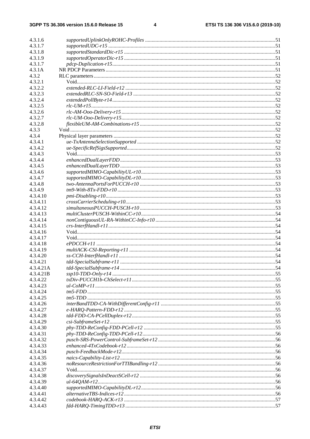$\overline{\mathbf{4}}$ 

| 4.3.1.6   |  |
|-----------|--|
| 4.3.1.7   |  |
| 4.3.1.8   |  |
| 4.3.1.9   |  |
| 4.3.1.7   |  |
|           |  |
| 4.3.1A    |  |
| 4.3.2     |  |
| 4.3.2.1   |  |
| 4.3.2.2   |  |
| 4.3.2.3   |  |
| 4.3.2.4   |  |
| 4.3.2.5   |  |
| 4.3.2.6   |  |
| 4.3.2.7   |  |
| 4.3.2.8   |  |
| 4.3.3     |  |
| 4.3.4     |  |
| 4.3.4.1   |  |
| 4.3.4.2   |  |
| 4.3.4.3   |  |
| 4.3.4.4   |  |
|           |  |
| 4.3.4.5   |  |
| 4.3.4.6   |  |
| 4.3.4.7   |  |
| 4.3.4.8   |  |
| 4.3.4.9   |  |
| 4.3.4.10  |  |
| 4.3.4.11  |  |
| 4.3.4.12  |  |
| 4.3.4.13  |  |
| 4.3.4.14  |  |
| 4.3.4.15  |  |
| 4.3.4.16  |  |
| 4.3.4.17  |  |
| 4.3.4.18  |  |
| 4.3.4.19  |  |
| 4.3.4.20  |  |
| 4.3.4.21  |  |
|           |  |
| 4.3.4.21A |  |
| 4.3.4.21B |  |
| 4.3.4.22  |  |
| 4.3.4.23  |  |
| 4.3.4.24  |  |
| 4.3.4.25  |  |
| 4.3.4.26  |  |
| 4.3.4.27  |  |
| 4.3.4.28  |  |
| 4.3.4.29  |  |
| 4.3.4.30  |  |
| 4.3.4.31  |  |
| 4.3.4.32  |  |
| 4.3.4.33  |  |
| 4.3.4.34  |  |
| 4.3.4.35  |  |
| 4.3.4.36  |  |
| 4.3.4.37  |  |
| 4.3.4.38  |  |
| 4.3.4.39  |  |
|           |  |
| 4.3.4.40  |  |
| 4.3.4.41  |  |
| 4.3.4.42  |  |
| 4.3.4.43  |  |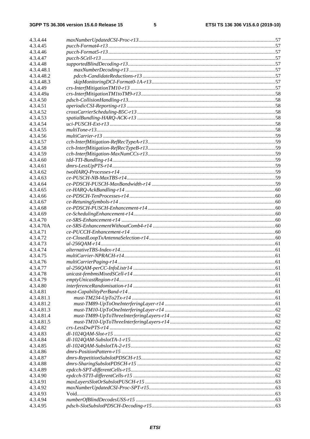$5\phantom{a}$ 

| 4.3.4.44   |                                                           |  |
|------------|-----------------------------------------------------------|--|
| 4.3.4.45   |                                                           |  |
| 4.3.4.46   |                                                           |  |
| 4.3.4.47   |                                                           |  |
| 4.3.4.48   |                                                           |  |
| 4.3.4.48.1 |                                                           |  |
| 4.3.4.48.2 |                                                           |  |
| 4.3.4.48.3 |                                                           |  |
| 4.3.4.49   |                                                           |  |
| 4.3.4.49a  |                                                           |  |
| 4.3.4.50   |                                                           |  |
| 4.3.4.51   |                                                           |  |
| 4.3.4.52   |                                                           |  |
| 4.3.4.53   |                                                           |  |
| 4.3.4.54   |                                                           |  |
| 4.3.4.55   |                                                           |  |
| 4.3.4.56   |                                                           |  |
| 4.3.4.57   |                                                           |  |
| 4.3.4.58   |                                                           |  |
| 4.3.4.59   |                                                           |  |
| 4.3.4.60   |                                                           |  |
| 4.3.4.61   |                                                           |  |
| 4.3.4.62   |                                                           |  |
| 4.3.4.63   |                                                           |  |
| 4.3.4.64   |                                                           |  |
| 4.3.4.65   |                                                           |  |
| 4.3.4.66   |                                                           |  |
| 4.3.4.67   |                                                           |  |
| 4.3.4.68   |                                                           |  |
| 4.3.4.69   |                                                           |  |
| 4.3.4.70   |                                                           |  |
| 4.3.4.70A  |                                                           |  |
| 4.3.4.71   |                                                           |  |
| 4.3.4.72   |                                                           |  |
| 4.3.4.73   |                                                           |  |
| 4.3.4.74   |                                                           |  |
| 4.3.4.75   |                                                           |  |
| 4.3.4.76   |                                                           |  |
| 4.3.4.77   |                                                           |  |
| 4.3.4.78   |                                                           |  |
| 4.3.4.79   |                                                           |  |
| 4.3.4.80   |                                                           |  |
| 4.3.4.81   |                                                           |  |
| 4.3.4.81.1 | $must \text{-} TM234 \text{-} UpTo2Tx \text{-} r14 \dots$ |  |
| 4.3.4.81.2 |                                                           |  |
| 4.3.4.81.3 |                                                           |  |
| 4.3.4.81.4 |                                                           |  |
| 4.3.4.81.5 |                                                           |  |
| 4.3.4.82   |                                                           |  |
| 4.3.4.83   |                                                           |  |
| 4.3.4.84   |                                                           |  |
| 4.3.4.85   |                                                           |  |
| 4.3.4.86   |                                                           |  |
| 4.3.4.87   |                                                           |  |
| 4.3.4.88   |                                                           |  |
| 4.3.4.89   |                                                           |  |
| 4.3.4.90   |                                                           |  |
| 4.3.4.91   |                                                           |  |
| 4.3.4.92   |                                                           |  |
| 4.3.4.93   |                                                           |  |
| 4.3.4.94   |                                                           |  |
| 4.3.4.95   |                                                           |  |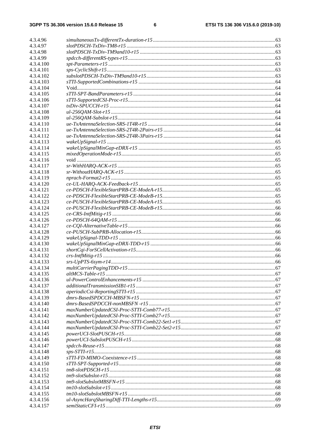| 4.3.4.96               |                                                                                                                                                                                                                                                                                                                                                                                                                                  |  |
|------------------------|----------------------------------------------------------------------------------------------------------------------------------------------------------------------------------------------------------------------------------------------------------------------------------------------------------------------------------------------------------------------------------------------------------------------------------|--|
| 4.3.4.97               |                                                                                                                                                                                                                                                                                                                                                                                                                                  |  |
| 4.3.4.98               |                                                                                                                                                                                                                                                                                                                                                                                                                                  |  |
| 4.3.4.99               |                                                                                                                                                                                                                                                                                                                                                                                                                                  |  |
| 4.3.4.100              |                                                                                                                                                                                                                                                                                                                                                                                                                                  |  |
| 4.3.4.101              |                                                                                                                                                                                                                                                                                                                                                                                                                                  |  |
| 4.3.4.102              |                                                                                                                                                                                                                                                                                                                                                                                                                                  |  |
| 4.3.4.103              |                                                                                                                                                                                                                                                                                                                                                                                                                                  |  |
| 4.3.4.104              |                                                                                                                                                                                                                                                                                                                                                                                                                                  |  |
| 4.3.4.105              |                                                                                                                                                                                                                                                                                                                                                                                                                                  |  |
| 4.3.4.106              |                                                                                                                                                                                                                                                                                                                                                                                                                                  |  |
| 4.3.4.107              |                                                                                                                                                                                                                                                                                                                                                                                                                                  |  |
| 4.3.4.108              |                                                                                                                                                                                                                                                                                                                                                                                                                                  |  |
| 4.3.4.109              |                                                                                                                                                                                                                                                                                                                                                                                                                                  |  |
| 4.3.4.110              |                                                                                                                                                                                                                                                                                                                                                                                                                                  |  |
| 4.3.4.111              |                                                                                                                                                                                                                                                                                                                                                                                                                                  |  |
| 4.3.4.112              |                                                                                                                                                                                                                                                                                                                                                                                                                                  |  |
| 4.3.4.113              |                                                                                                                                                                                                                                                                                                                                                                                                                                  |  |
| 4.3.4.114              |                                                                                                                                                                                                                                                                                                                                                                                                                                  |  |
| 4.3.4.115              |                                                                                                                                                                                                                                                                                                                                                                                                                                  |  |
| 4.3.4.116<br>4.3.4.117 |                                                                                                                                                                                                                                                                                                                                                                                                                                  |  |
| 4.3.4.118              |                                                                                                                                                                                                                                                                                                                                                                                                                                  |  |
| 4.3.4.119              |                                                                                                                                                                                                                                                                                                                                                                                                                                  |  |
| 4.3.4.120              |                                                                                                                                                                                                                                                                                                                                                                                                                                  |  |
| 4.3.4.121              |                                                                                                                                                                                                                                                                                                                                                                                                                                  |  |
| 4.3.4.122              |                                                                                                                                                                                                                                                                                                                                                                                                                                  |  |
| 4.3.4.123              |                                                                                                                                                                                                                                                                                                                                                                                                                                  |  |
| 4.3.4.124              |                                                                                                                                                                                                                                                                                                                                                                                                                                  |  |
| 4.3.4.125              |                                                                                                                                                                                                                                                                                                                                                                                                                                  |  |
| 4.3.4.126              |                                                                                                                                                                                                                                                                                                                                                                                                                                  |  |
| 4.3.4.127              |                                                                                                                                                                                                                                                                                                                                                                                                                                  |  |
| 4.3.4.128              |                                                                                                                                                                                                                                                                                                                                                                                                                                  |  |
| 4.3.4.129              |                                                                                                                                                                                                                                                                                                                                                                                                                                  |  |
| 4.3.4.130              |                                                                                                                                                                                                                                                                                                                                                                                                                                  |  |
| 4.3.4.131              |                                                                                                                                                                                                                                                                                                                                                                                                                                  |  |
| 4.3.4.132              |                                                                                                                                                                                                                                                                                                                                                                                                                                  |  |
| 4.3.4.133              |                                                                                                                                                                                                                                                                                                                                                                                                                                  |  |
| 4.3.4.134              |                                                                                                                                                                                                                                                                                                                                                                                                                                  |  |
| 4.3.4.135              |                                                                                                                                                                                                                                                                                                                                                                                                                                  |  |
| 4.3.4.136              |                                                                                                                                                                                                                                                                                                                                                                                                                                  |  |
| 4.3.4.137              |                                                                                                                                                                                                                                                                                                                                                                                                                                  |  |
| 4.3.4.138<br>4.3.4.139 |                                                                                                                                                                                                                                                                                                                                                                                                                                  |  |
| 4.3.4.140              |                                                                                                                                                                                                                                                                                                                                                                                                                                  |  |
| 4.3.4.141              |                                                                                                                                                                                                                                                                                                                                                                                                                                  |  |
| 4.3.4.142              |                                                                                                                                                                                                                                                                                                                                                                                                                                  |  |
| 4.3.4.143              |                                                                                                                                                                                                                                                                                                                                                                                                                                  |  |
| 4.3.4.144              | $maxNumberUpdateCSI-Proc\text{-}STTI-Comb22-Set2-r15\dots 15--\\ \dots 15--\\ \dots 15--\\ \dots 15--\\ \dots 15--\\ \dots 15--\\ \dots 15--\\ \dots 15--\\ \dots 15--\\ \dots 15--\\ \dots 15--\\ \dots 15--\\ \dots 15--\\ \dots 15--\\ \dots 15--\\ \dots 15--\\ \dots 15--\\ \dots 15--\\ \dots 15--\\ \dots 15--\\ \dots 15--\\ \dots 15--\\ \dots 15--\\ \dots 15--\\ \dots 15--\\ \dots 15--\\ \dots 15--\\ \dots 15--\\$ |  |
| 4.3.4.145              |                                                                                                                                                                                                                                                                                                                                                                                                                                  |  |
| 4.3.4.146              |                                                                                                                                                                                                                                                                                                                                                                                                                                  |  |
| 4.3.4.147              |                                                                                                                                                                                                                                                                                                                                                                                                                                  |  |
| 4.3.4.148              |                                                                                                                                                                                                                                                                                                                                                                                                                                  |  |
| 4.3.4.149              |                                                                                                                                                                                                                                                                                                                                                                                                                                  |  |
| 4.3.4.150              |                                                                                                                                                                                                                                                                                                                                                                                                                                  |  |
| 4.3.4.151              |                                                                                                                                                                                                                                                                                                                                                                                                                                  |  |
| 4.3.4.152              |                                                                                                                                                                                                                                                                                                                                                                                                                                  |  |
| 4.3.4.153              |                                                                                                                                                                                                                                                                                                                                                                                                                                  |  |
| 4.3.4.154              |                                                                                                                                                                                                                                                                                                                                                                                                                                  |  |
| 4.3.4.155              |                                                                                                                                                                                                                                                                                                                                                                                                                                  |  |
| 4.3.4.156              |                                                                                                                                                                                                                                                                                                                                                                                                                                  |  |
| 4.3.4.157              |                                                                                                                                                                                                                                                                                                                                                                                                                                  |  |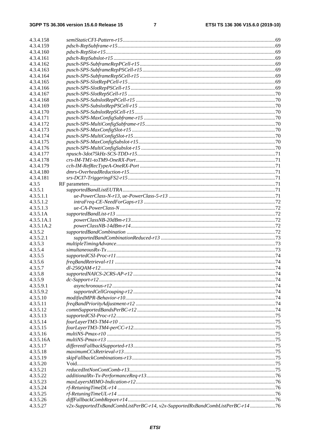| 4.3.4.158  |                                                                                |  |
|------------|--------------------------------------------------------------------------------|--|
| 4.3.4.159  |                                                                                |  |
| 4.3.4.160  |                                                                                |  |
| 4.3.4.161  |                                                                                |  |
| 4.3.4.162  |                                                                                |  |
| 4.3.4.163  |                                                                                |  |
| 4.3.4.164  |                                                                                |  |
| 4.3.4.165  |                                                                                |  |
| 4.3.4.166  |                                                                                |  |
| 4.3.4.167  |                                                                                |  |
| 4.3.4.168  |                                                                                |  |
| 4.3.4.169  |                                                                                |  |
| 4.3.4.170  |                                                                                |  |
| 4.3.4.171  |                                                                                |  |
| 4.3.4.172  |                                                                                |  |
| 4.3.4.173  |                                                                                |  |
| 4.3.4.174  |                                                                                |  |
| 4.3.4.175  |                                                                                |  |
| 4.3.4.176  |                                                                                |  |
| 4.3.4.177  |                                                                                |  |
| 4.3.4.178  |                                                                                |  |
| 4.3.4.179  |                                                                                |  |
| 4.3.4.180  |                                                                                |  |
| 4.3.4.181  |                                                                                |  |
| 4.3.5      |                                                                                |  |
| 4.3.5.1    |                                                                                |  |
| 4.3.5.1.1  |                                                                                |  |
| 4.3.5.1.2  |                                                                                |  |
| 4.3.5.1.3  |                                                                                |  |
| 4.3.5.1A   |                                                                                |  |
| 4.3.5.1A.1 |                                                                                |  |
| 4.3.5.1A.2 |                                                                                |  |
| 4.3.5.2    |                                                                                |  |
| 4.3.5.2.1  |                                                                                |  |
| 4.3.5.3    |                                                                                |  |
| 4.3.5.4    |                                                                                |  |
| 4.3.5.5    |                                                                                |  |
| 4.3.5.6    |                                                                                |  |
| 4.3.5.7    |                                                                                |  |
| 4.3.5.8    |                                                                                |  |
| 4.3.5.9    |                                                                                |  |
| 4.3.5.9.1  |                                                                                |  |
| 4.3.5.9.2  |                                                                                |  |
| 4.3.5.10   |                                                                                |  |
| 4.3.5.11   |                                                                                |  |
| 4.3.5.12   |                                                                                |  |
| 4.3.5.13   |                                                                                |  |
| 4.3.5.14   |                                                                                |  |
| 4.3.5.15   |                                                                                |  |
| 4.3.5.16   |                                                                                |  |
| 4.3.5.16A  |                                                                                |  |
| 4.3.5.17   |                                                                                |  |
| 4.3.5.18   |                                                                                |  |
| 4.3.5.19   |                                                                                |  |
| 4.3.5.20   |                                                                                |  |
| 4.3.5.21   |                                                                                |  |
| 4.3.5.22   |                                                                                |  |
| 4.3.5.23   |                                                                                |  |
| 4.3.5.24   |                                                                                |  |
| 4.3.5.25   |                                                                                |  |
| 4.3.5.26   |                                                                                |  |
| 4.3.5.27   | v2x-SupportedTxBandCombListPerBC-r14, v2x-SupportedRxBandCombListPerBC-r14  76 |  |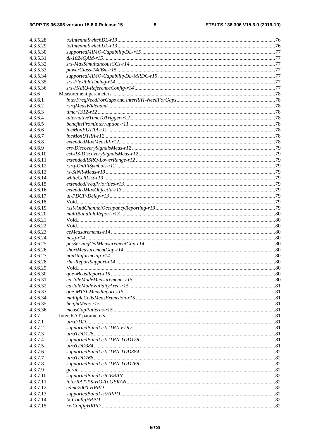| 4.3.5.28 |  |
|----------|--|
| 4.3.5.29 |  |
| 4.3.5.30 |  |
| 4.3.5.31 |  |
| 4.3.5.32 |  |
| 4.3.5.33 |  |
| 4.3.5.34 |  |
| 4.3.5.35 |  |
| 4.3.5.36 |  |
| 4.3.6    |  |
| 4.3.6.1  |  |
| 4.3.6.2  |  |
| 4.3.6.3  |  |
| 4.3.6.4  |  |
| 4.3.6.5  |  |
| 4.3.6.6  |  |
| 4.3.6.7  |  |
| 4.3.6.8  |  |
| 4.3.6.9  |  |
| 4.3.6.10 |  |
| 4.3.6.11 |  |
| 4.3.6.12 |  |
| 4.3.6.13 |  |
| 4.3.6.14 |  |
| 4.3.6.15 |  |
| 4.3.6.16 |  |
| 4.3.6.17 |  |
| 4.3.6.18 |  |
| 4.3.6.19 |  |
| 4.3.6.20 |  |
| 4.3.6.21 |  |
| 4.3.6.22 |  |
| 4.3.6.23 |  |
| 4.3.6.24 |  |
| 4.3.6.25 |  |
| 4.3.6.26 |  |
| 4.3.6.27 |  |
| 4.3.6.28 |  |
| 4.3.6.29 |  |
| 4.3.6.30 |  |
| 4.3.6.31 |  |
| 4.3.6.32 |  |
| 4.3.6.33 |  |
| 4.3.6.34 |  |
| 4.3.6.35 |  |
| 4.3.6.36 |  |
| 4.3.7    |  |
| 4.3.7.1  |  |
| 4.3.7.2  |  |
| 4.3.7.3  |  |
| 4.3.7.4  |  |
| 4.3.7.5  |  |
| 4.3.7.6  |  |
| 4.3.7.7  |  |
| 4.3.7.8  |  |
| 4.3.7.9  |  |
| 4.3.7.10 |  |
| 4.3.7.11 |  |
| 4.3.7.12 |  |
| 4.3.7.13 |  |
| 4.3.7.14 |  |
| 4.3.7.15 |  |
|          |  |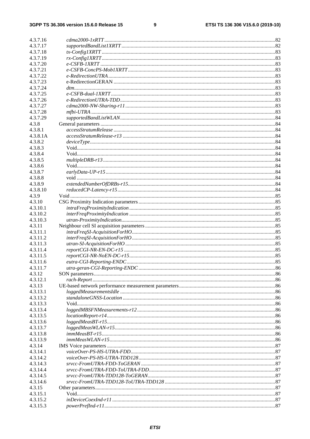### $\boldsymbol{9}$

| 4.3.7.16 |                                 |  |
|----------|---------------------------------|--|
| 4.3.7.17 |                                 |  |
| 4.3.7.18 |                                 |  |
| 4.3.7.19 |                                 |  |
| 4.3.7.20 |                                 |  |
| 4.3.7.21 |                                 |  |
| 4.3.7.22 |                                 |  |
| 4.3.7.23 |                                 |  |
| 4.3.7.24 |                                 |  |
| 4.3.7.25 |                                 |  |
| 4.3.7.26 | $e\text{-}Redirection UTRA-TDD$ |  |
| 4.3.7.27 |                                 |  |
| 4.3.7.28 |                                 |  |
| 4.3.7.29 |                                 |  |
| 4.3.8    |                                 |  |
| 4.3.8.1  |                                 |  |
| 4.3.8.1A |                                 |  |
| 4.3.8.2  |                                 |  |
| 4.3.8.3  |                                 |  |
| 4.3.8.4  |                                 |  |
| 4.3.8.5  |                                 |  |
| 4.3.8.6  |                                 |  |
| 4.3.8.7  |                                 |  |
| 4.3.8.8  |                                 |  |
| 4.3.8.9  |                                 |  |
| 4.3.8.10 |                                 |  |
| 4.3.9    |                                 |  |
| 4.3.10   |                                 |  |
| 4.3.10.1 |                                 |  |
| 4.3.10.2 |                                 |  |
| 4.3.10.3 |                                 |  |
| 4.3.11   |                                 |  |
| 4.3.11.1 |                                 |  |
| 4.3.11.2 |                                 |  |
| 4.3.11.3 |                                 |  |
| 4.3.11.4 |                                 |  |
| 4.3.11.5 |                                 |  |
| 4.3.11.6 |                                 |  |
| 4.3.11.7 |                                 |  |
| 4.3.12   |                                 |  |
| 4.3.12.1 |                                 |  |
| 4.3.13   |                                 |  |
| 4.3.13.1 |                                 |  |
| 4.3.13.2 |                                 |  |
| 4.3.13.3 |                                 |  |
| 4.3.13.4 |                                 |  |
| 4.3.13.5 |                                 |  |
| 4.3.13.6 |                                 |  |
| 4.3.13.7 |                                 |  |
| 4.3.13.8 |                                 |  |
| 4.3.13.9 |                                 |  |
| 4.3.14   |                                 |  |
| 4.3.14.1 |                                 |  |
| 4.3.14.2 |                                 |  |
| 4.3.14.3 |                                 |  |
| 4.3.14.4 |                                 |  |
| 4.3.14.5 |                                 |  |
|          |                                 |  |
| 4.3.14.6 |                                 |  |
| 4.3.15   |                                 |  |
| 4.3.15.1 |                                 |  |
| 4.3.15.2 |                                 |  |
| 4.3.15.3 |                                 |  |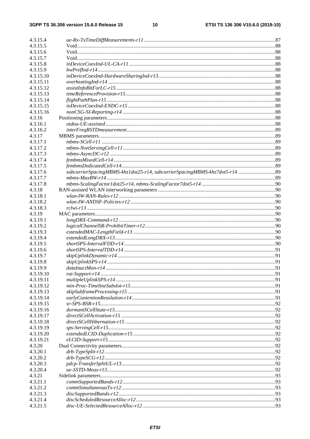| 4.3.15.4  |                                                                             |  |
|-----------|-----------------------------------------------------------------------------|--|
| 4.3.15.5  |                                                                             |  |
| 4.3.15.6  |                                                                             |  |
| 4.3.15.7  |                                                                             |  |
| 4.3.15.8  |                                                                             |  |
| 4.3.15.9  |                                                                             |  |
| 4.3.15.10 |                                                                             |  |
| 4.3.15.11 |                                                                             |  |
| 4.3.15.12 |                                                                             |  |
| 4.3.15.13 |                                                                             |  |
| 4.3.15.14 |                                                                             |  |
| 4.3.15.15 |                                                                             |  |
| 4.3.15.16 |                                                                             |  |
| 4.3.16    |                                                                             |  |
| 4.3.16.1  |                                                                             |  |
| 4.3.16.2  |                                                                             |  |
| 4.3.17    |                                                                             |  |
| 4.3.17.1  |                                                                             |  |
| 4.3.17.2  |                                                                             |  |
| 4.3.17.3  |                                                                             |  |
| 4.3.17.4  |                                                                             |  |
| 4.3.17.5  |                                                                             |  |
| 4.3.17.6  | subcarrierSpacingMBMS-khz1dot25-r14, subcarrierSpacingMBMS-khz7dot5-r14  89 |  |
| 4.3.17.7  |                                                                             |  |
| 4.3.17.8  |                                                                             |  |
| 4.3.18    |                                                                             |  |
| 4.3.18.1  |                                                                             |  |
| 4.3.18.2  |                                                                             |  |
| 4.3.18.3  |                                                                             |  |
| 4.3.19    |                                                                             |  |
| 4.3.19.1  |                                                                             |  |
| 4.3.19.2  |                                                                             |  |
| 4.3.19.3  |                                                                             |  |
| 4.3.19.4  |                                                                             |  |
| 4.3.19.5  |                                                                             |  |
| 4.3.19.6  |                                                                             |  |
| 4.3.19.7  |                                                                             |  |
| 4.3.19.8  |                                                                             |  |
| 4.3.19.9  |                                                                             |  |
| 4.3.19.10 |                                                                             |  |
| 4.3.19.11 |                                                                             |  |
| 4.3.19.12 |                                                                             |  |
| 4.3.19.13 |                                                                             |  |
| 4.3.19.14 |                                                                             |  |
| 4.3.19.15 |                                                                             |  |
|           |                                                                             |  |
| 4.3.19.16 |                                                                             |  |
| 4.3.19.17 |                                                                             |  |
| 4.3.19.18 |                                                                             |  |
| 4.3.19.19 |                                                                             |  |
| 4.3.19.20 |                                                                             |  |
| 4.3.19.21 |                                                                             |  |
| 4.3.20    |                                                                             |  |
| 4.3.20.1  |                                                                             |  |
| 4.3.20.2  |                                                                             |  |
| 4.3.20.3  |                                                                             |  |
| 4.3.20.4  |                                                                             |  |
| 4.3.21    |                                                                             |  |
| 4.3.21.1  |                                                                             |  |
| 4.3.21.2  |                                                                             |  |
| 4.3.21.3  |                                                                             |  |
| 4.3.21.4  |                                                                             |  |
| 4.3.21.5  |                                                                             |  |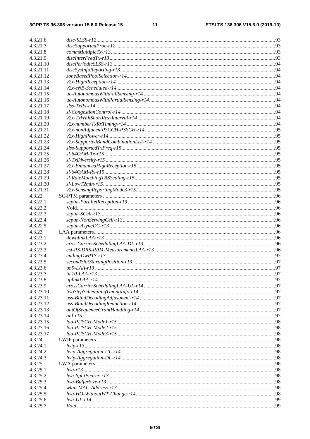| 4.3.21.6               |  |
|------------------------|--|
| 4.3.21.7               |  |
| 4.3.21.8               |  |
| 4.3.21.9               |  |
| 4.3.21.10              |  |
| 4.3.21.11              |  |
| 4.3.21.12              |  |
| 4.3.21.13              |  |
| 4.3.21.14              |  |
| 4.3.21.15              |  |
| 4.3.21.16              |  |
| 4.3.21.17              |  |
| 4.3.21.18              |  |
| 4.3.21.19              |  |
| 4.3.21.20              |  |
| 4.3.21.21              |  |
| 4.3.21.22              |  |
| 4.3.21.23<br>4.3.21.24 |  |
| 4.3.21.25              |  |
| 4.3.21.26              |  |
| 4.3.21.27              |  |
| 4.3.21.28              |  |
| 4.3.21.29              |  |
| 4.3.21.30              |  |
| 4.3.21.31              |  |
| 4.3.22                 |  |
| 4.3.22.1               |  |
| 4.3.22.2               |  |
| 4.3.22.3               |  |
| 4.3.22.4               |  |
| 4.3.22.5               |  |
| 4.3.23                 |  |
| 4.3.23.1               |  |
| 4.3.23.2               |  |
| 4.3.23.3<br>4.3.23.4   |  |
| 4.3.23.5               |  |
| 4.3.23.6               |  |
| 4.3.23.7               |  |
| 4.3.23.8               |  |
| 4.3.23.9               |  |
| 4.3.23.10              |  |
| 4.3.23.11              |  |
| 4.3.23.12              |  |
| 4.3.23.13              |  |
| 4.3.23.14              |  |
| 4.3.23.15              |  |
| 4.3.23.16              |  |
| 4.3.23.17              |  |
| 4.3.24                 |  |
| 4.3.24.1               |  |
| 4.3.24.2               |  |
| 4.3.24.3<br>4.3.25     |  |
| 4.3.25.1               |  |
| 4.3.25.2               |  |
| 4.3.25.3               |  |
| 4.3.25.4               |  |
| 4.3.25.5               |  |
| 4.3.25.6               |  |
| 4.3.25.7               |  |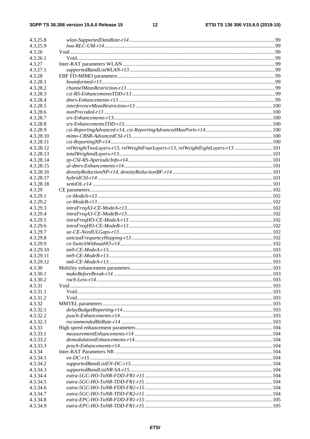| 4.3.25.8  |                                                                                |  |
|-----------|--------------------------------------------------------------------------------|--|
| 4.3.25.9  |                                                                                |  |
| 4.3.26    |                                                                                |  |
| 4.3.26.1  |                                                                                |  |
| 4.3.27    |                                                                                |  |
| 4.3.27.1  |                                                                                |  |
|           |                                                                                |  |
| 4.3.28    |                                                                                |  |
| 4.3.28.1  |                                                                                |  |
| 4.3.28.2  |                                                                                |  |
| 4.3.28.3  |                                                                                |  |
| 4.3.28.4  |                                                                                |  |
| 4.3.28.5  |                                                                                |  |
| 4.3.28.6  | $non Precoded-r13 \dots 100$                                                   |  |
| 4.3.28.7  |                                                                                |  |
|           |                                                                                |  |
| 4.3.28.8  |                                                                                |  |
| 4.3.28.9  |                                                                                |  |
| 4.3.28.10 |                                                                                |  |
| 4.3.28.11 |                                                                                |  |
| 4.3.28.12 | relWeightTwoLayers-r13, relWeightFourLayers-r13, relWeightEightLayers-r13  101 |  |
| 4.3.28.13 |                                                                                |  |
| 4.3.28.14 |                                                                                |  |
| 4.3.28.15 |                                                                                |  |
| 4.3.28.16 |                                                                                |  |
| 4.3.28.17 |                                                                                |  |
|           |                                                                                |  |
| 4.3.28.18 |                                                                                |  |
| 4.3.29    |                                                                                |  |
| 4.3.29.1  |                                                                                |  |
| 4.3.29.2  |                                                                                |  |
| 4.3.29.3  |                                                                                |  |
| 4.3.29.4  |                                                                                |  |
| 4.3.29.5  |                                                                                |  |
| 4.3.29.6  |                                                                                |  |
| 4.3.29.7  |                                                                                |  |
| 4.3.29.8  |                                                                                |  |
|           |                                                                                |  |
| 4.3.29.9  |                                                                                |  |
| 4.3.29.10 |                                                                                |  |
| 4.3.29.11 |                                                                                |  |
| 4.3.29.12 |                                                                                |  |
| 4.3.30    |                                                                                |  |
| 4.3.30.1  |                                                                                |  |
| 4.3.30.2  |                                                                                |  |
| 4.3.31    |                                                                                |  |
| 4.3.31.1  |                                                                                |  |
| 4.3.31.2  |                                                                                |  |
|           |                                                                                |  |
| 4.3.32    |                                                                                |  |
| 4.3.32.1  |                                                                                |  |
| 4.3.32.2  |                                                                                |  |
| 4.3.32.3  |                                                                                |  |
| 4.3.33    |                                                                                |  |
| 4.3.33.1  |                                                                                |  |
| 4.3.33.2  |                                                                                |  |
| 4.3.33.3  |                                                                                |  |
| 4.3.34    |                                                                                |  |
| 4.3.34.1  |                                                                                |  |
|           |                                                                                |  |
| 4.3.34.2  |                                                                                |  |
| 4.3.34.3  |                                                                                |  |
| 4.3.34.4  |                                                                                |  |
| 4.3.34.5  |                                                                                |  |
| 4.3.34.6  |                                                                                |  |
| 4.3.34.7  |                                                                                |  |
| 4.3.34.8  |                                                                                |  |
| 4.3.34.9  |                                                                                |  |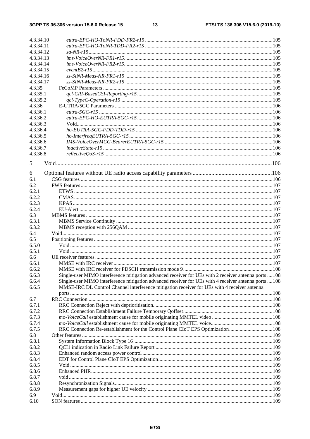| 4.3.34.10 |                                                                                                       |  |
|-----------|-------------------------------------------------------------------------------------------------------|--|
| 4.3.34.11 |                                                                                                       |  |
| 4.3.34.12 |                                                                                                       |  |
| 4.3.34.13 |                                                                                                       |  |
| 4.3.34.14 |                                                                                                       |  |
| 4.3.34.15 |                                                                                                       |  |
| 4.3.34.16 |                                                                                                       |  |
| 4.3.34.17 |                                                                                                       |  |
| 4.3.35    |                                                                                                       |  |
| 4.3.35.1  |                                                                                                       |  |
| 4.3.35.2  |                                                                                                       |  |
| 4.3.36    |                                                                                                       |  |
| 4.3.36.1  |                                                                                                       |  |
| 4.3.36.2  |                                                                                                       |  |
| 4.3.36.3  |                                                                                                       |  |
| 4.3.36.4  |                                                                                                       |  |
| 4.3.36.5  |                                                                                                       |  |
| 4.3.36.6  |                                                                                                       |  |
| 4.3.36.7  |                                                                                                       |  |
| 4.3.36.8  |                                                                                                       |  |
|           |                                                                                                       |  |
| 5         |                                                                                                       |  |
|           |                                                                                                       |  |
| 6         |                                                                                                       |  |
| 6.1       |                                                                                                       |  |
| 6.2       |                                                                                                       |  |
| 6.2.1     |                                                                                                       |  |
| 6.2.2     |                                                                                                       |  |
| 6.2.3     |                                                                                                       |  |
| 6.2.4     |                                                                                                       |  |
| 6.3       |                                                                                                       |  |
| 6.3.1     |                                                                                                       |  |
| 6.3.2     |                                                                                                       |  |
| 6.4       |                                                                                                       |  |
| 6.5       |                                                                                                       |  |
| 6.5.0     |                                                                                                       |  |
| 6.5.1     |                                                                                                       |  |
| 6.6       |                                                                                                       |  |
| 6.6.1     |                                                                                                       |  |
| 6.6.2     |                                                                                                       |  |
| 6.6.3     | Single-user MIMO interference mitigation advanced receiver for UEs with 2 receiver antenna ports  108 |  |
| 6.6.4     | Single-user MIMO interference mitigation advanced receiver for UEs with 4 receiver antenna ports  108 |  |
| 6.6.5     | MMSE-IRC DL Control Channel interference mitigation receiver for UEs with 4 receiver antenna          |  |
|           |                                                                                                       |  |
| 6.7       |                                                                                                       |  |
| 6.7.1     |                                                                                                       |  |
| 6.7.2     |                                                                                                       |  |
| 6.7.3     |                                                                                                       |  |
| 6.7.4     |                                                                                                       |  |
| 6.7.5     | RRC Connection Re-establishment for the Control Plane CIoT EPS Optimization108                        |  |
| 6.8       |                                                                                                       |  |
| 6.8.1     |                                                                                                       |  |
| 6.8.2     |                                                                                                       |  |
| 6.8.3     |                                                                                                       |  |
| 6.8.4     |                                                                                                       |  |
| 6.8.5     |                                                                                                       |  |
| 6.8.6     |                                                                                                       |  |
| 6.8.7     |                                                                                                       |  |
| 6.8.8     |                                                                                                       |  |
| 6.8.9     |                                                                                                       |  |
| 6.9       |                                                                                                       |  |
| 6.10      |                                                                                                       |  |
|           |                                                                                                       |  |

### **ETSI**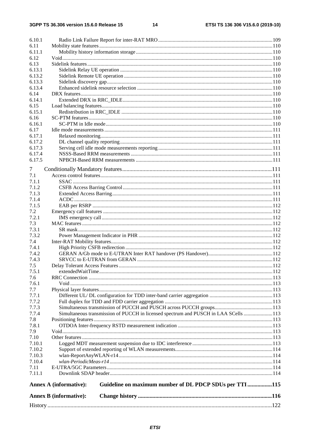| 6.10.1 |                                                                                         |  |
|--------|-----------------------------------------------------------------------------------------|--|
| 6.11   |                                                                                         |  |
| 6.11.1 |                                                                                         |  |
| 6.12   |                                                                                         |  |
| 6.13   |                                                                                         |  |
| 6.13.1 |                                                                                         |  |
| 6.13.2 |                                                                                         |  |
| 6.13.3 |                                                                                         |  |
| 6.13.4 |                                                                                         |  |
| 6.14   |                                                                                         |  |
| 6.14.1 |                                                                                         |  |
| 6.15   |                                                                                         |  |
| 6.15.1 |                                                                                         |  |
| 6.16   |                                                                                         |  |
| 6.16.1 |                                                                                         |  |
| 6.17   |                                                                                         |  |
| 6.17.1 |                                                                                         |  |
| 6.17.2 |                                                                                         |  |
| 6.17.3 |                                                                                         |  |
| 6.17.4 |                                                                                         |  |
| 6.17.5 |                                                                                         |  |
| 7      |                                                                                         |  |
| 7.1    |                                                                                         |  |
| 7.1.1  |                                                                                         |  |
| 7.1.2  |                                                                                         |  |
| 7.1.3  |                                                                                         |  |
| 7.1.4  |                                                                                         |  |
| 7.1.5  |                                                                                         |  |
| 7.2    |                                                                                         |  |
| 7.2.1  |                                                                                         |  |
| 7.3    |                                                                                         |  |
| 7.3.1  |                                                                                         |  |
| 7.3.2  |                                                                                         |  |
| 7.4    |                                                                                         |  |
| 7.4.1  |                                                                                         |  |
| 7.4.2  |                                                                                         |  |
| 7.4.3  |                                                                                         |  |
| 7.5    |                                                                                         |  |
| 7.5.1  |                                                                                         |  |
| 7.6    |                                                                                         |  |
| 7.6.1  |                                                                                         |  |
| 7.7    |                                                                                         |  |
| 7.7.1  |                                                                                         |  |
| 7.7.2  |                                                                                         |  |
| 7.7.3  |                                                                                         |  |
| 7.7.4  | Simultaneous transmission of PUCCH in licensed spectrum and PUSCH in LAA SCells 113     |  |
| 7.8    |                                                                                         |  |
| 7.8.1  |                                                                                         |  |
| 7.9    |                                                                                         |  |
| 7.10   |                                                                                         |  |
| 7.10.1 |                                                                                         |  |
| 7.10.2 |                                                                                         |  |
| 7.10.3 |                                                                                         |  |
| 7.10.4 |                                                                                         |  |
| 7.11   |                                                                                         |  |
| 7.11.1 |                                                                                         |  |
|        |                                                                                         |  |
|        | Guideline on maximum number of DL PDCP SDUs per TTI115<br><b>Annex A (informative):</b> |  |
|        | <b>Annex B</b> (informative):                                                           |  |
|        |                                                                                         |  |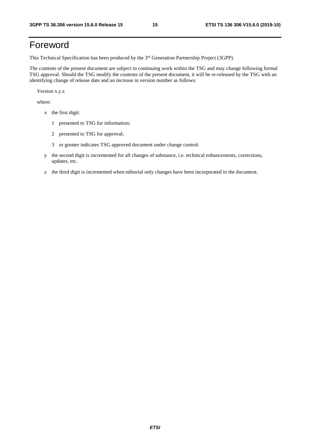# Foreword

This Technical Specification has been produced by the 3<sup>rd</sup> Generation Partnership Project (3GPP).

The contents of the present document are subject to continuing work within the TSG and may change following formal TSG approval. Should the TSG modify the contents of the present document, it will be re-released by the TSG with an identifying change of release date and an increase in version number as follows:

Version x.y.z

where:

- x the first digit:
	- 1 presented to TSG for information;
	- 2 presented to TSG for approval;
	- 3 or greater indicates TSG approved document under change control.
- y the second digit is incremented for all changes of substance, i.e. technical enhancements, corrections, updates, etc.
- z the third digit is incremented when editorial only changes have been incorporated in the document.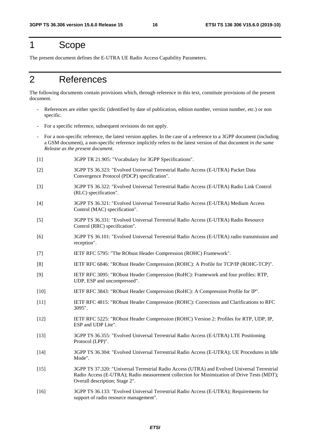### 1 Scope

The present document defines the E-UTRA UE Radio Access Capability Parameters.

# 2 References

The following documents contain provisions which, through reference in this text, constitute provisions of the present document.

- References are either specific (identified by date of publication, edition number, version number, etc.) or non specific.
- For a specific reference, subsequent revisions do not apply.
- For a non-specific reference, the latest version applies. In the case of a reference to a 3GPP document (including a GSM document), a non-specific reference implicitly refers to the latest version of that document *in the same Release as the present document*.
- [1] 3GPP TR 21.905: "Vocabulary for 3GPP Specifications".
- [2] 3GPP TS 36.323: "Evolved Universal Terrestrial Radio Access (E-UTRA) Packet Data Convergence Protocol (PDCP) specification".
- [3] 3GPP TS 36.322: "Evolved Universal Terrestrial Radio Access (E-UTRA) Radio Link Control (RLC) specification".
- [4] 3GPP TS 36.321: "Evolved Universal Terrestrial Radio Access (E-UTRA) Medium Access Control (MAC) specification".
- [5] 3GPP TS 36.331: "Evolved Universal Terrestrial Radio Access (E-UTRA) Radio Resource Control (RRC) specification".
- [6] 3GPP TS 36.101: "Evolved Universal Terrestrial Radio Access (E-UTRA) radio transmission and reception".
- [7] IETF RFC 5795: "The RObust Header Compression (ROHC) Framework".
- [8] IETF RFC 6846: "RObust Header Compression (ROHC): A Profile for TCP/IP (ROHC-TCP)".
- [9] IETF RFC 3095: "RObust Header Compression (RoHC): Framework and four profiles: RTP, UDP, ESP and uncompressed".
- [10] IETF RFC 3843: "RObust Header Compression (RoHC): A Compression Profile for IP".
- [11] IETF RFC 4815: "RObust Header Compression (ROHC): Corrections and Clarifications to RFC 3095".
- [12] IETF RFC 5225: "RObust Header Compression (ROHC) Version 2: Profiles for RTP, UDP, IP, ESP and UDP Lite".
- [13] 3GPP TS 36.355: "Evolved Universal Terrestrial Radio Access (E-UTRA) LTE Positioning Protocol (LPP)".
- [14] 3GPP TS 36.304: "Evolved Universal Terrestrial Radio Access (E-UTRA); UE Procedures in Idle Mode".
- [15] 3GPP TS 37.320: "Universal Terrestrial Radio Access (UTRA) and Evolved Universal Terrestrial Radio Access (E-UTRA); Radio measurement collection for Minimization of Drive Tests (MDT); Overall description; Stage 2".
- [16] 3GPP TS 36.133: "Evolved Universal Terrestrial Radio Access (E-UTRA); Requirements for support of radio resource management".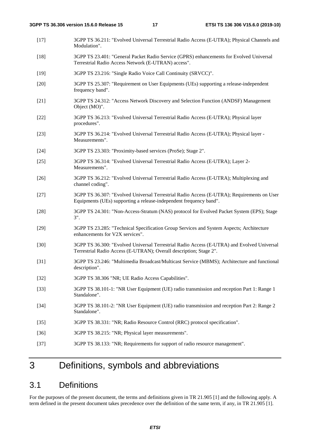- [17] 3GPP TS 36.211: "Evolved Universal Terrestrial Radio Access (E-UTRA); Physical Channels and Modulation".
- [18] 3GPP TS 23.401: "General Packet Radio Service (GPRS) enhancements for Evolved Universal Terrestrial Radio Access Network (E-UTRAN) access".
- [19] 3GPP TS 23.216: "Single Radio Voice Call Continuity (SRVCC)".
- [20] 3GPP TS 25.307: "Requirement on User Equipments (UEs) supporting a release-independent frequency band".
- [21] 3GPP TS 24.312: "Access Network Discovery and Selection Function (ANDSF) Management Object (MO)".
- [22] 3GPP TS 36.213: "Evolved Universal Terrestrial Radio Access (E-UTRA); Physical layer procedures".
- [23] 3GPP TS 36.214: "Evolved Universal Terrestrial Radio Access (E-UTRA); Physical layer Measurements".
- [24] 3GPP TS 23.303: "Proximity-based services (ProSe); Stage 2".
- [25] 3GPP TS 36.314: "Evolved Universal Terrestrial Radio Access (E-UTRA); Layer 2- Measurements".
- [26] 3GPP TS 36.212: "Evolved Universal Terrestrial Radio Access (E-UTRA); Multiplexing and channel coding".
- [27] 3GPP TS 36.307: "Evolved Universal Terrestrial Radio Access (E-UTRA); Requirements on User Equipments (UEs) supporting a release-independent frequency band".
- [28] 3GPP TS 24.301: "Non-Access-Stratum (NAS) protocol for Evolved Packet System (EPS); Stage 3".
- [29] 3GPP TS 23.285: "Technical Specification Group Services and System Aspects; Architecture enhancements for V2X services".
- [30] 3GPP TS 36.300: "Evolved Universal Terrestrial Radio Access (E-UTRA) and Evolved Universal Terrestrial Radio Access (E-UTRAN); Overall description; Stage 2".
- [31] 3GPP TS 23.246: "Multimedia Broadcast/Multicast Service (MBMS); Architecture and functional description".
- [32] 3GPP TS 38.306 "NR; UE Radio Access Capabilities".
- [33] 3GPP TS 38.101-1: "NR User Equipment (UE) radio transmission and reception Part 1: Range 1 Standalone".
- [34] 3GPP TS 38.101-2: "NR User Equipment (UE) radio transmission and reception Part 2: Range 2 Standalone".
- [35] 3GPP TS 38.331: "NR; Radio Resource Control (RRC) protocol specification".
- [36] 3GPP TS 38.215: "NR; Physical layer measurements".
- [37] 3GPP TS 38.133: "NR; Requirements for support of radio resource management".

# 3 Definitions, symbols and abbreviations

### 3.1 Definitions

For the purposes of the present document, the terms and definitions given in TR 21.905 [1] and the following apply. A term defined in the present document takes precedence over the definition of the same term, if any, in TR 21.905 [1].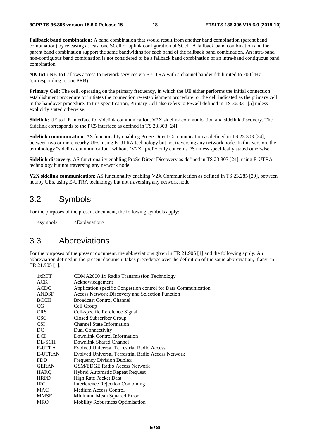**Fallback band combination:** A band combination that would result from another band combination (parent band combination) by releasing at least one SCell or uplink configuration of SCell. A fallback band combination and the parent band combination support the same bandwidths for each band of the fallback band combination. An intra-band non-contiguous band combination is not considered to be a fallback band combination of an intra-band contiguous band combination.

**NB-IoT:** NB-IoT allows access to network services via E-UTRA with a channel bandwidth limited to 200 kHz (corresponding to one PRB).

**Primary Cell:** The cell, operating on the primary frequency, in which the UE either performs the initial connection establishment procedure or initiates the connection re-establishment procedure, or the cell indicated as the primary cell in the handover procedure. In this specification, Primary Cell also refers to PSCell defined in TS 36.331 [5] unless explicitly stated otherwise.

**Sidelink**: UE to UE interface for sidelink communication, V2X sidelink communication and sidelink discovery. The Sidelink corresponds to the PC5 interface as defined in TS 23.303 [24].

**Sidelink communication**: AS functionality enabling ProSe Direct Communication as defined in TS 23.303 [24], between two or more nearby UEs, using E-UTRA technology but not traversing any network node. In this version, the terminology "sidelink communication" without "V2X" prefix only concerns PS unless specifically stated otherwise.

**Sidelink discovery**: AS functionality enabling ProSe Direct Discovery as defined in TS 23.303 [24], using E-UTRA technology but not traversing any network node.

**V2X sidelink communication**: AS functionality enabling V2X Communication as defined in TS 23.285 [29], between nearby UEs, using E-UTRA technology but not traversing any network node.

### 3.2 Symbols

For the purposes of the present document, the following symbols apply:

<symbol> <Explanation>

### 3.3 Abbreviations

For the purposes of the present document, the abbreviations given in TR 21.905 [1] and the following apply. An abbreviation defined in the present document takes precedence over the definition of the same abbreviation, if any, in TR 21.905 [1].

| CDMA2000 1x Radio Transmission Technology                      |
|----------------------------------------------------------------|
| Acknowledgement                                                |
| Application specific Congestion control for Data Communication |
| <b>Access Network Discovery and Selection Function</b>         |
| <b>Broadcast Control Channel</b>                               |
| Cell Group                                                     |
| Cell-specific Rerefence Signal                                 |
| Closed Subscriber Group                                        |
| <b>Channel State Information</b>                               |
| Dual Connectivity                                              |
| Downlink Control Information                                   |
| Downlink Shared Channel                                        |
| Evolved Universal Terrestrial Radio Access                     |
| <b>Evolved Universal Terrestrial Radio Access Network</b>      |
| <b>Frequency Division Duplex</b>                               |
| <b>GSM/EDGE Radio Access Network</b>                           |
| Hybrid Automatic Repeat Request                                |
| High Rate Packet Data                                          |
| Interference Rejection Combining                               |
| <b>Medium Access Control</b>                                   |
| Minimum Mean Squared Error                                     |
| <b>Mobility Robustness Optimisation</b>                        |
|                                                                |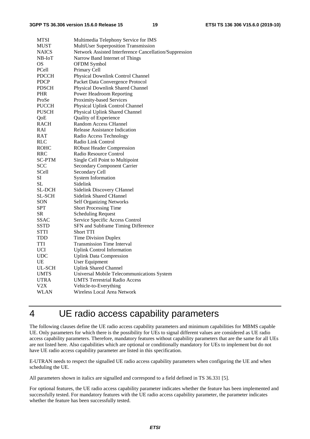#### **3GPP TS 36.306 version 15.6.0 Release 15 19 ETSI TS 136 306 V15.6.0 (2019-10)**

| <b>MTSI</b>   | Multimedia Telephony Service for IMS                   |
|---------------|--------------------------------------------------------|
| <b>MUST</b>   | MultiUser Superposition Transmission                   |
| <b>NAICS</b>  | Network Assisted Interference Cancellation/Suppression |
| $NB$ - $IoT$  | Narrow Band Internet of Things                         |
| OS            | OFDM Symbol                                            |
| PCell         | Primary Cell                                           |
| <b>PDCCH</b>  | Physical Downlink Control Channel                      |
| <b>PDCP</b>   | Packet Data Convergence Protocol                       |
| <b>PDSCH</b>  | Physical Downlink Shared Channel                       |
| PHR           | Power Headroom Reporting                               |
| ProSe         | Proximity-based Services                               |
| <b>PUCCH</b>  | Physical Uplink Control Channel                        |
| PUSCH         | Physical Uplink Shared Channel                         |
| QoE           | <b>Quality of Experience</b>                           |
| RACH          | Random Access CHannel                                  |
| RAI           | Release Assistance Indication                          |
| RAT           | Radio Access Technology                                |
| RLC           | Radio Link Control                                     |
| ROHC          | <b>RObust Header Compression</b>                       |
| RRC           | Radio Resource Control                                 |
| <b>SC-PTM</b> | Single Cell Point to Multipoint                        |
| <b>SCC</b>    | <b>Secondary Component Carrier</b>                     |
| SCell         | Secondary Cell                                         |
| SI            | <b>System Information</b>                              |
| SL            | Sidelink                                               |
| <b>SL-DCH</b> | Sidelink Discovery CHannel                             |
| <b>SL-SCH</b> | <b>Sidelink Shared CHannel</b>                         |
| SON           | <b>Self Organizing Networks</b>                        |
| <b>SPT</b>    | <b>Short Processing Time</b>                           |
| <b>SR</b>     | <b>Scheduling Request</b>                              |
| <b>SSAC</b>   | Service Specific Access Control                        |
| <b>SSTD</b>   | SFN and Subframe Timing Difference                     |
| STTI          | <b>Short TTI</b>                                       |
| TDD           | <b>Time Division Duplex</b>                            |
| TTI           | <b>Transmission Time Interval</b>                      |
| <b>UCI</b>    | <b>Uplink Control Information</b>                      |
| UDC           | <b>Uplink Data Compression</b>                         |
| UE            | <b>User Equipment</b>                                  |
| UL-SCH        | <b>Uplink Shared Channel</b>                           |
| UMTS          | Universal Mobile Telecommunications System             |
| UTRA          | <b>UMTS Terrestrial Radio Access</b>                   |
| V2X           | Vehicle-to-Everything                                  |
| WLAN          | Wireless Local Area Network                            |
|               |                                                        |

# 4 UE radio access capability parameters

The following clauses define the UE radio access capability parameters and minimum capabilities for MBMS capable UE. Only parameters for which there is the possibility for UEs to signal different values are considered as UE radio access capability parameters. Therefore, mandatory features without capability parameters that are the same for all UEs are not listed here. Also capabilities which are optional or conditionally mandatory for UEs to implement but do not have UE radio access capability parameter are listed in this specification.

E-UTRAN needs to respect the signalled UE radio access capability parameters when configuring the UE and when scheduling the UE.

All parameters shown in italics are signalled and correspond to a field defined in TS 36.331 [5].

For optional features, the UE radio access capability parameter indicates whether the feature has been implemented and successfully tested. For mandatory features with the UE radio access capability parameter, the parameter indicates whether the feature has been successfully tested.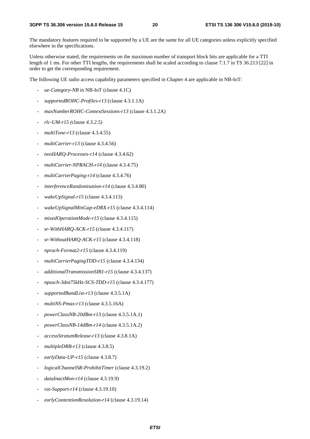The mandatory features required to be supported by a UE are the same for all UE categories unless explicitly specified elsewhere in the specifications.

Unless otherwise stated, the requirements on the maximum number of transport block bits are applicable for a TTI length of 1 ms. For other TTI lengths, the requirements shall be scaled according to clause 7.1.7 in TS 36.213 [22] in order to get the corresponding requirement.

The following UE radio access capability parameters specified in Chapter 4 are applicable in NB-IoT:

- *ue-Category-NB* in NB-IoT (clause 4.1C)
- *supportedROHC-Profiles-r13* (clause 4.3.1.1A)
- *maxNumberROHC-ContextSessions-r13* (clause 4.3.1.2A)
- *rlc-UM-r15 (*clause *4.3.2.5)*
- *multiTone-r13* (clause 4.3.4.55)
- *multiCarrier-r13* (clause 4.3.4.56)
- *twoHARQ-Processes-r14* (clause 4.3.4.62)
- *multiCarrier-NPRACH-r14* (clause 4.3.4.75)
- *multiCarrierPaging-r14* (clause 4.3.4.76)
- *interferenceRandomisation-r14* (clause 4.3.4.80)
- *wakeUpSignal-r15* (clause 4.3.4.113)
- *wakeUpSignalMinGap-eDRX-r15* (clause 4.3.4.114)
- *mixedOperationMode-r15* (clause 4.3.4.115)
- *sr-WithHARQ-ACK-r15* (clause 4.3.4.117)
- *sr-WithoutHARQ-ACK-r15* (clause 4.3.4.118)
- *nprach-Format2-r15* (clause 4.3.4.119)
- *multiCarrierPagingTDD-r15* (clause 4.3.4.134)
- *additionalTransmissionSIB1-r15* (clause 4.3.4.137)
- *npusch-3dot75kHz-SCS-TDD-r15* (clause 4.3.4.177)
- supportedBandList-r13 (clause 4.3.5.1A)
- *multiNS-Pmax-r13* (clause 4.3.5.16A)
- *powerClassNB-20dBm-r13* (clause 4.3.5.1A.1)
- *powerClassNB-14dBm-r14* (clause 4.3.5.1A.2)
- *accessStratumRelease-r13* (clause 4.3.8.1A)
- *multipleDRB-r13* (clause 4.3.8.5)
- *earlyData-UP-r15* (clause 4.3.8.7)
- *logicalChannelSR-ProhibitTimer* (clause 4.3.19.2)
- *dataInactMon-r14* (clause 4.3.19.9)
- *rai-Support-r14* (clause 4.3.19.10)
- *earlyContentionResolution-r14* (clause 4.3.19.14)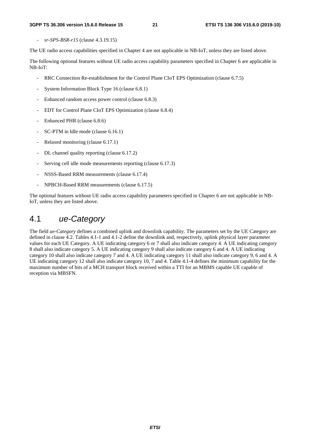- *sr-SPS-BSR-r15* (clause 4.3.19.15)

The UE radio access capabilities specified in Chapter 4 are not applicable in NB-IoT, unless they are listed above.

The following optional features without UE radio access capability parameters specified in Chapter 6 are applicable in NB-IoT:

- RRC Connection Re-establishment for the Control Plane CIoT EPS Optimization (clause 6.7.5)
- System Information Block Type 16 (clause 6.8.1)
- Enhanced random access power control (clause 6.8.3)
- EDT for Control Plane CIoT EPS Optimization (clause 6.8.4)
- Enhanced PHR (clause 6.8.6)
- SC-PTM in Idle mode (clause 6.16.1)
- Relaxed monitoring (clause 6.17.1)
- DL channel quality reporting (clause 6.17.2)
- Serving cell idle mode measurements reporting (clause 6.17.3)
- NSSS-Based RRM measurements (clause 6.17.4)
- NPBCH-Based RRM measurements (clause 6.17.5)

The optional features without UE radio access capability parameters specified in Chapter 6 are not applicable in NB-IoT, unless they are listed above.

### 4.1 *ue-Category*

The field *ue-Category* defines a combined uplink and downlink capability. The parameters set by the UE Category are defined in clause 4.2. Tables 4.1-1 and 4.1-2 define the downlink and, respectively, uplink physical layer parameter values for each UE Category. A UE indicating category 6 or 7 shall also indicate category 4. A UE indicating category 8 shall also indicate category 5. A UE indicating category 9 shall also indicate category 6 and 4. A UE indicating category 10 shall also indicate category 7 and 4. A UE indicating category 11 shall also indicate category 9, 6 and 4. A UE indicating category 12 shall also indicate category 10, 7 and 4. Table 4.1-4 defines the minimum capability for the maximum number of bits of a MCH transport block received within a TTI for an MBMS capable UE capable of reception via MBSFN.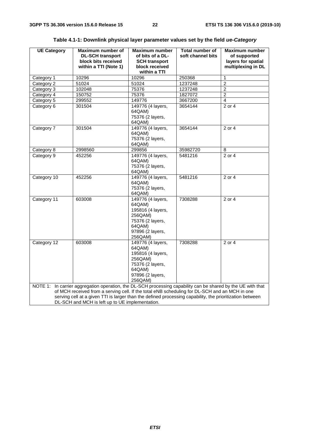| <b>UE Category</b> | Maximum number of<br><b>DL-SCH transport</b><br>block bits received                                                                                                                                                                                                                                                                                                          | <b>Maximum number</b><br>of bits of a DL-<br><b>SCH transport</b>                                                        | <b>Total number of</b><br>soft channel bits | Maximum number<br>of supported<br>layers for spatial |
|--------------------|------------------------------------------------------------------------------------------------------------------------------------------------------------------------------------------------------------------------------------------------------------------------------------------------------------------------------------------------------------------------------|--------------------------------------------------------------------------------------------------------------------------|---------------------------------------------|------------------------------------------------------|
|                    | within a TTI (Note 1)                                                                                                                                                                                                                                                                                                                                                        | block received                                                                                                           |                                             | multiplexing in DL                                   |
|                    |                                                                                                                                                                                                                                                                                                                                                                              | within a TTI                                                                                                             |                                             |                                                      |
| Category 1         | 10296                                                                                                                                                                                                                                                                                                                                                                        | 10296                                                                                                                    | 250368                                      | $\mathbf{1}$                                         |
| Category 2         | 51024                                                                                                                                                                                                                                                                                                                                                                        | 51024                                                                                                                    | 1237248                                     | $\overline{2}$                                       |
| Category 3         | 102048                                                                                                                                                                                                                                                                                                                                                                       | 75376                                                                                                                    | 1237248                                     | $\overline{c}$                                       |
| Category 4         | 150752                                                                                                                                                                                                                                                                                                                                                                       | 75376                                                                                                                    | 1827072                                     | $\overline{2}$                                       |
| Category 5         | 299552                                                                                                                                                                                                                                                                                                                                                                       | 149776                                                                                                                   | 3667200                                     | $\overline{4}$                                       |
| Category 6         | 301504                                                                                                                                                                                                                                                                                                                                                                       | 149776 (4 layers,<br>64QAM)<br>75376 (2 layers,<br>64QAM)                                                                | 3654144                                     | 2 or 4                                               |
| Category 7         | 301504                                                                                                                                                                                                                                                                                                                                                                       | 149776 (4 layers,<br>64QAM)<br>75376 (2 layers,<br>64QAM)                                                                | 3654144                                     | 2 or 4                                               |
| Category 8         | 2998560                                                                                                                                                                                                                                                                                                                                                                      | 299856                                                                                                                   | 35982720                                    | 8                                                    |
| Category 9         | 452256                                                                                                                                                                                                                                                                                                                                                                       | 149776 (4 layers,<br>64QAM)<br>75376 (2 layers,<br>64QAM)                                                                | 5481216                                     | $2$ or 4                                             |
| Category 10        | 452256                                                                                                                                                                                                                                                                                                                                                                       | 149776 (4 layers,<br>64QAM)<br>75376 (2 layers,<br>64QAM)                                                                | 5481216                                     | 2 or 4                                               |
| Category 11        | 603008                                                                                                                                                                                                                                                                                                                                                                       | 149776 (4 layers,<br>64QAM)<br>195816 (4 layers,<br>256QAM)<br>75376 (2 layers,<br>64QAM)<br>97896 (2 layers,<br>256QAM) | 7308288                                     | 2 or 4                                               |
| Category 12        | 603008                                                                                                                                                                                                                                                                                                                                                                       | 149776 (4 layers,<br>64QAM)<br>195816 (4 layers,<br>256QAM)<br>75376 (2 layers,<br>64QAM)<br>97896 (2 layers,<br>256QAM) | 7308288                                     | 2 or 4                                               |
|                    | NOTE 1: In carrier aggregation operation, the DL-SCH processing capability can be shared by the UE with that<br>of MCH received from a serving cell. If the total eNB scheduling for DL-SCH and an MCH in one<br>serving cell at a given TTI is larger than the defined processing capability, the prioritization between<br>DL-SCH and MCH is left up to UE implementation. |                                                                                                                          |                                             |                                                      |

| Table 4.1-1: Downlink physical layer parameter values set by the field <i>ue-Category</i> |  |  |  |  |  |  |  |  |  |
|-------------------------------------------------------------------------------------------|--|--|--|--|--|--|--|--|--|
|-------------------------------------------------------------------------------------------|--|--|--|--|--|--|--|--|--|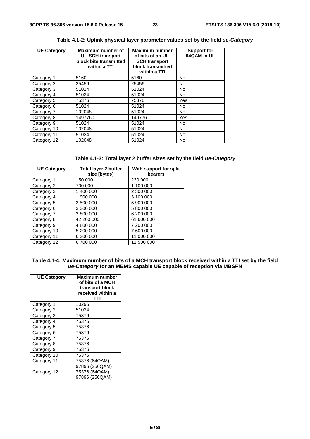| <b>UE Category</b> | Maximum number of<br><b>UL-SCH transport</b><br>block bits transmitted<br>within a TTI | <b>Maximum number</b><br>of bits of an UL-<br><b>SCH transport</b><br>block transmitted<br>within a TTI | <b>Support for</b><br>64QAM in UL |
|--------------------|----------------------------------------------------------------------------------------|---------------------------------------------------------------------------------------------------------|-----------------------------------|
| Category 1         | 5160                                                                                   | 5160                                                                                                    | <b>No</b>                         |
| Category 2         | 25456                                                                                  | 25456                                                                                                   | <b>No</b>                         |
| Category 3         | 51024                                                                                  | 51024                                                                                                   | <b>No</b>                         |
| Category 4         | 51024                                                                                  | 51024                                                                                                   | <b>No</b>                         |
| Category 5         | 75376                                                                                  | 75376                                                                                                   | Yes                               |
| Category 6         | 51024                                                                                  | 51024                                                                                                   | <b>No</b>                         |
| Category 7         | 102048                                                                                 | 51024                                                                                                   | <b>No</b>                         |
| Category 8         | 1497760                                                                                | 149776                                                                                                  | Yes                               |
| Category 9         | 51024                                                                                  | 51024                                                                                                   | <b>No</b>                         |
| Category 10        | 102048                                                                                 | 51024                                                                                                   | No                                |
| Category 11        | 51024                                                                                  | 51024                                                                                                   | <b>No</b>                         |
| Category 12        | 102048                                                                                 | 51024                                                                                                   | <b>No</b>                         |

### **Table 4.1-2: Uplink physical layer parameter values set by the field** *ue-Category*

|  | Table 4.1-3: Total layer 2 buffer sizes set by the field ue-Category |  |
|--|----------------------------------------------------------------------|--|
|--|----------------------------------------------------------------------|--|

| <b>UE Category</b> | Total layer 2 buffer<br>size [bytes] | With support for split<br>bearers |
|--------------------|--------------------------------------|-----------------------------------|
| Category 1         | 150 000                              | 230 000                           |
| Category 2         | 700 000                              | 1 100 000                         |
| Category 3         | 1 400 000                            | 2 300 000                         |
| Category 4         | 1 900 000                            | 3 100 000                         |
| Category 5         | 3 500 000                            | 5 900 000                         |
| Category 6         | 3 300 000                            | 5 800 000                         |
| Category 7         | 3 800 000                            | 6 200 000                         |
| Category 8         | 42 200 000                           | 61 600 000                        |
| Category 9         | 4 800 000                            | 7 200 000                         |
| Category 10        | 5 200 000                            | 7 600 000                         |
| Category 11        | 6 200 000                            | 11 000 000                        |
| Category 12        | 6700000                              | 11 500 000                        |

### **Table 4.1-4: Maximum number of bits of a MCH transport block received within a TTI set by the field**  *ue-Category* **for an MBMS capable UE capable of reception via MBSFN**

| <b>UE Category</b> | <b>Maximum number</b><br>of bits of a MCH<br>transport block<br>received within a<br>TΤI |
|--------------------|------------------------------------------------------------------------------------------|
| Category 1         | 10296                                                                                    |
| Category 2         | 51024                                                                                    |
| Category 3         | 75376                                                                                    |
| Category 4         | 75376                                                                                    |
| Category 5         | 75376                                                                                    |
| Category 6         | 75376                                                                                    |
| Category 7         | 75376                                                                                    |
| Category 8         | 75376                                                                                    |
| Category 9         | 75376                                                                                    |
| Category 10        | 75376                                                                                    |
| Category 11        | 75376 (64QAM)                                                                            |
|                    | 97896 (256QAM)                                                                           |
| Category 12        | 75376 (64QAM)                                                                            |
|                    | 97896 (256QAM)                                                                           |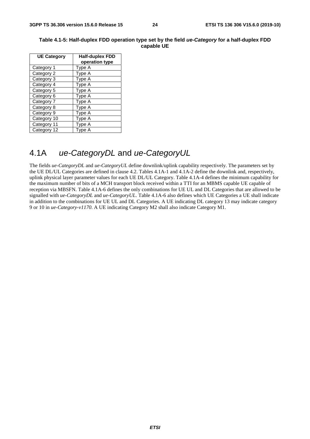| <b>UE Category</b> | <b>Half-duplex FDD</b> |
|--------------------|------------------------|
|                    | operation type         |
| Category 1         | Type A                 |
| Category 2         | Type A                 |
| Category 3         | Type A                 |
| Category 4         | Type A                 |
| Category 5         | Type A                 |
| Category 6         | Type A                 |
| Category 7         | Type A                 |
| Category 8         | Type A                 |
| Category 9         | Type A                 |
| Category 10        | Type A                 |
| Category 11        | Tvpe A                 |
| Category 12        | vpe A                  |

### **Table 4.1-5: Half-duplex FDD operation type set by the field** *ue-Category* **for a half-duplex FDD capable UE**

### 4.1A *ue-CategoryDL* and *ue-CategoryUL*

The fields *ue-CategoryDL* and *ue-CategoryUL* define downlink/uplink capability respectively. The parameters set by the UE DL/UL Categories are defined in clause 4.2. Tables 4.1A-1 and 4.1A-2 define the downlink and, respectively, uplink physical layer parameter values for each UE DL/UL Category. Table 4.1A-4 defines the minimum capability for the maximum number of bits of a MCH transport block received within a TTI for an MBMS capable UE capable of reception via MBSFN. Table 4.1A-6 defines the only combinations for UE UL and DL Categories that are allowed to be signalled with *ue-CategoryDL* and *ue-CategoryUL*. Table 4.1A-6 also defines which UE Categories a UE shall indicate in addition to the combinations for UE UL and DL Categories. A UE indicating DL category 13 may indicate category 9 or 10 in *ue-Category-v1170*. A UE indicating Category M2 shall also indicate Category M1.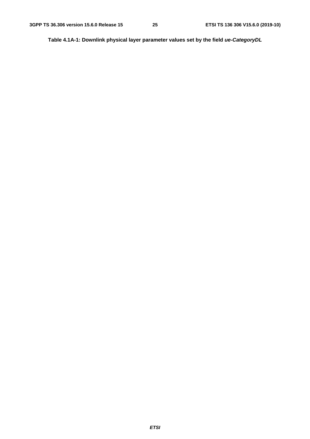**Table 4.1A-1: Downlink physical layer parameter values set by the field** *ue-CategoryDL*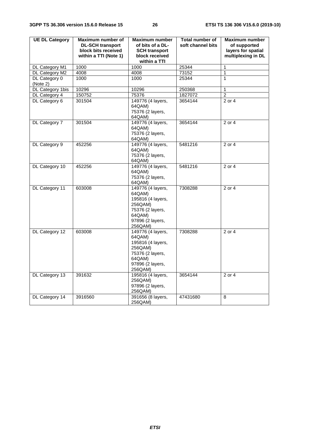| <b>UE DL Category</b> | Maximum number of       | <b>Maximum number</b>      | <b>Total number of</b> | <b>Maximum number</b> |
|-----------------------|-------------------------|----------------------------|------------------------|-----------------------|
|                       | <b>DL-SCH transport</b> | of bits of a DL-           | soft channel bits      | of supported          |
|                       | block bits received     | <b>SCH transport</b>       |                        | layers for spatial    |
|                       | within a TTI (Note 1)   | block received             |                        | multiplexing in DL    |
|                       |                         | within a TTI               |                        |                       |
| DL Category M1        | 1000                    | 1000                       | 25344                  | $\mathbf{1}$          |
| DL Category M2        | 4008                    | 4008                       | 73152                  | 1                     |
| DL Category 0         | 1000                    | 1000                       | 25344                  | 1                     |
| (Note 2)              |                         |                            |                        |                       |
| DL Category 1bis      | 10296                   | 10296                      | 250368                 | $\mathbf{1}$          |
| DL Category 4         | 150752                  | 75376                      | 1827072                | $\overline{2}$        |
| DL Category 6         | 301504                  | 149776 (4 layers,          | 3654144                | 2 or 4                |
|                       |                         | 64QAM)                     |                        |                       |
|                       |                         | 75376 (2 layers,           |                        |                       |
|                       |                         | 64QAM)                     |                        |                       |
| DL Category 7         | 301504                  | 149776 (4 layers,          | 3654144                | 2 or 4                |
|                       |                         | 64QAM)                     |                        |                       |
|                       |                         | 75376 (2 layers,<br>64QAM) |                        |                       |
| DL Category 9         | 452256                  | 149776 (4 layers,          | 5481216                | 2 or 4                |
|                       |                         | 64QAM)                     |                        |                       |
|                       |                         | 75376 (2 layers,           |                        |                       |
|                       |                         | 64QAM)                     |                        |                       |
| DL Category 10        | 452256                  | 149776 (4 layers,          | 5481216                | 2 or 4                |
|                       |                         | 64QAM)                     |                        |                       |
|                       |                         | 75376 (2 layers,           |                        |                       |
|                       |                         | 64QAM)                     |                        |                       |
| DL Category 11        | 603008                  | 149776 (4 layers,          | 7308288                | 2 or 4                |
|                       |                         | 64QAM)                     |                        |                       |
|                       |                         | 195816 (4 layers,          |                        |                       |
|                       |                         | 256QAM)                    |                        |                       |
|                       |                         | 75376 (2 layers,           |                        |                       |
|                       |                         | 64QAM)                     |                        |                       |
|                       |                         | 97896 (2 layers,           |                        |                       |
|                       |                         | 256QAM)                    |                        |                       |
| DL Category 12        | 603008                  | 149776 (4 layers,          | 7308288                | 2 or 4                |
|                       |                         | 64QAM)                     |                        |                       |
|                       |                         | 195816 (4 layers,          |                        |                       |
|                       |                         | 256QAM)                    |                        |                       |
|                       |                         | 75376 (2 layers,           |                        |                       |
|                       |                         | 64QAM)                     |                        |                       |
|                       |                         | 97896 (2 layers,           |                        |                       |
|                       |                         | 256QAM)                    |                        |                       |
| DL Category 13        | 391632                  | 195816 (4 layers,          | 3654144                | 2 or 4                |
|                       |                         | 256QAM)                    |                        |                       |
|                       |                         | 97896 (2 layers,           |                        |                       |
|                       |                         | 256QAM)                    |                        |                       |
| DL Category 14        | 3916560                 | 391656 (8 layers,          | 47431680               | 8                     |
|                       |                         | 256QAM)                    |                        |                       |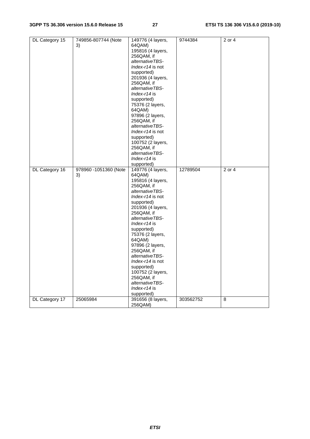| DL Category 15 | 749856-807744 (Note   | 149776 (4 layers, | 9744384   | 2 or 4     |
|----------------|-----------------------|-------------------|-----------|------------|
|                | 3)                    | 64QAM)            |           |            |
|                |                       | 195816 (4 layers, |           |            |
|                |                       | 256QAM, if        |           |            |
|                |                       | alternativeTBS-   |           |            |
|                |                       | Index-r14 is not  |           |            |
|                |                       | supported)        |           |            |
|                |                       | 201936 (4 layers, |           |            |
|                |                       | 256QAM, if        |           |            |
|                |                       | alternativeTBS-   |           |            |
|                |                       |                   |           |            |
|                |                       | Index- $r14$ is   |           |            |
|                |                       | supported)        |           |            |
|                |                       | 75376 (2 layers,  |           |            |
|                |                       | 64QAM)            |           |            |
|                |                       | 97896 (2 layers,  |           |            |
|                |                       | 256QAM, if        |           |            |
|                |                       | alternativeTBS-   |           |            |
|                |                       | Index-r14 is not  |           |            |
|                |                       | supported)        |           |            |
|                |                       | 100752 (2 layers, |           |            |
|                |                       | 256QAM, if        |           |            |
|                |                       | alternativeTBS-   |           |            |
|                |                       | $Index-14$ is     |           |            |
|                |                       | supported)        |           |            |
| DL Category 16 | 978960 -1051360 (Note | 149776 (4 layers, | 12789504  | $2$ or $4$ |
|                | 3)                    | 64QAM)            |           |            |
|                |                       | 195816 (4 layers, |           |            |
|                |                       | 256QAM, if        |           |            |
|                |                       | alternativeTBS-   |           |            |
|                |                       | Index-r14 is not  |           |            |
|                |                       | supported)        |           |            |
|                |                       | 201936 (4 layers, |           |            |
|                |                       | 256QAM, if        |           |            |
|                |                       | alternativeTBS-   |           |            |
|                |                       | Index-r14 is      |           |            |
|                |                       | supported)        |           |            |
|                |                       | 75376 (2 layers,  |           |            |
|                |                       | 64QAM)            |           |            |
|                |                       | 97896 (2 layers,  |           |            |
|                |                       | 256QAM, if        |           |            |
|                |                       |                   |           |            |
|                |                       | alternativeTBS-   |           |            |
|                |                       | Index-r14 is not  |           |            |
|                |                       | supported)        |           |            |
|                |                       | 100752 (2 layers, |           |            |
|                |                       | 256QAM, if        |           |            |
|                |                       | alternativeTBS-   |           |            |
|                |                       | Index-r14 is      |           |            |
|                |                       | supported)        |           |            |
| DL Category 17 | 25065984              | 391656 (8 layers, | 303562752 | 8          |
|                |                       | 256QAM)           |           |            |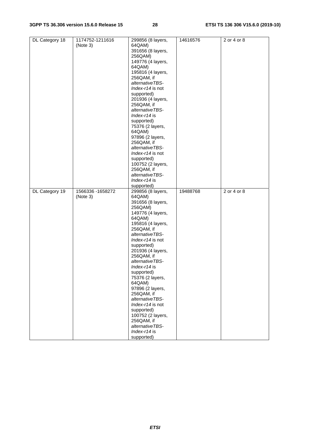| DL Category 18 | 1174752-1211616   | 299856 (8 layers,          | 14616576 | 2 or 4 or 8 |
|----------------|-------------------|----------------------------|----------|-------------|
|                | (Note 3)          | 64QAM)                     |          |             |
|                |                   | 391656 (8 layers,          |          |             |
|                |                   | 256QAM)                    |          |             |
|                |                   |                            |          |             |
|                |                   | 149776 (4 layers,          |          |             |
|                |                   | 64QAM)                     |          |             |
|                |                   | 195816 (4 layers,          |          |             |
|                |                   | 256QAM, if                 |          |             |
|                |                   | alternativeTBS-            |          |             |
|                |                   |                            |          |             |
|                |                   | Index-r14 is not           |          |             |
|                |                   | supported)                 |          |             |
|                |                   | 201936 (4 layers,          |          |             |
|                |                   | 256QAM, if                 |          |             |
|                |                   | alternativeTBS-            |          |             |
|                |                   | $Index-114$ is             |          |             |
|                |                   |                            |          |             |
|                |                   | supported)                 |          |             |
|                |                   | 75376 (2 layers,           |          |             |
|                |                   | 64QAM)                     |          |             |
|                |                   | 97896 (2 layers,           |          |             |
|                |                   | 256QAM, if                 |          |             |
|                |                   |                            |          |             |
|                |                   | alternativeTBS-            |          |             |
|                |                   | Index-r14 is not           |          |             |
|                |                   | supported)                 |          |             |
|                |                   | 100752 (2 layers,          |          |             |
|                |                   | 256QAM, if                 |          |             |
|                |                   |                            |          |             |
|                |                   | alternativeTBS-            |          |             |
|                |                   | Index-r14 is               |          |             |
|                |                   | supported)                 |          |             |
|                |                   |                            |          |             |
|                |                   |                            |          |             |
| DL Category 19 | 1566336 - 1658272 | 299856 (8 layers,          | 19488768 | 2 or 4 or 8 |
|                | (Note 3)          | 64QAM)                     |          |             |
|                |                   | 391656 (8 layers,          |          |             |
|                |                   | 256QAM)                    |          |             |
|                |                   | 149776 (4 layers,          |          |             |
|                |                   | 64QAM)                     |          |             |
|                |                   |                            |          |             |
|                |                   | 195816 (4 layers,          |          |             |
|                |                   | 256QAM, if                 |          |             |
|                |                   | alternativeTBS-            |          |             |
|                |                   | Index-r14 is not           |          |             |
|                |                   | supported)                 |          |             |
|                |                   |                            |          |             |
|                |                   | 201936 (4 layers,          |          |             |
|                |                   | 256QAM, if                 |          |             |
|                |                   | alternativeTBS-            |          |             |
|                |                   | Index- $r14$ is            |          |             |
|                |                   | supported)                 |          |             |
|                |                   | 75376 (2 layers,           |          |             |
|                |                   | 64QAM)                     |          |             |
|                |                   |                            |          |             |
|                |                   | 97896 (2 layers,           |          |             |
|                |                   | 256QAM, if                 |          |             |
|                |                   | alternativeTBS-            |          |             |
|                |                   | Index-r14 is not           |          |             |
|                |                   | supported)                 |          |             |
|                |                   |                            |          |             |
|                |                   | 100752 (2 layers,          |          |             |
|                |                   | 256QAM, if                 |          |             |
|                |                   | alternativeTBS-            |          |             |
|                |                   | Index-r14 is<br>supported) |          |             |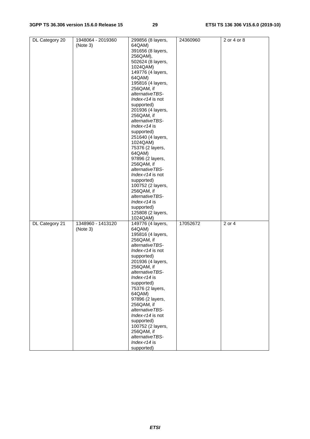| DL Category 20 | 1948064 - 2019360 | 299856 (8 layers,          | 24360960 | 2 or 4 or 8 |
|----------------|-------------------|----------------------------|----------|-------------|
|                | (Note 3)          | 64QAM)                     |          |             |
|                |                   | 391656 (8 layers,          |          |             |
|                |                   | 256QAM),                   |          |             |
|                |                   | 502624 (8 layers,          |          |             |
|                |                   | 1024QAM)                   |          |             |
|                |                   |                            |          |             |
|                |                   | 149776 (4 layers,          |          |             |
|                |                   | 64QAM)                     |          |             |
|                |                   | 195816 (4 layers,          |          |             |
|                |                   | 256QAM, if                 |          |             |
|                |                   | alternativeTBS-            |          |             |
|                |                   | Index-r14 is not           |          |             |
|                |                   | supported)                 |          |             |
|                |                   | 201936 (4 layers,          |          |             |
|                |                   | 256QAM, if                 |          |             |
|                |                   | alternativeTBS-            |          |             |
|                |                   |                            |          |             |
|                |                   | $Index-14$ is              |          |             |
|                |                   | supported)                 |          |             |
|                |                   | 251640 (4 layers,          |          |             |
|                |                   | 1024QAM)                   |          |             |
|                |                   | 75376 (2 layers,           |          |             |
|                |                   | 64QAM)                     |          |             |
|                |                   | 97896 (2 layers,           |          |             |
|                |                   | 256QAM, if                 |          |             |
|                |                   | alternativeTBS-            |          |             |
|                |                   |                            |          |             |
|                |                   | Index-r14 is not           |          |             |
|                |                   | supported)                 |          |             |
|                |                   | 100752 (2 layers,          |          |             |
|                |                   | 256QAM, if                 |          |             |
|                |                   | alternativeTBS-            |          |             |
|                |                   | Index-r14 is               |          |             |
|                |                   | supported)                 |          |             |
|                |                   | 125808 (2 layers,          |          |             |
|                |                   | 1024QAM)                   |          |             |
|                | 1348960 - 1413120 |                            |          |             |
| DL Category 21 |                   | 149776 (4 layers,          | 17052672 | 2 or 4      |
|                | (Note 3)          | 64QAM)                     |          |             |
|                |                   | 195816 (4 layers,          |          |             |
|                |                   | 256QAM, if                 |          |             |
|                |                   | alternativeTBS-            |          |             |
|                |                   | Index-r14 is not           |          |             |
|                |                   | supported)                 |          |             |
|                |                   | 201936 (4 layers,          |          |             |
|                |                   | 256QAM, if                 |          |             |
|                |                   | alternativeTBS-            |          |             |
|                |                   | $Index-114$ is             |          |             |
|                |                   |                            |          |             |
|                |                   | supported)                 |          |             |
|                |                   | 75376 (2 layers,           |          |             |
|                |                   | 64QAM)                     |          |             |
|                |                   | 97896 (2 layers,           |          |             |
|                |                   | 256QAM, if                 |          |             |
|                |                   | alternativeTBS-            |          |             |
|                |                   | Index-r14 is not           |          |             |
|                |                   | supported)                 |          |             |
|                |                   | 100752 (2 layers,          |          |             |
|                |                   | 256QAM, if                 |          |             |
|                |                   |                            |          |             |
|                |                   |                            |          |             |
|                |                   | alternativeTBS-            |          |             |
|                |                   | Index-r14 is<br>supported) |          |             |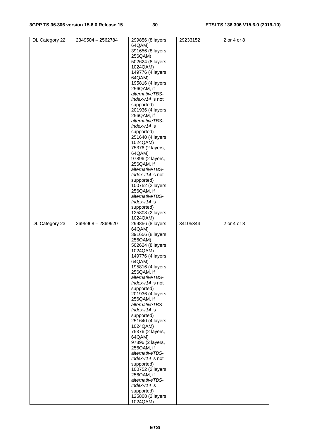| DL Category 22 | 2349504 - 2562784 | 299856 (8 layers,             | 29233152 | 2 or 4 or 8 |
|----------------|-------------------|-------------------------------|----------|-------------|
|                |                   | 64QAM)                        |          |             |
|                |                   |                               |          |             |
|                |                   | 391656 (8 layers,             |          |             |
|                |                   | 256QAM)                       |          |             |
|                |                   | 502624 (8 layers,             |          |             |
|                |                   |                               |          |             |
|                |                   | 1024QAM)                      |          |             |
|                |                   | 149776 (4 layers,             |          |             |
|                |                   |                               |          |             |
|                |                   | 64QAM)                        |          |             |
|                |                   | 195816 (4 layers,             |          |             |
|                |                   | 256QAM, if                    |          |             |
|                |                   |                               |          |             |
|                |                   | alternativeTBS-               |          |             |
|                |                   | Index-r14 is not              |          |             |
|                |                   |                               |          |             |
|                |                   | supported)                    |          |             |
|                |                   | 201936 (4 layers,             |          |             |
|                |                   | 256QAM, if                    |          |             |
|                |                   |                               |          |             |
|                |                   | alternativeTBS-               |          |             |
|                |                   | Index-r14 is                  |          |             |
|                |                   | supported)                    |          |             |
|                |                   |                               |          |             |
|                |                   | 251640 (4 layers,             |          |             |
|                |                   | 1024QAM)                      |          |             |
|                |                   | 75376 (2 layers,              |          |             |
|                |                   |                               |          |             |
|                |                   | 64QAM)                        |          |             |
|                |                   | 97896 (2 layers,              |          |             |
|                |                   |                               |          |             |
|                |                   | 256QAM, if                    |          |             |
|                |                   | alternativeTBS-               |          |             |
|                |                   | Index-r14 is not              |          |             |
|                |                   |                               |          |             |
|                |                   | supported)                    |          |             |
|                |                   | 100752 (2 layers,             |          |             |
|                |                   | 256QAM, if                    |          |             |
|                |                   |                               |          |             |
|                |                   | alternativeTBS-               |          |             |
|                |                   | Index-r14 is                  |          |             |
|                |                   |                               |          |             |
|                |                   | supported)                    |          |             |
|                |                   | 125808 (2 layers,             |          |             |
|                |                   | 1024QAM)                      |          |             |
|                |                   |                               |          |             |
|                |                   |                               |          |             |
| DL Category 23 | 2695968 - 2869920 | 299856 (8 layers,             | 34105344 | 2 or 4 or 8 |
|                |                   | 64QAM)                        |          |             |
|                |                   |                               |          |             |
|                |                   | 391656 (8 layers,             |          |             |
|                |                   | 256QAM)                       |          |             |
|                |                   | 502624 (8 layers,             |          |             |
|                |                   |                               |          |             |
|                |                   | 1024QAM)                      |          |             |
|                |                   | 149776 (4 layers,             |          |             |
|                |                   | 64QAM)                        |          |             |
|                |                   |                               |          |             |
|                |                   | 195816 (4 layers,             |          |             |
|                |                   | 256QAM, if                    |          |             |
|                |                   | alternativeTBS-               |          |             |
|                |                   |                               |          |             |
|                |                   | Index-r14 is not              |          |             |
|                |                   | supported)                    |          |             |
|                |                   | 201936 (4 layers,             |          |             |
|                |                   |                               |          |             |
|                |                   | 256QAM, if                    |          |             |
|                |                   | alternativeTBS-               |          |             |
|                |                   | Index-r14 is                  |          |             |
|                |                   |                               |          |             |
|                |                   | supported)                    |          |             |
|                |                   | 251640 (4 layers,             |          |             |
|                |                   | 1024QAM)                      |          |             |
|                |                   |                               |          |             |
|                |                   | 75376 (2 layers,              |          |             |
|                |                   | 64QAM)                        |          |             |
|                |                   |                               |          |             |
|                |                   | 97896 (2 layers,              |          |             |
|                |                   | 256QAM, if                    |          |             |
|                |                   | alternativeTBS-               |          |             |
|                |                   | Index-r14 is not              |          |             |
|                |                   |                               |          |             |
|                |                   | supported)                    |          |             |
|                |                   | 100752 (2 layers,             |          |             |
|                |                   | 256QAM, if                    |          |             |
|                |                   |                               |          |             |
|                |                   | alternativeTBS-               |          |             |
|                |                   | Index-r14 is                  |          |             |
|                |                   | supported)                    |          |             |
|                |                   |                               |          |             |
|                |                   | 125808 (2 layers,<br>1024QAM) |          |             |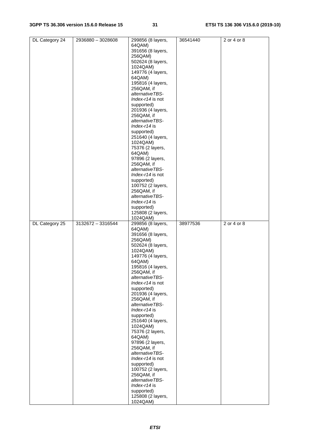| DL Category 24 | 2936880 - 3028608 | 299856 (8 layers,             | 36541440 | 2 or 4 or 8 |
|----------------|-------------------|-------------------------------|----------|-------------|
|                |                   | 64QAM)                        |          |             |
|                |                   |                               |          |             |
|                |                   | 391656 (8 layers,             |          |             |
|                |                   | 256QAM)                       |          |             |
|                |                   |                               |          |             |
|                |                   | 502624 (8 layers,             |          |             |
|                |                   | 1024QAM)                      |          |             |
|                |                   | 149776 (4 layers,             |          |             |
|                |                   |                               |          |             |
|                |                   | 64QAM)                        |          |             |
|                |                   | 195816 (4 layers,             |          |             |
|                |                   | 256QAM, if                    |          |             |
|                |                   |                               |          |             |
|                |                   | alternativeTBS-               |          |             |
|                |                   | Index-r14 is not              |          |             |
|                |                   |                               |          |             |
|                |                   | supported)                    |          |             |
|                |                   | 201936 (4 layers,             |          |             |
|                |                   | 256QAM, if                    |          |             |
|                |                   |                               |          |             |
|                |                   | alternativeTBS-               |          |             |
|                |                   | Index-r14 is                  |          |             |
|                |                   | supported)                    |          |             |
|                |                   |                               |          |             |
|                |                   | 251640 (4 layers,             |          |             |
|                |                   | 1024QAM)                      |          |             |
|                |                   | 75376 (2 layers,              |          |             |
|                |                   |                               |          |             |
|                |                   | 64QAM)                        |          |             |
|                |                   | 97896 (2 layers,              |          |             |
|                |                   |                               |          |             |
|                |                   | 256QAM, if                    |          |             |
|                |                   | alternativeTBS-               |          |             |
|                |                   | Index-r14 is not              |          |             |
|                |                   |                               |          |             |
|                |                   | supported)                    |          |             |
|                |                   | 100752 (2 layers,             |          |             |
|                |                   | 256QAM, if                    |          |             |
|                |                   |                               |          |             |
|                |                   | alternativeTBS-               |          |             |
|                |                   | Index-r14 is                  |          |             |
|                |                   |                               |          |             |
|                |                   | supported)                    |          |             |
|                |                   | 125808 (2 layers,             |          |             |
|                |                   | 1024QAM)                      |          |             |
|                |                   |                               |          |             |
|                |                   |                               |          |             |
| DL Category 25 | 3132672 - 3316544 | 299856 (8 layers,             | 38977536 | 2 or 4 or 8 |
|                |                   | 64QAM)                        |          |             |
|                |                   |                               |          |             |
|                |                   | 391656 (8 layers,             |          |             |
|                |                   | 256QAM)                       |          |             |
|                |                   | 502624 (8 layers,             |          |             |
|                |                   |                               |          |             |
|                |                   | 1024QAM)                      |          |             |
|                |                   | 149776 (4 layers,             |          |             |
|                |                   | 64QAM)                        |          |             |
|                |                   |                               |          |             |
|                |                   | 195816 (4 layers,             |          |             |
|                |                   | 256QAM, if                    |          |             |
|                |                   | alternativeTBS-               |          |             |
|                |                   |                               |          |             |
|                |                   | Index-r14 is not              |          |             |
|                |                   | supported)                    |          |             |
|                |                   | 201936 (4 layers,             |          |             |
|                |                   |                               |          |             |
|                |                   | 256QAM, if                    |          |             |
|                |                   | alternativeTBS-               |          |             |
|                |                   | Index-r14 is                  |          |             |
|                |                   |                               |          |             |
|                |                   | supported)                    |          |             |
|                |                   | 251640 (4 layers,             |          |             |
|                |                   |                               |          |             |
|                |                   | 1024QAM)                      |          |             |
|                |                   | 75376 (2 layers,              |          |             |
|                |                   | 64QAM)                        |          |             |
|                |                   |                               |          |             |
|                |                   | 97896 (2 layers,              |          |             |
|                |                   | 256QAM, if                    |          |             |
|                |                   | alternativeTBS-               |          |             |
|                |                   |                               |          |             |
|                |                   | Index-r14 is not              |          |             |
|                |                   | supported)                    |          |             |
|                |                   | 100752 (2 layers,             |          |             |
|                |                   |                               |          |             |
|                |                   | 256QAM, if                    |          |             |
|                |                   | alternativeTBS-               |          |             |
|                |                   | Index-r14 is                  |          |             |
|                |                   | supported)                    |          |             |
|                |                   |                               |          |             |
|                |                   | 125808 (2 layers,<br>1024QAM) |          |             |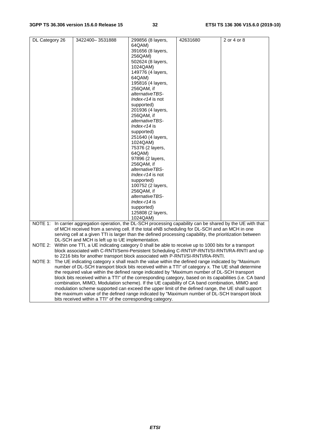| DL Category 26 |                                                                                                                                                                                        | 3422400-3531888 |  | 299856 (8 layers,                                                                                                                                                                                 | 42631680 | 2 or 4 or 8 |
|----------------|----------------------------------------------------------------------------------------------------------------------------------------------------------------------------------------|-----------------|--|---------------------------------------------------------------------------------------------------------------------------------------------------------------------------------------------------|----------|-------------|
|                |                                                                                                                                                                                        |                 |  | 64QAM)                                                                                                                                                                                            |          |             |
|                |                                                                                                                                                                                        |                 |  | 391656 (8 layers,                                                                                                                                                                                 |          |             |
|                |                                                                                                                                                                                        |                 |  | 256QAM)                                                                                                                                                                                           |          |             |
|                |                                                                                                                                                                                        |                 |  | 502624 (8 layers,                                                                                                                                                                                 |          |             |
|                |                                                                                                                                                                                        |                 |  | 1024QAM)                                                                                                                                                                                          |          |             |
|                |                                                                                                                                                                                        |                 |  | 149776 (4 layers,                                                                                                                                                                                 |          |             |
|                |                                                                                                                                                                                        |                 |  | 64QAM)                                                                                                                                                                                            |          |             |
|                |                                                                                                                                                                                        |                 |  | 195816 (4 layers,                                                                                                                                                                                 |          |             |
|                |                                                                                                                                                                                        |                 |  | 256QAM, if                                                                                                                                                                                        |          |             |
|                |                                                                                                                                                                                        |                 |  | alternativeTBS-                                                                                                                                                                                   |          |             |
|                |                                                                                                                                                                                        |                 |  | Index-r14 is not                                                                                                                                                                                  |          |             |
|                |                                                                                                                                                                                        |                 |  | supported)                                                                                                                                                                                        |          |             |
|                |                                                                                                                                                                                        |                 |  | 201936 (4 layers,                                                                                                                                                                                 |          |             |
|                |                                                                                                                                                                                        |                 |  | 256QAM, if                                                                                                                                                                                        |          |             |
|                |                                                                                                                                                                                        |                 |  | alternativeTBS-                                                                                                                                                                                   |          |             |
|                |                                                                                                                                                                                        |                 |  | <i>Index-r14</i> is                                                                                                                                                                               |          |             |
|                |                                                                                                                                                                                        |                 |  | supported)                                                                                                                                                                                        |          |             |
|                |                                                                                                                                                                                        |                 |  | 251640 (4 layers,                                                                                                                                                                                 |          |             |
|                |                                                                                                                                                                                        |                 |  | 1024QAM)                                                                                                                                                                                          |          |             |
|                |                                                                                                                                                                                        |                 |  | 75376 (2 layers,                                                                                                                                                                                  |          |             |
|                |                                                                                                                                                                                        |                 |  | 64QAM)                                                                                                                                                                                            |          |             |
|                |                                                                                                                                                                                        |                 |  | 97896 (2 layers,                                                                                                                                                                                  |          |             |
|                |                                                                                                                                                                                        |                 |  | 256QAM, if                                                                                                                                                                                        |          |             |
|                |                                                                                                                                                                                        |                 |  | alternativeTBS-                                                                                                                                                                                   |          |             |
|                |                                                                                                                                                                                        |                 |  | Index-r14 is not                                                                                                                                                                                  |          |             |
|                |                                                                                                                                                                                        |                 |  | supported)                                                                                                                                                                                        |          |             |
|                |                                                                                                                                                                                        |                 |  | 100752 (2 layers,                                                                                                                                                                                 |          |             |
|                |                                                                                                                                                                                        |                 |  | 256QAM, if                                                                                                                                                                                        |          |             |
|                |                                                                                                                                                                                        |                 |  | alternativeTBS-                                                                                                                                                                                   |          |             |
|                |                                                                                                                                                                                        |                 |  | $Index-114$ is                                                                                                                                                                                    |          |             |
|                |                                                                                                                                                                                        |                 |  | supported)                                                                                                                                                                                        |          |             |
|                |                                                                                                                                                                                        |                 |  | 125808 (2 layers,                                                                                                                                                                                 |          |             |
|                |                                                                                                                                                                                        |                 |  | 1024QAM)                                                                                                                                                                                          |          |             |
|                |                                                                                                                                                                                        |                 |  | NOTE 1: In carrier aggregation operation, the DL-SCH processing capability can be shared by the UE with that                                                                                      |          |             |
|                |                                                                                                                                                                                        |                 |  | of MCH received from a serving cell. If the total eNB scheduling for DL-SCH and an MCH in one                                                                                                     |          |             |
|                |                                                                                                                                                                                        |                 |  | serving cell at a given TTI is larger than the defined processing capability, the prioritization between                                                                                          |          |             |
|                | DL-SCH and MCH is left up to UE implementation.                                                                                                                                        |                 |  |                                                                                                                                                                                                   |          |             |
|                | NOTE 2: Within one TTI, a UE indicating category 0 shall be able to receive up to 1000 bits for a transport                                                                            |                 |  |                                                                                                                                                                                                   |          |             |
|                | block associated with C-RNTI/Semi-Persistent Scheduling C-RNTI/P-RNTI/SI-RNTI/RA-RNTI and up                                                                                           |                 |  |                                                                                                                                                                                                   |          |             |
|                | to 2216 bits for another transport block associated with P-RNTI/SI-RNTI/RA-RNTI.<br>The UE indicating category x shall reach the value within the defined range indicated by "Maximum" |                 |  |                                                                                                                                                                                                   |          |             |
| NOTE 3:        |                                                                                                                                                                                        |                 |  |                                                                                                                                                                                                   |          |             |
|                |                                                                                                                                                                                        |                 |  | number of DL-SCH transport block bits received within a TTI" of category x. The UE shall determine                                                                                                |          |             |
|                |                                                                                                                                                                                        |                 |  | the required value within the defined range indicated by "Maximum number of DL-SCH transport                                                                                                      |          |             |
|                |                                                                                                                                                                                        |                 |  | block bits received within a TTI" of the corresponding category, based on its capabilities (i.e. CA band                                                                                          |          |             |
|                |                                                                                                                                                                                        |                 |  | combination, MIMO, Modulation scheme). If the UE capability of CA band combination, MIMO and<br>modulation scheme supported can exceed the upper limit of the defined range, the UE shall support |          |             |
|                |                                                                                                                                                                                        |                 |  | the maximum value of the defined range indicated by "Maximum number of DL-SCH transport block                                                                                                     |          |             |
|                |                                                                                                                                                                                        |                 |  | bits received within a TTI" of the corresponding category.                                                                                                                                        |          |             |
|                |                                                                                                                                                                                        |                 |  |                                                                                                                                                                                                   |          |             |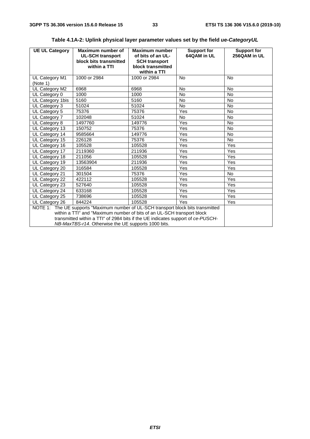| <b>UE UL Category</b>                                                                                                                                                                                                                                                                                  | Maximum number of<br><b>UL-SCH transport</b><br>block bits transmitted<br>within a TTI | Maximum number<br>of bits of an UL-<br><b>SCH transport</b><br>block transmitted<br>within a TTI | <b>Support for</b><br>64QAM in UL | <b>Support for</b><br>256QAM in UL |
|--------------------------------------------------------------------------------------------------------------------------------------------------------------------------------------------------------------------------------------------------------------------------------------------------------|----------------------------------------------------------------------------------------|--------------------------------------------------------------------------------------------------|-----------------------------------|------------------------------------|
| UL Category M1<br>(Note 1)                                                                                                                                                                                                                                                                             | 1000 or 2984                                                                           | 1000 or 2984                                                                                     | <b>No</b>                         | <b>No</b>                          |
| UL Category M2                                                                                                                                                                                                                                                                                         | 6968                                                                                   | 6968                                                                                             | <b>No</b>                         | <b>No</b>                          |
| UL Category 0                                                                                                                                                                                                                                                                                          | 1000                                                                                   | 1000                                                                                             | <b>No</b>                         | <b>No</b>                          |
| UL Category 1bis                                                                                                                                                                                                                                                                                       | 5160                                                                                   | 5160                                                                                             | No                                | <b>No</b>                          |
| UL Category 3                                                                                                                                                                                                                                                                                          | 51024                                                                                  | 51024                                                                                            | <b>No</b>                         | <b>No</b>                          |
| UL Category 5                                                                                                                                                                                                                                                                                          | 75376                                                                                  | 75376                                                                                            | Yes                               | <b>No</b>                          |
| UL Category 7                                                                                                                                                                                                                                                                                          | 102048                                                                                 | 51024                                                                                            | <b>No</b>                         | <b>No</b>                          |
| UL Category 8                                                                                                                                                                                                                                                                                          | 1497760                                                                                | 149776                                                                                           | Yes                               | <b>No</b>                          |
| UL Category 13                                                                                                                                                                                                                                                                                         | 150752                                                                                 | 75376                                                                                            | Yes                               | <b>No</b>                          |
| UL Category 14                                                                                                                                                                                                                                                                                         | 9585664                                                                                | 149776                                                                                           | Yes                               | <b>No</b>                          |
| UL Category 15                                                                                                                                                                                                                                                                                         | 226128                                                                                 | 75376                                                                                            | Yes                               | <b>No</b>                          |
| UL Category 16                                                                                                                                                                                                                                                                                         | 105528                                                                                 | 105528                                                                                           | Yes                               | Yes                                |
| UL Category 17                                                                                                                                                                                                                                                                                         | 2119360                                                                                | 211936                                                                                           | Yes                               | Yes                                |
| UL Category 18                                                                                                                                                                                                                                                                                         | 211056                                                                                 | 105528                                                                                           | Yes                               | Yes                                |
| UL Category 19                                                                                                                                                                                                                                                                                         | 13563904                                                                               | 211936                                                                                           | Yes                               | Yes                                |
| UL Category 20                                                                                                                                                                                                                                                                                         | 316584                                                                                 | 105528                                                                                           | Yes                               | Yes                                |
| UL Category 21                                                                                                                                                                                                                                                                                         | 301504                                                                                 | 75376                                                                                            | Yes                               | <b>No</b>                          |
| UL Category 22                                                                                                                                                                                                                                                                                         | 422112                                                                                 | 105528                                                                                           | Yes                               | Yes                                |
| UL Category 23                                                                                                                                                                                                                                                                                         | 527640                                                                                 | 105528                                                                                           | Yes                               | Yes                                |
| UL Category 24                                                                                                                                                                                                                                                                                         | 633168                                                                                 | 105528                                                                                           | Yes                               | Yes                                |
| UL Category 25                                                                                                                                                                                                                                                                                         | 738696                                                                                 | 105528                                                                                           | Yes                               | Yes                                |
| UL Category 26                                                                                                                                                                                                                                                                                         | 844224                                                                                 | 105528                                                                                           | Yes                               | Yes                                |
| NOTE 1: The UE supports "Maximum number of UL-SCH transport block bits transmitted<br>within a TTI" and "Maximum number of bits of an UL-SCH transport block<br>transmitted within a TTI" of 2984 bits if the UE indicates support of ce-PUSCH-<br>NB-MaxTBS-r14. Otherwise the UE supports 1000 bits. |                                                                                        |                                                                                                  |                                   |                                    |

### **Table 4.1A-2: Uplink physical layer parameter values set by the field** *ue-CategoryUL*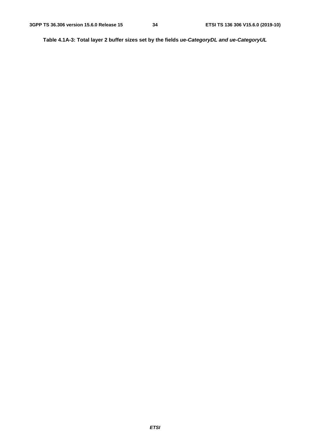**Table 4.1A-3: Total layer 2 buffer sizes set by the fields** *ue-CategoryDL and ue-CategoryUL*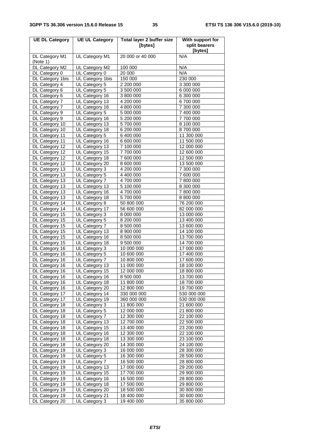| <b>UE DL Category</b>            | <b>UE UL Category</b>            | <b>Total layer 2 buffer size</b><br>[bytes] | With support for<br>split bearers |
|----------------------------------|----------------------------------|---------------------------------------------|-----------------------------------|
|                                  |                                  |                                             | [bytes]                           |
| DL Category M1<br>(Note 1)       | UL Category M1                   | 20 000 or 40 000                            | N/A                               |
| DL Category M2                   | UL Category M2                   | 100 000                                     | N/A                               |
| DL Category 0                    | UL Category 0                    | 20 000                                      | N/A                               |
| DL Category 1bis                 | UL Category 1bis                 | 150 000                                     | 230 000                           |
| DL Category 4                    | UL Category 5                    | 2 200 000                                   | 3 300 000                         |
| DL Category 6                    | UL Category 5                    | 3 500 000                                   | 6 000 000                         |
| DL Category 6<br>DL Category 7   | UL Category 16<br>UL Category 13 | 3 800 000<br>4 200 000                      | 6 300 000<br>6700000              |
| DL Category 7                    | UL Category 18                   | 4 800 000                                   | 7 300 000                         |
| DL Category 9                    | UL Category 5                    | 5 000 000                                   | 7400 000                          |
| DL Category 9                    | UL Category 16                   | 5 200 000                                   | 7 700 000                         |
| DL Category 10                   | UL Category 13                   | 5700000                                     | 8 100 000                         |
| DL Category 10                   | UL Category 18                   | 6 200 000                                   | 8700000                           |
| DL Category 11                   | UL Category 5                    | 6 400 000                                   | 11 300 000                        |
| DL Category 11                   | UL Category 16                   | 6 600 000                                   | 11 500 000                        |
| DL Category 12                   | UL Category 13                   | 7 100 000                                   | 12 000 000                        |
| DL Category 12                   | UL Category 15                   | 7700000                                     | 12 600 000                        |
| DL Category 12                   | UL Category 18                   | 7 600 000                                   | 12 500 000                        |
| DL Category 12                   | UL Category 20                   | 8 600 000                                   | 13 500 000                        |
| DL Category 13                   | UL Category 3                    | 4 200 000                                   | 7 300 000                         |
| DL Category 13                   | UL Category 5                    | 4 400 000                                   | 7600000                           |
| DL Category 13                   | UL Category 7                    | 4700000                                     | 7 800 000                         |
| DL Category 13                   | UL Category 13                   | 5 100 000                                   | 8 300 000                         |
| DL Category 13                   | UL Category 16                   | $\frac{1}{4}$ 700 000                       | 7 800 000                         |
| DL Category 13                   | UL Category 18                   | 5700000                                     | 8 800 000                         |
| DL Category 14<br>DL Category 14 | UL Category 8<br>UL Category 17  | 50 800 000<br>56 600 000                    | 76 200 000<br>82 000 000          |
| DL Category 15                   | UL Category 3                    | 8 000 000                                   | 13 000 000                        |
| DL Category 15                   | UL Category 5                    | 8 200 000                                   | 13 400 000                        |
| DL Category 15                   | UL Category 7                    | 8 500 000                                   | 13 600 000                        |
| DL Category 15                   | UL Category 13                   | 8 900 000                                   | 14 100 000                        |
| DL Category 15                   | UL Category 16                   | 8 500 000                                   | 13 700 000                        |
| DL Category 15                   | UL Category 18                   | 9 500 000                                   | 14 700 000                        |
| DL Category 16                   | UL Category 3                    | 10 000 000                                  | 17 000 000                        |
| DL Category 16                   | UL Category 5                    | 10 600 000                                  | 17 400 000                        |
| DL Category 16                   | UL Category 7                    | 10 800 000                                  | 17 600 000                        |
| DL Category 16                   | UL Category 13                   | 11 000 000                                  | 18 100 000                        |
| DL Category 16                   | UL Category 15                   | 12 000 000                                  | 18 800 000                        |
| DL Category 16                   | UL Category 16                   | 8 500 000                                   | 13 700 000                        |
| DL Category 16<br>DL Category 16 | UL Category 18<br>UL Category 20 | 11 800 000                                  | 18 700 000                        |
| DL Category 17                   | UL Category 14                   | 12 800 000<br>330 000 000                   | 19 700 000<br>530 000 000         |
| DL Category 17                   | UL Category 19                   | 360 000 000                                 | 530 000 000                       |
| DL Category 18                   | UL Category 3                    | 11 800 000                                  | 21 600 000                        |
| DL Category 18                   | UL Category 5                    | 12 000 000                                  | 21 800 000                        |
| DL Category 18                   | UL Category 7                    | 12 300 000                                  | 22 100 000                        |
| DL Category 18                   | UL Category 13                   | 12 700 000                                  | 22 500 000                        |
| DL Category 18                   | UL Category 15                   | 13 400 000                                  | 23 200 000                        |
| DL Category 18                   | UL Category 16                   | 12 300 000                                  | 22 100 000                        |
| DL Category 18                   | UL Category 18                   | 13 300 000                                  | 23 100 000                        |
| DL Category 18                   | UL Category 20                   | 14 300 000                                  | 24 100 000                        |
| DL Category 19                   | UL Category 3                    | 16 000 000                                  | 28 300 000                        |
| DL Category 19                   | UL Category 5                    | 16 300 000                                  | 28 500 000                        |
| DL Category 19                   | UL Category 7                    | 16 500 000                                  | 28 800 000                        |
| DL Category 19                   | UL Category 13                   | 17 000 000                                  | 29 200 000                        |
| DL Category 19                   | UL Category 15                   | 17 700 000<br>16 500 000                    | 29 900 000<br>28 800 000          |
| DL Category 19<br>DL Category 19 | UL Category 16<br>UL Category 18 | 17 500 000                                  | 29 800 000                        |
| DL Category 19                   | UL Category 20                   | 18 500 000                                  | 30 800 000                        |
| DL Category 19                   | UL Category 21                   | 18 400 000                                  | 30 600 000                        |
| DL Category 20                   | UL Category 3                    | 19 400 000                                  | 35 800 000                        |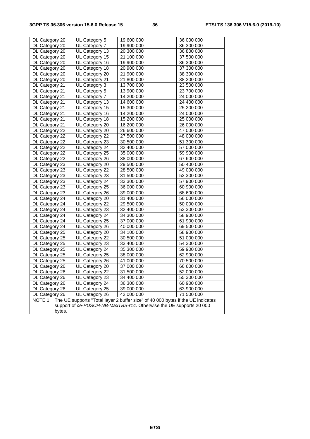| DL Category 20                                                                             | UL Category 5  | 19 600 000 | 36 000 000 |
|--------------------------------------------------------------------------------------------|----------------|------------|------------|
| DL Category 20                                                                             | UL Category 7  | 19 900 000 | 36 300 000 |
| DL Category 20                                                                             | UL Category 13 | 20 300 000 | 36 800 000 |
| DL Category 20                                                                             | UL Category 15 | 21 100 000 | 37 500 000 |
| DL Category 20                                                                             | UL Category 16 | 19 900 000 | 36 300 000 |
| DL Category 20                                                                             | UL Category 18 | 20 900 000 | 37 300 000 |
| DL Category 20                                                                             | UL Category 20 | 21 900 000 | 38 300 000 |
| DL Category 20                                                                             | UL Category 21 | 21 800 000 | 38 200 000 |
| DL Category 21                                                                             | UL Category 3  | 13 700 000 | 23 500 000 |
| DL Category 21                                                                             | UL Category 5  | 13 900 000 | 23 700 000 |
| DL Category 21                                                                             | UL Category 7  | 14 200 000 | 24 000 000 |
| DL Category 21                                                                             | UL Category 13 | 14 600 000 | 24 400 000 |
| DL Category 21                                                                             | UL Category 15 | 15 300 000 | 25 200 000 |
| DL Category 21                                                                             | UL Category 16 | 14 200 000 | 24 000 000 |
| DL Category 21                                                                             | UL Category 18 | 15 200 000 | 25 000 000 |
| DL Category 21                                                                             | UL Category 20 | 16 200 000 | 26 000 000 |
| DL Category 22                                                                             | UL Category 20 | 26 600 000 | 47 000 000 |
| DL Category 22                                                                             | UL Category 22 | 27 500 000 | 48 000 000 |
| DL Category 22                                                                             | UL Category 23 | 30 500 000 | 51 300 000 |
| DL Category 22                                                                             | UL Category 24 | 32 400 000 | 57 000 000 |
| DL Category 22                                                                             | UL Category 25 | 35 000 000 | 59 900 000 |
| DL Category 22                                                                             | UL Category 26 | 38 000 000 | 67 600 000 |
| DL Category 23                                                                             | UL Category 20 | 29 500 000 | 50 400 000 |
| DL Category 23                                                                             | UL Category 22 | 28 500 000 | 49 000 000 |
| DL Category 23                                                                             | UL Category 23 | 31 500 000 | 52 300 000 |
| DL Category 23                                                                             | UL Category 24 | 33 300 000 | 57 900 000 |
| DL Category 23                                                                             | UL Category 25 | 36 000 000 | 60 900 000 |
| DL Category 23                                                                             | UL Category 26 | 39 000 000 | 68 600 000 |
| DL Category 24                                                                             | UL Category 20 | 31 400 000 | 56 000 000 |
| DL Category 24                                                                             | UL Category 22 | 29 500 000 | 50 000 000 |
| DL Category 24                                                                             | UL Category 23 | 32 400 000 | 53 300 000 |
| DL Category 24                                                                             | UL Category 24 | 34 300 000 | 58 900 000 |
| DL Category 24                                                                             | UL Category 25 | 37 000 000 | 61 900 000 |
| DL Category 24                                                                             | UL Category 26 | 40 000 000 | 69 500 000 |
| DL Category 25                                                                             | UL Category 20 | 34 100 000 | 58 900 000 |
| DL Category 25                                                                             | UL Category 22 | 30 500 000 | 51 000 000 |
| DL Category 25                                                                             | UL Category 23 | 33 400 000 | 54 300 000 |
| DL Category 25                                                                             | UL Category 24 | 35 300 000 | 59 900 000 |
| DL Category 25                                                                             | UL Category 25 | 38 000 000 | 62 900 000 |
| DL Category 25                                                                             | UL Category 26 | 41 000 000 | 70 500 000 |
| DL Category 26                                                                             | UL Category 20 | 37 000 000 | 66 600 000 |
| DL Category 26                                                                             | UL Category 22 | 31 500 000 | 52 000 000 |
| DL Category 26                                                                             | UL Category 23 | 34 400 000 | 55 300 000 |
| DL Category 26                                                                             | UL Category 24 | 36 300 000 | 60 900 000 |
| DL Category 26                                                                             | UL Category 25 | 39 000 000 | 63 900 000 |
| DL Category 26                                                                             | UL Category 26 | 42 000 000 | 71 500 000 |
| The UE supports "Total layer 2 buffer size" of 40 000 bytes if the UE indicates<br>NOTE 1: |                |            |            |
| support of ce-PUSCH-NB-MaxTBS-r14. Otherwise the UE supports 20 000                        |                |            |            |
| bytes.                                                                                     |                |            |            |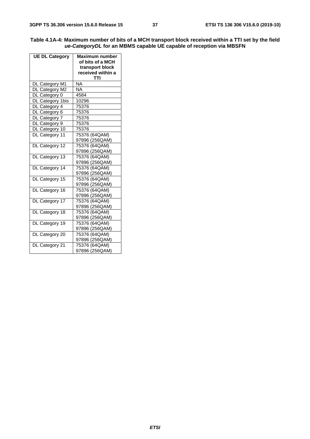| Table 4.1A-4: Maximum number of bits of a MCH transport block received within a TTI set by the field |
|------------------------------------------------------------------------------------------------------|
| ue-CategoryDL for an MBMS capable UE capable of reception via MBSFN                                  |

| <b>UE DL Category</b> | Maximum number<br>of bits of a MCH<br>transport block<br>received within a |  |
|-----------------------|----------------------------------------------------------------------------|--|
|                       | TTI                                                                        |  |
| DL Category M1        | NA                                                                         |  |
| DL Category M2        | <b>NA</b>                                                                  |  |
| DL Category 0         | 4584                                                                       |  |
| DL Category 1bis      | 10296                                                                      |  |
| DL Category 4         | 75376                                                                      |  |
| DL Category 6         | 75376                                                                      |  |
| DL Category 7         | 75376                                                                      |  |
| DL Category 9         | 75376                                                                      |  |
| DL Category 10        | 75376                                                                      |  |
| DL Category 11        | 75376 (64QAM)                                                              |  |
|                       | 97896 (256QAM)                                                             |  |
| DL Category 12        | 75376 (64QAM)                                                              |  |
|                       | 97896 (256QAM)                                                             |  |
| DL Category 13        | 75376 (64QAM)                                                              |  |
|                       | 97896 (256QAM)                                                             |  |
| DL Category 14        | 75376 (64QAM)                                                              |  |
|                       | 97896 (256QAM)                                                             |  |
| DL Category 15        | 75376 (64QAM)                                                              |  |
|                       | 97896 (256QAM)                                                             |  |
| DL Category 16        | 75376 (64QAM)                                                              |  |
|                       | 97896 (256QAM)                                                             |  |
| DL Category 17        | 75376 (64QAM)                                                              |  |
|                       | 97896 (256QAM)                                                             |  |
| DL Category 18        | 75376 (64QAM)                                                              |  |
|                       | 97896 (256QAM)                                                             |  |
| DL Category 19        | 75376 (64QAM)                                                              |  |
|                       | 97896 (256QAM)                                                             |  |
| DL Category 20        | 75376 (64QAM)                                                              |  |
|                       | 97896 (256QAM)                                                             |  |
| DL Category 21        | 75376 (64QAM)                                                              |  |
|                       | 97896 (256QAM)                                                             |  |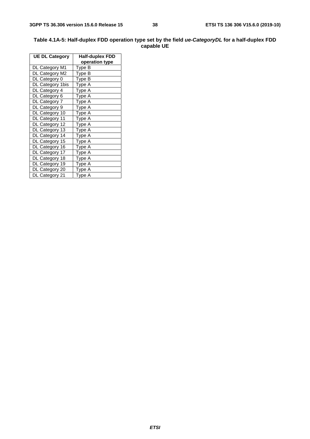#### **Table 4.1A-5: Half-duplex FDD operation type set by the field** *ue-CategoryDL* **for a half-duplex FDD capable UE**

| <b>UE DL Category</b> | Half-duplex FDD |  |
|-----------------------|-----------------|--|
|                       | operation type  |  |
| DL Category M1        | Type B          |  |
| DL Category M2        | Type B          |  |
| DL Category 0         | Type B          |  |
| DL Category 1bis      | Type A          |  |
| DL Category 4         | Type A          |  |
| DL Category 6         | Type A          |  |
| DL Category 7         | Type A          |  |
| DL Category 9         | Type A          |  |
| DL Category 10        | Type A          |  |
| DL Category 11        | Type A          |  |
| DL Category 12        | Type A          |  |
| DL Category 13        | Type A          |  |
| DL Category 14        | Type A          |  |
| DL Category 15        | Type A          |  |
| DL Category 16        | Type A          |  |
| DL Category 17        | Type A          |  |
| DL Category 18        | Type A          |  |
| DL Category 19        | Type A          |  |
| DL Category 20        | Type A          |  |
| DL Category 21        | Type A          |  |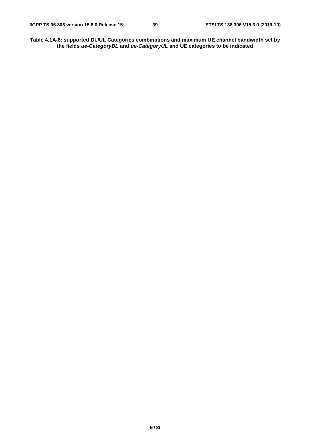**Table 4.1A-6: supported DL/UL Categories combinations and maximum UE channel bandwidth set by the fields** *ue-CategoryDL* **and** *ue-CategoryUL* **and UE categories to be indicated**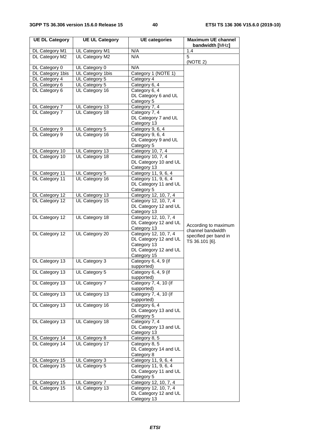| <b>UE DL Category</b>            | <b>UE UL Category</b> | <b>UE</b> categories                          | <b>Maximum UE channel</b><br>bandwidth [MHz] |
|----------------------------------|-----------------------|-----------------------------------------------|----------------------------------------------|
| DL Category M1                   | UL Category M1        | N/A                                           | 1.4                                          |
| DL Category M2                   | UL Category M2        | N/A                                           | 5<br>(NOTE 2)                                |
| DL Category 0                    | UL Category 0         | N/A                                           |                                              |
| DL Category 1bis                 | UL Category 1bis      | Category 1 (NOTE 1)                           |                                              |
| DL Category 4                    | UL Category 5         | Category 4                                    |                                              |
| DL Category 6                    | UL Category 5         | Category 6, 4                                 |                                              |
| DL Category 6                    | UL Category 16        | Category 6, 4                                 |                                              |
|                                  |                       | DL Category 6 and UL                          |                                              |
|                                  |                       | Category 5                                    |                                              |
| DL Category 7                    | UL Category 13        | Category 7, 4                                 |                                              |
| DL Category 7                    | UL Category 18        | Category 7, 4<br>DL Category 7 and UL         |                                              |
|                                  |                       | Category 13                                   |                                              |
| DL Category 9                    | UL Category 5         | Category 9, 6, 4                              |                                              |
| DL Category 9                    | UL Category 16        | Category 9, 6, 4                              |                                              |
|                                  |                       | DL Category 9 and UL                          |                                              |
|                                  |                       | Category 5                                    |                                              |
| DL Category 10                   | UL Category 13        | Category 10, 7, 4                             |                                              |
| DL Category 10                   | UL Category 18        | Category 10, 7, 4                             |                                              |
|                                  |                       | DL Category 10 and UL                         |                                              |
|                                  |                       | Category 13                                   |                                              |
| DL Category 11                   | UL Category 5         | Category 11, 9, 6, 4                          |                                              |
| DL Category 11                   | UL Category 16        | Category 11, 9, 6, 4<br>DL Category 11 and UL |                                              |
|                                  |                       | Category 5                                    |                                              |
| DL Category 12                   | UL Category 13        | Category 12, 10, 7, 4                         |                                              |
| DL Category 12                   | UL Category 15        | Category 12, 10, 7, 4                         |                                              |
|                                  |                       | DL Category 12 and UL                         |                                              |
|                                  |                       | Category 13                                   |                                              |
| DL Category 12                   | UL Category 18        | Category 12, 10, 7, 4                         |                                              |
|                                  |                       | DL Category 12 and UL                         | According to maximum                         |
|                                  |                       | Category 13                                   | channel bandwidth                            |
| DL Category 12                   | UL Category 20        | Category 12, 10, 7, 4                         | specified per band in                        |
|                                  |                       | DL Category 12 and UL<br>Category 13          | TS 36.101 [6].                               |
|                                  |                       | DL Category 12 and UL                         |                                              |
|                                  |                       | Category 15                                   |                                              |
| DL Category 13                   | UL Category 3         | Category 6, 4, 9 (if                          |                                              |
|                                  |                       | supported)                                    |                                              |
| DL Category 13                   | UL Category 5         | Category 6, 4, 9 (if                          |                                              |
|                                  |                       | supported)                                    |                                              |
| DL Category 13                   | UL Category 7         | Category 7, 4, 10 (if                         |                                              |
| DL Category 13                   | UL Category 13        | supported)<br>Category 7, 4, 10 (if           |                                              |
|                                  |                       | supported)                                    |                                              |
| DL Category 13                   | UL Category 16        | Category 6, 4                                 |                                              |
|                                  |                       | DL Category 13 and UL                         |                                              |
|                                  |                       | Category 5                                    |                                              |
| DL Category 13                   | UL Category 18        | Category 7, 4                                 |                                              |
|                                  |                       | DL Category 13 and UL                         |                                              |
|                                  |                       | Category 13                                   |                                              |
| DL Category 14<br>DL Category 14 | UL Category 8         | Category 8, 5<br>Category 8, 5                |                                              |
|                                  | UL Category 17        | DL Category 14 and UL                         |                                              |
|                                  |                       | Category 8                                    |                                              |
| DL Category 15                   | UL Category 3         | Category 11, 9, 6, 4                          |                                              |
| DL Category 15                   | UL Category 5         | Category 11, 9, 6, 4                          |                                              |
|                                  |                       | DL Category 11 and UL                         |                                              |
|                                  |                       | Category 5                                    |                                              |
| DL Category 15                   | UL Category 7         | Category 12, 10, 7, 4                         |                                              |
| DL Category 15                   | UL Category 13        | Category 12, 10, 7, 4                         |                                              |
|                                  |                       | DL Category 12 and UL                         |                                              |
|                                  |                       | Category 13                                   |                                              |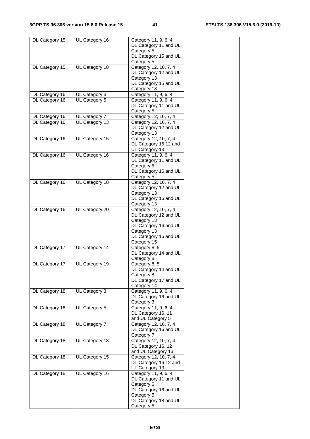| DL Category 15 | UL Category 16                 | Category 11, 9, 6, 4                           |
|----------------|--------------------------------|------------------------------------------------|
|                |                                | DL Category 11 and UL                          |
|                |                                | Category 5                                     |
|                |                                | DL Category 15 and UL<br>Category 5            |
| DL Category 15 | UL Category 18                 | Category 12, 10, 7, 4                          |
|                |                                | DL Category 12 and UL                          |
|                |                                | Category 13                                    |
|                |                                | DL Category 15 and UL                          |
|                |                                | Category 13                                    |
| DL Category 16 | UL Category 3<br>UL Category 5 | Category 11, 9, 6, 4<br>Category 11, 9, 6, 4   |
| DL Category 16 |                                | DL Category 11 and UL                          |
|                |                                | Category 5                                     |
| DL Category 16 | UL Category 7                  | Category 12, 10, 7, 4                          |
| DL Category 16 | UL Category 13                 | Category 12, 10, 7, 4                          |
|                |                                | DL Category 12 and UL                          |
|                |                                | Category 13                                    |
| DL Category 16 | UL Category 15                 | Category 12, 10, 7, 4<br>DL Category 16,12 and |
|                |                                | UL Category 13                                 |
| DL Category 16 | UL Category 16                 | Category 11, 9, 6, 4                           |
|                |                                | DL Category 11 and UL                          |
|                |                                | Category 5                                     |
|                |                                | DL Category 16 and UL                          |
|                |                                | Category 5                                     |
| DL Category 16 | UL Category 18                 | Category 12, 10, 7, 4<br>DL Category 12 and UL |
|                |                                | Category 13                                    |
|                |                                | DL Category 16 and UL                          |
|                |                                | Category 13                                    |
| DL Category 16 | UL Category 20                 | Category 12, 10, 7, 4                          |
|                |                                | DL Category 12 and UL                          |
|                |                                | Category 13                                    |
|                |                                | DL Category 16 and UL<br>Category 13           |
|                |                                | DL Category 16 and UL                          |
|                |                                | Category 15                                    |
| DL Category 17 | UL Category 14                 | Category 8, 5                                  |
|                |                                | DL Category 14 and UL                          |
|                |                                | Category 8                                     |
| DL Category 17 | UL Category 19                 | Category 8, 5                                  |
|                |                                | DL Category 14 and UL<br>Category 8            |
|                |                                | DL Category 17 and UL                          |
|                |                                | Category 14                                    |
| DL Category 18 | UL Category 3                  | Category 11, 9, 6, 4                           |
|                |                                | DL Category 16 and UL                          |
|                |                                | Category 3                                     |
| DL Category 18 | UL Category 5                  | Category 11, 9, 6, 4                           |
|                |                                | DL Category 16, 11<br>and UL Category 5        |
| DL Category 18 | UL Category 7                  | Category 12, 10, 7, 4                          |
|                |                                | DL Category 16 and UL                          |
|                |                                | Category 7                                     |
| DL Category 18 | UL Category 13                 | Category 12, 10, 7, 4                          |
|                |                                | DL Category 16, 12                             |
|                |                                | and UL Category 13                             |
| DL Category 18 | UL Category 15                 | Category 12, 10, 7, 4<br>DL Category 16,12 and |
|                |                                | UL Category 13                                 |
| DL Category 18 | UL Category 16                 | Category 11, 9, 6, 4                           |
|                |                                | DL Category 11 and UL                          |
|                |                                | Category 5                                     |
|                |                                | DL Category 16 and UL                          |
|                |                                | Category 5                                     |
|                |                                | DL Category 18 and UL<br>Category 5            |
|                |                                |                                                |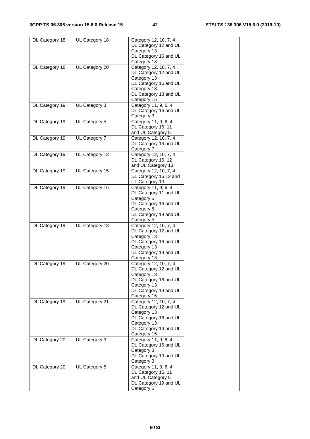| DL Category 18 | UL Category 18 | Category 12, 10, 7, 4<br>DL Category 12 and UL<br>Category 13 |  |
|----------------|----------------|---------------------------------------------------------------|--|
|                |                | DL Category 16 and UL<br>Category 13                          |  |
| DL Category 18 | UL Category 20 | Category 12, 10, 7, 4<br>DL Category 12 and UL                |  |
|                |                | Category 13<br>DL Category 16 and UL<br>Category 13           |  |
|                |                | DL Category 18 and UL<br>Category 15                          |  |
| DL Category 19 | UL Category 3  | Category 11, 9, 6, 4<br>DL Category 16 and UL                 |  |
| DL Category 19 | UL Category 5  | Category 3<br>Category 11, 9, 6, 4                            |  |
|                |                | DL Category 16, 11<br>and UL Category 5                       |  |
| DL Category 19 | UL Category 7  | Category 12, 10, 7, 4<br>DL Category 16 and UL                |  |
| DL Category 19 | UL Category 13 | Category 7<br>Category 12, 10, 7, 4                           |  |
|                |                | DL Category 16, 12                                            |  |
| DL Category 19 | UL Category 15 | and UL Category 13<br>Category 12, 10, 7, 4                   |  |
|                |                | DL Category 16,12 and                                         |  |
| DL Category 19 | UL Category 16 | UL Category 13<br>Category 11, 9, 6, 4                        |  |
|                |                | DL Category 11 and UL                                         |  |
|                |                | Category 5<br>DL Category 16 and UL                           |  |
|                |                | Category 5                                                    |  |
|                |                | DL Category 19 and UL<br>Category 5                           |  |
| DL Category 19 | UL Category 18 | Category 12, 10, 7, 4                                         |  |
|                |                | DL Category 12 and UL<br>Category 13                          |  |
|                |                | DL Category 16 and UL                                         |  |
|                |                | Category 13<br>DL Category 19 and UL                          |  |
|                |                | Category 13                                                   |  |
| DL Category 19 | UL Category 20 | Category 12, 10, 7, 4<br>DL Category 12 and UL                |  |
|                |                | Category 13                                                   |  |
|                |                | DL Category 16 and UL<br>Category 13                          |  |
|                |                | DL Category 19 and UL                                         |  |
| DL Category 19 | UL Category 21 | Category 15<br>Category 12, 10, 7, 4                          |  |
|                |                | DL Category 12 and UL                                         |  |
|                |                | Category 13<br>DL Category 16 and UL                          |  |
|                |                | Category 13                                                   |  |
|                |                | DL Category 19 and UL<br>Category 15                          |  |
| DL Category 20 | UL Category 3  | Category 11, 9, 6, 4                                          |  |
|                |                | DL Category 16 and UL<br>Category 3                           |  |
|                |                | DL Category 19 and UL                                         |  |
| DL Category 20 | UL Category 5  | Category 3<br>Category 11, 9, 6, 4                            |  |
|                |                | DL Category 16, 11                                            |  |
|                |                | and UL Category 5<br>DL Category 19 and UL                    |  |
|                |                | Category 5                                                    |  |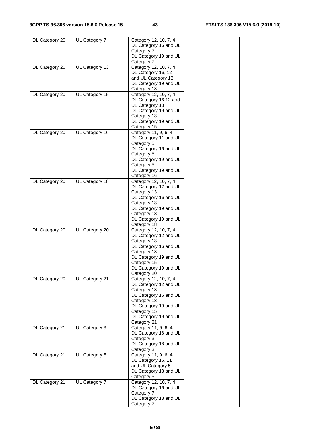| DL Category 20 | UL Category 7  | Category 12, 10, 7, 4<br>DL Category 16 and UL                                        |  |
|----------------|----------------|---------------------------------------------------------------------------------------|--|
|                |                | Category 7<br>DL Category 19 and UL<br>Category 7                                     |  |
| DL Category 20 | UL Category 13 | Category 12, 10, 7, 4<br>DL Category 16, 12<br>and UL Category 13                     |  |
|                |                | DL Category 19 and UL<br>Category 13                                                  |  |
| DL Category 20 | UL Category 15 | Category 12, 10, 7, 4<br>DL Category 16,12 and<br>UL Category 13                      |  |
|                |                | DL Category 19 and UL<br>Category 13<br>DL Category 19 and UL<br>Category 15          |  |
| DL Category 20 | UL Category 16 | Category 11, 9, 6, 4<br>DL Category 11 and UL<br>Category 5                           |  |
|                |                | DL Category 16 and UL<br>Category 5<br>DL Category 19 and UL                          |  |
|                |                | Category 5<br>DL Category 19 and UL<br>Category 16                                    |  |
| DL Category 20 | UL Category 18 | Category 12, 10, 7, 4<br>DL Category 12 and UL<br>Category 13                         |  |
|                |                | DL Category 16 and UL<br>Category 13<br>DL Category 19 and UL                         |  |
|                |                | Category 13<br>DL Category 19 and UL<br>Category 18                                   |  |
| DL Category 20 | UL Category 20 | Category 12, 10, 7, 4<br>DL Category 12 and UL<br>Category 13                         |  |
|                |                | DL Category 16 and UL<br>Category 13<br>DL Category 19 and UL                         |  |
|                |                | Category 15<br>DL Category 19 and UL<br>Category 20                                   |  |
| DL Category 20 | UL Category 21 | Category 12, 10, 7, 4<br>DL Category 12 and UL<br>Category 13                         |  |
|                |                | DL Category 16 and UL<br>Category 13<br>DL Category 19 and UL                         |  |
|                |                | Category 15<br>DL Category 19 and UL<br>Category 21                                   |  |
| DL Category 21 | UL Category 3  | Category 11, 9, 6, 4<br>DL Category 16 and UL<br>Category 3<br>DL Category 18 and UL  |  |
| DL Category 21 | UL Category 5  | Category 3<br>Category 11, 9, 6, 4<br>DL Category 16, 11<br>and UL Category 5         |  |
|                |                | DL Category 18 and UL<br>Category 5                                                   |  |
| DL Category 21 | UL Category 7  | Category 12, 10, 7, 4<br>DL Category 16 and UL<br>Category 7<br>DL Category 18 and UL |  |
|                |                | Category 7                                                                            |  |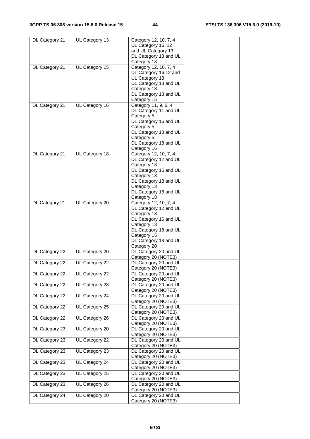| DL Category 21 | UL Category 13 | Category 12, 10, 7, 4 |  |
|----------------|----------------|-----------------------|--|
|                |                | DL Category 16, 12    |  |
|                |                | and UL Category 13    |  |
|                |                | DL Category 18 and UL |  |
|                |                | Category 13           |  |
| DL Category 21 | UL Category 15 | Category 12, 10, 7, 4 |  |
|                |                | DL Category 16,12 and |  |
|                |                | UL Category 13        |  |
|                |                | DL Category 18 and UL |  |
|                |                | Category 13           |  |
|                |                | DL Category 18 and UL |  |
|                |                | Category 15           |  |
| DL Category 21 | UL Category 16 | Category 11, 9, 6, 4  |  |
|                |                | DL Category 11 and UL |  |
|                |                | Category 5            |  |
|                |                | DL Category 16 and UL |  |
|                |                | Category 5            |  |
|                |                | DL Category 18 and UL |  |
|                |                | Category 5            |  |
|                |                | DL Category 18 and UL |  |
|                |                | Category 16           |  |
| DL Category 21 | UL Category 18 | Category 12, 10, 7, 4 |  |
|                |                | DL Category 12 and UL |  |
|                |                | Category 13           |  |
|                |                | DL Category 16 and UL |  |
|                |                | Category 13           |  |
|                |                | DL Category 18 and UL |  |
|                |                | Category 13           |  |
|                |                | DL Category 18 and UL |  |
|                |                | Category 18           |  |
| DL Category 21 | UL Category 20 | Category 12, 10, 7, 4 |  |
|                |                | DL Category 12 and UL |  |
|                |                | Category 13           |  |
|                |                | DL Category 16 and UL |  |
|                |                | Category 13           |  |
|                |                | DL Category 18 and UL |  |
|                |                | Category 15           |  |
|                |                | DL Category 18 and UL |  |
|                |                | Category 20           |  |
| DL Category 22 | UL Category 20 | DL Category 20 and UL |  |
|                |                | Category 20 (NOTE3)   |  |
| DL Category 22 | UL Category 22 | DL Category 20 and UL |  |
|                |                | Category 20 (NOTE3)   |  |
| DL Category 22 | UL Category 22 | DL Category 20 and UL |  |
|                |                | Category 20 (NOTE3)   |  |
| DL Category 22 | UL Category 23 | DL Category 20 and UL |  |
|                |                | Category 20 (NOTE3)   |  |
| DL Category 22 | UL Category 24 | DL Category 20 and UL |  |
|                |                | Category 20 (NOTE3)   |  |
| DL Category 22 | UL Category 25 | DL Category 20 and UL |  |
|                |                | Category 20 (NOTE3)   |  |
| DL Category 22 | UL Category 26 | DL Category 20 and UL |  |
|                |                | Category 20 (NOTE3)   |  |
| DL Category 23 | UL Category 20 | DL Category 20 and UL |  |
|                |                | Category 20 (NOTE3)   |  |
| DL Category 23 | UL Category 22 | DL Category 20 and UL |  |
|                |                | Category 20 (NOTE3)   |  |
| DL Category 23 | UL Category 23 | DL Category 20 and UL |  |
|                |                | Category 20 (NOTE3)   |  |
| DL Category 23 | UL Category 24 | DL Category 20 and UL |  |
|                |                | Category 20 (NOTE3)   |  |
| DL Category 23 | UL Category 25 | DL Category 20 and UL |  |
|                |                | Category 20 (NOTE3)   |  |
|                |                |                       |  |
| DL Category 23 | UL Category 26 | DL Category 20 and UL |  |
|                |                | Category 20 (NOTE3)   |  |
| DL Category 24 | UL Category 20 | DL Category 20 and UL |  |
|                |                | Category 20 (NOTE3)   |  |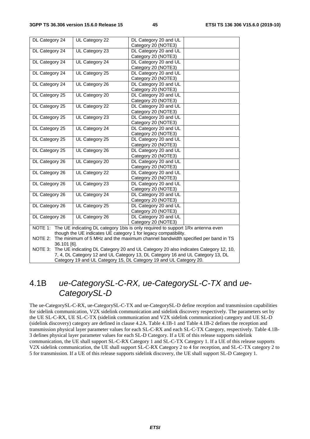| DL Category 24                                                                                                                                                                   | UL Category 22 | DL Category 20 and UL<br>Category 20 (NOTE3)                                            |  |
|----------------------------------------------------------------------------------------------------------------------------------------------------------------------------------|----------------|-----------------------------------------------------------------------------------------|--|
| DL Category 24                                                                                                                                                                   | UL Category 23 | DL Category 20 and UL                                                                   |  |
|                                                                                                                                                                                  |                | Category 20 (NOTE3)                                                                     |  |
| DL Category 24                                                                                                                                                                   | UL Category 24 | DL Category 20 and UL                                                                   |  |
|                                                                                                                                                                                  |                | Category 20 (NOTE3)                                                                     |  |
| DL Category 24                                                                                                                                                                   | UL Category 25 | DL Category 20 and UL                                                                   |  |
|                                                                                                                                                                                  |                | Category 20 (NOTE3)                                                                     |  |
| DL Category 24                                                                                                                                                                   | UL Category 26 | DL Category 20 and UL                                                                   |  |
|                                                                                                                                                                                  |                | Category 20 (NOTE3)                                                                     |  |
| DL Category 25                                                                                                                                                                   | UL Category 20 | DL Category 20 and UL                                                                   |  |
|                                                                                                                                                                                  |                | Category 20 (NOTE3)                                                                     |  |
| DL Category 25                                                                                                                                                                   | UL Category 22 | DL Category 20 and UL                                                                   |  |
|                                                                                                                                                                                  |                | Category 20 (NOTE3)                                                                     |  |
| DL Category 25                                                                                                                                                                   | UL Category 23 | DL Category 20 and UL                                                                   |  |
|                                                                                                                                                                                  |                | Category 20 (NOTE3)                                                                     |  |
| DL Category 25                                                                                                                                                                   | UL Category 24 | DL Category 20 and UL                                                                   |  |
|                                                                                                                                                                                  |                | Category 20 (NOTE3)                                                                     |  |
| DL Category 25                                                                                                                                                                   | UL Category 25 | DL Category 20 and UL                                                                   |  |
|                                                                                                                                                                                  |                | Category 20 (NOTE3)                                                                     |  |
| DL Category 25                                                                                                                                                                   | UL Category 26 | DL Category 20 and UL                                                                   |  |
|                                                                                                                                                                                  |                | Category 20 (NOTE3)                                                                     |  |
| DL Category 26                                                                                                                                                                   | UL Category 20 | DL Category 20 and UL                                                                   |  |
|                                                                                                                                                                                  |                | Category 20 (NOTE3)                                                                     |  |
| DL Category 26                                                                                                                                                                   | UL Category 22 | DL Category 20 and UL                                                                   |  |
|                                                                                                                                                                                  |                | Category 20 (NOTE3)                                                                     |  |
| DL Category 26                                                                                                                                                                   | UL Category 23 | DL Category 20 and UL                                                                   |  |
|                                                                                                                                                                                  |                | Category 20 (NOTE3)                                                                     |  |
| DL Category 26                                                                                                                                                                   | UL Category 24 | DL Category 20 and UL                                                                   |  |
|                                                                                                                                                                                  |                | Category 20 (NOTE3)                                                                     |  |
| DL Category 26                                                                                                                                                                   | UL Category 25 | DL Category 20 and UL                                                                   |  |
|                                                                                                                                                                                  |                | Category 20 (NOTE3)                                                                     |  |
| DL Category 26                                                                                                                                                                   | UL Category 26 | DL Category 20 and UL                                                                   |  |
|                                                                                                                                                                                  |                | Category 20 (NOTE3)                                                                     |  |
|                                                                                                                                                                                  |                | NOTE 1: The UE indicating DL category 1bis is only required to support 1Rx antenna even |  |
| though the UE indicates UE category 1 for legacy compatibility.                                                                                                                  |                |                                                                                         |  |
| NOTE 2:<br>The minimum of 5 MHz and the maximum channel bandwidth specified per band in TS                                                                                       |                |                                                                                         |  |
| 36.101 [6].                                                                                                                                                                      |                |                                                                                         |  |
| The UE indicating DL Category 20 and UL Category 20 also indicates Category 12, 10,<br>NOTE 3:<br>7, 4, DL Category 12 and UL Category 13, DL Category 16 and UL Category 13, DL |                |                                                                                         |  |
|                                                                                                                                                                                  |                |                                                                                         |  |
| Category 19 and UL Category 15, DL Category 19 and UL Category 20.                                                                                                               |                |                                                                                         |  |

# 4.1B *ue-CategorySL-C-RX, ue-CategorySL-C-TX* and *ue-CategorySL-D*

The ue-CategorySL-C-RX, ue-CategorySL-C-TX and ue-CategorySL-D define reception and transmission capabilities for sidelink communication, V2X sidelink communication and sidelink discovery respectively. The parameters set by the UE SL-C-RX, UE SL-C-TX (sidelink communication and V2X sidelink communication) category and UE SL-D (sidelink discovery) category are defined in clause 4.2A. Table 4.1B-1 and Table 4.1B-2 defines the reception and transmission physical layer parameter values for each SL-C-RX and each SL-C-TX Category, respectively. Table 4.1B-3 defines physical layer parameter values for each SL-D Category. If a UE of this release supports sidelink communication, the UE shall support SL-C-RX Category 1 and SL-C-TX Category 1. If a UE of this release supports V2X sidelink communication, the UE shall support SL-C-RX Category 2 to 4 for reception, and SL-C-TX category 2 to 5 for transmission. If a UE of this release supports sidelink discovery, the UE shall support SL-D Category 1.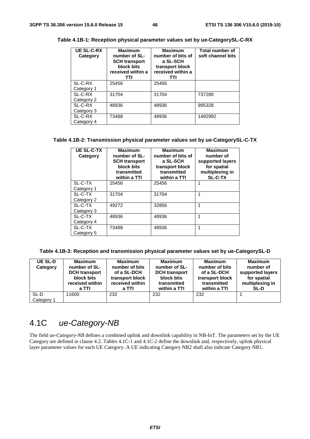| <b>UE SL-C-RX</b><br>Category | <b>Maximum</b><br>number of SL-<br><b>SCH transport</b><br>block bits<br>received within a<br>TTI | <b>Maximum</b><br>number of bits of<br>a SL-SCH<br>transport block<br>received within a<br>TTI | <b>Total number of</b><br>soft channel bits |
|-------------------------------|---------------------------------------------------------------------------------------------------|------------------------------------------------------------------------------------------------|---------------------------------------------|
| SL-C-RX                       | 25456                                                                                             | 25456                                                                                          |                                             |
| Category 1                    |                                                                                                   |                                                                                                |                                             |
| SL-C-RX                       | 31704                                                                                             | 31704                                                                                          | 737280                                      |
| Category 2                    |                                                                                                   |                                                                                                |                                             |
| SL-C-RX                       | 48936                                                                                             | 48936                                                                                          | 995328                                      |
| Category 3                    |                                                                                                   |                                                                                                |                                             |
| SL-C-RX                       | 73488                                                                                             | 48936                                                                                          | 1492992                                     |
| Category 4                    |                                                                                                   |                                                                                                |                                             |

**Table 4.1B-1: Reception physical parameter values set by ue-CategorySL-C-RX** 

#### **Table 4.1B-2: Transmission physical parameter values set by ue-CategorySL-C-TX**

| <b>UE SL-C-TX</b><br>Category | <b>Maximum</b><br>number of SL-<br><b>SCH transport</b><br>block bits<br>transmitted<br>within a TTI | <b>Maximum</b><br>number of bits of<br>a SL-SCH<br>transport block<br>transmitted<br>within a TTI | <b>Maximum</b><br>number of<br>supported layers<br>for spatial<br>multiplexing in<br><b>SL-C-TX</b> |
|-------------------------------|------------------------------------------------------------------------------------------------------|---------------------------------------------------------------------------------------------------|-----------------------------------------------------------------------------------------------------|
| SL-C-TX                       | 25456                                                                                                | 25456                                                                                             | 1                                                                                                   |
| Category 1                    |                                                                                                      |                                                                                                   |                                                                                                     |
| SL-C-TX                       | 31704                                                                                                | 31704                                                                                             | 1                                                                                                   |
| Category 2                    |                                                                                                      |                                                                                                   |                                                                                                     |
| SL-C-TX                       | 49272                                                                                                | 32856                                                                                             | 1                                                                                                   |
| Category 3                    |                                                                                                      |                                                                                                   |                                                                                                     |
| SL-C-TX                       | 48936                                                                                                | 48936                                                                                             | 1                                                                                                   |
| Category 4                    |                                                                                                      |                                                                                                   |                                                                                                     |
| SL-C-TX                       | 73488                                                                                                | 48936                                                                                             | 1                                                                                                   |
| Category 5                    |                                                                                                      |                                                                                                   |                                                                                                     |

**Table 4.1B-3: Reception and transmission physical parameter values set by ue-CategorySL-D** 

| <b>UE SL-D</b><br>Category | <b>Maximum</b><br>number of SL-<br><b>DCH</b> transport<br>block bits<br>received within<br>a TTI | <b>Maximum</b><br>number of bits<br>of a SL-DCH<br>transport block<br>received within<br>a TTI | <b>Maximum</b><br>number of SL-<br><b>DCH</b> transport<br>block bits<br>transmitted<br>within a TTI | <b>Maximum</b><br>number of bits<br>of a SL-DCH<br>transport block<br>transmitted<br>within a TTI | <b>Maximum</b><br>number of<br>supported layers<br>for spatial<br>multiplexing in<br><b>SL-D</b> |
|----------------------------|---------------------------------------------------------------------------------------------------|------------------------------------------------------------------------------------------------|------------------------------------------------------------------------------------------------------|---------------------------------------------------------------------------------------------------|--------------------------------------------------------------------------------------------------|
| SL-D<br>Category 1         | 11600                                                                                             | 232                                                                                            | 232                                                                                                  | 232                                                                                               |                                                                                                  |

# 4.1C *ue-Category-NB*

The field *ue-Category-NB* defines a combined uplink and downlink capability in NB-IoT. The parameters set by the UE Category are defined in clause 4.2. Tables 4.1C-1 and 4.1C-2 define the downlink and, respectively, uplink physical layer parameter values for each UE Category. A UE indicating Category NB2 shall also indicate Category NB1.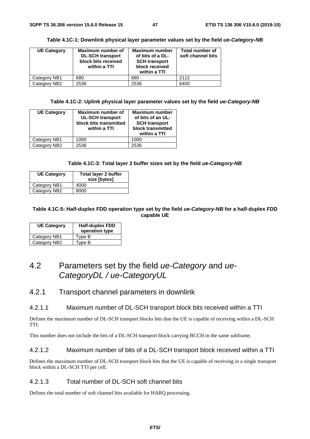| <b>UE Category</b> | Maximum number of<br><b>DL-SCH transport</b><br>block bits received<br>within a TTI | Maximum number<br>of bits of a DL-<br><b>SCH transport</b><br>block received<br>within a TTI | <b>Total number of</b><br>soft channel bits |
|--------------------|-------------------------------------------------------------------------------------|----------------------------------------------------------------------------------------------|---------------------------------------------|
| Category NB1       | 680                                                                                 | 680                                                                                          | 2112                                        |
| Category NB2       | 2536                                                                                | 2536                                                                                         | 6400                                        |

**Table 4.1C-1: Downlink physical layer parameter values set by the field** *ue-Category-NB*

**Table 4.1C-2: Uplink physical layer parameter values set by the field** *ue-Category-NB* 

| <b>UE Category</b> | Maximum number of<br><b>UL-SCH transport</b><br>block bits transmitted<br>within a TTI | <b>Maximum number</b><br>of bits of an UL-<br><b>SCH transport</b><br>block transmitted<br>within a TTI |
|--------------------|----------------------------------------------------------------------------------------|---------------------------------------------------------------------------------------------------------|
| Category NB1       | 1000                                                                                   | 1000                                                                                                    |
| Category NB2       | 2536                                                                                   | 2536                                                                                                    |

#### **Table 4.1C-3: Total layer 2 buffer sizes set by the field** *ue-Category-NB*

| <b>UE Category</b> | Total layer 2 buffer<br>size [bytes] |
|--------------------|--------------------------------------|
| Category NB1       | 4000                                 |
| Category NB2       | 8000                                 |

#### **Table 4.1C-5: Half-duplex FDD operation type set by the field** *ue-Category-NB* **for a half-duplex FDD capable UE**

| <b>UE Category</b> | <b>Half-duplex FDD</b><br>operation type |  |
|--------------------|------------------------------------------|--|
| Category NB1       | Type B                                   |  |
| Category NB2       | Type B                                   |  |

# 4.2 Parameters set by the field *ue-Category* and *ue-CategoryDL / ue-CategoryUL*

# 4.2.1 Transport channel parameters in downlink

#### 4.2.1.1 Maximum number of DL-SCH transport block bits received within a TTI

Defines the maximum number of DL-SCH transport blocks bits that the UE is capable of receiving within a DL-SCH TTI.

This number does not include the bits of a DL-SCH transport block carrying BCCH in the same subframe.

#### 4.2.1.2 Maximum number of bits of a DL-SCH transport block received within a TTI

Defines the maximum number of DL-SCH transport block bits that the UE is capable of receiving in a single transport block within a DL-SCH TTI per cell.

#### 4.2.1.3 Total number of DL-SCH soft channel bits

Defines the total number of soft channel bits available for HARQ processing.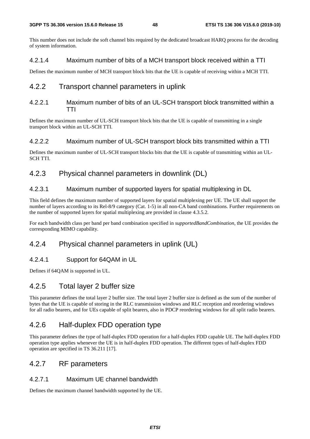This number does not include the soft channel bits required by the dedicated broadcast HARQ process for the decoding of system information.

# 4.2.1.4 Maximum number of bits of a MCH transport block received within a TTI

Defines the maximum number of MCH transport block bits that the UE is capable of receiving within a MCH TTI.

# 4.2.2 Transport channel parameters in uplink

## 4.2.2.1 Maximum number of bits of an UL-SCH transport block transmitted within a TTI

Defines the maximum number of UL-SCH transport block bits that the UE is capable of transmitting in a single transport block within an UL-SCH TTI.

# 4.2.2.2 Maximum number of UL-SCH transport block bits transmitted within a TTI

Defines the maximum number of UL-SCH transport blocks bits that the UE is capable of transmitting within an UL-SCH TTI.

# 4.2.3 Physical channel parameters in downlink (DL)

# 4.2.3.1 Maximum number of supported layers for spatial multiplexing in DL

This field defines the maximum number of supported layers for spatial multiplexing per UE. The UE shall support the number of layers according to its Rel-8/9 category (Cat. 1-5) in all non-CA band combinations. Further requirements on the number of supported layers for spatial multiplexing are provided in clause 4.3.5.2.

For each bandwidth class per band per band combination specified in *supportedBandCombination*, the UE provides the corresponding MIMO capability.

# 4.2.4 Physical channel parameters in uplink (UL)

# 4.2.4.1 Support for 64QAM in UL

Defines if 64QAM is supported in UL.

# 4.2.5 Total layer 2 buffer size

This parameter defines the total layer 2 buffer size. The total layer 2 buffer size is defined as the sum of the number of bytes that the UE is capable of storing in the RLC transmission windows and RLC reception and reordering windows for all radio bearers, and for UEs capable of split bearers, also in PDCP reordering windows for all split radio bearers.

# 4.2.6 Half-duplex FDD operation type

This parameter defines the type of half-duplex FDD operation for a half-duplex FDD capable UE. The half-duplex FDD operation type applies whenever the UE is in half-duplex FDD operation. The different types of half-duplex FDD operation are specified in TS 36.211 [17].

# 4.2.7 RF parameters

# 4.2.7.1 Maximum UE channel bandwidth

Defines the maximum channel bandwidth supported by the UE.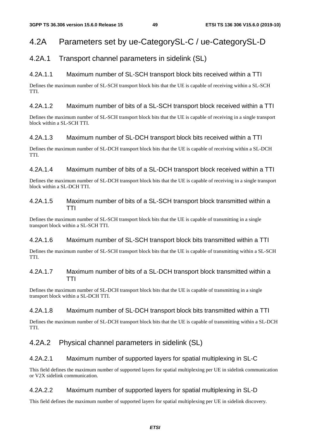# 4.2A Parameters set by ue-CategorySL-C / ue-CategorySL-D

# 4.2A.1 Transport channel parameters in sidelink (SL)

# 4.2A.1.1 Maximum number of SL-SCH transport block bits received within a TTI

Defines the maximum number of SL-SCH transport block bits that the UE is capable of receiving within a SL-SCH TTI.

## 4.2A.1.2 Maximum number of bits of a SL-SCH transport block received within a TTI

Defines the maximum number of SL-SCH transport block bits that the UE is capable of receiving in a single transport block within a SL-SCH TTI.

## 4.2A.1.3 Maximum number of SL-DCH transport block bits received within a TTI

Defines the maximum number of SL-DCH transport block bits that the UE is capable of receiving within a SL-DCH TTI.

# 4.2A.1.4 Maximum number of bits of a SL-DCH transport block received within a TTI

Defines the maximum number of SL-DCH transport block bits that the UE is capable of receiving in a single transport block within a SL-DCH TTI.

#### 4.2A.1.5 Maximum number of bits of a SL-SCH transport block transmitted within a TTI

Defines the maximum number of SL-SCH transport block bits that the UE is capable of transmitting in a single transport block within a SL-SCH TTI.

## 4.2A.1.6 Maximum number of SL-SCH transport block bits transmitted within a TTI

Defines the maximum number of SL-SCH transport block bits that the UE is capable of transmitting within a SL-SCH TTI.

# 4.2A.1.7 Maximum number of bits of a SL-DCH transport block transmitted within a TTI

Defines the maximum number of SL-DCH transport block bits that the UE is capable of transmitting in a single transport block within a SL-DCH TTI.

## 4.2A.1.8 Maximum number of SL-DCH transport block bits transmitted within a TTI

Defines the maximum number of SL-DCH transport block bits that the UE is capable of transmitting within a SL-DCH TTI.

# 4.2A.2 Physical channel parameters in sidelink (SL)

## 4.2A.2.1 Maximum number of supported layers for spatial multiplexing in SL-C

This field defines the maximum number of supported layers for spatial multiplexing per UE in sidelink communication or V2X sidelink communication.

## 4.2A.2.2 Maximum number of supported layers for spatial multiplexing in SL-D

This field defines the maximum number of supported layers for spatial multiplexing per UE in sidelink discovery.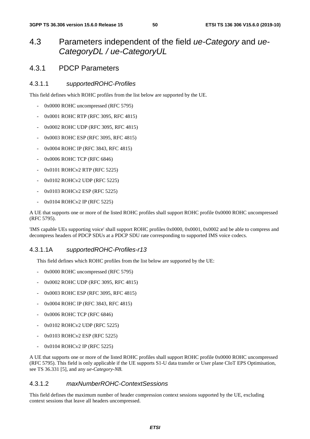# 4.3 Parameters independent of the field *ue-Category* and *ue-CategoryDL / ue-CategoryUL*

# 4.3.1 PDCP Parameters

#### 4.3.1.1 *supportedROHC-Profiles*

This field defines which ROHC profiles from the list below are supported by the UE.

- 0x0000 ROHC uncompressed (RFC 5795)
- 0x0001 ROHC RTP (RFC 3095, RFC 4815)
- 0x0002 ROHC UDP (RFC 3095, RFC 4815)
- 0x0003 ROHC ESP (RFC 3095, RFC 4815)
- 0x0004 ROHC IP (RFC 3843, RFC 4815)
- 0x0006 ROHC TCP (RFC 6846)
- 0x0101 ROHCv2 RTP (RFC 5225)
- 0x0102 ROHCv2 UDP (RFC 5225)
- 0x0103 ROHCv2 ESP (RFC 5225)
- 0x0104 ROHCv2 IP (RFC 5225)

A UE that supports one or more of the listed ROHC profiles shall support ROHC profile 0x0000 ROHC uncompressed (RFC 5795).

'IMS capable UEs supporting voice' shall support ROHC profiles 0x0000, 0x0001, 0x0002 and be able to compress and decompress headers of PDCP SDUs at a PDCP SDU rate corresponding to supported IMS voice codecs.

#### 4.3.1.1A *supportedROHC-Profiles-r13*

This field defines which ROHC profiles from the list below are supported by the UE:

- 0x0000 ROHC uncompressed (RFC 5795)
- 0x0002 ROHC UDP (RFC 3095, RFC 4815)
- 0x0003 ROHC ESP (RFC 3095, RFC 4815)
- 0x0004 ROHC IP (RFC 3843, RFC 4815)
- 0x0006 ROHC TCP (RFC 6846)
- 0x0102 ROHCv2 UDP (RFC 5225)
- 0x0103 ROHCv2 ESP (RFC 5225)
- 0x0104 ROHCv2 IP (RFC 5225)

A UE that supports one or more of the listed ROHC profiles shall support ROHC profile 0x0000 ROHC uncompressed (RFC 5795). This field is only applicable if the UE supports S1-U data transfer or User plane CIoT EPS Optimisation, see TS 36.331 [5], and any *ue-Category-NB*.

#### 4.3.1.2 *maxNumberROHC-ContextSessions*

This field defines the maximum number of header compression context sessions supported by the UE, excluding context sessions that leave all headers uncompressed.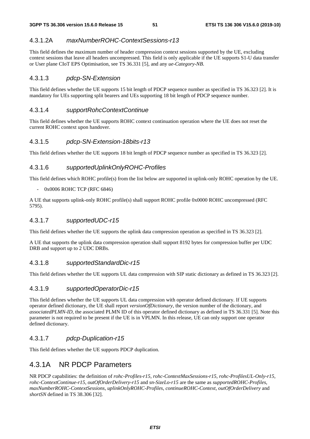# 4.3.1.2A *maxNumberROHC-ContextSessions-r13*

This field defines the maximum number of header compression context sessions supported by the UE, excluding context sessions that leave all headers uncompressed. This field is only applicable if the UE supports S1-U data transfer or User plane CIoT EPS Optimisation, see TS 36.331 [5], and any *ue-Category-NB*.

## 4.3.1.3 *pdcp-SN-Extension*

This field defines whether the UE supports 15 bit length of PDCP sequence number as specified in TS 36.323 [2]. It is mandatory for UEs supporting split bearers and UEs supporting 18 bit length of PDCP sequence number.

#### 4.3.1.4 *supportRohcContextContinue*

This field defines whether the UE supports ROHC context continuation operation where the UE does not reset the current ROHC context upon handover.

## 4.3.1.5 *pdcp-SN-Extension-18bits-r13*

This field defines whether the UE supports 18 bit length of PDCP sequence number as specified in TS 36.323 [2].

## 4.3.1.6 *supportedUplinkOnlyROHC-Profiles*

This field defines which ROHC profile(s) from the list below are supported in uplink-only ROHC operation by the UE.

#### - 0x0006 ROHC TCP (RFC 6846)

A UE that supports uplink-only ROHC profile(s) shall support ROHC profile 0x0000 ROHC uncompressed (RFC 5795).

#### 4.3.1.7 *supportedUDC-r15*

This field defines whether the UE supports the uplink data compression operation as specified in TS 36.323 [2].

A UE that supports the uplink data compression operation shall support 8192 bytes for compression buffer per UDC DRB and support up to 2 UDC DRBs.

## 4.3.1.8 *supportedStandardDic-r15*

This field defines whether the UE supports UL data compression with SIP static dictionary as defined in TS 36.323 [2].

## 4.3.1.9 *supportedOperatorDic-r15*

This field defines whether the UE supports UL data compression with operator defined dictionary. If UE supports operator defined dictionary, the UE shall report *versionOfDictionary*, the version number of the dictionary, and *associatedPLMN-ID*, the associated PLMN ID of this operator defined dictionary as defined in TS 36.331 [5]. Note this parameter is not required to be present if the UE is in VPLMN. In this release, UE can only support one operator defined dictionary.

## 4.3.1.7 *pdcp-Duplication-r15*

This field defines whether the UE supports PDCP duplication.

# 4.3.1A NR PDCP Parameters

NR PDCP capabilities: the definition of *rohc-Profiles-r15*, *rohc-ContextMaxSessions-r15*, *rohc-ProfilesUL-Only-r15*, *rohc-ContextContinue-r15*, *outOfOrderDelivery-r15* and *sn-SizeLo-r15* are the same as *supportedROHC-Profiles*, *maxNumberROHC-ContextSessions*, *uplinkOnlyROHC-Profiles*, *continueROHC-Context*, *outOfOrderDelivery* and *shortSN* defined in TS 38.306 [32].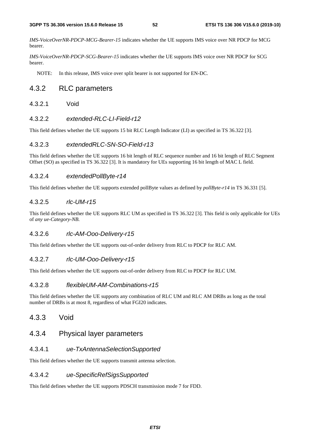*IMS-VoiceOverNR-PDCP-MCG-Bearer-15* indicates whether the UE supports IMS voice over NR PDCP for MCG bearer.

*IMS-VoiceOverNR-PDCP-SCG-Bearer-15* indicates whether the UE supports IMS voice over NR PDCP for SCG bearer.

NOTE: In this release, IMS voice over split bearer is not supported for EN-DC.

# 4.3.2 RLC parameters

4.3.2.1 Void

#### 4.3.2.2 *extended-RLC-LI-Field-r12*

This field defines whether the UE supports 15 bit RLC Length Indicator (LI) as specified in TS 36.322 [3].

#### 4.3.2.3 *extendedRLC-SN-SO-Field-r13*

This field defines whether the UE supports 16 bit length of RLC sequence number and 16 bit length of RLC Segment Offset (SO) as specified in TS 36.322 [3]. It is mandatory for UEs supporting 16 bit length of MAC L field.

#### 4.3.2.4 *extendedPollByte-r14*

This field defines whether the UE supports extended pollByte values as defined by *pollByte-r14* in TS 36.331 [5].

#### 4.3.2.5 *rlc-UM-r15*

This field defines whether the UE supports RLC UM as specified in TS 36.322 [3]. This field is only applicable for UEs of *any ue-Category-NB*.

#### 4.3.2.6 *rlc-AM-Ooo-Delivery-r15*

This field defines whether the UE supports out-of-order delivery from RLC to PDCP for RLC AM.

#### 4.3.2.7 *rlc-UM-Ooo-Delivery-r15*

This field defines whether the UE supports out-of-order delivery from RLC to PDCP for RLC UM.

## 4.3.2.8 *flexibleUM-AM-Combinations-r15*

This field defines whether the UE supports any combination of RLC UM and RLC AM DRBs as long as the total number of DRBs is at most 8, regardless of what FGI20 indicates.

# 4.3.3 Void

# 4.3.4 Physical layer parameters

#### 4.3.4.1 *ue-TxAntennaSelectionSupported*

This field defines whether the UE supports transmit antenna selection.

#### 4.3.4.2 *ue-SpecificRefSigsSupported*

This field defines whether the UE supports PDSCH transmission mode 7 for FDD.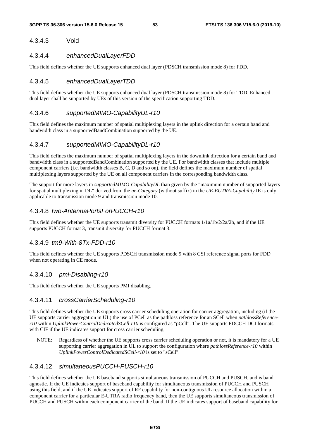# 4.3.4.3 Void

#### 4.3.4.4 *enhancedDualLayerFDD*

This field defines whether the UE supports enhanced dual layer (PDSCH transmission mode 8) for FDD.

# 4.3.4.5 *enhancedDualLayerTDD*

This field defines whether the UE supports enhanced dual layer (PDSCH transmission mode 8) for TDD. Enhanced dual layer shall be supported by UEs of this version of the specification supporting TDD.

## 4.3.4.6 *supportedMIMO-CapabilityUL-r10*

This field defines the maximum number of spatial multiplexing layers in the uplink direction for a certain band and bandwidth class in a supportedBandCombination supported by the UE.

## 4.3.4.7 *supportedMIMO-CapabilityDL-r10*

This field defines the maximum number of spatial multiplexing layers in the downlink direction for a certain band and bandwidth class in a supportedBandCombination supported by the UE. For bandwidth classes that include multiple component carriers (i.e. bandwidth classes B, C, D and so on), the field defines the maximum number of spatial multiplexing layers supported by the UE on all component carriers in the corresponding bandwidth class.

The support for more layers in *supportedMIMO-CapabilityDL* than given by the "maximum number of supported layers for spatial multiplexing in DL" derived from the *ue-Category* (without suffix) in the *UE-EUTRA-Capability* IE is only applicable to transmission mode 9 and transmission mode 10.

# 4.3.4.8 *two-AntennaPortsForPUCCH-r10*

This field defines whether the UE supports transmit diversity for PUCCH formats 1/1a/1b/2/2a/2b, and if the UE supports PUCCH format 3, transmit diversity for PUCCH format 3.

#### 4.3.4.9 *tm9-With-8Tx-FDD-r10*

This field defines whether the UE supports PDSCH transmission mode 9 with 8 CSI reference signal ports for FDD when not operating in CE mode.

#### 4.3.4.10 *pmi-Disabling-r10*

This field defines whether the UE supports PMI disabling.

#### 4.3.4.11 *crossCarrierScheduling-r10*

This field defines whether the UE supports cross carrier scheduling operation for carrier aggregation, including (if the UE supports carrier aggregation in UL) the use of PCell as the pathloss reference for an SCell when *pathlossReferencer10* within *UplinkPowerControlDedicatedSCell-r10* is configured as "pCell". The UE supports PDCCH DCI formats with CIF if the UE indicates support for cross carrier scheduling.

NOTE: Regardless of whether the UE supports cross carrier scheduling operation or not, it is mandatory for a UE supporting carrier aggregation in UL to support the configuration where *pathlossReference-r10* within *UplinkPowerControlDedicatedSCell-r10* is set to "sCell".

## 4.3.4.12 *simultaneousPUCCH-PUSCH-r10*

This field defines whether the UE baseband supports simultaneous transmission of PUCCH and PUSCH, and is band agnostic. If the UE indicates support of baseband capability for simultaneous transmission of PUCCH and PUSCH using this field, and if the UE indicates support of RF capability for non-contiguous UL resource allocation within a component carrier for a particular E-UTRA radio frequency band, then the UE supports simultaneous transmission of PUCCH and PUSCH within each component carrier of the band. If the UE indicates support of baseband capability for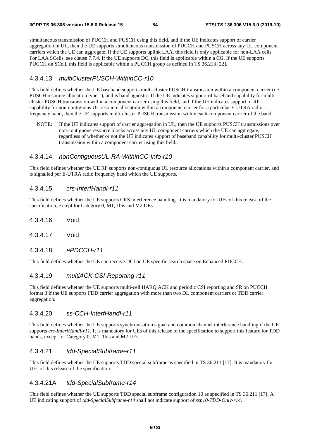simultaneous transmission of PUCCH and PUSCH using this field, and if the UE indicates support of carrier aggregation in UL, then the UE supports simultaneous transmission of PUCCH and PUSCH across any UL component carriers which the UE can aggregate. If the UE supports uplink LAA, this field is only applicable for non-LAA cells. For LAA SCells, see clause 7.7.4. If the UE supports DC, this field is applicable within a CG. If the UE supports PUCCH on SCell, this field is applicable within a PUCCH group as defined in TS 36.213 [22].

#### 4.3.4.13 *multiClusterPUSCH-WithinCC-r10*

This field defines whether the UE baseband supports multi-cluster PUSCH transmission within a component carrier (i.e. PUSCH resource allocation type 1), and is band agnostic. If the UE indicates support of baseband capability for multicluster PUSCH transmission within a component carrier using this field, and if the UE indicates support of RF capability for non-contiguous UL resource allocation within a component carrier for a particular E-UTRA radio frequency band, then the UE supports multi-cluster PUSCH transmission within each component carrier of the band.

NOTE: If the UE indicates support of carrier aggregation in UL, then the UE supports PUSCH transmissions over non-contiguous resource blocks across any UL component carriers which the UE can aggregate, regardless of whether or not the UE indicates support of baseband capability for multi-cluster PUSCH transmission within a component carrier using this field..

#### 4.3.4.14 *nonContiguousUL-RA-WithinCC-Info-r10*

This field defines whether the UE RF supports non-contiguous UL resource allocations within a component carrier, and is signalled per E-UTRA radio frequency band which the UE supports.

#### 4.3.4.15 *crs-InterfHandl-r11*

This field defines whether the UE supports CRS interference handling. It is mandatory for UEs of this release of the specification, except for Category 0, M1, 1bis and M2 UEs.

- 4.3.4.16 Void
- 4.3.4.17 Void
- 4.3.4.18 *ePDCCH-r11*

This field defines whether the UE can receive DCI on UE specific search space on Enhanced PDCCH.

#### 4.3.4.19 *multiACK-CSI-Reporting-r11*

This field defines whether the UE supports multi-cell HARQ ACK and periodic CSI reporting and SR on PUCCH format 3 if the UE supports FDD carrier aggregation with more than two DL component carriers or TDD carrier aggregation.

#### 4.3.4.20 *ss-CCH-InterfHandl-r11*

This field defines whether the UE supports synchronisation signal and common channel interference handling if the UE supports *crs-InterfHandl-r11*. It is mandatory for UEs of this release of the specification to support this feature for TDD bands, except for Category 0, M1, 1bis and M2 UEs.

#### 4.3.4.21 *tdd-SpecialSubframe-r11*

This field defines whether the UE supports TDD special subframe as specified in TS 36.211 [17]. It is mandatory for UEs of this release of the specification.

#### 4.3.4.21A *tdd-SpecialSubframe-r14*

This field defines whether the UE supports TDD special subframe configuration 10 as specified in TS 36.211 [17]. A UE indicating support of *tdd-SpecialSubframe-r14* shall not indicate support of *ssp10-TDD-Only-r14*.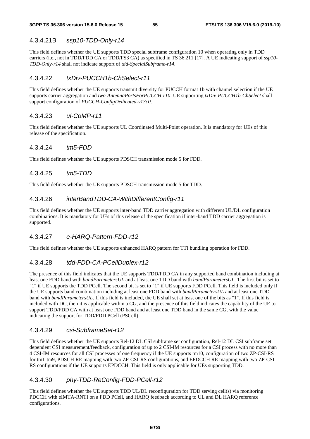# 4.3.4.21B *ssp10-TDD-Only-r14*

This field defines whether the UE supports TDD special subframe configuration 10 when operating only in TDD carriers (i.e., not in TDD/FDD CA or TDD/FS3 CA) as specified in TS 36.211 [17]. A UE indicating support of *ssp10- TDD-Only-r14* shall not indicate support of *tdd-SpecialSubframe-r14*.

# 4.3.4.22 *txDiv-PUCCH1b-ChSelect-r11*

This field defines whether the UE supports transmit diversity for PUCCH format 1b with channel selection if the UE supports carrier aggregation and *two-AntennaPortsForPUCCH-r10*. UE supporting *txDiv-PUCCH1b-ChSelect* shall support configuration of *PUCCH-ConfigDedicated-v13c0*.

## 4.3.4.23 *ul-CoMP-r11*

This field defines whether the UE supports UL Coordinated Multi-Point operation. It is mandatory for UEs of this release of the specification.

## 4.3.4.24 *tm5-FDD*

This field defines whether the UE supports PDSCH transmission mode 5 for FDD.

#### 4.3.4.25 *tm5-TDD*

This field defines whether the UE supports PDSCH transmission mode 5 for TDD.

#### 4.3.4.26 *interBandTDD-CA-WithDifferentConfig-r11*

This field defines whether the UE supports inter-band TDD carrier aggregation with different UL/DL configuration combinations. It is mandatory for UEs of this release of the specification if inter-band TDD carrier aggregation is supported.

## 4.3.4.27 *e-HARQ-Pattern-FDD-r12*

This field defines whether the UE supports enhanced HARQ pattern for TTI bundling operation for FDD.

## 4.3.4.28 *tdd-FDD-CA-PCellDuplex-r12*

The presence of this field indicates that the UE supports TDD/FDD CA in any supported band combination including at least one FDD band with *bandParametersUL* and at least one TDD band with *bandParametersUL*. The first bit is set to "1" if UE supports the TDD PCell. The second bit is set to "1" if UE supports FDD PCell. This field is included only if the UE supports band combination including at least one FDD band with *bandParametersUL* and at least one TDD band with *bandParametersUL*. If this field is included, the UE shall set at least one of the bits as "1". If this field is included with DC, then it is applicable within a CG, and the presence of this field indicates the capability of the UE to support TDD/FDD CA with at least one FDD band and at least one TDD band in the same CG, with the value indicating the support for TDD/FDD PCell (PSCell).

## 4.3.4.29 *csi-SubframeSet-r12*

This field defines whether the UE supports Rel-12 DL CSI subframe set configuration, Rel-12 DL CSI subframe set dependent CSI measurement/feedback, configuration of up to 2 CSI-IM resources for a CSI process with no more than 4 CSI-IM resources for all CSI processes of one frequency if the UE supports tm10, configuration of two ZP-CSI-RS for tm1-tm9, PDSCH RE mapping with two ZP-CSI-RS configurations, and EPDCCH RE mapping with two ZP-CSI-RS configurations if the UE supports EPDCCH. This field is only applicable for UEs supporting TDD.

## 4.3.4.30 *phy-TDD-ReConfig-FDD-PCell-r12*

This field defines whether the UE supports TDD UL/DL reconfiguration for TDD serving cell(s) via monitoring PDCCH with eIMTA-RNTI on a FDD PCell, and HARQ feedback according to UL and DL HARQ reference configurations.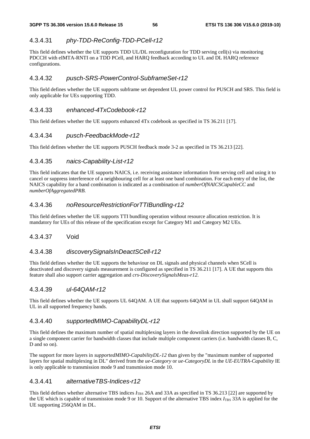# 4.3.4.31 *phy-TDD-ReConfig-TDD-PCell-r12*

This field defines whether the UE supports TDD UL/DL reconfiguration for TDD serving cell(s) via monitoring PDCCH with eIMTA-RNTI on a TDD PCell, and HARQ feedback according to UL and DL HARQ reference configurations.

# 4.3.4.32 *pusch-SRS-PowerControl-SubframeSet-r12*

This field defines whether the UE supports subframe set dependent UL power control for PUSCH and SRS. This field is only applicable for UEs supporting TDD.

## 4.3.4.33 *enhanced-4TxCodebook-r12*

This field defines whether the UE supports enhanced 4Tx codebook as specified in TS 36.211 [17].

# 4.3.4.34 *pusch-FeedbackMode-r12*

This field defines whether the UE supports PUSCH feedback mode 3-2 as specified in TS 36.213 [22].

# 4.3.4.35 *naics-Capability-List-r12*

This field indicates that the UE supports NAICS, i.e. receiving assistance information from serving cell and using it to cancel or suppress interference of a neighbouring cell for at least one band combination. For each entry of the list, the NAICS capability for a band combination is indicated as a combination of *numberOfNAICSCapableCC* and *numberOfAggregatedPRB*.

# 4.3.4.36 *noResourceRestrictionForTTIBundling-r12*

This field defines whether the UE supports TTI bundling operation without resource allocation restriction. It is mandatory for UEs of this release of the specification except for Category M1 and Category M2 UEs.

## 4.3.4.37 Void

## 4.3.4.38 *discoverySignalsInDeactSCell-r12*

This field defines whether the UE supports the behaviour on DL signals and physical channels when SCell is deactivated and discovery signals measurement is configured as specified in TS 36.211 [17]. A UE that supports this feature shall also support carrier aggregation and *crs-DiscoverySignalsMeas-r12*.

## 4.3.4.39 *ul-64QAM-r12*

This field defines whether the UE supports UL 64QAM. A UE that supports 64QAM in UL shall support 64QAM in UL in all supported frequency bands.

## 4.3.4.40 *supportedMIMO-CapabilityDL-r12*

This field defines the maximum number of spatial multiplexing layers in the downlink direction supported by the UE on a single component carrier for bandwidth classes that include multiple component carriers (i.e. bandwidth classes B, C, D and so on).

The support for more layers in *supportedMIMO-CapabilityDL-12* than given by the "maximum number of supported layers for spatial multiplexing in DL" derived from the *ue-Category* or *ue-CategoryDL* in the *UE-EUTRA-Capability* IE is only applicable to transmission mode 9 and transmission mode 10.

## 4.3.4.41 *alternativeTBS-Indices-r12*

This field defines whether alternative TBS indices *I*<sub>TBS</sub> 26A and 33A as specified in TS 36.213 [22] are supported by the UE which is capable of transmission mode 9 or 10. Support of the alternative TBS index  $I_{\text{TBS}}$  33A is applied for the UE supporting 256QAM in DL.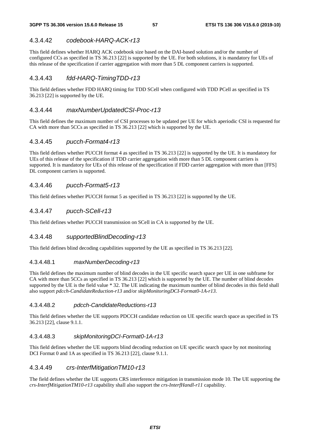# 4.3.4.42 *codebook-HARQ-ACK-r13*

This field defines whether HARQ ACK codebook size based on the DAI-based solution and/or the number of configured CCs as specified in TS 36.213 [22] is supported by the UE. For both solutions, it is mandatory for UEs of this release of the specification if carrier aggregation with more than 5 DL component carriers is supported.

# 4.3.4.43 *fdd-HARQ-TimingTDD-r13*

This field defines whether FDD HARQ timing for TDD SCell when configured with TDD PCell as specified in TS 36.213 [22] is supported by the UE.

#### 4.3.4.44 *maxNumberUpdatedCSI-Proc-r13*

This field defines the maximum number of CSI processes to be updated per UE for which aperiodic CSI is requested for CA with more than 5CCs as specified in TS 36.213 [22] which is supported by the UE.

## 4.3.4.45 *pucch-Format4-r13*

This field defines whether PUCCH format 4 as specified in TS 36.213 [22] is supported by the UE. It is mandatory for UEs of this release of the specification if TDD carrier aggregation with more than 5 DL component carriers is supported. It is mandatory for UEs of this release of the specification if FDD carrier aggregation with more than [FFS] DL component carriers is supported.

## 4.3.4.46 *pucch-Format5-r13*

This field defines whether PUCCH format 5 as specified in TS 36.213 [22] is supported by the UE.

## 4.3.4.47 *pucch-SCell-r13*

This field defines whether PUCCH transmission on SCell in CA is supported by the UE.

#### 4.3.4.48 *supportedBlindDecoding-r13*

This field defines blind decoding capabilities supported by the UE as specified in TS 36.213 [22].

#### 4.3.4.48.1 *maxNumberDecoding-r13*

This field defines the maximum number of blind decodes in the UE specific search space per UE in one subframe for CA with more than 5CCs as specified in TS 36.213 [22] which is supported by the UE. The number of blind decodes supported by the UE is the field value \* 32. The UE indicating the maximum number of blind decodes in this field shall also support *pdcch-CandidateReduction-r13* and/or *skipMonitoringDCI-Format0-1A-r13*.

#### 4.3.4.48.2 *pdcch-CandidateReductions-r13*

This field defines whether the UE supports PDCCH candidate reduction on UE specific search space as specified in TS 36.213 [22], clause 9.1.1.

#### 4.3.4.48.3 *skipMonitoringDCI-Format0-1A-r13*

This field defines whether the UE supports blind decoding reduction on UE specific search space by not monitoring DCI Format 0 and 1A as specified in TS 36.213 [22], clause 9.1.1.

#### 4.3.4.49 *crs-InterfMitigationTM10-r13*

The field defines whether the UE supports CRS interference mitigation in transmission mode 10. The UE supporting the *crs-InterfMitigationTM10-r13* capability shall also support the *crs-InterfHandl-r11* capability.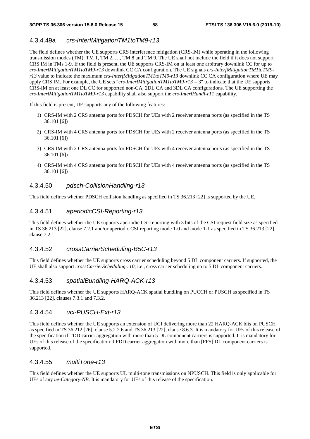#### 4.3.4.49a *crs-InterfMitigationTM1toTM9-r13*

The field defines whether the UE supports CRS interference mitigation (CRS-IM) while operating in the following transmission modes (TM): TM 1, TM 2, …, TM 8 and TM 9. The UE shall not include the field if it does not support CRS IM in TMs 1-9. If the field is present, the UE supports CRS-IM on at least one arbitrary downlink CC for up to *crs-InterfMitigationTM1toTM9-r13* downlink CC CA configuration. The UE signals *crs-InterfMitigationTM1toTM9 r13* value to indicate the maximum *crs-InterfMitigationTM1toTM9-r13* downlink CC CA configuration where UE may apply CRS IM. For example, the UE sets "*crs-InterfMitigationTM1toTM9-r13* = 3" to indicate that the UE supports CRS-IM on at least one DL CC for supported non-CA, 2DL CA and 3DL CA configurations. The UE supporting the *crs-InterfMitigationTM1toTM9-r13* capability shall also support the *crs-InterfHandl-r11* capability.

If this field is present, UE supports any of the following features:

- 1) CRS-IM with 2 CRS antenna ports for PDSCH for UEs with 2 receiver antenna ports (as specified in the TS 36.101 [6])
- 2) CRS-IM with 4 CRS antenna ports for PDSCH for UEs with 2 receiver antenna ports (as specified in the TS 36.101 [6])
- 3) CRS-IM with 2 CRS antenna ports for PDSCH for UEs with 4 receiver antenna ports (as specified in the TS 36.101 [6])
- 4) CRS-IM with 4 CRS antenna ports for PDSCH for UEs with 4 receiver antenna ports (as specified in the TS 36.101 [6])

#### 4.3.4.50 *pdsch-CollisionHandling-r13*

This field defines whether PDSCH collision handling as specified in TS 36.213 [22] is supported by the UE.

#### 4.3.4.51 *aperiodicCSI-Reporting-r13*

This field defines whether the UE supports aperiodic CSI reporting with 3 bits of the CSI request field size as specified in TS 36.213 [22], clause 7.2.1 and/or aperiodic CSI reporting mode 1-0 and mode 1-1 as specified in TS 36.213 [22], clause 7.2.1.

#### 4.3.4.52 *crossCarrierScheduling-B5C-r13*

This field defines whether the UE supports cross carrier scheduling beyond 5 DL component carriers. If supported, the UE shall also support *crossCarrierScheduling-r10*, i.e., cross carrier scheduling up to 5 DL component carriers.

#### 4.3.4.53 *spatialBundling-HARQ-ACK-r13*

This field defines whether the UE supports HARQ-ACK spatial bundling on PUCCH or PUSCH as specified in TS 36.213 [22], clauses 7.3.1 and 7.3.2.

#### 4.3.4.54 *uci-PUSCH-Ext-r13*

This field defines whether the UE supports an extension of UCI delivering more than 22 HARQ-ACK bits on PUSCH as specified in TS 36.212 [26], clause 5.2.2.6 and TS 36.213 [22], clause 8.6.3. It is mandatory for UEs of this release of the specification if TDD carrier aggregation with more than 5 DL component carriers is supported. It is mandatory for UEs of this release of the specification if FDD carrier aggregation with more than [FFS] DL component carriers is supported.

#### 4.3.4.55 *multiTone-r13*

This field defines whether the UE supports UL multi-tone transmissions on NPUSCH. This field is only applicable for UEs of any *ue-Category-NB*. It is mandatory for UEs of this release of the specification.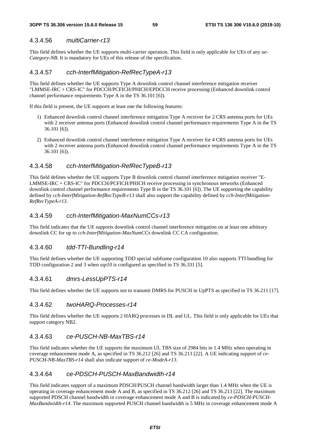## 4.3.4.56 *multiCarrier-r13*

This field defines whether the UE supports multi-carrier operation. This field is only applicable for UEs of any *ue-Category-NB*. It is mandatory for UEs of this release of the specification.

#### 4.3.4.57 *cch-InterfMitigation-RefRecTypeA-r13*

This field defines whether the UE supports Type A downlink control channel interference mitigation receiver "LMMSE-IRC + CRS-IC" for PDCCH/PCFICH/PHICH/EPDCCH receive processing (Enhanced downlink control channel performance requirements Type A in the TS 36.101 [6]).

If this field is present, the UE supports at least one the following features:

- 1) Enhanced downlink control channel interference mitigation Type A receiver for 2 CRS antenna ports for UEs with 2 receiver antenna ports (Enhanced downlink control channel performance requirements Type A in the TS 36.101 [6]).
- 2) Enhanced downlink control channel interference mitigation Type A receiver for 4 CRS antenna ports for UEs with 2 receiver antenna ports (Enhanced downlink control channel performance requirements Type A in the TS 36.101 [6]).

#### 4.3.4.58 *cch-InterfMitigation-RefRecTypeB-r13*

This field defines whether the UE supports Type B downlink control channel interference mitigation receiver "E-LMMSE-IRC + CRS-IC" for PDCCH/PCFICH/PHICH receive processing in synchronous networks (Enhanced downlink control channel performance requirements Type B in the TS 36.101 [6]). The UE supporting the capability defined by *cch-InterfMitigation-RefRecTypeB-r13* shall also support the capability defined by *cch-InterfMitigation-RefRecTypeA-r13*.

#### 4.3.4.59 *cch-InterfMitigation-MaxNumCCs-r13*

This field indicates that the UE supports downlink control channel interference mitigation on at least one arbitrary downlink CC for up to *cch-InterfMitigation-MaxNumCCs* downlink CC CA configuration.

#### 4.3.4.60 *tdd-TTI-Bundling-r14*

This field defines whether the UE supporting TDD special subframe configuration 10 also supports TTI bundling for TDD configuration 2 and 3 when *ssp10* is configured as specified in TS 36.331 [5].

## 4.3.4.61 *dmrs-LessUpPTS-r14*

This field defines whether the UE supports not to transmit DMRS for PUSCH in UpPTS as specified in TS 36.211 [17].

#### 4.3.4.62 *twoHARQ-Processes-r14*

This field defines whether the UE supports 2 HARQ processes in DL and UL. This field is only applicable for UEs that support category NB2.

#### 4.3.4.63 *ce-PUSCH-NB-MaxTBS-r14*

This field indicates whether the UE supports the maximum UL TBS size of 2984 bits in 1.4 MHz when operating in coverage enhancement mode A, as specified in TS 36.212 [26] and TS 36.213 [22]. A UE indicating support of *ce-PUSCH-NB-MaxTBS-r14* shall also indicate support of *ce-ModeA-r13*.

# 4.3.4.64 *ce-PDSCH-PUSCH-MaxBandwidth-r14*

This field indicates support of a maximum PDSCH/PUSCH channel bandwidth larger than 1.4 MHz when the UE is operating in coverage enhancement mode A and B, as specified in TS 36.212 [26] and TS 36.213 [22]. The maximum supported PDSCH channel bandwidth in coverage enhancement mode A and B is indicated by *ce-PDSCH-PUSCH-MaxBandwidth-r14*. The maximum supported PUSCH channel bandwidth is 5 MHz in coverage enhancement mode A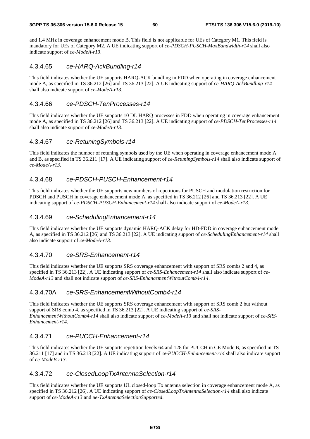and 1.4 MHz in coverage enhancement mode B. This field is not applicable for UEs of Category M1. This field is mandatory for UEs of Category M2. A UE indicating support of *ce-PDSCH-PUSCH-MaxBandwidth-r14* shall also indicate support of *ce-ModeA-r13*.

#### 4.3.4.65 *ce-HARQ-AckBundling-r14*

This field indicates whether the UE supports HARQ-ACK bundling in FDD when operating in coverage enhancement mode A, as specified in TS 36.212 [26] and TS 36.213 [22]. A UE indicating support of *ce-HARQ-AckBundling-r14*  shall also indicate support of *ce-ModeA-r13*.

#### 4.3.4.66 *ce-PDSCH-TenProcesses-r14*

This field indicates whether the UE supports 10 DL HARQ processes in FDD when operating in coverage enhancement mode A, as specified in TS 36.212 [26] and TS 36.213 [22]. A UE indicating support of *ce-PDSCH-TenProcesses-r14*  shall also indicate support of *ce-ModeA-r13*.

#### 4.3.4.67 *ce-RetuningSymbols-r14*

This field indicates the number of retuning symbols used by the UE when operating in coverage enhancement mode A and B, as specified in TS 36.211 [17]. A UE indicating support of *ce-RetuningSymbols-r14* shall also indicate support of *ce-ModeA-r13*.

#### 4.3.4.68 *ce-PDSCH-PUSCH-Enhancement-r14*

This field indicates whether the UE supports new numbers of repetitions for PUSCH and modulation restriction for PDSCH and PUSCH in coverage enhancement mode A, as specified in TS 36.212 [26] and TS 36.213 [22]. A UE indicating support of *ce-PDSCH-PUSCH-Enhancement-r14* shall also indicate support of *ce-ModeA-r13*.

#### 4.3.4.69 *ce-SchedulingEnhancement-r14*

This field indicates whether the UE supports dynamic HARQ-ACK delay for HD-FDD in coverage enhancement mode A, as specified in TS 36.212 [26] and TS 36.213 [22]. A UE indicating support of *ce-SchedulingEnhancement-r14* shall also indicate support of *ce-ModeA-r13*.

#### 4.3.4.70 *ce-SRS-Enhancement-r14*

This field indicates whether the UE supports SRS coverage enhancement with support of SRS combs 2 and 4, as specified in TS 36.213 [22]. A UE indicating support of *ce-SRS-Enhancement-r14* shall also indicate support of *ce-ModeA-r13* and shall not indicate support of *ce-SRS-EnhancementWithoutComb4-r14*.

#### 4.3.4.70A *ce-SRS-EnhancementWithoutComb4-r14*

This field indicates whether the UE supports SRS coverage enhancement with support of SRS comb 2 but without support of SRS comb 4, as specified in TS 36.213 [22]. A UE indicating support of *ce-SRS-EnhancementWithoutComb4-r14* shall also indicate support of *ce-ModeA-r13* and shall not indicate support of *ce-SRS-Enhancement-r14*.

#### 4.3.4.71 *ce-PUCCH-Enhancement-r14*

This field indicates whether the UE supports repetition levels 64 and 128 for PUCCH in CE Mode B, as specified in TS 36.211 [17] and in TS 36.213 [22]. A UE indicating support of *ce-PUCCH-Enhancement-r14* shall also indicate support of *ce-ModeB-r13*.

# 4.3.4.72 *ce-ClosedLoopTxAntennaSelection-r14*

This field indicates whether the UE supports UL closed-loop Tx antenna selection in coverage enhancement mode A, as specified in TS 36.212 [26]. A UE indicating support of *ce-ClosedLoopTxAntennaSelection-r14* shall also indicate support of *ce-ModeA-r13* and *ue-TxAntennaSelectionSupported*.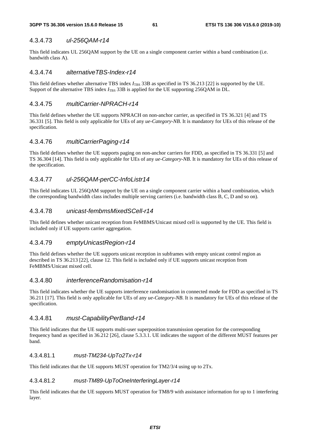#### 4.3.4.73 *ul-256QAM-r14*

This field indicates UL 256QAM support by the UE on a single component carrier within a band combination (i.e. bandwith class A).

#### 4.3.4.74 *alternativeTBS-Index-r14*

This field defines whether alternative TBS index  $I_{\text{TBS}}$  33B as specified in TS 36.213 [22] is supported by the UE. Support of the alternative TBS index  $I_{\text{TBS}}$  33B is applied for the UE supporting 256QAM in DL.

## 4.3.4.75 *multiCarrier-NPRACH-r14*

This field defines whether the UE supports NPRACH on non-anchor carrier, as specified in TS 36.321 [4] and TS 36.331 [5]. This field is only applicable for UEs of any *ue-Category-NB*. It is mandatory for UEs of this release of the specification.

## 4.3.4.76 *multiCarrierPaging-r14*

This field defines whether the UE supports paging on non-anchor carriers for FDD, as specified in TS 36.331 [5] and TS 36.304 [14]. This field is only applicable for UEs of any *ue-Category-NB*. It is mandatory for UEs of this release of the specification.

## 4.3.4.77 *ul-256QAM-perCC-InfoListr14*

This field indicates UL 256QAM support by the UE on a single component carrier within a band combination, which the corresponding bandwidth class includes multiple serving carriers (i.e. bandwidth class B, C, D and so on).

#### 4.3.4.78 *unicast-fembmsMixedSCell-r14*

This field defines whether unicast reception from FeMBMS/Unicast mixed cell is supported by the UE. This field is included only if UE supports carrier aggregation.

#### 4.3.4.79 *emptyUnicastRegion-r14*

This field defines whether the UE supports unicast reception in subframes with empty unicast control region as described in TS 36.213 [22], clause 12. This field is included only if UE supports unicast reception from FeMBMS/Unicast mixed cell.

#### 4.3.4.80 *interferenceRandomisation-r14*

This field indicates whether the UE supports interference randomisation in connected mode for FDD as specified in TS 36.211 [17]. This field is only applicable for UEs of any *ue-Category-NB*. It is mandatory for UEs of this release of the specification.

#### 4.3.4.81 *must-CapabilityPerBand-r14*

This field indicates that the UE supports multi-user superposition transmission operation for the corresponding frequency band as specified in 36.212 [26], clause 5.3.3.1. UE indicates the support of the different MUST features per band.

#### 4.3.4.81.1 *must-TM234-UpTo2Tx-r14*

This field indicates that the UE supports MUST operation for TM2/3/4 using up to 2Tx.

#### 4.3.4.81.2 *must-TM89-UpToOneInterferingLayer-r14*

This field indicates that the UE supports MUST operation for TM8/9 with assistance information for up to 1 interfering layer.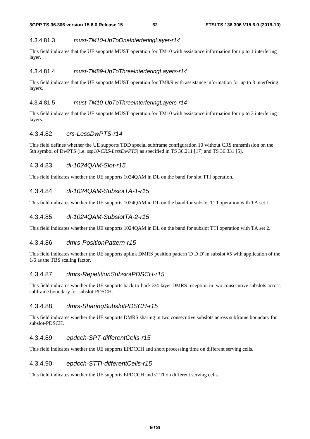#### 4.3.4.81.3 *must-TM10-UpToOneInterferingLayer-r14*

This field indicates that the UE supports MUST operation for TM10 with assistance information for up to 1 interfering layer.

#### 4.3.4.81.4 *must-TM89-UpToThreeInterferingLayers-r14*

This field indicates that the UE supports MUST operation for TM8/9 with assistance information for up to 3 interfering layers.

#### 4.3.4.81.5 *must-TM10-UpToThreeInterferingLayers-r14*

This field indicates that the UE supports MUST operation for TM10 with assistance information for up to 3 interfering layers.

#### 4.3.4.82 *crs-LessDwPTS-r14*

This field defines whether the UE supports TDD special subframe configuration 10 without CRS transmission on the 5th symbol of DwPTS (i.e. *ssp10-CRS-LessDwPTS*) as specified in TS 36.211 [17] and TS 36.331 [5].

#### 4.3.4.83 *dl-1024QAM-Slot-r15*

This field indicates whether the UE supports 1024QAM in DL on the band for slot TTI operation.

# 4.3.4.84 *dl-1024QAM-SubslotTA-1-r15*

This field indicates whether the UE supports 1024QAM in DL on the band for subslot TTI operation with TA set 1.

#### 4.3.4.85 *dl-1024QAM-SubslotTA-2-r15*

This field indicates whether the UE supports 1024QAM in DL on the band for subslot TTI operation with TA set 2.

#### 4.3.4.86 *dmrs-PositionPattern-r15*

This field indicates whether the UE supports uplink DMRS position pattern 'D D D' in subslot #5 with application of the 1/6 as the TBS scaling factor.

#### 4.3.4.87 *dmrs-RepetitionSubslotPDSCH-r15*

This field indicates whether the UE supports back-to-back 3/4-layer DMRS reception in two consecutive subslots across subframe boundary for subslot-PDSCH.

#### 4.3.4.88 *dmrs-SharingSubslotPDSCH-r15*

This field indicates whether the UE supports DMRS sharing in two consecutive subslots across subframe boundary for subslot-PDSCH.

#### 4.3.4.89 *epdcch-SPT-differentCells-r15*

This field indicates whether the UE supports EPDCCH and short processing time on different serving cells.

#### 4.3.4.90 *epdcch-STTI-differentCells-r15*

This field indicates whether the UE supports EPDCCH and sTTI on different serving cells.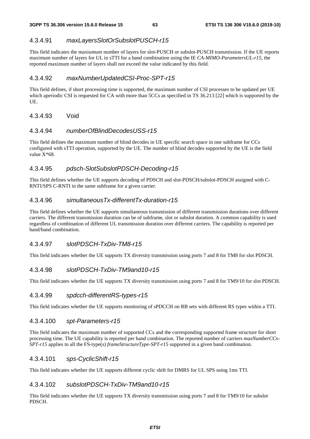# 4.3.4.91 *maxLayersSlotOrSubslotPUSCH-r15*

This field indicates the maxiumum number of layers for slot-PUSCH or subslot-PUSCH transmission. If the UE reports maximum number of layers for UL in sTTI for a band combination using the IE *CA-MIMO-ParametersUL-r15*, the reported maximum number of layers shall not exceed the value indicated by this field.

# 4.3.4.92 *maxNumberUpdatedCSI-Proc-SPT-r15*

This field defines, if short processing time is supported, the maximum number of CSI processes to be updated per UE which aperiodic CSI is requested for CA with more than 5CCs as specified in TS 36.213 [22] which is supported by the UE.

## 4.3.4.93 Void

#### 4.3.4.94 *numberOfBlindDecodesUSS-r15*

This field defines the maximum number of blind decodes in UE specific search space in one subframe for CCs configured with sTTI operation, supported by the UE. The number of blind decodes supported by the UE is the field value  $X*68$ .

# 4.3.4.95 *pdsch-SlotSubslotPDSCH-Decoding-r15*

This field defines whether the UE supports decoding of PDSCH and slot-PDSCH/subslot-PDSCH assigned with C-RNTI/SPS C-RNTI in the same subframe for a given carrier.

## 4.3.4.96 *simultaneousTx-differentTx-duration-r15*

This field defines whether the UE supports simultaneous transmission of different transmission durations over different carriers. The different transmission duration can be of subframe, slot or subslot duration. A common capability is used regardless of combination of different UL transmission duration over different carriers. The capability is reported per band/band combination.

## 4.3.4.97 *slotPDSCH-TxDiv-TM8-r15*

This field indicates whether the UE supports TX diversity transmission using ports 7 and 8 for TM8 for slot PDSCH.

## 4.3.4.98 *slotPDSCH-TxDiv-TM9and10-r15*

This field indicates whether the UE supports TX diversity transmission using ports 7 and 8 for TM9/10 for slot PDSCH.

#### 4.3.4.99 *spdcch-differentRS-types-r15*

This field indicates whether the UE supports monitoring of sPDCCH on RB sets with different RS types within a TTI.

#### 4.3.4.100 *spt-Parameters-r15*

This field indicates the maximum number of supported CCs and the corresponding supported frame structure for short processing time. The UE capability is reported per band combination. The reported number of carriers *maxNumberCCs-SPT-r15* applies to all the FS-type(s) *frameStructureType-SPT-r15* supported in a given band combination.

## 4.3.4.101 *sps-CyclicShift-r15*

This field indicates whether the UE supports different cyclic shift for DMRS for UL SPS using 1ms TTI.

## 4.3.4.102 *subslotPDSCH-TxDiv-TM9and10-r15*

This field indicates whether the UE supports TX diversity transmission using ports 7 and 8 for TM9/10 for subslot PDSCH.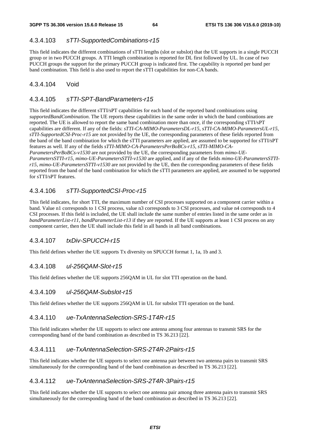# 4.3.4.103 *sTTI-SupportedCombinations-r15*

This field indicates the different combinations of sTTI lengths (slot or subslot) that the UE supports in a single PUCCH group or in two PUCCH groups. A TTI length combination is reported for DL first followed by UL. In case of two PUCCH groups the support for the primary PUCCH group is indicated first. The capability is reported per band per band combination. This field is also used to report the sTTI capabilities for non-CA bands.

# 4.3.4.104 Void

# 4.3.4.105 *sTTI-SPT-BandParameters-r15*

This field indicates the different sTTI/sPT capabilities for each band of the reported band combinations using *supportedBandCombination*. The UE reports these capabilities in the same order in which the band combinations are reported. The UE is allowed to report the same band combination more than once, if the corresponding sTTI/sPT capabilities are different. If any of the fields: *sTTI-CA-MIMO-ParametersDL-r15, sTTI-CA-MIMO-ParametersUL-r15, sTTI-SupportedCSI-Proc-r15* are not provided by the UE, the corresponding parameters of these fields reported from the band of the band combination for which the sTTI parameters are applied, are assumed to be supported for sTTI/sPT features as well. If any of the fields *sTTI-MIMO-CA-ParametersPerBoBCs-r15, sTTI-MIMO-CA-ParametersPerBoBCs-v1530* are not provided by the UE, the corresponding parameters from *mimo-UE-ParametersSTTI-r15, mimo-UE-ParametersSTTI-v1530* are applied, and if any of the fields *mimo-UE-ParametersSTTIr15, mimo-UE-ParametersSTTI-v1530* are not provided by the UE, then the corresponding parameters of these fields reported from the band of the band combination for which the sTTI parameters are applied, are assumed to be supported for sTTI/sPT features.

# 4.3.4.106 *sTTI-SupportedCSI-Proc-r15*

This field indicates, for short TTI, the maximum number of CSI processes supported on a component carrier within a band. Value n1 corresponds to 1 CSI process, value n3 corresponds to 3 CSI processes, and value n4 corresponds to 4 CSI processes. If this field is included, the UE shall include the same number of entries listed in the same order as in *bandParameterList-r11, bandParameterList-r13* if they are reported. If the UE supports at least 1 CSI process on any component carrier, then the UE shall include this field in all bands in all band combinations.

# 4.3.4.107 *txDiv-SPUCCH-r15*

This field defines whether the UE supports Tx diversity on SPUCCH format 1, 1a, 1b and 3.

# 4.3.4.108 *ul-256QAM-Slot-r15*

This field defines whether the UE supports 256QAM in UL for slot TTI operation on the band.

# 4.3.4.109 *ul-256QAM-Subslot-r15*

This field defines whether the UE supports 256QAM in UL for subslot TTI operation on the band.

# 4.3.4.110 *ue-TxAntennaSelection-SRS-1T4R-r15*

This field indicates whether the UE supports to select one antenna among four antennas to transmit SRS for the corresponding band of the band combination as described in TS 36.213 [22].

# 4.3.4.111 *ue-TxAntennaSelection-SRS-2T4R-2Pairs-r15*

This field indicates whether the UE supports to select one antenna pair between two antenna pairs to transmit SRS simultaneously for the corresponding band of the band combination as described in TS 36.213 [22].

# 4.3.4.112 *ue-TxAntennaSelection-SRS-2T4R-3Pairs-r15*

This field indicates whether the UE supports to select one antenna pair among three antenna pairs to transmit SRS simultaneously for the corresponding band of the band combination as described in TS 36.213 [22].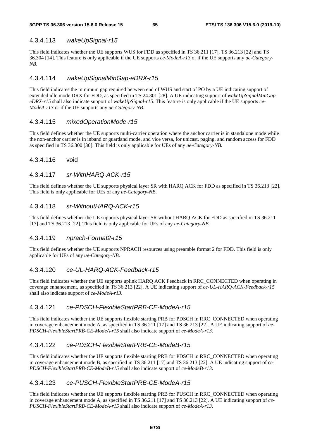## 4.3.4.113 *wakeUpSignal-r15*

This field indicates whether the UE supports WUS for FDD as specified in TS 36.211 [17], TS 36.213 [22] and TS 36.304 [14]. This feature is only applicable if the UE supports *ce-ModeA-r13* or if the UE supports any *ue-Category-NB*.

#### 4.3.4.114 *wakeUpSignalMinGap-eDRX-r15*

This field indicates the minimum gap required between end of WUS and start of PO by a UE indicating support of extended idle mode DRX for FDD, as specified in TS 24.301 [28]. A UE indicating support of *wakeUpSignalMinGapeDRX-r15* shall also indicate support of w*akeUpSignal-r15*. This feature is only applicable if the UE supports *ce-ModeA-r13* or if the UE supports any *ue-Category-NB*.

#### 4.3.4.115 *mixedOperationMode-r15*

This field defines whether the UE supports multi-carrier operation where the anchor carrier is in standalone mode while the non-anchor carrier is in inband or guardand mode, and vice versa, for unicast, paging, and random access for FDD as specified in TS 36.300 [30]. This field is only applicable for UEs of any *ue-Category-NB*.

#### 4.3.4.116 void

#### 4.3.4.117 *sr-WithHARQ-ACK-r15*

This field defines whether the UE supports physical layer SR with HARQ ACK for FDD as specified in TS 36.213 [22]. This field is only applicable for UEs of any *ue-Category-NB*.

## 4.3.4.118 *sr-WithoutHARQ-ACK-r15*

This field defines whether the UE supports physical layer SR without HARQ ACK for FDD as specified in TS 36.211 [17] and TS 36.213 [22]. This field is only applicable for UEs of any *ue-Category-NB*.

#### 4.3.4.119 *nprach-Format2-r15*

This field defines whether the UE supports NPRACH resources using preamble format 2 for FDD. This field is only applicable for UEs of any *ue-Category-NB*.

## 4.3.4.120 *ce-UL-HARQ-ACK-Feedback-r15*

This field indicates whether the UE supports uplink HARQ ACK Feedback in RRC\_CONNECTED when operating in coverage enhancement, as specified in TS 36.213 [22]. A UE indicating support of *ce-UL-HARQ-ACK-Feedback-r15*  shall also indicate support of *ce-ModeA-r13*.

## 4.3.4.121 *ce-PDSCH-FlexibleStartPRB-CE-ModeA-r15*

This field indicates whether the UE supports flexible starting PRB for PDSCH in RRC\_CONNECTED when operating in coverage enhancement mode A, as specified in TS 36.211 [17] and TS 36.213 [22]. A UE indicating support of *ce-PDSCH-FlexibleStartPRB-CE-ModeA-r15* shall also indicate support of *ce-ModeA-r13*.

## 4.3.4.122 *ce-PDSCH-FlexibleStartPRB-CE-ModeB-r15*

This field indicates whether the UE supports flexible starting PRB for PDSCH in RRC\_CONNECTED when operating in coverage enhancement mode B, as specified in TS 36.211 [17] and TS 36.213 [22]. A UE indicating support of *ce-PDSCH-FlexibleStartPRB-CE-ModeB-r15* shall also indicate support of *ce-ModeB-r13*.

## 4.3.4.123 *ce-PUSCH-FlexibleStartPRB-CE-ModeA-r15*

This field indicates whether the UE supports flexible starting PRB for PUSCH in RRC\_CONNECTED when operating in coverage enhancement mode A, as specified in TS 36.211 [17] and TS 36.213 [22]. A UE indicating support of *ce-PUSCH-FlexibleStartPRB-CE-ModeA-r15* shall also indicate support of *ce-ModeA-r13*.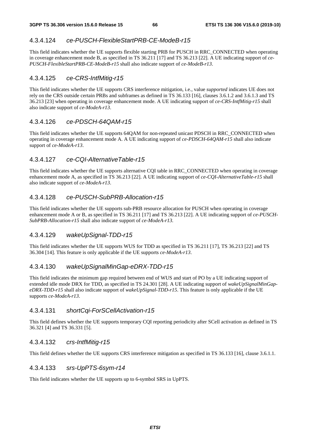#### 4.3.4.124 *ce-PUSCH-FlexibleStartPRB-CE-ModeB-r15*

This field indicates whether the UE supports flexible starting PRB for PUSCH in RRC\_CONNECTED when operating in coverage enhancement mode B, as specified in TS 36.211 [17] and TS 36.213 [22]. A UE indicating support of *ce-PUSCH-FlexibleStartPRB-CE-ModeB-r15* shall also indicate support of *ce-ModeB-r13*.

#### 4.3.4.125 *ce-CRS-IntfMitig-r15*

This field indicates whether the UE supports CRS interference mitigation, i.e., value *supported* indicates UE does not rely on the CRS outside certain PRBs and subframes as defined in TS 36.133 [16], clauses 3.6.1.2 and 3.6.1.3 and TS 36.213 [23] when operating in coverage enhancement mode. A UE indicating support of *ce-CRS-IntfMitig-r15* shall also indicate support of *ce-ModeA-r13*.

#### 4.3.4.126 *ce-PDSCH-64QAM-r15*

This field indicates whether the UE supports 64QAM for non-repeated unicast PDSCH in RRC\_CONNECTED when operating in coverage enhancement mode A. A UE indicating support of *ce-PDSCH-64QAM-r15* shall also indicate support of *ce-ModeA-r13*.

#### 4.3.4.127 *ce-CQI-AlternativeTable-r15*

This field indicates whether the UE supports alternative CQI table in RRC\_CONNECTED when operating in coverage enhancement mode A, as specified in TS 36.213 [22]. A UE indicating support of *ce-CQI-AlternativeTable-r15* shall also indicate support of *ce-ModeA-r13*.

## 4.3.4.128 *ce-PUSCH-SubPRB-Allocation-r15*

This field indicates whether the UE supports sub-PRB resource allocation for PUSCH when operating in coverage enhancement mode A or B, as specified in TS 36.211 [17] and TS 36.213 [22]. A UE indicating support of *ce-PUSCH-SubPRB-Allocation-r15* shall also indicate support of *ce-ModeA-r13.* 

## 4.3.4.129 *wakeUpSignal-TDD-r15*

This field indicates whether the UE supports WUS for TDD as specified in TS 36.211 [17], TS 36.213 [22] and TS 36.304 [14]. This feature is only applicable if the UE supports *ce-ModeA-r13*.

## 4.3.4.130 *wakeUpSignalMinGap-eDRX-TDD-r15*

This field indicates the minimum gap required between end of WUS and start of PO by a UE indicating support of extended idle mode DRX for TDD, as specified in TS 24.301 [28]. A UE indicating support of *wakeUpSignalMinGapeDRX-TDD-r15* shall also indicate support of *wakeUpSignal-TDD-r15*. This feature is only applicable if the UE supports *ce-ModeA-r13*.

#### 4.3.4.131 *shortCqi-ForSCellActivation-r15*

This field defines whether the UE supports temporary CQI reporting periodicity after SCell activation as defined in TS 36.321 [4] and TS 36.331 [5].

#### 4.3.4.132 *crs-IntfMitig-r15*

This field defines whether the UE supports CRS interference mitigation as specified in TS 36.133 [16], clause 3.6.1.1.

#### 4.3.4.133 *srs-UpPTS-6sym-r14*

This field indicates whether the UE supports up to 6-symbol SRS in UpPTS.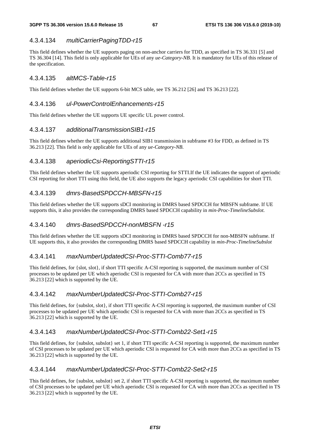# 4.3.4.134 *multiCarrierPagingTDD-r15*

This field defines whether the UE supports paging on non-anchor carriers for TDD, as specified in TS 36.331 [5] and TS 36.304 [14]. This field is only applicable for UEs of any *ue-Category-NB*. It is mandatory for UEs of this release of the specification.

## 4.3.4.135 *altMCS-Table-r15*

This field defines whether the UE supports 6-bit MCS table, see TS 36.212 [26] and TS 36.213 [22].

#### 4.3.4.136 *ul-PowerControlEnhancements-r15*

This field defines whether the UE supports UE specific UL power control.

#### 4.3.4.137 *additionalTransmissionSIB1-r15*

This field defines whether the UE supports additional SIB1 transmission in subframe #3 for FDD, as defined in TS 36.213 [22]. This field is only applicable for UEs of any *ue-Category-NB*.

## 4.3.4.138 *aperiodicCsi-ReportingSTTI-r15*

This field defines whether the UE supports aperiodic CSI reporting for STTI.If the UE indicates the support of aperiodic CSI reporting for short TTI using this field, the UE also supports the legacy aperiodic CSI capabilities for short TTI.

## 4.3.4.139 *dmrs-BasedSPDCCH-MBSFN-r15*

This field defines whether the UE supports sDCI monitoring in DMRS based SPDCCH for MBSFN subframe. If UE supports this, it also provides the corresponding DMRS based SPDCCH capability in *min-Proc-TimelineSubslot.*

## 4.3.4.140 *dmrs-BasedSPDCCH-nonMBSFN -r15*

This field defines whether the UE supports sDCI monitoring in DMRS based SPDCCH for non-MBSFN subframe. If UE supports this, it also provides the corresponding DMRS based SPDCCH capability in *min-Proc-TimelineSubslot* 

## 4.3.4.141 *maxNumberUpdatedCSI-Proc-STTI-Comb77-r15*

This field defines, for {slot, slot}, if short TTI specific A-CSI reporting is supported, the maximum number of CSI processes to be updated per UE which aperiodic CSI is requested for CA with more than 2CCs as specified in TS 36.213 [22] which is supported by the UE.

## 4.3.4.142 *maxNumberUpdatedCSI-Proc-STTI-Comb27-r15*

This field defines, for {subslot, slot}, if short TTI specific A-CSI reporting is supported, the maximum number of CSI processes to be updated per UE which aperiodic CSI is requested for CA with more than 2CCs as specified in TS 36.213 [22] which is supported by the UE.

#### 4.3.4.143 *maxNumberUpdatedCSI-Proc-STTI-Comb22-Set1-r15*

This field defines, for {subslot, subslot} set 1, if short TTI specific A-CSI reporting is supported, the maximum number of CSI processes to be updated per UE which aperiodic CSI is requested for CA with more than 2CCs as specified in TS 36.213 [22] which is supported by the UE.

#### 4.3.4.144 *maxNumberUpdatedCSI-Proc-STTI-Comb22-Set2-r15*

This field defines, for {subslot, subslot} set 2, if short TTI specific A-CSI reporting is supported, the maximum number of CSI processes to be updated per UE which aperiodic CSI is requested for CA with more than 2CCs as specified in TS 36.213 [22] which is supported by the UE.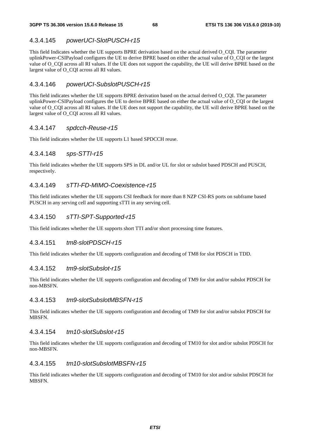# 4.3.4.145 *powerUCI-SlotPUSCH-r15*

This field Indicates whether the UE supports BPRE derivation based on the actual derived O\_CQI. The parameter uplinkPower-CSIPayload configures the UE to derive BPRE based on either the actual value of O\_CQI or the largest value of O\_CQI across all RI values. If the UE does not support the capability, the UE will derive BPRE based on the largest value of O\_CQI across all RI values.

# 4.3.4.146 *powerUCI-SubslotPUSCH-r15*

This field indicates whether the UE supports BPRE derivation based on the actual derived O\_CQI. The parameter uplinkPower-CSIPayload configures the UE to derive BPRE based on either the actual value of O\_CQI or the largest value of O\_CQI across all RI values. If the UE does not support the capability, the UE will derive BPRE based on the largest value of O\_CQI across all RI values.

## 4.3.4.147 *spdcch-Reuse-r15*

This field indicates whether the UE supports L1 based SPDCCH reuse.

# 4.3.4.148 *sps-STTI-r15*

This field indicates whether the UE supports SPS in DL and/or UL for slot or subslot based PDSCH and PUSCH, respectively.

# 4.3.4.149 *sTTI-FD-MIMO-Coexistence-r15*

This field indicates whether the UE supports CSI feedback for more than 8 NZP CSI-RS ports on subframe based PUSCH in any serving cell and supporting sTTI in any serving cell.

# 4.3.4.150 *sTTI-SPT-Supported-r15*

This field indicates whether the UE supports short TTI and/or short processing time features.

## 4.3.4.151 *tm8-slotPDSCH-r15*

This field indicates whether the UE supports configuration and decoding of TM8 for slot PDSCH in TDD.

## 4.3.4.152 *tm9-slotSubslot-r15*

This field indicates whether the UE supports configuration and decoding of TM9 for slot and/or subslot PDSCH for non-MBSFN.

## 4.3.4.153 *tm9-slotSubslotMBSFN-r15*

This field indicates whether the UE supports configuration and decoding of TM9 for slot and/or subslot PDSCH for MBSFN.

#### 4.3.4.154 *tm10-slotSubslot-r15*

This field indicates whether the UE supports configuration and decoding of TM10 for slot and/or subslot PDSCH for non-MBSFN.

## 4.3.4.155 *tm10-slotSubslotMBSFN-r15*

This field indicates whether the UE supports configuration and decoding of TM10 for slot and/or subslot PDSCH for MBSFN.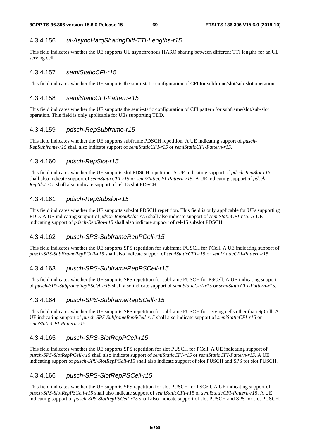# 4.3.4.156 *ul-AsyncHarqSharingDiff-TTI-Lengths-r15*

This field indicates whether the UE supports UL asynchronous HARQ sharing between different TTI lengths for an UL serving cell.

## 4.3.4.157 *semiStaticCFI-r15*

This field indicates whether the UE supports the semi-static configuration of CFI for subframe/slot/sub-slot operation.

#### 4.3.4.158 *semiStaticCFI-Pattern-r15*

This field indicates whether the UE supports the semi-static configuration of CFI pattern for subframe/slot/sub-slot operation. This field is only applicable for UEs supporting TDD.

#### 4.3.4.159 *pdsch-RepSubframe-r15*

This field indicates whether the UE supports subframe PDSCH repetition. A UE indicating support of *pdsch-RepSubframe-r15* shall also indicate support of *semiStaticCFI-r15* or *semiStaticCFI-Pattern*-*r15*.

# 4.3.4.160 *pdsch-RepSlot-r15*

This field indicates whether the UE supports slot PDSCH repetition. A UE indicating support of *pdsch-RepSlot-r15* shall also indicate support of *semiStaticCFI-r15* or *semiStaticCFI-Pattern-r15.* A UE indicating support of *pdsch-RepSlot-r15* shall also indicate support of rel-15 slot PDSCH.

## 4.3.4.161 *pdsch-RepSubslot-r15*

This field indicates whether the UE supports subslot PDSCH repetition. This field is only applicable for UEs supporting FDD. A UE indicating support of *pdsch-RepSubslot-r15* shall also indicate support of *semiStaticCFI-r15*. A UE indicating support of *pdsch-RepSlot-r15* shall also indicate support of rel-15 subslot PDSCH.

## 4.3.4.162 *pusch-SPS-SubframeRepPCell-r15*

This field indicates whether the UE supports SPS repetition for subframe PUSCH for PCell. A UE indicating support of *pusch-SPS-SubFrameRepPCell-r15* shall also indicate support of *semiStaticCFI-r15* or *semiStaticCFI-Pattern*-*r15*.

## 4.3.4.163 *pusch-SPS-SubframeRepPSCell-r15*

This field indicates whether the UE supports SPS repetition for subframe PUSCH for PSCell. A UE indicating support of *pusch-SPS-SubframeRepPSCell-r15* shall also indicate support of *semiStaticCFI-r15* or *semiStaticCFI-Pattern*-*r15*.

## 4.3.4.164 *pusch-SPS-SubframeRepSCell-r15*

This field indicates whether the UE supports SPS repetition for subframe PUSCH for serving cells other than SpCell. A UE indicating support of *pusch-SPS-SubframeRepSCell-r15* shall also indicate support of *semiStaticCFI-r15* or *semiStaticCFI-Pattern*-*r15*.

## 4.3.4.165 *pusch-SPS-SlotRepPCell-r15*

This field indicates whether the UE supports SPS repetition for slot PUSCH for PCell. A UE indicating support of *pusch-SPS-SlotRepPCell-r15* shall also indicate support of *semiStaticCFI-r15* or *semiStaticCFI-Pattern*-*r15*. A UE indicating support of *pusch-SPS-SlotRepPCell-r15* shall also indicate support of slot PUSCH and SPS for slot PUSCH.

# 4.3.4.166 *pusch-SPS-SlotRepPSCell-r15*

This field indicates whether the UE supports SPS repetition for slot PUSCH for PSCell. A UE indicating support of *pusch-SPS-SlotRepPSCell-r15* shall also indicate support of *semiStaticCFI-r15* or *semiStaticCFI-Pattern*-*r15*. A UE indicating support of *pusch-SPS-SlotRepPSCell-r15* shall also indicate support of slot PUSCH and SPS for slot PUSCH.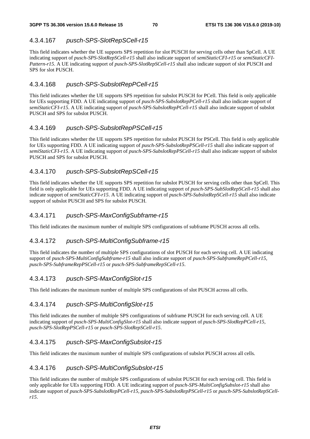# 4.3.4.167 *pusch-SPS-SlotRepSCell-r15*

This field indicates whether the UE supports SPS repetition for slot PUSCH for serving cells other than SpCell. A UE indicating support of *pusch-SPS-SlotRepSCell-r15* shall also indicate support of *semiStaticCFI-r15* or *semiStaticCFI-Pattern*-*r15*. A UE indicating support of *pusch-SPS-SlotRepSCell-r15* shall also indicate support of slot PUSCH and SPS for slot PUSCH.

# 4.3.4.168 *pusch-SPS-SubslotRepPCell-r15*

This field indicates whether the UE supports SPS repetition for subslot PUSCH for PCell. This field is only applicable for UEs supporting FDD. A UE indicating support of *pusch-SPS-SubslotRepPCell-r15* shall also indicate support of *semiStaticCFI-r15*. A UE indicating support of *pusch-SPS-SubslotRepPCell-r15* shall also indicate support of subslot PUSCH and SPS for subslot PUSCH.

# 4.3.4.169 *pusch-SPS-SubslotRepPSCell-r15*

This field indicates whether the UE supports SPS repetition for subslot PUSCH for PSCell. This field is only applicable for UEs supporting FDD. A UE indicating support of *pusch-SPS-SubslotRepPSCell-r15* shall also indicate support of *semiStaticCFI-r15*. A UE indicating support of *pusch-SPS-SubslotRepPSCell-r15* shall also indicate support of subslot PUSCH and SPS for subslot PUSCH.

## 4.3.4.170 *pusch-SPS-SubslotRepSCell-r15*

This field indicates whether the UE supports SPS repetition for subslot PUSCH for serving cells other than SpCell. This field is only applicable for UEs supporting FDD. A UE indicating support of *pusch-SPS-SubSlotRepSCell-r15* shall also indicate support of *semiStaticCFI-r15*. A UE indicating support of *pusch-SPS-SubslotRepSCell-r15* shall also indicate support of subslot PUSCH and SPS for subslot PUSCH.

# 4.3.4.171 *pusch-SPS-MaxConfigSubframe-r15*

This field indicates the maximum number of multiple SPS configurations of subframe PUSCH across all cells.

## 4.3.4.172 *pusch-SPS-MultiConfigSubframe-r15*

This field indicates the number of multiple SPS configurations of slot PUSCH for each serving cell. A UE indicating support of *pusch-SPS-MultiConfigSubframe-r15* shall also indicate support of *pusch-SPS-SubframeRepPCell-r15, pusch-SPS-SubframeRepPSCell-r15* or *pusch-SPS-SubframeRepSCell-r15*.

# 4.3.4.173 *pusch-SPS-MaxConfigSlot-r15*

This field indicates the maximum number of multiple SPS configurations of slot PUSCH across all cells.

## 4.3.4.174 *pusch-SPS-MultiConfigSlot-r15*

This field indicates the number of multiple SPS configurations of subframe PUSCH for each serving cell. A UE indicating support of *pusch-SPS-MultiConfigSlot-r15* shall also indicate support of *pusch-SPS-SlotRepPCell-r15, pusch-SPS-SlotRepPSCell-r15* or *pusch-SPS-SlotRepSCell-r15*.

# 4.3.4.175 *pusch-SPS-MaxConfigSubslot-r15*

This field indicates the maximum number of multiple SPS configurations of subslot PUSCH across all cells.

## 4.3.4.176 *pusch-SPS-MultiConfigSubslot-r15*

This field indicates the number of multiple SPS configurations of subslot PUSCH for each serving cell. This field is only applicable for UEs supporting FDD. A UE indicating support of *pusch-SPS-MultiConfigSubslot-r15* shall also indicate support of *pusch-SPS-SubslotRepPCell-r15, pusch-SPS-SubslotRepPSCell-r15* or *pusch-SPS-SubslotRepSCellr15*.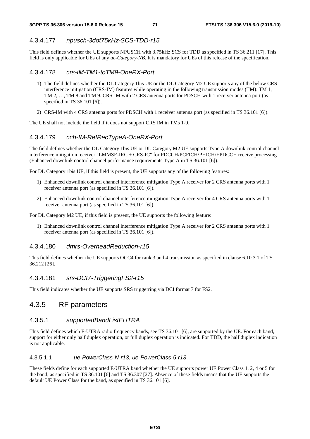# 4.3.4.177 *npusch-3dot75kHz-SCS-TDD-r15*

This field defines whether the UE supports NPUSCH with 3.75kHz SCS for TDD as specified in TS 36.211 [17]. This field is only applicable for UEs of any *ue-Category-NB*. It is mandatory for UEs of this release of the specification.

#### 4.3.4.178 *crs-IM-TM1-toTM9-OneRX-Port*

- 1) The field defines whether the DL Category 1bis UE or the DL Category M2 UE supports any of the below CRS interference mitigation (CRS-IM) features while operating in the following transmission modes (TM): TM 1, TM 2, …, TM 8 and TM 9. CRS-IM with 2 CRS antenna ports for PDSCH with 1 receiver antenna port (as specified in TS 36.101 [6]).
- 2) CRS-IM with 4 CRS antenna ports for PDSCH with 1 receiver antenna port (as specified in TS 36.101 [6]).

The UE shall not include the field if it does not support CRS IM in TMs 1-9.

#### 4.3.4.179 *cch-IM-RefRecTypeA-OneRX-Port*

The field defines whether the DL Category 1bis UE or DL Category M2 UE supports Type A downlink control channel interference mitigation receiver "LMMSE-IRC + CRS-IC" for PDCCH/PCFICH/PHICH/EPDCCH receive processing (Enhanced downlink control channel performance requirements Type A in TS 36.101 [6]).

For DL Category 1bis UE, if this field is present, the UE supports any of the following features:

- 1) Enhanced downlink control channel interference mitigation Type A receiver for 2 CRS antenna ports with 1 receiver antenna port (as specified in TS 36.101 [6]).
- 2) Enhanced downlink control channel interference mitigation Type A receiver for 4 CRS antenna ports with 1 receiver antenna port (as specified in TS 36.101 [6]).

For DL Category M2 UE, if this field is present, the UE supports the following feature:

1) Enhanced downlink control channel interference mitigation Type A receiver for 2 CRS antenna ports with 1 receiver antenna port (as specified in TS 36.101 [6]).

#### 4.3.4.180 *dmrs-OverheadReduction-r15*

This field defines whether the UE supports OCC4 for rank 3 and 4 transmission as specified in clause 6.10.3.1 of TS 36.212 [26].

#### 4.3.4.181 *srs-DCI7-TriggeringFS2-r15*

This field indicates whether the UE supports SRS triggerring via DCI format 7 for FS2.

# 4.3.5 RF parameters

#### 4.3.5.1 *supportedBandListEUTRA*

This field defines which E-UTRA radio frequency bands, see TS 36.101 [6], are supported by the UE. For each band, support for either only half duplex operation, or full duplex operation is indicated. For TDD, the half duplex indication is not applicable.

#### 4.3.5.1.1 *ue-PowerClass-N-r13*, *ue-PowerClass-5-r13*

These fields define for each supported E-UTRA band whether the UE supports power UE Power Class 1, 2, 4 or 5 for the band, as specified in TS 36.101 [6] and TS 36.307 [27]. Absence of these fields means that the UE supports the default UE Power Class for the band, as specified in TS 36.101 [6].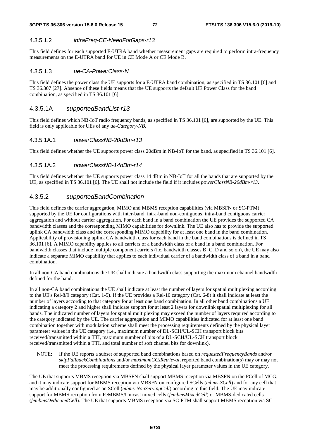#### 4.3.5.1.2 *intraFreq-CE-NeedForGaps-r13*

This field defines for each supported E-UTRA band whether measurement gaps are required to perform intra-frequency measurements on the E-UTRA band for UE in CE Mode A or CE Mode B.

#### 4.3.5.1.3 *ue-CA-PowerClass-N*

This field defines the power class the UE supports for a E-UTRA band combination, as specified in TS 36.101 [6] and TS 36.307 [27]. Absence of these fields means that the UE supports the default UE Power Class for the band combination, as specified in TS 36.101 [6].

#### 4.3.5.1A *supportedBandList-r13*

This field defines which NB-IoT radio frequency bands, as specified in TS 36.101 [6], are supported by the UE. This field is only applicable for UEs of any *ue-Category-NB*.

#### 4.3.5.1A.1 *powerClassNB-20dBm-r13*

This field defines whether the UE supports power class 20dBm in NB-IoT for the band, as specified in TS 36.101 [6].

#### 4.3.5.1A.2 *powerClassNB-14dBm-r14*

This field defines whether the UE supports power class 14 dBm in NB-IoT for all the bands that are supported by the UE, as specified in TS 36.101 [6]. The UE shall not include the field if it includes *powerClassNB-20dBm-r13*.

### 4.3.5.2 *supportedBandCombination*

This field defines the carrier aggregation, MIMO and MBMS reception capabilities (via MBSFN or SC-PTM) supported by the UE for configurations with inter-band, intra-band non-contiguous, intra-band contiguous carrier aggregation and without carrier aggregation. For each band in a band combination the UE provides the supported CA bandwidth classes and the corresponding MIMO capabilities for downlink. The UE also has to provide the supported uplink CA bandwidth class and the corresponding MIMO capability for at least one band in the band combination. Applicability of provisioning uplink CA bandwidth class for each band in the band combinations is defined in TS 36.101 [6]. A MIMO capability applies to all carriers of a bandwidth class of a band in a band combination. For bandwidth classes that include multiple component carriers (i.e. bandwidth classes B, C, D and so on), the UE may also indicate a separate MIMO capability that applies to each individual carrier of a bandwidth class of a band in a band combination.

In all non-CA band combinations the UE shall indicate a bandwidth class supporting the maximum channel bandwidth defined for the band.

In all non-CA band combinations the UE shall indicate at least the number of layers for spatial multiplexing according to the UE's Rel-8/9 category (Cat. 1-5). If the UE provides a Rel-10 category (Cat. 6-8) it shall indicate at least the number of layers according to that category for at least one band combination. In all other band combinations a UE indicating a category 2 and higher shall indicate support for at least 2 layers for downlink spatial multiplexing for all bands. The indicated number of layers for spatial multiplexing may exceed the number of layers required according to the category indicated by the UE. The carrier aggregation and MIMO capabilities indicated for at least one band combination together with modulation scheme shall meet the processing requirements defined by the physical layer parameter values in the UE category (i.e., maximum number of DL-SCH/UL-SCH transport block bits received/transmitted within a TTI, maximum number of bits of a DL-SCH/UL-SCH transport block received/transmitted within a TTI, and total number of soft channel bits for downlink).

NOTE: If the UE reports a subset of supported band combinations based on *requestedFrequencyBands* and/or *skipFallbackCombinations* and/or *maximumCCsRetrieval,* reported band combination(s) may or may not meet the processing requirements defined by the physical layer parameter values in the UE category.

The UE that supports MBMS reception via MBSFN shall support MBMS reception via MBSFN on the PCell of MCG, and it may indicate support for MBMS reception via MBSFN on configured SCells (*mbms-SCell*) and for any cell that may be additionally configured as an SCell (*mbms-NonServingCell*) according to this field. The UE may indicate support for MBMS reception from FeMBMS/Unicast mixed cells (*fembmsMixedCell*) or MBMS-dedicated cells (*fembmsDedicatedCell*). The UE that supports MBMS reception via SC-PTM shall support MBMS reception via SC-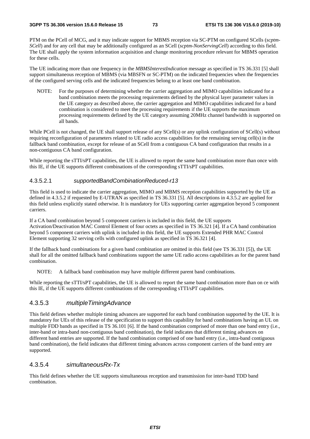PTM on the PCell of MCG, and it may indicate support for MBMS reception via SC-PTM on configured SCells (*scptm-SCell*) and for any cell that may be additionally configured as an SCell (*scptm-NonServingCell*) according to this field. The UE shall apply the system information acquisition and change monitoring procedure relevant for MBMS operation for these cells.

The UE indicating more than one frequency in the *MBMSInterestIndication* message as specified in TS 36.331 [5] shall support simultaneous reception of MBMS (via MBSFN or SC-PTM) on the indicated frequencies when the frequencies of the configured serving cells and the indicated frequencies belong to at least one band combination.

NOTE: For the purposes of determining whether the carrier aggregation and MIMO capabilities indicated for a band combination meets the processing requirements defined by the physical layer parameter values in the UE category as described above, the carrier aggregation and MIMO capabilities indicated for a band combination is considered to meet the processing requirements if the UE supports the maximum processing requirements defined by the UE category assuming 20MHz channel bandwidth is supported on all bands.

While PCell is not changed, the UE shall support release of any SCell(s) or any uplink configuration of SCell(s) without requiring reconfiguration of parameters related to UE radio access capabilities for the remaining serving cell(s) in the fallback band combination, except for release of an SCell from a contiguous CA band configuration that results in a non-contiguous CA band configuration.

While reporting the sTTI/sPT capabilities, the UE is allowed to report the same band combination more than once with this IE, if the UE supports different combinations of the corresponding sTTI/sPT capabilities.

#### 4.3.5.2.1 *supportedBandCombinationReduced-r13*

This field is used to indicate the carrier aggregation, MIMO and MBMS reception capabilities supported by the UE as defined in 4.3.5.2 if requested by E-UTRAN as specified in TS 36.331 [5]. All descriptions in 4.3.5.2 are applied for this field unless explicitly stated otherwise. It is mandatory for UEs supporting carrier aggregation beyond 5 component carriers.

If a CA band combination beyond 5 component carriers is included in this field, the UE supports Activation/Deactivation MAC Control Element of four octets as specified in TS 36.321 [4]. If a CA band combination beyond 5 component carriers with uplink is included in this field, the UE supports Extended PHR MAC Control Element supporting 32 serving cells with configured uplink as specified in TS 36.321 [4].

If the fallback band combinations for a given band combination are omitted in this field (see TS 36.331 [5]), the UE shall for all the omitted fallback band combinations support the same UE radio access capabilities as for the parent band combination.

NOTE: A fallback band combination may have multiple different parent band combinations.

While reporting the sTTI/sPT capabilities, the UE is allowed to report the same band combination more than on ce with this IE, if the UE supports different combinations of the corresponding sTTI/sPT capabilities.

### 4.3.5.3 *multipleTimingAdvance*

This field defines whether multiple timing advances are supported for each band combination supported by the UE. It is mandatory for UEs of this release of the specification to support this capability for band combinations having an UL on multiple FDD bands as specified in TS 36.101 [6]. If the band combination comprised of more than one band entry (i.e., inter-band or intra-band non-contiguous band combination), the field indicates that different timing advances on different band entries are supported. If the band combination comprised of one band entry (i.e., intra-band contiguous band combination), the field indicates that different timing advances across component carriers of the band entry are supported.

### 4.3.5.4 *simultaneousRx-Tx*

This field defines whether the UE supports simultaneous reception and transmission for inter-band TDD band combination.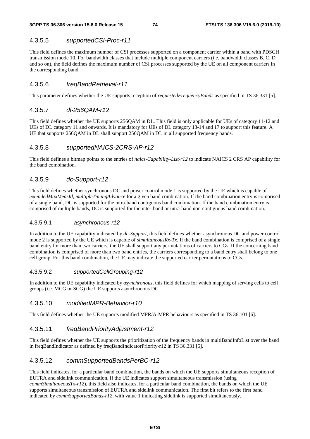### 4.3.5.5 *supportedCSI-Proc-r11*

This field defines the maximum number of CSI processes supported on a component carrier within a band with PDSCH transmission mode 10. For bandwidth classes that include multiple component carriers (i.e. bandwidth classes B, C, D and so on), the field defines the maximum number of CSI processes supported by the UE on all component carriers in the corresponding band.

### 4.3.5.6 *freqBandRetrieval-r11*

This parameter defines whether the UE supports reception of *requestedFrequencyBands* as specified in TS 36.331 [5].

### 4.3.5.7 *dl-256QAM-r12*

This field defines whether the UE supports 256QAM in DL. This field is only applicable for UEs of category 11-12 and UEs of DL category 11 and onwards. It is mandatory for UEs of DL category 13-14 and 17 to support this feature. A UE that supports 256QAM in DL shall support 256QAM in DL in all supported frequency bands.

### 4.3.5.8 *supportedNAICS-2CRS-AP-r12*

This field defines a bitmap points to the entries of *naics-Capability-List-r12* to indicate NAICS 2 CRS AP capability for the band combination.

### 4.3.5.9 *dc-Support-r12*

This field defines whether synchronous DC and power control mode 1 is supported by the UE which is capable of *extendedMaxMeasId*, *multipleTimingAdvance* for a given band combination. If the band combination entry is comprised of a single band, DC is supported for the intra-band contiguous band combination. If the band combination entry is comprised of multiple bands, DC is supported for the inter-band or intra-band non-contiguous band combination.

#### 4.3.5.9.1 *asynchronous-r12*

In addition to the UE capability indicated by *dc-Support*, this field defines whether asynchronous DC and power control mode 2 is supported by the UE which is capable of *simultaneousRx-Tx*. If the band combination is comprised of a single band entry for more than two carriers, the UE shall support any permutations of carriers to CGs. If the concerning band combination is comprised of more than two band entries, the carriers corresponding to a band entry shall belong to one cell group. For this band combination, the UE may indicate the supported carrier permutations to CGs.

#### 4.3.5.9.2 *supportedCellGrouping-r12*

In addition to the UE capability indicated by *asynchronous*, this field defines for which mapping of serving cells to cell groups (i.e. MCG or SCG) the UE supports asynchronous DC.

#### 4.3.5.10 *modifiedMPR-Behavior-r10*

This field defines whether the UE supports modified MPR/A-MPR behaviours as specified in TS 36.101 [6].

### 4.3.5.11 *freqBandPriorityAdjustment-r12*

This field defines whether the UE supports the prioritization of the frequency bands in multiBandInfoList over the band in freqBandIndicator as defined by freqBandIndicatorPriority-r12 in TS 36.331 [5].

#### 4.3.5.12 *commSupportedBandsPerBC-r12*

This field indicates, for a particular band combination, the bands on which the UE supports simultaneous reception of EUTRA and sidelink communication. If the UE indicates support simultaneous transmission (using *commSimultaneousTx-r12*), this field also indicates, for a particular band combination, the bands on which the UE supports simultaneous transmission of EUTRA and sidelink communication. The first bit refers to the first band indicated by *commSupportedBands-r12*, with value 1 indicating sidelink is supported simultaneously.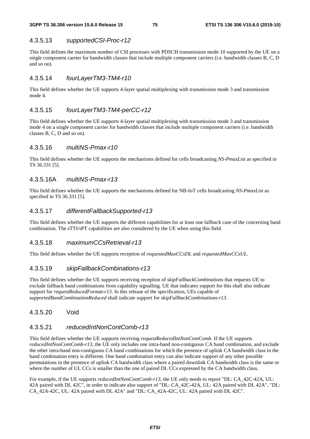### 4.3.5.13 *supportedCSI-Proc-r12*

This field defines the maximum number of CSI processes with PDSCH transmission mode 10 supported by the UE on a single component carrier for bandwidth classes that include multiple component carriers (i.e. bandwidth classes B, C, D and so on).

### 4.3.5.14 *fourLayerTM3-TM4-r10*

This field defines whether the UE supports 4-layer spatial multiplexing with transmission mode 3 and transmission mode 4.

### 4.3.5.15 *fourLayerTM3-TM4-perCC-r12*

This field defines whether the UE supports 4-layer spatial multiplexing with transmission mode 3 and transmission mode 4 on a single component carrier for bandwidth classes that include multiple component carriers (i.e. bandwidth classes B, C, D and so on).

#### 4.3.5.16 *multiNS-Pmax-r10*

This field defines whether the UE supports the mechanisms defined for cells broadcasting *NS-PmaxList* as specified in TS 36.331 [5].

### 4.3.5.16A *multiNS-Pmax-r13*

This field defines whether the UE supports the mechanisms defined for NB-IoT cells broadcasting *NS-PmaxList* as specified in TS 36.331 [5].

### 4.3.5.17 *differentFallbackSupported-r13*

This field defines whether the UE supports the different capabilities for at least one fallback case of the concerning band combination. The sTTI/sPT capabilities are also considered by the UE when using this field.

#### 4.3.5.18 *maximumCCsRetrieval-r13*

This field defines whether the UE supports reception of *requestedMaxCCsDL* and *requestedMaxCCsUL*.

#### 4.3.5.19 *skipFallbackCombinations-r13*

This field defines whether the UE supports receiving reception of *skipFallbackCombinations* that requests UE to exclude fallback band combinations from capability signalling. UE that indicates support for this shall also indicate support for *requestReducedFormat-r13*. In this release of the specification, UEs capable of *supportedBandCombinationReduced* shall indicate support for *skipFallbackCombinations-r13*.

### 4.3.5.20 Void

### 4.3.5.21 *reducedIntNonContComb-r13*

This field defines whether the UE supports receiving *requestReducedIntNonContComb*. If the UE supports *reducedIntNonContComb-r13,* the UE only includes one intra-band non-contiguous CA band combination, and exclude the other intra-band non-contiguous CA band combinations for which the presence of uplink CA bandwidth class in the band combination entry is different. One band combination entry can also indicate support of any other possible permutations in the presence of uplink CA bandwidth class where a paired downlink CA bandwidth class is the same or where the number of UL CCs is smaller than the one of paired DL CCs expressed by the CA bandwidth class.

For example, if the UE supports *reducedIntNonContComb-r13,* the UE only needs to report "DL: CA\_42C-42A, UL: 42A paired with DL 42C", in order to indicate also support of "DL: CA\_42C-42A, UL: 42A paired with DL 42A", "DL: CA\_42A-42C, UL: 42A paired with DL 42A" and "DL: CA\_42A-42C, UL: 42A paired with DL 42C".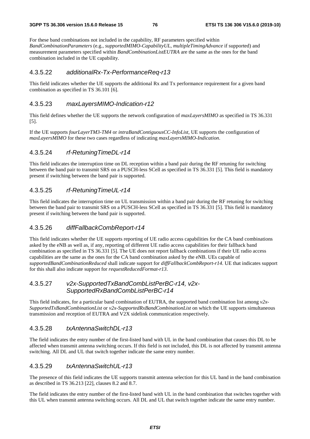For these band combinations not included in the capability, RF parameters specified within *BandCombinationParameters* (e.g., *supportedMIMO-CapabilityUL*, *multipleTimingAdvance* if supported) and measurement parameters specified within *BandCombinationListEUTRA* are the same as the ones for the band combination included in the UE capability.

### 4.3.5.22 *additionalRx-Tx-PerformanceReq-r13*

This field indicates whether the UE supports the additional Rx and Tx performance requirement for a given band combination as specified in TS 36.101 [6].

#### 4.3.5.23 *maxLayersMIMO-Indication-r12*

This field defines whether the UE supports the network configuration of *maxLayersMIMO* as specified in TS 36.331 [5].

If the UE supports *fourLayerTM3-TM4* or *intraBandContiguousCC-InfoList*, UE supports the configuration of *maxLayersMIMO* for these two cases regardless of indicating *maxLayersMIMO-Indication*.

### 4.3.5.24 *rf-RetuningTimeDL-r14*

This field indicates the interruption time on DL reception within a band pair during the RF retuning for switching between the band pair to transmit SRS on a PUSCH-less SCell as specified in TS 36.331 [5]. This field is mandatory present if switching between the band pair is supported.

### 4.3.5.25 *rf-RetuningTimeUL-r14*

This field indicates the interruption time on UL transmission within a band pair during the RF retuning for switching between the band pair to transmit SRS on a PUSCH-less SCell as specified in TS 36.331 [5]. This field is mandatory present if switching between the band pair is supported.

#### 4.3.5.26 *diffFallbackCombReport-r14*

This field indicates whether the UE supports reporting of UE radio access capabilities for the CA band combinations asked by the eNB as well as, if any, reporting of different UE radio access capabilities for their fallback band combination as specified in TS 36.331 [5]. The UE does not report fallback combinations if their UE radio access capabilities are the same as the ones for the CA band combination asked by the eNB. UEs capable of *supportedBandCombinationReduced* shall indicate support for *diffFallbackCombReport-r14*. UE that indicates support for this shall also indicate support for *requestReducedFormat-r13*.

### 4.3.5.27 *v2x-SupportedTxBandCombListPerBC-r14, v2x-SupportedRxBandCombListPerBC-r14*

This field indicates, for a particular band combination of EUTRA, the supported band combination list among *v2x-SupportedTxBandCombinationList* or *v2x-SupportedRxBandCombinationList* on which the UE supports simultaneous transmission and reception of EUTRA and V2X sidelink communication respectively.

### 4.3.5.28 *txAntennaSwitchDL-r13*

The field indicates the entry number of the first-listed band with UL in the band combination that causes this DL to be affected when transmit antenna switching occurs. If this field is not included, this DL is not affected by transmit antenna switching. All DL and UL that switch together indicate the same entry number.

#### 4.3.5.29 *txAntennaSwitchUL-r13*

The presence of this field indicates the UE supports transmit antenna selection for this UL band in the band combination as described in TS 36.213 [22], clauses 8.2 and 8.7.

The field indicates the entry number of the first-listed band with UL in the band combination that switches together with this UL when transmit antenna switching occurs. All DL and UL that switch together indicate the same entry number.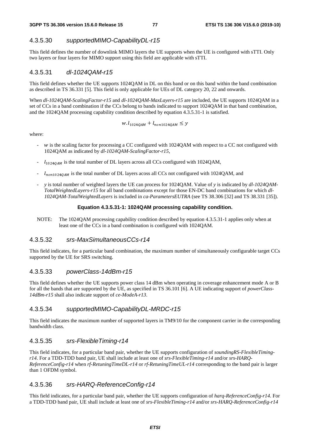### 4.3.5.30 *supportedMIMO-CapabilityDL-r15*

This field defines the number of downlink MIMO layers the UE supports when the UE is configured with sTTI. Only two layers or four layers for MIMO support using this field are applicable with sTTI.

### 4.3.5.31 *dl-1024QAM-r15*

This field defines whether the UE supports 1024QAM in DL on this band or on this band within the band combination as described in TS 36.331 [5]. This field is only applicable for UEs of DL category 20, 22 and onwards.

When *dl-1024QAM-ScalingFactor-r15* and *dl-1024QAM-MaxLayers-r15* are included, the UE supports 1024QAM in a set of CCs in a band combination if the CCs belong to bands indicated to support 1024QAM in that band combination, and the 1024QAM processing capability condition described by equation 4.3.5.31-1 is satisfied.

 $W.$   $l_{1024QAM} + l_{non1024QAM} \leq y$ 

where:

- w is the scaling factor for processing a CC configured with 1024QAM with respect to a CC not configured with 1024QAM as indicated by *dl-1024QAM-ScalingFactor-r15*,
- $l_{1024QAM}$  is the total number of DL layers across all CCs configured with 1024QAM,
- $\frac{1}{10001024QAM}$  is the total number of DL layers acoss all CCs not configured with 1024QAM, and
- *y* is total number of weighted layers the UE can process for 1024QAM. Value of *y* is indicated by *dl-1024QAM-TotalWeightedLayers-r15* for all band combinations except for those EN-DC band combinations for which *dl-1024QAM-TotalWeightedLayers* is included in *ca-ParametersEUTRA* (see TS 38.306 [32] and TS 38.331 [35]).

#### **Equation 4.3.5.31-1: 1024QAM processing capability condition.**

NOTE: The 1024QAM processing capability condition described by equation 4.3.5.31-1 applies only when at least one of the CCs in a band combination is configured with 1024QAM.

#### 4.3.5.32 *srs-MaxSimultaneousCCs-r14*

This field indicates, for a particular band combination, the maximum number of simultaneously configurable target CCs supported by the UE for SRS switching.

### 4.3.5.33 *powerClass-14dBm-r15*

This field defines whether the UE supports power class 14 dBm when operating in coverage enhancement mode A or B for all the bands that are supported by the UE, as specified in TS 36.101 [6]. A UE indicating support of *powerClass-14dBm-r15* shall also indicate support of *ce-ModeA-r13*.

#### 4.3.5.34 *supportedMIMO-CapabilityDL-MRDC-r15*

This field indicates the maximum number of supported layers in TM9/10 for the component carrier in the corresponding bandwidth class.

#### 4.3.5.35 *srs-FlexibleTiming-r14*

This field indicates, for a particular band pair, whether the UE supports configuration of *soundingRS-FlexibleTimingr14*. For a TDD-TDD band pair, UE shall include at least one of *srs-FlexibleTiming-r14* and/or *srs-HARQ-ReferenceConfig-r14* when *rf-RetuningTimeDL-r14* or *rf-RetuningTimeUL-r14* corresponding to the band pair is larger than 1 OFDM symbol.

#### 4.3.5.36 *srs-HARQ-ReferenceConfig-r14*

This field indicates, for a particular band pair, whether the UE supports configuration of *harq-ReferenceConfig-r14*. For a TDD-TDD band pair, UE shall include at least one of *srs-FlexibleTiming-r14* and/or *srs-HARQ-ReferenceConfig-r14*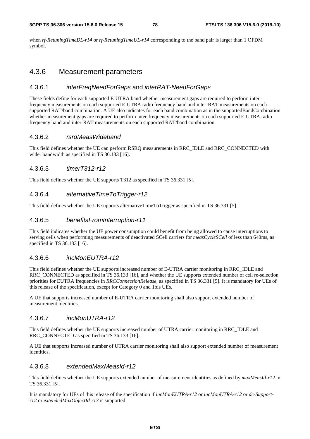when *rf-RetuningTimeDL-r14* or *rf-RetuningTimeUL-r14* corresponding to the band pair is larger than 1 OFDM symbol.

### 4.3.6 Measurement parameters

### 4.3.6.1 *interFreqNeedForGaps* and *interRAT-NeedForGaps*

These fields define for each supported E-UTRA band whether measurement gaps are required to perform interfrequency measurements on each supported E-UTRA radio frequency band and inter-RAT measurements on each supported RAT/band combination. A UE also indicates for each band combination as in the supportedBandCombination whether measurement gaps are required to perform inter-frequency measurements on each supported E-UTRA radio frequency band and inter-RAT measurements on each supported RAT/band combination.

#### 4.3.6.2 *rsrqMeasWideband*

This field defines whether the UE can perform RSRQ measurements in RRC\_IDLE and RRC\_CONNECTED with wider bandwidth as specified in TS 36.133 [16].

#### 4.3.6.3 *timerT312-r12*

This field defines whether the UE supports T312 as specified in TS 36.331 [5].

#### 4.3.6.4 *alternativeTimeToTrigger-r12*

This field defines whether the UE supports alternativeTimeToTrigger as specified in TS 36.331 [5].

#### 4.3.6.5 *benefitsFromInterruption-r11*

This field indicates whether the UE power consumption could benefit from being allowed to cause interruptions to serving cells when performing measurements of deactivated SCell carriers for *measCycleSCell* of less than 640ms, as specified in TS 36.133 [16].

#### 4.3.6.6 *incMonEUTRA-r12*

This field defines whether the UE supports increased number of E-UTRA carrier monitoring in RRC\_IDLE and RRC\_CONNECTED as specified in TS 36.133 [16], and whether the UE supports extended number of cell re-selection priorities for EUTRA frequencies in *RRCConnectionRelease*, as specified in TS 36.331 [5]. It is mandatory for UEs of this release of the specification, except for Category 0 and 1bis UEs.

A UE that supports increased number of E-UTRA carrier monitoring shall also support extended number of measurement identities.

### 4.3.6.7 *incMonUTRA-r12*

This field defines whether the UE supports increased number of UTRA carrier monitoring in RRC\_IDLE and RRC\_CONNECTED as specified in TS 36.133 [16].

A UE that supports increased number of UTRA carrier monitoring shall also support extended number of measurement identities.

#### 4.3.6.8 *extendedMaxMeasId-r12*

This field defines whether the UE supports extended number of measurement identities as defined by *maxMeasId-r12* in TS 36.331 [5].

It is mandatory for UEs of this release of the specification if *incMonEUTRA-r12* or *incMonUTRA-r12* or *dc-Supportr12* or *extendedMaxObjectId-r13* is supported.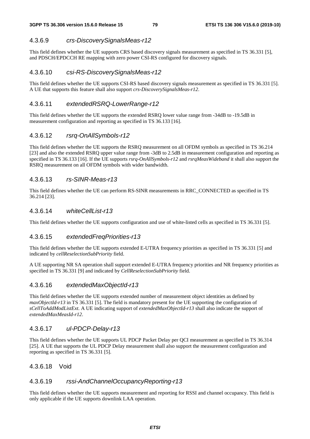### 4.3.6.9 *crs-DiscoverySignalsMeas-r12*

This field defines whether the UE supports CRS based discovery signals measurement as specified in TS 36.331 [5], and PDSCH/EPDCCH RE mapping with zero power CSI-RS configured for discovery signals.

### 4.3.6.10 *csi-RS-DiscoverySignalsMeas-r12*

This field defines whether the UE supports CSI-RS based discovery signals measurement as specified in TS 36.331 [5]. A UE that supports this feature shall also support *crs-DiscoverySignalsMeas-r12*.

### 4.3.6.11 *extendedRSRQ-LowerRange-r12*

This field defines whether the UE supports the extended RSRQ lower value range from -34dB to -19.5dB in measurement configuration and reporting as specified in TS 36.133 [16].

### 4.3.6.12 *rsrq-OnAllSymbols-r12*

This field defines whether the UE supports the RSRQ measurement on all OFDM symbols as specified in TS 36.214 [23] and also the extended RSRQ upper value range from -3dB to 2.5dB in measurement configuration and reporting as specified in TS 36.133 [16]. If the UE supports *rsrq-OnAllSymbols-r12* and *rsrqMeasWideband* it shall also support the RSRQ measurement on all OFDM symbols with wider bandwidth.

#### 4.3.6.13 *rs-SINR-Meas-r13*

This field defines whether the UE can perform RS-SINR measurements in RRC\_CONNECTED as specified in TS 36.214 [23].

#### 4.3.6.14 *whiteCellList-r13*

This field defines whether the UE supports configuration and use of white-listed cells as specified in TS 36.331 [5].

### 4.3.6.15 *extendedFreqPriorities-r13*

This field defines whether the UE supports extended E-UTRA frequency priorities as specified in TS 36.331 [5] and indicated by *cellReselectionSubPriority* field.

A UE supporting NR SA operation shall support extended E-UTRA frequency priorities and NR frequency priorities as specified in TS 36.331 [9] and indicated by *CellReselectionSubPriority* field.

#### 4.3.6.16 *extendedMaxObjectId-r13*

This field defines whether the UE supports extended number of measurement object identities as defined by *maxObjectId-r13* in TS 36.331 [5]. The field is mandatory present for the UE supporting the configuration of *sCellToAddModListExt*. A UE indicating support of *extendedMaxObjectId-r13* shall also indicate the support of *extendedMaxMeasId-r12*.

#### 4.3.6.17 *ul-PDCP-Delay-r13*

This field defines whether the UE supports UL PDCP Packet Delay per QCI measurement as specified in TS 36.314 [25]. A UE that supports the UL PDCP Delay measurement shall also support the measurement configuration and reporting as specified in TS 36.331 [5].

#### 4.3.6.18 Void

#### 4.3.6.19 *rssi-AndChannelOccupancyReporting-r13*

This field defines whether the UE supports measurement and reporting for RSSI and channel occupancy. This field is only applicable if the UE supports downlink LAA operation.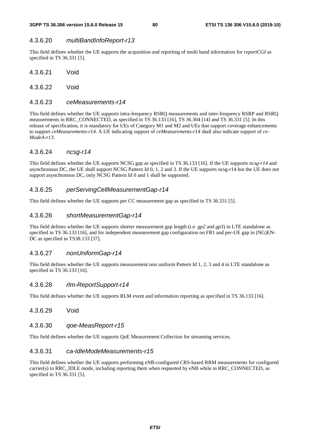### 4.3.6.20 *multiBandInfoReport-r13*

This field defines whether the UE supports the acquisition and reporting of multi band information for *reportCGI* as specified in TS 36.331 [5].

4.3.6.21 Void

4.3.6.22 Void

### 4.3.6.23 *ceMeasurements-r14*

This field defines whether the UE supports intra-frequency RSRQ measurements and inter-frequency RSRP and RSRQ measurements in RRC\_CONNECTED, as specified in TS 36.133 [16], TS 36.304 [14] and TS 36.331 [5]. In this release of specification, it is mandatory for UEs of Category M1 and M2 and UEs that support coverage enhancements to support *ceMeasurements-r14*. A UE indicating support of *ceMeasurements-r14* shall also indicate support of *ce-ModeA-r13*.

### 4.3.6.24 *ncsg-r14*

This field defines whether the UE supports NCSG gap as specified in TS 36.133 [16]. If the UE supports *ncsg-r14* and asynchronous DC, the UE shall support NCSG Pattern Id 0, 1, 2 and 3. If the UE supports ncsg-r14 but the UE does not support asynchronous DC, only NCSG Pattern Id 0 and 1 shall be supported.

### 4.3.6.25 *perServingCellMeasurementGap-r14*

This field defines whether the UE supports per CC measurement gap as specified in TS 36.331 [5].

### 4.3.6.26 *shortMeasurementGap-r14*

This field defines whether the UE supports shorter measurement gap length (i.e. *gp2* and *gp3*) in LTE standalone as specified in TS 36.133 [16], and for independent measurement gap configuration on FR1 and per-UE gap in (NG)EN-DC as specified in TS38.133 [37].

### 4.3.6.27 *nonUniformGap-r14*

This field defines whether the UE supports measurement non uniform Pattern Id 1, 2, 3 and 4 in LTE standalone as specified in TS 36.133 [16].

#### 4.3.6.28 *rlm-ReportSupport-r14*

This field defines whether the UE supports RLM event and information reporting as specified in TS 36.133 [16].

### 4.3.6.29 Void

#### 4.3.6.30 *qoe-MeasReport-r15*

This field defines whether the UE supports QoE Measurement Collection for streaming services.

#### 4.3.6.31 *ca-IdleModeMeasurements-r15*

This field defines whether the UE supports performing eNB-configured CRS-based RRM measurements for configured carrier(s) in RRC\_IDLE mode, including reporting them when requested by eNB while in RRC\_CONNECTED, as specified in TS 36.331 [5].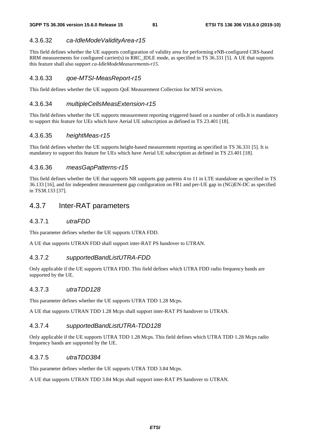### 4.3.6.32 *ca-IdleModeValidityArea-r15*

This field defines whether the UE supports configuration of validity area for performing eNB-configured CRS-based RRM measurements for configured carrier(s) in RRC\_IDLE mode, as specified in TS 36.331 [5]. A UE that supports this feature shall also support *ca-IdleModeMeasurements-r15*.

### 4.3.6.33 *qoe-MTSI-MeasReport-r15*

This field defines whether the UE supports QoE Measurement Collection for MTSI services.

### 4.3.6.34 *multipleCellsMeasExtension-r15*

This field defines whether the UE supports measurement reporting triggered based on a number of cells.It is mandatory to support this feature for UEs which have Aerial UE subscription as defined in TS 23.401 [18].

### 4.3.6.35 *heightMeas-r15*

This field defines whether the UE supports height-based measurement reporting as specified in TS 36.331 [5]. It is mandatory to support this feature for UEs which have Aerial UE subscription as defined in TS 23.401 [18].

### 4.3.6.36 *measGapPatterns-r15*

This field defines whether the UE that supports NR supports gap patterns 4 to 11 in LTE standalone as specified in TS 36.133 [16], and for independent measurement gap configuration on FR1 and per-UE gap in (NG)EN-DC as specified in TS38.133 [37].

## 4.3.7 Inter-RAT parameters

### 4.3.7.1 *utraFDD*

This parameter defines whether the UE supports UTRA FDD.

A UE that supports UTRAN FDD shall support inter-RAT PS handover to UTRAN.

#### 4.3.7.2 *supportedBandListUTRA-FDD*

Only applicable if the UE supports UTRA FDD. This field defines which UTRA FDD radio frequency bands are supported by the UE.

#### 4.3.7.3 *utraTDD128*

This parameter defines whether the UE supports UTRA TDD 1.28 Mcps.

A UE that supports UTRAN TDD 1.28 Mcps shall support inter-RAT PS handover to UTRAN.

### 4.3.7.4 *supportedBandListUTRA-TDD128*

Only applicable if the UE supports UTRA TDD 1.28 Mcps. This field defines which UTRA TDD 1.28 Mcps radio frequency bands are supported by the UE.

#### 4.3.7.5 *utraTDD384*

This parameter defines whether the UE supports UTRA TDD 3.84 Mcps.

A UE that supports UTRAN TDD 3.84 Mcps shall support inter-RAT PS handover to UTRAN.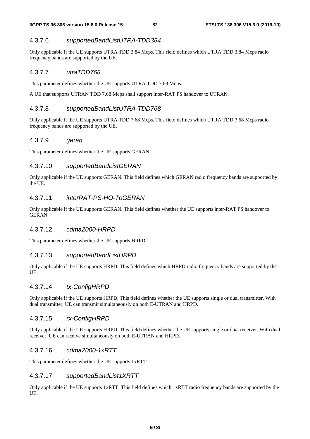### 4.3.7.6 *supportedBandListUTRA-TDD384*

Only applicable if the UE supports UTRA TDD 3.84 Mcps. This field defines which UTRA TDD 3.84 Mcps radio frequency bands are supported by the UE.

### 4.3.7.7 *utraTDD768*

This parameter defines whether the UE supports UTRA TDD 7.68 Mcps.

A UE that supports UTRAN TDD 7.68 Mcps shall support inter-RAT PS handover to UTRAN.

### 4.3.7.8 *supportedBandListUTRA-TDD768*

Only applicable if the UE supports UTRA TDD 7.68 Mcps. This field defines which UTRA TDD 7.68 Mcps radio frequency bands are supported by the UE.

### 4.3.7.9 *geran*

This parameter defines whether the UE supports GERAN.

### 4.3.7.10 *supportedBandListGERAN*

Only applicable if the UE supports GERAN. This field defines which GERAN radio frequency bands are supported by the UE.

### 4.3.7.11 *interRAT-PS-HO-ToGERAN*

Only applicable if the UE supports GERAN. This field defines whether the UE supports inter-RAT PS handover to GERAN.

### 4.3.7.12 *cdma2000-HRPD*

This parameter defines whether the UE supports HRPD.

#### 4.3.7.13 *supportedBandListHRPD*

Only applicable if the UE supports HRPD. This field defines which HRPD radio frequency bands are supported by the UE.

### 4.3.7.14 *tx-ConfigHRPD*

Only applicable if the UE supports HRPD. This field defines whether the UE supports single or dual transmitter. With dual transmitter, UE can transmit simultaneously on both E-UTRAN and HRPD.

### 4.3.7.15 *rx-ConfigHRPD*

Only applicable if the UE supports HRPD. This field defines whether the UE supports single or dual receiver. With dual receiver, UE can receive simultaneously on both E-UTRAN and HRPD.

#### 4.3.7.16 *cdma2000-1xRTT*

This parameter defines whether the UE supports 1xRTT.

### 4.3.7.17 *supportedBandList1XRTT*

Only applicable if the UE supports 1xRTT. This field defines which 1xRTT radio frequency bands are supported by the UE.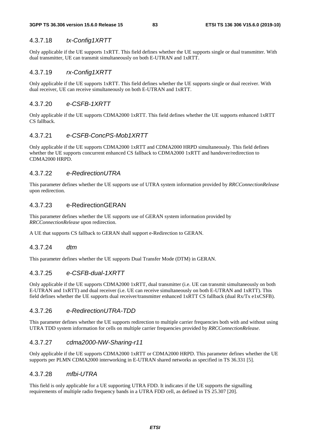### 4.3.7.18 *tx-Config1XRTT*

Only applicable if the UE supports 1xRTT. This field defines whether the UE supports single or dual transmitter. With dual transmitter, UE can transmit simultaneously on both E-UTRAN and 1xRTT.

### 4.3.7.19 *rx-Config1XRTT*

Only applicable if the UE supports 1xRTT. This field defines whether the UE supports single or dual receiver. With dual receiver, UE can receive simultaneously on both E-UTRAN and 1xRTT.

### 4.3.7.20 *e-CSFB-1XRTT*

Only applicable if the UE supports CDMA2000 1xRTT. This field defines whether the UE supports enhanced 1xRTT CS fallback.

### 4.3.7.21 *e-CSFB-ConcPS-Mob1XRTT*

Only applicable if the UE supports CDMA2000 1xRTT and CDMA2000 HRPD simultaneously. This field defines whether the UE supports concurrent enhanced CS fallback to CDMA2000 1xRTT and handover/redirection to CDMA2000 HRPD.

### 4.3.7.22 *e-RedirectionUTRA*

This parameter defines whether the UE supports use of UTRA system information provided by *RRCConnectionRelease* upon redirection.

### 4.3.7.23 e-RedirectionGERAN

This parameter defines whether the UE supports use of GERAN system information provided by *RRCConnectionRelease* upon redirection.

A UE that supports CS fallback to GERAN shall support e-Redirection to GERAN.

#### 4.3.7.24 *dtm*

This parameter defines whether the UE supports Dual Transfer Mode (DTM) in GERAN.

### 4.3.7.25 *e-CSFB-dual-1XRTT*

Only applicable if the UE supports CDMA2000 1xRTT, dual transmitter (i.e. UE can transmit simultaneously on both E-UTRAN and 1xRTT) and dual receiver (i.e. UE can receive simultaneously on both E-UTRAN and 1xRTT). This field defines whether the UE supports dual receiver/transmitter enhanced 1xRTT CS fallback (dual Rx/Tx e1xCSFB).

#### 4.3.7.26 *e-RedirectionUTRA-TDD*

This parameter defines whether the UE supports redirection to multiple carrier frequencies both with and without using UTRA TDD system information for cells on multiple carrier frequencies provided by *RRCConnectionRelease*.

### 4.3.7.27 *cdma2000-NW-Sharing-r11*

Only applicable if the UE supports CDMA2000 1xRTT or CDMA2000 HRPD. This parameter defines whether the UE supports per PLMN CDMA2000 interworking in E-UTRAN shared networks as specified in TS 36.331 [5].

### 4.3.7.28 *mfbi-UTRA*

This field is only applicable for a UE supporting UTRA FDD. It indicates if the UE supports the signalling requirements of multiple radio frequency bands in a UTRA FDD cell, as defined in TS 25.307 [20].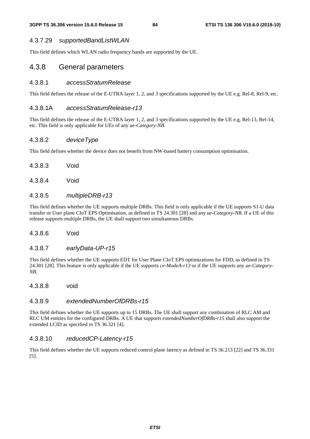#### 4.3.7.29 *supportedBandListWLAN*

This field defines which WLAN radio frequency bands are supported by the UE.

### 4.3.8 General parameters

#### 4.3.8.1 *accessStratumRelease*

This field defines the release of the E-UTRA layer 1, 2, and 3 specifications supported by the UE e.g. Rel-8, Rel-9, etc.

### 4.3.8.1A *accessStratumRelease-r13*

This field defines the release of the E-UTRA layer 1, 2, and 3 specifications supported by the UE e.g. Rel-13, Rel-14, etc. This field is only applicable for UEs of any *ue-Category-NB*.

### 4.3.8.2 *deviceType*

This field defines whether the device does not benefit from NW-based battery consumption optimisation.

- 4.3.8.3 Void
- 4.3.8.4 Void

### 4.3.8.5 *multipleDRB-r13*

This field defines whether the UE supports multiple DRBs. This field is only applicable if the UE supports S1-U data transfer or User plane CIoT EPS Optimisation, as defined in TS 24.301 [28] and any *ue-Category-NB*. If a UE of this release supports multiple DRBs, the UE shall support two simultaneous DRBs.

#### 4.3.8.6 Void

### 4.3.8.7 *earlyData-UP-r15*

This field defines whether the UE supports EDT for User Plane CIoT EPS optimizations for FDD, as defined in TS 24.301 [28]. This feature is only applicable if the UE supports *ce-ModeA-r13* or if the UE supports any *ue-Category-NB*.

4.3.8.8 void

#### 4.3.8.9 *extendedNumberOfDRBs-r15*

This field defines whether the UE supports up to 15 DRBs. The UE shall support any combination of RLC AM and RLC UM entities for the configured DRBs. A UE that supports *extendedNumberOfDRBs-r15* shall also support the extended LCID as specified in TS 36.321 [4].

#### 4.3.8.10 *reducedCP-Latency-r15*

This field defines whether the UE supports reduced control plane latency as defined in TS 36.213 [22] and TS 36.331 [5].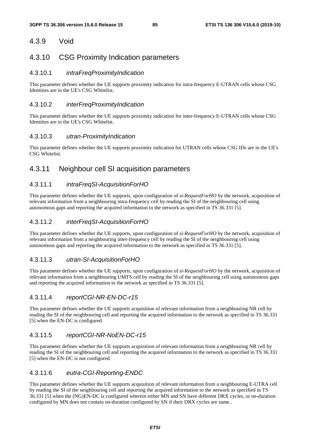## 4.3.9 Void

## 4.3.10 CSG Proximity Indication parameters

### 4.3.10.1 *intraFreqProximityIndication*

This parameter defines whether the UE supports proximity indication for intra-frequency E-UTRAN cells whose CSG Identities are in the UE's CSG Whitelist.

### 4.3.10.2 *interFreqProximityIndication*

This parameter defines whether the UE supports proximity indication for inter-frequency E-UTRAN cells whose CSG Identities are in the UE's CSG Whitelist.

#### 4.3.10.3 *utran-ProximityIndication*

This parameter defines whether the UE supports proximity indication for UTRAN cells whose CSG IDs are in the UE's CSG Whitelist.

## 4.3.11 Neighbour cell SI acquisition parameters

### 4.3.11.1 *intraFreqSI-AcquisitionForHO*

This parameter defines whether the UE supports, upon configuration of *si-RequestForHO* by the network, acquisition of relevant information from a neighbouring intra-frequency cell by reading the SI of the neighbouring cell using autonomous gaps and reporting the acquired information to the network as specified in TS 36.331 [5].

### 4.3.11.2 *interFreqSI-AcquisitionForHO*

This parameter defines whether the UE supports, upon configuration of *si-RequestForHO* by the network, acquisition of relevant information from a neighbouring inter-frequency cell by reading the SI of the neighbouring cell using autonomous gaps and reporting the acquired information to the network as specified in TS 36.331 [5].

### 4.3.11.3 *utran-SI-AcquisitionForHO*

This parameter defines whether the UE supports, upon configuration of *si-RequestForHO* by the network, acquisition of relevant information from a neighbouring UMTS cell by reading the SI of the neighbouring cell using autonomous gaps and reporting the acquired information to the network as specified in TS 36.331 [5].

### 4.3.11.4 *reportCGI-NR-EN-DC-r15*

This parameter defines whether the UE supports acquisition of relevant information from a neighbouring NR cell by reading the SI of the neighbouring cell and reporting the acquired information to the network as specified in TS 36.331 [5] when the EN-DC is configured.

### 4.3.11.5 *reportCGI-NR-NoEN-DC-r15*

This parameter defines whether the UE supports acquisition of relevant information from a neighbouring NR cell by reading the SI of the neighbouring cell and reporting the acquired information to the network as specified in TS 36.331 [5] when the EN-DC is not configured.

### 4.3.11.6 *eutra-CGI-Reporting-ENDC*

This parameter defines whether the UE supports acquisition of relevant information from a neighbouring E-UTRA cell by reading the SI of the neighbouring cell and reporting the acquired information to the network as specified in TS 36.331 [5] when the (NG)EN-DC is configured wherein either MN and SN have different DRX cycles, or on-duration configured by MN does not contain on-duration configured by SN if their DRX cycles are same..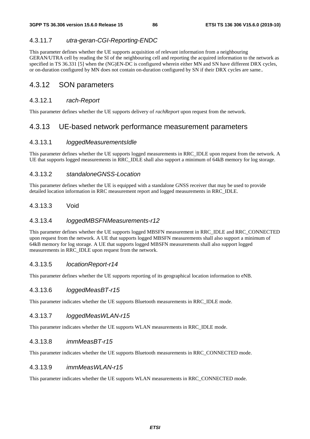### 4.3.11.7 *utra-geran-CGI-Reporting-ENDC*

This parameter defines whether the UE supports acquisition of relevant information from a neighbouring GERAN/UTRA cell by reading the SI of the neighbouring cell and reporting the acquired information to the network as specified in TS 36.331 [5] when the (NG)EN-DC is configured wherein either MN and SN have different DRX cycles, or on-duration configured by MN does not contain on-duration configured by SN if their DRX cycles are same..

## 4.3.12 SON parameters

### 4.3.12.1 *rach-Report*

This parameter defines whether the UE supports delivery of *rachReport* upon request from the network.

## 4.3.13 UE-based network performance measurement parameters

### 4.3.13.1 *loggedMeasurementsIdle*

This parameter defines whether the UE supports logged measurements in RRC\_IDLE upon request from the network. A UE that supports logged measurements in RRC\_IDLE shall also support a minimum of 64kB memory for log storage.

### 4.3.13.2 *standaloneGNSS-Location*

This parameter defines whether the UE is equipped with a standalone GNSS receiver that may be used to provide detailed location information in RRC measurement report and logged measurements in RRC\_IDLE.

### 4.3.13.3 Void

### 4.3.13.4 *loggedMBSFNMeasurements-r12*

This parameter defines whether the UE supports logged MBSFN measurement in RRC\_IDLE and RRC\_CONNECTED upon request from the network. A UE that supports logged MBSFN measurements shall also support a minimum of 64kB memory for log storage. A UE that supports logged MBSFN measurements shall also support logged measurements in RRC\_IDLE upon request from the network.

#### 4.3.13.5 *locationReport-r14*

This parameter defines whether the UE supports reporting of its geographical location information to eNB.

### 4.3.13.6 *loggedMeasBT-r15*

This parameter indicates whether the UE supports Bluetooth measurements in RRC\_IDLE mode.

### 4.3.13.7 *loggedMeasWLAN-r15*

This parameter indicates whether the UE supports WLAN measurements in RRC\_IDLE mode.

#### 4.3.13.8 *immMeasBT-r15*

This parameter indicates whether the UE supports Bluetooth measurements in RRC\_CONNECTED mode.

#### 4.3.13.9 *immMeasWLAN-r15*

This parameter indicates whether the UE supports WLAN measurements in RRC\_CONNECTED mode.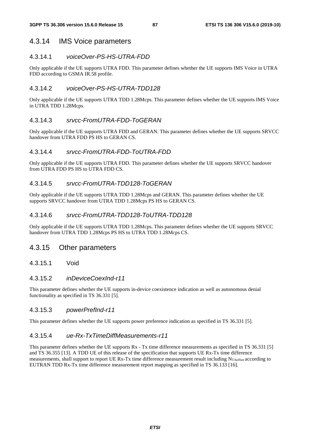## 4.3.14 IMS Voice parameters

### 4.3.14.1 *voiceOver-PS-HS-UTRA-FDD*

Only applicable if the UE supports UTRA FDD. This parameter defines whether the UE supports IMS Voice in UTRA FDD according to GSMA IR.58 profile.

## 4.3.14.2 *voiceOver-PS-HS-UTRA-TDD128*

Only applicable if the UE supports UTRA TDD 1.28Mcps. This parameter defines whether the UE supports IMS Voice in UTRA TDD 1.28Mcps.

### 4.3.14.3 *srvcc-FromUTRA-FDD-ToGERAN*

Only applicable if the UE supports UTRA FDD and GERAN. This parameter defines whether the UE supports SRVCC handover from UTRA FDD PS HS to GERAN CS.

### 4.3.14.4 *srvcc-FromUTRA-FDD-ToUTRA-FDD*

Only applicable if the UE supports UTRA FDD. This parameter defines whether the UE supports SRVCC handover from UTRA FDD PS HS to UTRA FDD CS.

### 4.3.14.5 *srvcc-FromUTRA-TDD128-ToGERAN*

Only applicable if the UE supports UTRA TDD 1.28Mcps and GERAN. This parameter defines whether the UE supports SRVCC handover from UTRA TDD 1.28Mcps PS HS to GERAN CS.

### 4.3.14.6 *srvcc-FromUTRA-TDD128-ToUTRA-TDD128*

Only applicable if the UE supports UTRA TDD 1.28Mcps. This parameter defines whether the UE supports SRVCC handover from UTRA TDD 1.28Mcps PS HS to UTRA TDD 1.28Mcps CS.

## 4.3.15 Other parameters

### 4.3.15.1 Void

### 4.3.15.2 *inDeviceCoexInd-r11*

This parameter defines whether the UE supports in-device coexistence indication as well as autonomous denial functionality as specified in TS 36.331 [5].

### 4.3.15.3 *powerPrefInd-r11*

This parameter defines whether the UE supports power preference indication as specified in TS 36.331 [5].

### 4.3.15.4 *ue-Rx-TxTimeDiffMeasurements-r11*

This parameter defines whether the UE supports  $Rx - Tx$  time difference measurements as specified in TS 36.331 [5] and TS 36.355 [13]. A TDD UE of this release of the specification that supports UE Rx-Tx time difference measurements, shall support to report UE Rx-Tx time difference measurement result including N<sub>TAoffset</sub> according to EUTRAN TDD Rx-Tx time difference measurement report mapping as specified in TS 36.133 [16].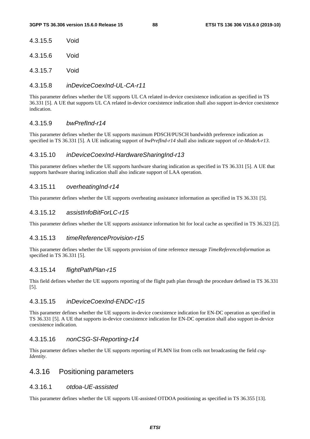| 4.3.15.5 | Void |
|----------|------|
|          |      |

4.3.15.6 Void

4.3.15.7 Void

### 4.3.15.8 *inDeviceCoexInd-UL-CA-r11*

This parameter defines whether the UE supports UL CA related in-device coexistence indication as specified in TS 36.331 [5]. A UE that supports UL CA related in-device coexistence indication shall also support in-device coexistence indication.

### 4.3.15.9 *bwPrefInd-r14*

This parameter defines whether the UE supports maximum PDSCH/PUSCH bandwidth preference indication as specified in TS 36.331 [5]. A UE indicating support of *bwPrefInd-r14* shall also indicate support of *ce-ModeA-r13*.

### 4.3.15.10 *inDeviceCoexInd-HardwareSharingInd-r13*

This parameter defines whether the UE supports hardware sharing indication as specified in TS 36.331 [5]. A UE that supports hardware sharing indication shall also indicate support of LAA operation.

### 4.3.15.11 *overheatingInd-r14*

This parameter defines whether the UE supports overheating assistance information as specified in TS 36.331 [5].

### 4.3.15.12 *assistInfoBitForLC-r15*

This parameter defines whether the UE supports assistance information bit for local cache as specified in TS 36.323 [2].

#### 4.3.15.13 *timeReferenceProvision-r15*

This parameter defines whether the UE supports provision of time reference message *TimeReferenceInformation* as specified in TS 36.331 [5].

#### 4.3.15.14 *flightPathPlan-r15*

This field defines whether the UE supports reporting of the flight path plan through the procedure defined in TS 36.331 [5].

#### 4.3.15.15 *inDeviceCoexInd-ENDC-r15*

This parameter defines whether the UE supports in-device coexistence indication for EN-DC operation as specified in TS 36.331 [5]. A UE that supports in-device coexistence indication for EN-DC operation shall also support in-device coexistence indication.

#### 4.3.15.16 *nonCSG-SI-Reporting-r14*

This parameter defines whether the UE supports reporting of PLMN list from cells not broadcasting the field *csg-Identity*.

## 4.3.16 Positioning parameters

#### 4.3.16.1 *otdoa-UE-assisted*

This parameter defines whether the UE supports UE-assisted OTDOA positioning as specified in TS 36.355 [13].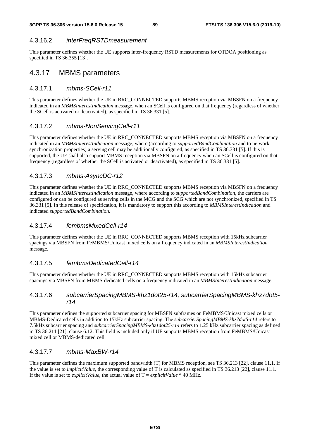### 4.3.16.2 *interFreqRSTDmeasurement*

This parameter defines whether the UE supports inter-frequency RSTD measurements for OTDOA positioning as specified in TS 36.355 [13].

## 4.3.17 MBMS parameters

### 4.3.17.1 *mbms-SCell-r11*

This parameter defines whether the UE in RRC\_CONNECTED supports MBMS reception via MBSFN on a frequency indicated in an *MBMSInterestIndication* message, when an SCell is configured on that frequency (regardless of whether the SCell is activated or deactivated), as specified in TS 36.331 [5].

### 4.3.17.2 *mbms-NonServingCell-r11*

This parameter defines whether the UE in RRC\_CONNECTED supports MBMS reception via MBSFN on a frequency indicated in an *MBMSInterestIndication* message, where (according to *supportedBandCombination* and to network synchronization properties) a serving cell may be additionally configured, as specified in TS 36.331 [5]. If this is supported, the UE shall also support MBMS reception via MBSFN on a frequency when an SCell is configured on that frequency (regardless of whether the SCell is activated or deactivated), as specified in TS 36.331 [5].

### 4.3.17.3 *mbms-AsyncDC-r12*

This parameter defines whether the UE in RRC\_CONNECTED supports MBMS reception via MBSFN on a frequency indicated in an *MBMSInterestIndication* message, where according to *supportedBandCombination*, the carriers are configured or can be configured as serving cells in the MCG and the SCG which are not synchronized, specified in TS 36.331 [5]. In this release of specification, it is mandatory to support this according to *MBMSInterestIndication* and indicated *supportedBandCombination*.

### 4.3.17.4 *fembmsMixedCell-r14*

This parameter defines whether the UE in RRC\_CONNECTED supports MBMS reception with 15kHz subcarrier spacings via MBSFN from FeMBMS/Unicast mixed cells on a frequency indicated in an *MBMSInterestIndication* message.

### 4.3.17.5 *fembmsDedicatedCell-r14*

This parameter defines whether the UE in RRC\_CONNECTED supports MBMS reception with 15kHz subcarrier spacings via MBSFN from MBMS-dedicated cells on a frequency indicated in an *MBMSInterestIndication* message.

### 4.3.17.6 *subcarrierSpacingMBMS-khz1dot25-r14, subcarrierSpacingMBMS-khz7dot5 r14*

This parameter defines the supported subcarrier spacing for MBSFN subframes on FeMBMS/Unicast mixed cells or MBMS-Dedicated cells in addition to 15kHz subcarrier spacing. The *subcarrierSpacingMBMS-khz7dot5-r14* refers to 7.5kHz subcarrier spacing and *subcarrierSpacingMBMS-khz1dot25-r14* refers to 1.25 kHz subcarrier spacing as defined in TS 36.211 [21], clause 6.12. This field is included only if UE supports MBMS reception from FeMBMS/Unicast mixed cell or MBMS-dedicated cell.

### 4.3.17.7 *mbms-MaxBW-r14*

This parameter defines the maximum supported bandwidth (T) for MBMS reception, see TS 36.213 [22], clause 11.1. If the value is set to *implicitValue*, the corresponding value of T is calculated as specified in TS 36.213 [22], clause 11.1. If the value is set to *explicitValue*, the actual value of  $T = explicitValue * 40 MHz$ .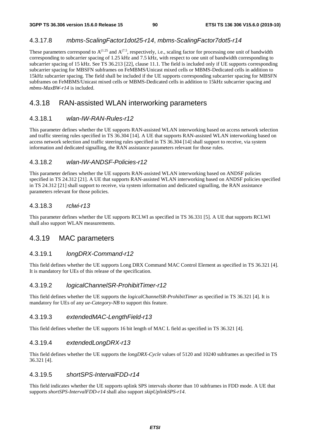### 4.3.17.8 *mbms-ScalingFactor1dot25-r14*, *mbms-ScalingFactor7dot5-r14*

These parameters correspond to  $A^{(1.25)}$  and  $A^{(7.5)}$ , respectively, i.e., scaling factor for processing one unit of bandwidth corresponding to subcarrier spacing of 1.25 kHz and 7.5 kHz, with respect to one unit of bandwidth corresponding to subcarrier spacing of 15 kHz. See TS 36.213 [22], clause 11.1. The field is included only if UE supports corresponding subcarrier spacing for MBSFN subframes on FeMBMS/Unicast mixed cells or MBMS-Dedicated cells in addition to 15kHz subcarrier spacing. The field shall be included if the UE supports corresponding subcarrier spacing for MBSFN subframes on FeMBMS/Unicast mixed cells or MBMS-Dedicated cells in addition to 15kHz subcarrier spacing and *mbms-MaxBW-r14* is included.

## 4.3.18 RAN-assisted WLAN interworking parameters

### 4.3.18.1 *wlan-IW-RAN-Rules-r12*

This parameter defines whether the UE supports RAN-assisted WLAN interworking based on access network selection and traffic steering rules specified in TS 36.304 [14]. A UE that supports RAN-assisted WLAN interworking based on access network selection and traffic steering rules specified in TS 36.304 [14] shall support to receive, via system information and dedicated signalling, the RAN assistance parameters relevant for those rules.

#### 4.3.18.2 *wlan-IW-ANDSF-Policies-r12*

This parameter defines whether the UE supports RAN-assisted WLAN interworking based on ANDSF policies specified in TS 24.312 [21]. A UE that supports RAN-assisted WLAN interworking based on ANDSF policies specified in TS 24.312 [21] shall support to receive, via system information and dedicated signalling, the RAN assistance parameters relevant for those policies.

#### 4.3.18.3 *rclwi-r13*

This parameter defines whether the UE supports RCLWI as specified in TS 36.331 [5]. A UE that supports RCLWI shall also support WLAN measurements.

### 4.3.19 MAC parameters

### 4.3.19.1 *longDRX-Command-r12*

This field defines whether the UE supports Long DRX Command MAC Control Element as specified in TS 36.321 [4]. It is mandatory for UEs of this release of the specification.

#### 4.3.19.2 *logicalChannelSR-ProhibitTimer-r12*

This field defines whether the UE supports the *logicalChannelSR-ProhibitTimer* as specified in TS 36.321 [4]. It is mandatory for UEs of any *ue-Category-NB* to support this feature.

#### 4.3.19.3 *extendedMAC-LengthField-r13*

This field defines whether the UE supports 16 bit length of MAC L field as specified in TS 36.321 [4].

### 4.3.19.4 *extendedLongDRX-r13*

This field defines whether the UE supports the *longDRX-Cycle* values of 5120 and 10240 subframes as specified in TS 36.321 [4].

### 4.3.19.5 *shortSPS-IntervalFDD-r14*

This field indicates whether the UE supports uplink SPS intervals shorter than 10 subframes in FDD mode. A UE that supports *shortSPS-IntervalFDD-r14* shall also support *skipUplinkSPS-r14*.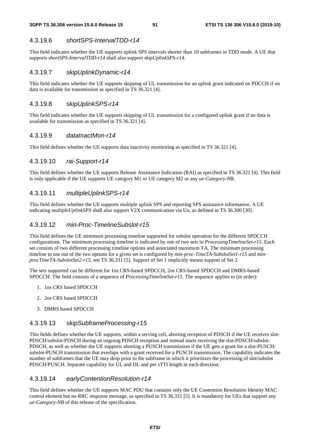### 4.3.19.6 *shortSPS-IntervalTDD-r14*

This field indicates whether the UE supports uplink SPS intervals shorter than 10 subframes in TDD mode. A UE that supports *shortSPS-IntervalTDD-r14* shall also support *skipUplinkSPS-r14*.

#### 4.3.19.7 *skipUplinkDynamic-r14*

This field indicates whether the UE supports skipping of UL transmission for an uplink grant indicated on PDCCH if no data is available for transmission as specified in TS 36.321 [4].

### 4.3.19.8 *skipUplinkSPS-r14*

This field indicates whether the UE supports skipping of UL transmission for a configured uplink grant if no data is available for transmission as specified in TS 36.321 [4].

#### 4.3.19.9 *dataInactMon-r14*

This field defines whether the UE supports data inactivity monitoring as specified in TS 36.321 [4].

### 4.3.19.10 *rai-Support-r14*

This field defines whether the UE supports Release Assistance Indication (RAI) as specified in TS 36.321 [4]. This field is only applicable if the UE supports UE category M1 or UE category M2 or any *ue-Category-NB*.

### 4.3.19.11 *multipleUplinkSPS-r14*

This field defines whether the UE supports multiple uplink SPS and reporting SPS assistance information. A UE indicating *multipleUplinkSPS* shall also support V2X communication via Uu, as defined in TS 36.300 [30].

#### 4.3.19.12 *min-Proc-TimelineSubslot-r15*

This field defines the UE minimum processing timeline supported for subslot operation for the different SPDCCH configurations. The minimum processing timeline is indicated by one of two sets in *ProcessingTimelineSet-r15*. Each set consists of two different processing timeline options and associated maximum TA. The minimum processing timeline to use out of the two options for a given set is configured by *min-proc-TimeTA-SubslotSet1-r15* and *minprocTimeTA-SubslotSet2-r15,* see TS 36.331 [5]. Support of Set 1 implicitly means support of Set 2.

The sets supported can be different for 1os CRS-based SPDCCH, 2os CRS-based SPDCCH and DMRS-based SPDCCH. The field consists of a sequence of *ProcessingTimelineSet-r15*. The sequence applies to (in order):

- 1. 1os CRS based SPDCCH
- 2. 2os CRS based SPDCCH
- 3. DMRS based SPDCCH

#### 4.3.19.13 *skipSubframeProcessing-r15*

This fields defines whether the UE supports, within a serving cell, aborting reception of PDSCH if the UE receives slot-PDSCH/subslot-PDSCH during an ongoing PDSCH reception and instead starts receiving the slot-PDSCH/subslot-PDSCH, as well as whether the UE supports aborting a PUSCH transmission if the UE gets a grant for a slot-PUSCH/ subslot-PUSCH transmission that overlaps with a grant received for a PUSCH transmission. The capability indicates the number of subframes that the UE may drop prior to the subframe in which it prioritizes the processing of slot/subslot PDSCH/PUSCH. Separate capability for UL and DL and per sTTI length in each direction.

### 4.3.19.14 *earlyContentionResolution-r14*

This field defines whether the UE supports MAC PDU that contains only the UE Contention Resolution Identity MAC control element but no RRC response message, as specified in TS 36.331 [5]. It is mandatory for UEs that support any *ue-Category-NB* of this release of the specification.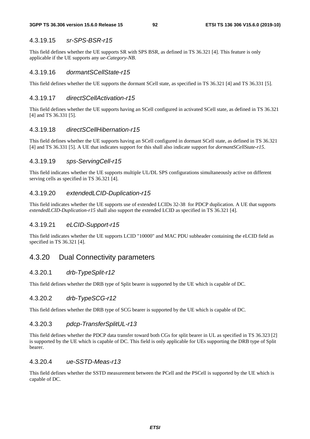#### 4.3.19.15 *sr-SPS-BSR-r15*

This field defines whether the UE supports SR with SPS BSR, as defined in TS 36.321 [4]. This feature is only applicable if the UE supports any *ue-Category-NB*.

#### 4.3.19.16 *dormantSCellState-r15*

This field defines whether the UE supports the dormant SCell state, as specified in TS 36.321 [4] and TS 36.331 [5].

#### 4.3.19.17 *directSCellActivation-r15*

This field defines whether the UE supports having an SCell configured in activated SCell state, as defined in TS 36.321 [4] and TS 36.331 [5].

#### 4.3.19.18 *directSCellHibernation-r15*

This field defines whether the UE supports having an SCell configured in dormant SCell state, as defined in TS 36.321 [4] and TS 36.331 [5]. A UE that indicates support for this shall also indicate support for *dormantSCellState-r15*.

#### 4.3.19.19 *sps-ServingCell-r15*

This field indicates whether the UE supports multiple UL/DL SPS configurations simultaneously active on different serving cells as specified in TS 36.321 [4].

#### 4.3.19.20 *extendedLCID-Duplication-r15*

This field indicates whether the UE supports use of extended LCIDs 32-38 for PDCP duplication. A UE that supports *extendedLCID-Duplication-r15* shall also support the extended LCID as specified in TS 36.321 [4].

#### 4.3.19.21 *eLCID-Support-r15*

This field indicates whether the UE supports LCID "10000" and MAC PDU subheader containing the eLCID field as specified in TS 36.321 [4].

### 4.3.20 Dual Connectivity parameters

### 4.3.20.1 *drb-TypeSplit-r12*

This field defines whether the DRB type of Split bearer is supported by the UE which is capable of DC.

#### 4.3.20.2 *drb-TypeSCG-r12*

This field defines whether the DRB type of SCG bearer is supported by the UE which is capable of DC.

#### 4.3.20.3 *pdcp-TransferSplitUL-r13*

This field defines whether the PDCP data transfer toward both CGs for split bearer in UL as specified in TS 36.323 [2] is supported by the UE which is capable of DC. This field is only applicable for UEs supporting the DRB type of Split bearer.

#### 4.3.20.4 *ue-SSTD-Meas-r13*

This field defines whether the SSTD measurement between the PCell and the PSCell is supported by the UE which is capable of DC.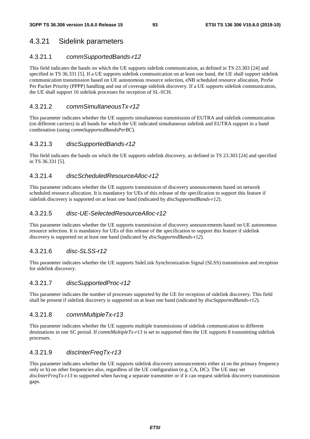## 4.3.21 Sidelink parameters

### 4.3.21.1 *commSupportedBands-r12*

This field indicates the bands on which the UE supports sidelink communication, as defined in TS 23.303 [24] and specified in TS 36.331 [5]. If a UE supports sidelink communication on at least one band, the UE shall support sidelink communication transmission based on UE autonomous resource selection, eNB scheduled resource allocation, ProSe Per Packet Priority (PPPP) handling and out of coverage sidelink discovery. If a UE supports sidelink communication, the UE shall support 16 sidelink processes for reception of SL-SCH.

### 4.3.21.2 *commSimultaneousTx-r12*

This parameter indicates whether the UE supports simultaneous transmission of EUTRA and sidelink communication (on different carriers) in all bands for which the UE indicated simultaneous sidelink and EUTRA support in a band combination (using *commSupportedBandsPerBC*).

### 4.3.21.3 *discSupportedBands-r12*

This field indicates the bands on which the UE supports sidelink discovery, as defined in TS 23.303 [24] and specified in TS 36.331 [5].

#### 4.3.21.4 *discScheduledResourceAlloc-r12*

This parameter indicates whether the UE supports transmission of discovery announcements based on network scheduled resource allocation. It is mandatory for UEs of this release of the specification to support this feature if sidelink discovery is supported on at least one band (indicated by *discSupportedBands-r12*).

### 4.3.21.5 *disc-UE-SelectedResourceAlloc-r12*

This parameter indicates whether the UE supports transmission of discovery announcements based on UE autonomous resource selection. It is mandatory for UEs of this release of the specification to support this feature if sidelink discovery is supported on at least one band (indicated by *discSupportedBands-r12*).

### 4.3.21.6 *disc-SLSS-r12*

This parameter indicates whether the UE supports SideLink Synchronization Signal (SLSS) transmission and reception for sidelink discovery.

### 4.3.21.7 *discSupportedProc-r12*

This parameter indicates the number of processes supported by the UE for reception of sidelink discovery. This field shall be present if sidelink discovery is supported on at least one band (indicated by *discSupportedBands-r12*).

#### 4.3.21.8 *commMultipleTx-r13*

This parameter indicates whether the UE supports multiple transmissions of sidelink communication to different destinations in one SC period. If *commMultipleTx-r13* is set to supported then the UE supports 8 transmitting sidelink processes.

### 4.3.21.9 *discInterFreqTx-r13*

This parameter indicates whether the UE supports sidelink discovery announcements either a) on the primary frequency only or b) on other frequencies also, regardless of the UE configuration (e.g. CA, DC). The UE may set *discInterFreqTx-r13* to supported when having a separate transmitter or if it can request sidelink discovery transmission gaps.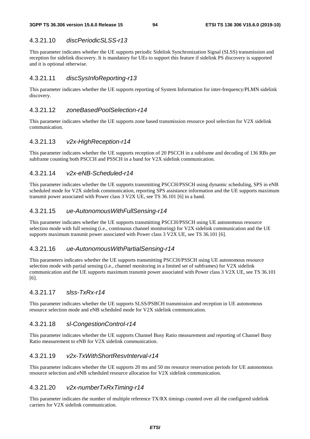### 4.3.21.10 *discPeriodicSLSS-r13*

This parameter indicates whether the UE supports periodic Sidelink Synchronization Signal (SLSS) transmission and reception for sidelink discovery. It is mandatory for UEs to support this feature if sidelink PS discovery is supported and it is optional otherwise.

#### 4.3.21.11 *discSysInfoReporting-r13*

This parameter indicates whether the UE supports reporting of System Information for inter-frequency/PLMN sidelink discovery.

#### 4.3.21.12 *zoneBasedPoolSelection-r14*

This parameter indicates whether the UE supports zone based transmission resource pool selection for V2X sidelink communication.

### 4.3.21.13 *v2x-HighReception-r14*

This parameter indicates whether the UE supports reception of 20 PSCCH in a subframe and decoding of 136 RBs per subframe counting both PSCCH and PSSCH in a band for V2X sidelink communication.

#### 4.3.21.14 *v2x-eNB-Scheduled-r14*

This parameter indicates whether the UE supports transmitting PSCCH/PSSCH using dynamic scheduling, SPS in eNB scheduled mode for V2X sidelink communication, reporting SPS assistance information and the UE supports maximum transmit power associated with Power class 3 V2X UE, see TS 36.101 [6] in a band.

#### 4.3.21.15 *ue-AutonomousWithFullSensing-r14*

This parameter indicates whether the UE supports transmitting PSCCH/PSSCH using UE autonomous resource selection mode with full sensing (i.e., continuous channel monitoring) for V2X sidelink communication and the UE supports maximum transmit power associated with Power class 3 V2X UE, see TS 36.101 [6].

#### 4.3.21.16 *ue-AutonomousWithPartialSensing-r14*

This parameters indicates whether the UE supports transmitting PSCCH/PSSCH using UE autonomous resource selection mode with partial sensing (i.e., channel monitoring in a limited set of subframes) for V2X sidelink communication and the UE supports maximum transmit power associated with Power class 3 V2X UE, see TS 36.101 [6].

### 4.3.21.17 *slss-TxRx-r14*

This parameter indicates whether the UE supports SLSS/PSBCH transmission and reception in UE autonomous resource selection mode and eNB scheduled mode for V2X sidelink communication.

#### 4.3.21.18 *sl-CongestionControl-r14*

This parameter indicates whether the UE supports Channel Busy Ratio measurement and reporting of Channel Busy Ratio measurement to eNB for V2X sidelink communication.

#### 4.3.21.19 *v2x-TxWithShortResvInterval-r14*

This parameter indicates whether the UE supports 20 ms and 50 ms resource reservation periods for UE autonomous resource selection and eNB scheduled resource allocation for V2X sidelink communication.

### 4.3.21.20 *v2x-numberTxRxTiming-r14*

This parameter indicates the number of multiple reference TX/RX timings counted over all the configured sidelink carriers for V2X sidelink communication.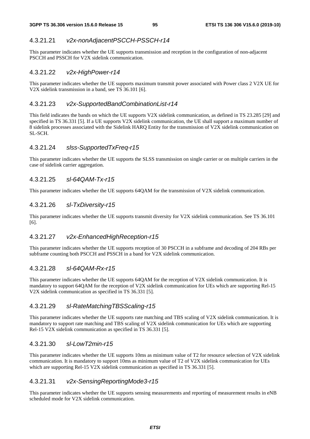## 4.3.21.21 *v2x-nonAdjacentPSCCH-PSSCH-r14*

This parameter indicates whether the UE supports transmission and reception in the configuration of non-adjacent PSCCH and PSSCH for V2X sidelink communication.

## 4.3.21.22 *v2x-HighPower-r14*

This parameter indicates whether the UE supports maximum transmit power associated with Power class 2 V2X UE for V2X sidelink transmission in a band, see TS 36.101 [6].

### 4.3.21.23 *v2x-SupportedBandCombinationList-r14*

This field indicates the bands on which the UE supports V2X sidelink communication, as defined in TS 23.285 [29] and specified in TS 36.331 [5]. If a UE supports V2X sidelink communication, the UE shall support a maximum number of 8 sidelink processes associated with the Sidelink HARQ Entity for the transmission of V2X sidelink communication on SL-SCH.

### 4.3.21.24 *slss-SupportedTxFreq-r15*

This parameter indicates whether the UE supports the SLSS transmission on single carrier or on multiple carriers in the case of sidelink carrier aggregation.

### 4.3.21.25 *sl-64QAM-Tx-r15*

This parameter indicates whether the UE supports 64QAM for the transmission of V2X sidelink communication.

### 4.3.21.26 *sl-TxDiversity-r15*

This parameter indicates whether the UE supports transmit diversity for V2X sidelink communication. See TS 36.101 [6].

### 4.3.21.27 *v2x-EnhancedHighReception-r15*

This parameter indicates whether the UE supports reception of 30 PSCCH in a subframe and decoding of 204 RBs per subframe counting both PSCCH and PSSCH in a band for V2X sidelink communication.

#### 4.3.21.28 *sl-64QAM-Rx-r15*

This parameter indicates whether the UE supports 64QAM for the reception of V2X sidelink communication. It is mandatory to support 64QAM for the reception of V2X sidelink communication for UEs which are supporting Rel-15 V2X sidelink communication as specified in TS 36.331 [5].

#### 4.3.21.29 *sl-RateMatchingTBSScaling-r15*

This parameter indicates whether the UE supports rate matching and TBS scaling of V2X sidelink communication. It is mandatory to support rate matching and TBS scaling of V2X sidelink communication for UEs which are supporting Rel-15 V2X sidelink communication as specified in TS 36.331 [5].

### 4.3.21.30 *sl-LowT2min-r15*

This parameter indicates whether the UE supports 10ms as minimum value of T2 for resource selection of V2X sidelink communication. It is mandatory to support 10ms as minimum value of T2 of V2X sidelink communication for UEs which are supporting Rel-15 V2X sidelink communication as specified in TS 36.331 [5].

#### 4.3.21.31 *v2x-SensingReportingMode3-r15*

This parameter indicates whether the UE supports sensing measurements and reporting of measurement results in eNB scheduled mode for V2X sidelink communication.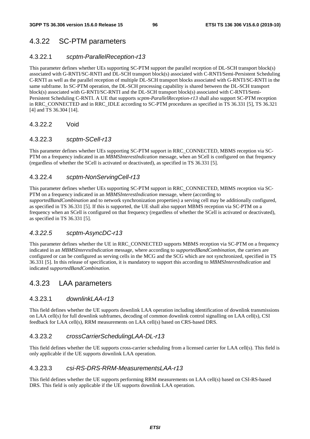## 4.3.22 SC-PTM parameters

### 4.3.22.1 *scptm-ParallelReception-r13*

This parameter defines whether UEs supporting SC-PTM support the parallel reception of DL-SCH transport block(s) associated with G-RNTI/SC-RNTI and DL-SCH transport block(s) associated with C-RNTI/Semi-Persistent Scheduling C-RNTI as well as the parallel reception of multiple DL-SCH transport blocks associated with G-RNTI/SC-RNTI in the same subframe. In SC-PTM operation, the DL-SCH processing capability is shared between the DL-SCH transport block(s) associated with G-RNTI/SC-RNTI and the DL-SCH transport block(s) associated with C-RNTI/Semi-Persistent Scheduling C-RNTI. A UE that supports *scptm-ParallelReception-r13* shall also support SC-PTM reception in RRC\_CONNECTED and in RRC\_IDLE according to SC-PTM procedures as specified in TS 36.331 [5], TS 36.321 [4] and TS 36.304 [14].

### 4.3.22.2 Void

### 4.3.22.3 *scptm-SCell-r13*

This parameter defines whether UEs supporting SC-PTM support in RRC\_CONNECTED, MBMS reception via SC-PTM on a frequency indicated in an *MBMSInterestIndication* message, when an SCell is configured on that frequency (regardless of whether the SCell is activated or deactivated), as specified in TS 36.331 [5].

### 4.3.22.4 *scptm-NonServingCell-r13*

This parameter defines whether UEs supporting SC-PTM support in RRC\_CONNECTED, MBMS reception via SC-PTM on a frequency indicated in an *MBMSInterestIndication* message, where (according to *supportedBandCombination* and to network synchronization properties) a serving cell may be additionally configured, as specified in TS 36.331 [5]. If this is supported, the UE shall also support MBMS reception via SC-PTM on a frequency when an SCell is configured on that frequency (regardless of whether the SCell is activated or deactivated), as specified in TS 36.331 [5].

#### *4.3.22.5 scptm-AsyncDC-r13*

This parameter defines whether the UE in RRC\_CONNECTED supports MBMS reception via SC-PTM on a frequency indicated in an *MBMSInterestIndication* message, where according to *supportedBandCombination*, the carriers are configured or can be configured as serving cells in the MCG and the SCG which are not synchronized, specified in TS 36.331 [5]. In this release of specification, it is mandatory to support this according to *MBMSInterestIndication* and indicated *supportedBandCombination*.

## 4.3.23 LAA parameters

#### 4.3.23.1 *downlinkLAA-r13*

This field defines whether the UE supports downlink LAA operation including identification of downlink transmissions on LAA cell(s) for full downlink subframes, decoding of common downlink control signalling on LAA cell(s), CSI feedback for LAA cell(s), RRM measurements on LAA cell(s) based on CRS-based DRS.

### 4.3.23.2 *crossCarrierSchedulingLAA-DL-r13*

This field defines whether the UE supports cross-carrier scheduling from a licensed carrier for LAA cell(s). This field is only applicable if the UE supports downlink LAA operation.

### 4.3.23.3 *csi-RS-DRS-RRM-MeasurementsLAA-r13*

This field defines whether the UE supports performing RRM measurements on LAA cell(s) based on CSI-RS-based DRS. This field is only applicable if the UE supports downlink LAA operation.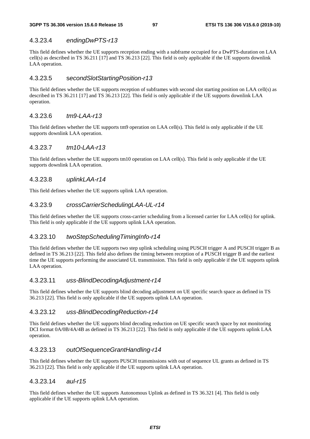### 4.3.23.4 *endingDwPTS-r13*

This field defines whether the UE supports reception ending with a subframe occupied for a DwPTS-duration on LAA cell(s) as described in TS 36.211 [17] and TS 36.213 [22]. This field is only applicable if the UE supports downlink LAA operation.

### 4.3.23.5 s*econdSlotStartingPosition-r13*

This field defines whether the UE supports reception of subframes with second slot starting position on LAA cell(s) as described in TS 36.211 [17] and TS 36.213 [22]. This field is only applicable if the UE supports downlink LAA operation.

### 4.3.23.6 *tm9-LAA-r13*

This field defines whether the UE supports tm9 operation on LAA cell(s). This field is only applicable if the UE supports downlink LAA operation.

### 4.3.23.7 *tm10-LAA-r13*

This field defines whether the UE supports tm10 operation on LAA cell(s). This field is only applicable if the UE supports downlink LAA operation.

### 4.3.23.8 *uplinkLAA-r14*

This field defines whether the UE supports uplink LAA operation.

### 4.3.23.9 *crossCarrierSchedulingLAA-UL-r14*

This field defines whether the UE supports cross-carrier scheduling from a licensed carrier for LAA cell(s) for uplink. This field is only applicable if the UE supports uplink LAA operation.

### 4.3.23.10 *twoStepSchedulingTimingInfo-r14*

This field defines whether the UE supports two step uplink scheduling using PUSCH trigger A and PUSCH trigger B as defined in TS 36.213 [22]. This field also defines the timing between reception of a PUSCH trigger B and the earliest time the UE supports performing the associated UL transmission. This field is only applicable if the UE supports uplink LAA operation.

#### 4.3.23.11 *uss-BlindDecodingAdjustment-r14*

This field defines whether the UE supports blind decoding adjustment on UE specific search space as defined in TS 36.213 [22]. This field is only applicable if the UE supports uplink LAA operation.

#### 4.3.23.12 *uss-BlindDecodingReduction-r14*

This field defines whether the UE supports blind decoding reduction on UE specific search space by not monitoring DCI format 0A/0B/4A/4B as defined in TS 36.213 [22]. This field is only applicable if the UE supports uplink LAA operation.

### 4.3.23.13 *outOfSequenceGrantHandling-r14*

This field defines whether the UE supports PUSCH transmissions with out of sequence UL grants as defined in TS 36.213 [22]. This field is only applicable if the UE supports uplink LAA operation.

#### 4.3.23.14 *aul-r15*

This field defines whether the UE supports Autonomous Uplink as defined in TS 36.321 [4]. This field is only applicable if the UE supports uplink LAA operation.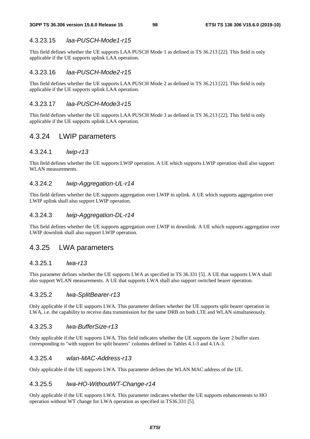### 4.3.23.15 *laa-PUSCH-Mode1-r15*

This field defines whether the UE supports LAA PUSCH Mode 1 as defined in TS 36.213 [22]. This field is only applicable if the UE supports uplink LAA operation.

#### 4.3.23.16 *laa-PUSCH-Mode2-r15*

This field defines whether the UE supports LAA PUSCH Mode 2 as defined in TS 36.213 [22]. This field is only applicable if the UE supports uplink LAA operation.

### 4.3.23.17 *laa-PUSCH-Mode3-r15*

This field defines whether the UE supports LAA PUSCH Mode 3 as defined in TS 36.213 [22]. This field is only applicable if the UE supports uplink LAA operation.

## 4.3.24 LWIP parameters

#### 4.3.24.1 *lwip-r13*

This field defines whether the UE supports LWIP operation. A UE which supports LWIP operation shall also support WLAN measurements.

#### 4.3.24.2 *lwip-Aggregation-UL-r14*

This field defines whether the UE supports aggregation over LWIP in uplink. A UE which supports aggregation over LWIP uplink shall also support LWIP operation.

### 4.3.24.3 *lwip-Aggregation-DL-r14*

This field defines whether the UE supports aggregation over LWIP in downlink. A UE which supports aggregation over LWIP downlink shall also support LWIP operation.

### 4.3.25 LWA parameters

### 4.3.25.1 *lwa-r13*

This parameter defines whether the UE supports LWA as specified in TS 36.331 [5]. A UE that supports LWA shall also support WLAN measurements. A UE that supports LWA shall also support switched bearer operation.

### 4.3.25.2 *lwa-SplitBearer-r13*

Only applicable if the UE supports LWA. This parameter defines whether the UE supports split bearer operation in LWA, i.e. the capability to receive data transmission for the same DRB on both LTE and WLAN simultaneously.

#### 4.3.25.3 *lwa-BufferSize-r13*

Only applicable if the UE supports LWA. This field indicates whether the UE supports the layer 2 buffer sizes corresponding to "with support for split bearers" columns defined in Tables 4.1-3 and 4.1A-3.

#### 4.3.25.4 *wlan-MAC-Address-r13*

Only applicable if the UE supports LWA. This parameter defines the WLAN MAC address of the UE.

#### 4.3.25.5 *lwa-HO-WithoutWT-Change-r14*

Only applicable if the UE supports LWA. This parameter indicates whether the UE supports enhancements to HO operation without WT change for LWA operation as specified in TS36.331 [5].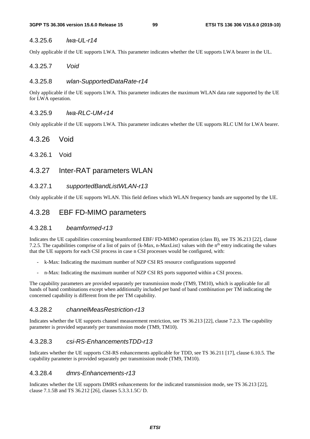### 4.3.25.6 *lwa-UL-r14*

Only applicable if the UE supports LWA. This parameter indicates whether the UE supports LWA bearer in the UL.

### 4.3.25.7 *Void*

### 4.3.25.8 *wlan-SupportedDataRate-r14*

Only applicable if the UE supports LWA. This parameter indicates the maximum WLAN data rate supported by the UE for LWA operation.

### 4.3.25.9 *lwa-RLC-UM-r14*

Only applicable if the UE supports LWA. This parameter indicates whether the UE supports RLC UM for LWA bearer.

### 4.3.26 Void

4.3.26.1 Void

## 4.3.27 Inter-RAT parameters WLAN

### 4.3.27.1 *supportedBandListWLAN-r13*

Only applicable if the UE supports WLAN. This field defines which WLAN frequency bands are supported by the UE.

## 4.3.28 EBF FD-MIMO parameters

#### 4.3.28.1 *beamformed-r13*

Indicates the UE capabilities concerning beamformed EBF/ FD-MIMO operation (class B), see TS 36.213 [22], clause 7.2.5. The capabilities comprise of a list of pairs of {k-Max, n-MaxList} values with the n<sup>th</sup> entry indicating the values that the UE supports for each CSI process in case n CSI processes would be configured, with:

- k-Max: Indicating the maximum number of NZP CSI RS resource configurations supported
- n-Max: Indicating the maximum number of NZP CSI RS ports supported within a CSI process.

The capability parameters are provided separately per transmission mode (TM9, TM10), which is applicable for all bands of band combinations except when additionally included per band of band combination per TM indicating the concerned capability is different from the per TM capability.

#### 4.3.28.2 *channelMeasRestriction-r13*

Indicates whether the UE supports channel measurement restriction, see TS 36.213 [22], clause 7.2.3. The capability parameter is provided separately per transmission mode (TM9, TM10).

### 4.3.28.3 *csi-RS-EnhancementsTDD-r13*

Indicates whether the UE supports CSI-RS enhancements applicable for TDD, see TS 36.211 [17], clause 6.10.5. The capability parameter is provided separately per transmission mode (TM9, TM10).

#### 4.3.28.4 *dmrs-Enhancements-r13*

Indicates whether the UE supports DMRS enhancements for the indicated transmission mode, see TS 36.213 [22], clause 7.1.5B and TS 36.212 [26], clauses 5.3.3.1.5C/ D.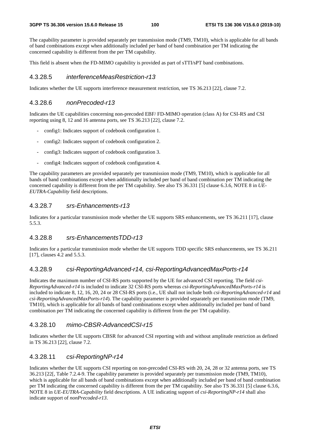The capability parameter is provided separately per transmission mode (TM9, TM10), which is applicable for all bands of band combinations except when additionally included per band of band combination per TM indicating the concerned capability is different from the per TM capability.

This field is absent when the FD-MIMO capability is provided as part of sTTI/sPT band combinations.

#### 4.3.28.5 *interferenceMeasRestriction-r13*

Indicates whether the UE supports interference measurement restriction, see TS 36.213 [22], clause 7.2.

#### 4.3.28.6 *nonPrecoded-r13*

Indicates the UE capabilities concerning non-precoded EBF/ FD-MIMO operation (class A) for CSI-RS and CSI reporting using 8, 12 and 16 antenna ports, see TS 36.213 [22], clause 7.2.

- config1: Indicates support of codebook configuration 1.
- config2: Indicates support of codebook configuration 2.
- config3: Indicates support of codebook configuration 3.
- config4: Indicates support of codebook configuration 4.

The capability parameters are provided separately per transmission mode (TM9, TM10), which is applicable for all bands of band combinations except when additionally included per band of band combination per TM indicating the concerned capability is different from the per TM capability. See also TS 36.331 [5] clause 6.3.6, NOTE 8 in *UE-EUTRA-Capability* field descriptions.

#### 4.3.28.7 *srs-Enhancements-r13*

Indicates for a particular transmission mode whether the UE supports SRS enhancements, see TS 36.211 [17], clause 5.5.3.

### 4.3.28.8 *srs-EnhancementsTDD-r13*

Indicates for a particular transmission mode whether the UE supports TDD specific SRS enhancements, see TS 36.211 [17], clauses 4.2 and 5.5.3.]

#### 4.3.28.9 *csi-ReportingAdvanced-r14, csi-ReportingAdvancedMaxPorts-r14*

Indicates the maximum number of CSI-RS ports supported by the UE for advanced CSI reporting. The field *csi-ReportingAdvanced-r14* is included to indicate 32 CSI-RS ports whereas *csi-ReportingAdvancedMaxPorts-r14* is included to indicate 8, 12, 16, 20, 24 or 28 CSI-RS ports (i.e., UE shall not include both *csi-ReportingAdvanced-r14* and *csi-ReportingAdvancedMaxPorts-r14*). The capability parameter is provided separately per transmission mode (TM9, TM10), which is applicable for all bands of band combinations except when additionally included per band of band combination per TM indicating the concerned capability is different from the per TM capability.

#### 4.3.28.10 *mimo-CBSR-AdvancedCSI-r15*

Indicates whether the UE supports CBSR for advanced CSI reporting with and without amplitude restriction as defined in TS 36.213 [22], clause 7.2.

### 4.3.28.11 *csi-ReportingNP-r14*

Indicates whether the UE supports CSI reporting on non-precoded CSI-RS with 20, 24, 28 or 32 antenna ports, see TS 36.213 [22[, Table 7.2.4-9. The capability parameter is provided separately per transmission mode (TM9, TM10), which is applicable for all bands of band combinations except when additionally included per band of band combination per TM indicating the concerned capability is different from the per TM capability. See also TS 36.331 [5] clause 6.3.6, NOTE 8 in *UE-EUTRA-Capability* field descriptions. A UE indicating support of *csi-ReportingNP-r14* shall also indicate support of *nonPrecoded-r13*.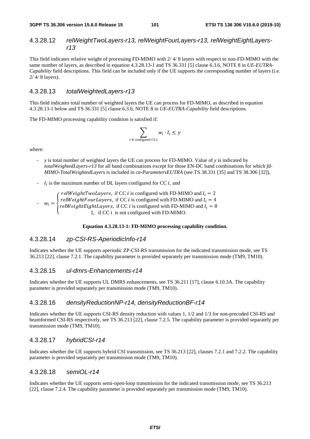### 4.3.28.12 *relWeightTwoLayers-r13, relWeightFourLayers-r13, relWeightEightLayersr13*

This field indicates relative weight of processing FD-MIMO with 2/ 4/ 8 layers with respect to non-FD-MIMO with the same number of layers, as described in equation 4.3.28.13-1 and TS 36.331 [5] clause 6.3.6, NOTE 8 in *UE-EUTRA-Capability* field descriptions. This field can be included only if the UE supports the corresponding number of layers (i.e. 2/ 4/ 8 layers).

#### 4.3.28.13 *totalWeightedLayers-r13*

This field indicates total number of weighted layers the UE can process for FD-MIMO, as described in equation 4.3.28.13-1 below and TS 36.331 [5] clause 6.3.6, NOTE 8 in *UE-EUTRA-Capability* field descriptions.

The FD-MIMO processing capability condition is satisfied if:

$$
\sum_{\epsilon \text{ configured CCs}} w_i \cdot l_i \leq y
$$

where:

- *y* is total number of weighted layers the UE can process for FD-MIMO. Value of *y* is indicated by *totalWeightedLayers-r13* for all band combinations except for those EN-DC band combinations for which *fd-MIMO-TotalWeightedLayers* is included in *ca-ParametersEUTRA* (see TS 38.331 [35] and TS 38.306 [32]),
- $l_i$  is the maximum number of DL layers configured for CC *i*, and i
- $w_i = \begin{cases}$  $\text{relW}$  eight T wo Layers, if CC *i* is configured with FD-MIMO and  $l_i = 2$ <br> $\text{relW}$  is the F sunt survey if CC *i* is configured with FD MIMO and  $l_i = 4$  $\text{relW}$ eightFourLayers, if CC i is configured with FD-MIMO and  $l_i = 4$ <br> $\text{relW}$  is chtFightLayers, if CC i is sonfigured with FD MIMO and  $l_i = 9$ relWeightEightLayers, if CC *i* is configured with FD-MIMO and  $l_i = 8$ <br>1, if CC i is not configured with FD-MIMO.

 $\it i$ 

#### **Equation 4.3.28.13-1: FD-MIMO processing capability condition.**

### 4.3.28.14 *zp-CSI-RS-AperiodicInfo-r14*

Indicates whether the UE supports aperiodic ZP-CSI-RS transmission for the indicated transmission mode, see TS 36.213 [22], clause 7.2.1. The capability parameter is provided separately per transmission mode (TM9, TM10).

#### 4.3.28.15 *ul-dmrs-Enhancements-r14*

Indicates whether the UE supports UL DMRS enhancements, see TS 36.211 [17], clause 6.10.3A. The capability parameter is provided separately per transmission mode (TM9, TM10).

#### 4.3.28.16 *densityReductionNP-r14, densityReductionBF-r14*

Indicates whether the UE supports CSI-RS density reduction with values 1, 1/2 and 1/3 for non-precoded CSI-RS and beamformed CSI-RS respectively, see TS 36.213 [22], clause 7.2.5. The capability parameter is provided separately per transmission mode (TM9, TM10).

#### 4.3.28.17 *hybridCSI-r14*

Indicates whether the UE supports hybrid CSI transmission, see TS 36.213 [22], clauses 7.2.1 and 7.2.2. The capability parameter is provided separately per transmission mode (TM9, TM10).

#### 4.3.28.18 *semiOL-r14*

Indicates whether the UE supports semi-open-loop transmission for the indicated transmission mode, see TS 36.213 [22], clause 7.2.4. The capability parameter is provided separately per transmission mode (TM9, TM10).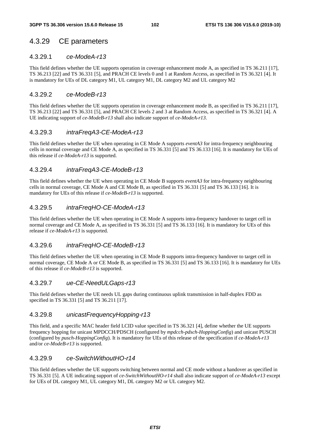## 4.3.29 CE parameters

### 4.3.29.1 *ce-ModeA-r13*

This field defines whether the UE supports operation in coverage enhancement mode A, as specified in TS 36.211 [17], TS 36.213 [22] and TS 36.331 [5], and PRACH CE levels 0 and 1 at Random Access, as specified in TS 36.321 [4]. It is mandatory for UEs of DL category M1, UL category M1, DL category M2 and UL category M2

### 4.3.29.2 *ce-ModeB-r13*

This field defines whether the UE supports operation in coverage enhancement mode B, as specified in TS 36.211 [17], TS 36.213 [22] and TS 36.331 [5], and PRACH CE levels 2 and 3 at Random Access, as specified in TS 36.321 [4]. A UE indicating support of *ce-ModeB-r13* shall also indicate support of *ce-ModeA-r13*.

### 4.3.29.3 *intraFreqA3-CE-ModeA-r13*

This field defines whether the UE when operating in CE Mode A supports *eventA3* for intra-frequency neighbouring cells in normal coverage and CE Mode A, as specified in TS 36.331 [5] and TS 36.133 [16]. It is mandatory for UEs of this release if *ce-ModeA-r13* is supported.

### 4.3.29.4 *intraFreqA3-CE-ModeB-r13*

This field defines whether the UE when operating in CE Mode B supports *eventA3* for intra-frequency neighbouring cells in normal coverage, CE Mode A and CE Mode B, as specified in TS 36.331 [5] and TS 36.133 [16]. It is mandatory for UEs of this release if *ce-ModeB-r13* is supported.

## 4.3.29.5 *intraFreqHO-CE-ModeA-r13*

This field defines whether the UE when operating in CE Mode A supports intra-frequency handover to target cell in normal coverage and CE Mode A, as specified in TS 36.331 [5] and TS 36.133 [16]. It is mandatory for UEs of this release if *ce-ModeA-r13* is supported.

### 4.3.29.6 *intraFreqHO-CE-ModeB-r13*

This field defines whether the UE when operating in CE Mode B supports intra-frequency handover to target cell in normal coverage, CE Mode A or CE Mode B, as specified in TS 36.331 [5] and TS 36.133 [16]. It is mandatory for UEs of this release if *ce-ModeB-r13* is supported.

### 4.3.29.7 *ue-CE-NeedULGaps-r13*

This field defines whether the UE needs UL gaps during continuous uplink transmission in half-duplex FDD as specified in TS 36.331 [5] and TS 36.211 [17].

### 4.3.29.8 *unicastFrequencyHopping-r13*

This field, and a specific MAC header field LCID value specified in TS 36.321 [4], define whether the UE supports frequency hopping for unicast MPDCCH/PDSCH (configured by *mpdcch-pdsch-HoppingConfig*) and unicast PUSCH (configured by *pusch-HoppingConfig*). It is mandatory for UEs of this release of the specification if *ce-ModeA-r13* and/or *ce-ModeB-r13* is supported.

### 4.3.29.9 *ce-SwitchWithoutHO-r14*

This field defines whether the UE supports switching between normal and CE mode without a handover as specified in TS 36.331 [5]. A UE indicating support of *ce-SwitchWithoutHO-r14* shall also indicate support of *ce-ModeA-r13* except for UEs of DL category M1, UL category M1, DL category M2 or UL category M2.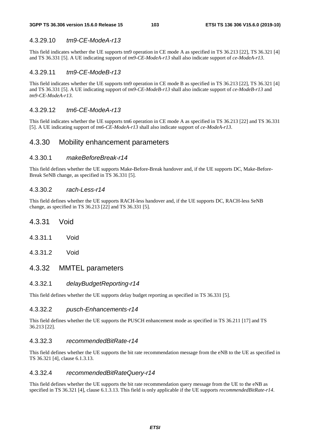### 4.3.29.10 *tm9-CE-ModeA-r13*

This field indicates whether the UE supports tm9 operation in CE mode A as specified in TS 36.213 [22], TS 36.321 [4] and TS 36.331 [5]. A UE indicating support of *tm9-CE-ModeA-r13* shall also indicate support of *ce-ModeA-r13*.

### 4.3.29.11 *tm9-CE-ModeB-r13*

This field indicates whether the UE supports tm9 operation in CE mode B as specified in TS 36.213 [22], TS 36.321 [4] and TS 36.331 [5]. A UE indicating support of *tm9-CE-ModeB-r13* shall also indicate support of *ce-ModeB-r13* and *tm9-CE-ModeA-r13*.

#### 4.3.29.12 *tm6-CE-ModeA-r13*

This field indicates whether the UE supports tm6 operation in CE mode A as specified in TS 36.213 [22] and TS 36.331 [5]. A UE indicating support of *tm6-CE-ModeA-r13* shall also indicate support of *ce-ModeA-r13*.

### 4.3.30 Mobility enhancement parameters

### 4.3.30.1 *makeBeforeBreak-r14*

This field defines whether the UE supports Make-Before-Break handover and, if the UE supports DC, Make-Before-Break SeNB change, as specified in TS 36.331 [5].

#### 4.3.30.2 *rach-Less-r14*

This field defines whether the UE supports RACH-less handover and, if the UE supports DC, RACH-less SeNB change, as specified in TS 36.213 [22] and TS 36.331 [5].

- 4.3.31 Void
- 4.3.31.1 Void
- 4.3.31.2 Void

### 4.3.32 MMTEL parameters

#### 4.3.32.1 *delayBudgetReporting-r14*

This field defines whether the UE supports delay budget reporting as specified in TS 36.331 [5].

#### 4.3.32.2 *pusch-Enhancements-r14*

This field defines whether the UE supports the PUSCH enhancement mode as specified in TS 36.211 [17] and TS 36.213 [22].

#### 4.3.32.3 *recommendedBitRate-r14*

This field defines whether the UE supports the bit rate recommendation message from the eNB to the UE as specified in TS 36.321 [4], clause 6.1.3.13.

#### 4.3.32.4 *recommendedBitRateQuery-r14*

This field defines whether the UE supports the bit rate recommendation query message from the UE to the eNB as specified in TS 36.321 [4], clause 6.1.3.13. This field is only applicable if the UE supports *recommendedBitRate-r14*.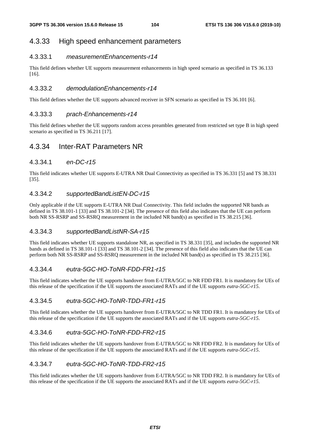## 4.3.33 High speed enhancement parameters

### 4.3.33.1 *measurementEnhancements-r14*

This field defines whether UE supports measurement enhancements in high speed scenario as specified in TS 36.133 [16].

### 4.3.33.2 *demodulationEnhancements-r14*

This field defines whether the UE supports advanced receiver in SFN scenario as specified in TS 36.101 [6].

#### 4.3.33.3 *prach-Enhancements-r14*

This field defines whether the UE supports random access preambles generated from restricted set type B in high speed scenario as specified in TS 36.211 [17].

## 4.3.34 Inter-RAT Parameters NR

### 4.3.34.1 *en-DC-r15*

This field indicates whether UE supports E-UTRA NR Dual Connectivity as specified in TS 36.331 [5] and TS 38.331 [35].

### 4.3.34.2 *supportedBandListEN-DC-r15*

Only applicable if the UE supports E-UTRA NR Dual Connectivity. This field includes the supported NR bands as defined in TS 38.101-1 [33] and TS 38.101-2 [34]. The presence of this field also indicates that the UE can perform both NR SS-RSRP and SS-RSRQ measurement in the included NR band(s) as specified in TS 38.215 [36].

### 4.3.34.3 *supportedBandListNR-SA-r15*

This field indicates whether UE supports standalone NR, as specified in TS 38.331 [35], and includes the supported NR bands as defined in TS 38.101-1 [33] and TS 38.101-2 [34]. The presence of this field also indicates that the UE can perform both NR SS-RSRP and SS-RSRQ measurement in the included NR band(s) as specified in TS 38.215 [36].

### 4.3.34.4 *eutra-5GC-HO-ToNR-FDD-FR1-r15*

This field indicates whether the UE supports handover from E-UTRA/5GC to NR FDD FR1. It is mandatory for UEs of this release of the specification if the UE supports the associated RATs and if the UE supports *eutra-5GC-r15*.

### 4.3.34.5 *eutra-5GC-HO-ToNR-TDD-FR1-r15*

This field indicates whether the UE supports handover from E-UTRA/5GC to NR TDD FR1. It is mandatory for UEs of this release of the specification if the UE supports the associated RATs and if the UE supports *eutra-5GC-r15*.

### 4.3.34.6 *eutra-5GC-HO-ToNR-FDD-FR2-r15*

This field indicates whether the UE supports handover from E-UTRA/5GC to NR FDD FR2. It is mandatory for UEs of this release of the specification if the UE supports the associated RATs and if the UE supports *eutra-5GC-r15*.

## 4.3.34.7 *eutra-5GC-HO-ToNR-TDD-FR2-r15*

This field indicates whether the UE supports handover from E-UTRA/5GC to NR TDD FR2. It is mandatory for UEs of this release of the specification if the UE supports the associated RATs and if the UE supports *eutra-5GC-r15*.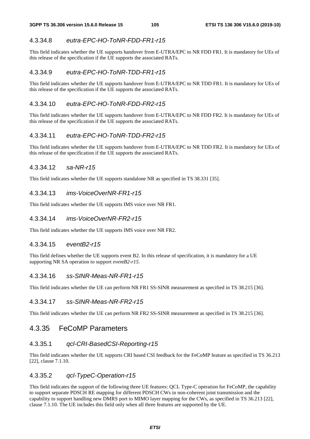### 4.3.34.8 *eutra-EPC-HO-ToNR-FDD-FR1-r15*

This field indicates whether the UE supports handover from E-UTRA/EPC to NR FDD FR1. It is mandatory for UEs of this release of the specification if the UE supports the associated RATs.

### 4.3.34.9 *eutra-EPC-HO-ToNR-TDD-FR1-r15*

This field indicates whether the UE supports handover from E-UTRA/EPC to NR TDD FR1. It is mandatory for UEs of this release of the specification if the UE supports the associated RATs.

### 4.3.34.10 *eutra-EPC-HO-ToNR-FDD-FR2-r15*

This field indicates whether the UE supports handover from E-UTRA/EPC to NR FDD FR2. It is mandatory for UEs of this release of the specification if the UE supports the associated RATs.

### 4.3.34.11 *eutra-EPC-HO-ToNR-TDD-FR2-r15*

This field indicates whether the UE supports handover from E-UTRA/EPC to NR TDD FR2. It is mandatory for UEs of this release of the specification if the UE supports the associated RATs.

### 4.3.34.12 *sa-NR-r15*

This field indicates whether the UE supports standalone NR as specified in TS 38.331 [35].

### 4.3.34.13 *ims-VoiceOverNR-FR1-r15*

This field indicates whether the UE supports IMS voice over NR FR1.

### 4.3.34.14 *ims-VoiceOverNR-FR2-r15*

This field indicates whether the UE supports IMS voice over NR FR2.

#### 4.3.34.15 *eventB2-r15*

This field defines whether the UE supports event B2. In this release of specification, it is mandatory for a UE supporting NR SA operation to support *eventB2-r15*.

#### 4.3.34.16 *ss-SINR-Meas-NR-FR1-r15*

This field indicates whether the UE can perform NR FR1 SS-SINR measurement as specified in TS 38.215 [36].

#### 4.3.34.17 *ss-SINR-Meas-NR-FR2-r15*

This field indicates whether the UE can perform NR FR2 SS-SINR measurement as specified in TS 38.215 [36].

## 4.3.35 FeCoMP Parameters

#### 4.3.35.1 *qcl-CRI-BasedCSI-Reporting-r15*

This field indicates whether the UE supports CRI based CSI feedback for the FeCoMP feature as specified in TS 36.213 [22], clause 7.1.10.

### 4.3.35.2 *qcl-TypeC-Operation-r15*

This field indicates the support of the following three UE features: QCL Type-C operation for FeCoMP, the capability to support separate PDSCH RE mapping for different PDSCH CWs in non-coherent joint transmission and the capability to support handling new DMRS port to MIMO layer mapping for the CWs, as specified in TS 36.213 [22], clause 7.1.10. The UE includes this field only when all three features are supported by the UE.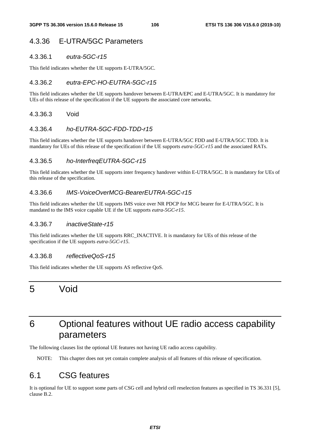## 4.3.36 E-UTRA/5GC Parameters

#### 4.3.36.1 *eutra-5GC-r15*

This field indicates whether the UE supports E-UTRA/5GC.

#### 4.3.36.2 *eutra-EPC-HO-EUTRA-5GC-r15*

This field indicates whether the UE supports handover between E-UTRA/EPC and E-UTRA/5GC. It is mandatory for UEs of this release of the specification if the UE supports the associated core networks.

#### 4.3.36.3 Void

#### 4.3.36.4 *ho-EUTRA-5GC-FDD-TDD-r15*

This field indicates whether the UE supports handover between E-UTRA/5GC FDD and E-UTRA/5GC TDD. It is mandatory for UEs of this release of the specification if the UE supports *eutra-5GC-r15* and the associated RATs.

#### 4.3.36.5 *ho-InterfreqEUTRA-5GC-r15*

This field indicates whether the UE supports inter frequency handover within E-UTRA/5GC. It is mandatory for UEs of this release of the specification.

### 4.3.36.6 *IMS-VoiceOverMCG-BearerEUTRA-5GC-r15*

This field indicates whether the UE supports IMS voice over NR PDCP for MCG bearer for E-UTRA/5GC. It is mandated to the IMS voice capable UE if the UE supports *eutra-5GC-r15*.

#### 4.3.36.7 *inactiveState-r15*

This field indicates whether the UE supports RRC\_INACTIVE. It is mandatory for UEs of this release of the specification if the UE supports *eutra-5GC-r15*.

#### 4.3.36.8 *reflectiveQoS-r15*

This field indicates whether the UE supports AS reflective QoS.

# 5 Void

# 6 Optional features without UE radio access capability parameters

The following clauses list the optional UE features not having UE radio access capability.

NOTE: This chapter does not yet contain complete analysis of all features of this release of specification.

## 6.1 CSG features

It is optional for UE to support some parts of CSG cell and hybrid cell reselection features as specified in TS 36.331 [5], clause B.2.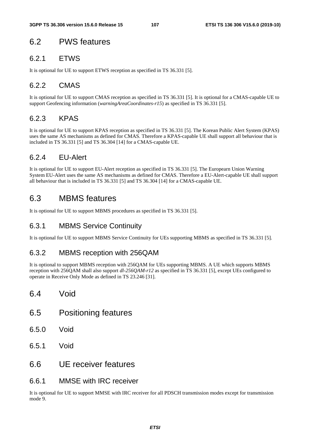# 6.2 PWS features

## 6.2.1 ETWS

It is optional for UE to support ETWS reception as specified in TS 36.331 [5].

# 6.2.2 CMAS

It is optional for UE to support CMAS reception as specified in TS 36.331 [5]. It is optional for a CMAS-capable UE to support Geofencing information (*warningAreaCoordinates-r15*) as specified in TS 36.331 [5].

## 6.2.3 KPAS

It is optional for UE to support KPAS reception as specified in TS 36.331 [5]. The Korean Public Alert System (KPAS) uses the same AS mechanisms as defined for CMAS. Therefore a KPAS-capable UE shall support all behaviour that is included in TS 36.331 [5] and TS 36.304 [14] for a CMAS-capable UE.

# 6.2.4 EU-Alert

It is optional for UE to support EU-Alert reception as specified in TS 36.331 [5]. The Europearn Union Warning System EU-Alert uses the same AS mechanisms as defined for CMAS. Therefore a EU-Alert-capable UE shall support all behaviour that is included in TS 36.331 [5] and TS 36.304 [14] for a CMAS-capable UE.

# 6.3 MBMS features

It is optional for UE to support MBMS procedures as specified in TS 36.331 [5].

## 6.3.1 MBMS Service Continuity

It is optional for UE to support MBMS Service Continuity for UEs supporting MBMS as specified in TS 36.331 [5].

## 6.3.2 MBMS reception with 256QAM

It is optional to support MBMS reception with 256QAM for UEs supporting MBMS. A UE which supports MBMS reception with 256QAM shall also support *dl-256QAM-r12* as specified in TS 36.331 [5], except UEs configured to operate in Receive Only Mode as defined in TS 23.246 [31].

- 6.4 Void
- 6.5 Positioning features
- 6.5.0 Void
- 6.5.1 Void
- 6.6 UE receiver features
- 6.6.1 MMSE with IRC receiver

It is optional for UE to support MMSE with IRC receiver for all PDSCH transmission modes except for transmission mode 9.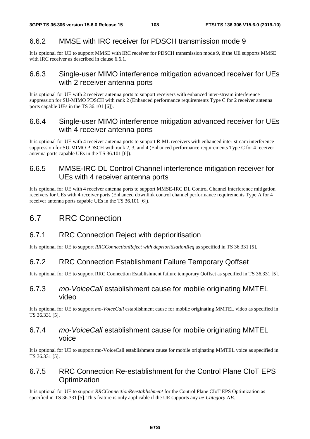## 6.6.2 MMSE with IRC receiver for PDSCH transmission mode 9

It is optional for UE to support MMSE with IRC receiver for PDSCH transmission mode 9, if the UE supports MMSE with IRC receiver as described in clause 6.6.1.

#### 6.6.3 Single-user MIMO interference mitigation advanced receiver for UEs with 2 receiver antenna ports

It is optional for UE with 2 receiver antenna ports to support receivers with enhanced inter-stream interference suppression for SU-MIMO PDSCH with rank 2 (Enhanced performance requirements Type C for 2 receiver antenna ports capable UEs in the TS 36.101 [6]).

#### 6.6.4 Single-user MIMO interference mitigation advanced receiver for UEs with 4 receiver antenna ports

It is optional for UE with 4 receiver antenna ports to support R-ML receivers with enhanced inter-stream interference suppression for SU-MIMO PDSCH with rank 2, 3, and 4 (Enhanced performance requirements Type C for 4 receiver antenna ports capable UEs in the TS 36.101 [6]).

## 6.6.5 MMSE-IRC DL Control Channel interference mitigation receiver for UEs with 4 receiver antenna ports

It is optional for UE with 4 receiver antenna ports to support MMSE-IRC DL Control Channel interference mitigation receivers for UEs with 4 receiver ports (Enhanced downlink control channel performance requirements Type A for 4 receiver antenna ports capable UEs in the TS 36.101 [6]).

## 6.7 RRC Connection

## 6.7.1 RRC Connection Reject with deprioritisation

It is optional for UE to support *RRCConnectionReject with deprioritisationReq* as specified in TS 36.331 [5].

## 6.7.2 RRC Connection Establishment Failure Temporary Qoffset

It is optional for UE to support RRC Connection Establishment failure temporary Qoffset as specified in TS 36.331 [5].

## 6.7.3 *mo-VoiceCall* establishment cause for mobile originating MMTEL video

It is optional for UE to support *mo-VoiceCall* establishment cause for mobile originating MMTEL video as specified in TS 36.331 [5].

## 6.7.4 *mo-VoiceCall* establishment cause for mobile originating MMTEL voice

It is optional for UE to support mo-VoiceCall establishment cause for mobile originating MMTEL voice as specified in TS 36.331 [5].

## 6.7.5 RRC Connection Re-establishment for the Control Plane CIoT EPS **Optimization**

It is optional for UE to support *RRCConnectionReestablishment* for the Control Plane CIoT EPS Optimization as specified in TS 36.331 [5]. This feature is only applicable if the UE supports any *ue-Category-NB*.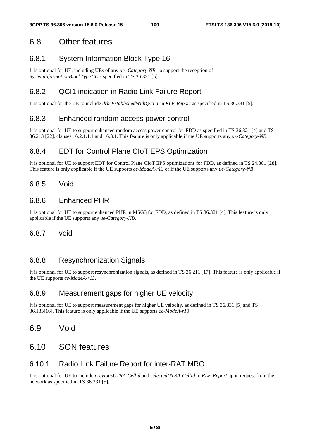## 6.8 Other features

## 6.8.1 System Information Block Type 16

It is optional for UE, including UEs of any *ue- Category-NB*, to support the reception of *SystemInformationBlockType16* as specified in TS 36.331 [5].

## 6.8.2 QCI1 indication in Radio Link Failure Report

It is optional for the UE to include *drb-EstablishedWithQCI-1* in *RLF-Report* as specified in TS 36.331 [5].

#### 6.8.3 Enhanced random access power control

It is optional for UE to support enhanced random access power control for FDD as specified in TS 36.321 [4] and TS 36.213 [22], clauses 16.2.1.1.1 and 16.3.1. This feature is only applicable if the UE supports any *ue-Category-NB*.

#### 6.8.4 EDT for Control Plane CIoT EPS Optimization

It is optional for UE to support EDT for Control Plane CIoT EPS optimizations for FDD, as defined in TS 24.301 [28]. This feature is only applicable if the UE supports *ce-ModeA-r13* or if the UE supports any *ue-Category-NB*.

#### 6.8.5 Void

#### 6.8.6 Enhanced PHR

It is optional for UE to support enhanced PHR in MSG3 for FDD, as defined in TS 36.321 [4]. This feature is only applicable if the UE supports any *ue-Category-NB*.

#### 6.8.7 void

.

#### 6.8.8 Resynchronization Signals

It is optional for UE to support resynchronization signals, as defined in TS 36.211 [17]. This feature is only applicable if the UE supports *ce-ModeA-r13*.

#### 6.8.9 Measurement gaps for higher UE velocity

It is optional for UE to support measurement gaps for higher UE velocity, as defined in TS 36.331 [5] and TS 36.133[16]. This feature is only applicable if the UE supports *ce-ModeA-r13*.

6.9 Void

## 6.10 SON features

#### 6.10.1 Radio Link Failure Report for inter-RAT MRO

It is optional for UE to include *previousUTRA-CellId* and *selectedUTRA-CellId* in *RLF-Report* upon request from the network as specified in TS 36.331 [5].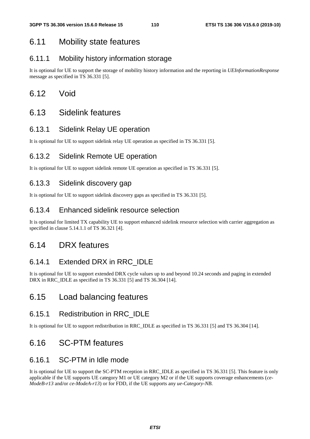## 6.11 Mobility state features

### 6.11.1 Mobility history information storage

It is optional for UE to support the storage of mobility history information and the reporting in *UEInformationResponse* message as specified in TS 36.331 [5].

## 6.12 Void

## 6.13 Sidelink features

#### 6.13.1 Sidelink Relay UE operation

It is optional for UE to support sidelink relay UE operation as specified in TS 36.331 [5].

## 6.13.2 Sidelink Remote UE operation

It is optional for UE to support sidelink remote UE operation as specified in TS 36.331 [5].

#### 6.13.3 Sidelink discovery gap

It is optional for UE to support sidelink discovery gaps as specified in TS 36.331 [5].

#### 6.13.4 Enhanced sidelink resource selection

It is optional for limited TX capability UE to support enhanced sidelink resource selection with carrier aggregation as specified in clause 5.14.1.1 of TS 36.321 [4].

## 6.14 DRX features

## 6.14.1 Extended DRX in RRC\_IDLE

It is optional for UE to support extended DRX cycle values up to and beyond 10.24 seconds and paging in extended DRX in RRC\_IDLE as specified in TS 36.331 [5] and TS 36.304 [14].

## 6.15 Load balancing features

#### 6.15.1 Redistribution in RRC\_IDLE

It is optional for UE to support redistribution in RRC\_IDLE as specified in TS 36.331 [5] and TS 36.304 [14].

## 6.16 SC-PTM features

## 6.16.1 SC-PTM in Idle mode

It is optional for UE to support the SC-PTM reception in RRC\_IDLE as specified in TS 36.331 [5]. This feature is only applicable if the UE supports UE category M1 or UE category M2 or if the UE supports coverage enhancements (*ce-ModeB-r13* and/or *ce-ModeA-r13*) or for FDD, if the UE supports any *ue-Category-NB*.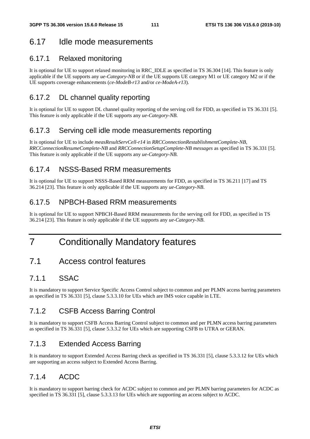## 6.17 Idle mode measurements

## 6.17.1 Relaxed monitoring

It is optional for UE to support relaxed monitoring in RRC\_IDLE as specified in TS 36.304 [14]. This feature is only applicable if the UE supports any *ue-Category-NB* or if the UE supports UE category M1 or UE category M2 or if the UE supports coverage enhancements (*ce-ModeB-r13* and/or *ce-ModeA-r13*).

## 6.17.2 DL channel quality reporting

It is optional for UE to support DL channel quality reporting of the serving cell for FDD, as specified in TS 36.331 [5]. This feature is only applicable if the UE supports any *ue-Category-NB*.

## 6.17.3 Serving cell idle mode measurements reporting

It is optional for UE to include *measResultServCell-r14* in *RRCConnectionRestablishmentComplete-NB, RRCConnectionResumeComplete-NB* and *RRCConnectionSetupComplete-NB messages* as specified in TS 36.331 [5]. This feature is only applicable if the UE supports any *ue-Category-NB*.

## 6.17.4 NSSS-Based RRM measurements

It is optional for UE to support NSSS-Based RRM measurements for FDD, as specified in TS 36.211 [17] and TS 36.214 [23]. This feature is only applicable if the UE supports any *ue-Category-NB*.

## 6.17.5 NPBCH-Based RRM measurements

It is optional for UE to support NPBCH-Based RRM measurements for the serving cell for FDD, as specified in TS 36.214 [23]. This feature is only applicable if the UE supports any *ue-Category-NB*.

# 7 Conditionally Mandatory features

## 7.1 Access control features

## 7.1.1 SSAC

It is mandatory to support Service Specific Access Control subject to common and per PLMN access barring parameters as specified in TS 36.331 [5], clause 5.3.3.10 for UEs which are IMS voice capable in LTE.

## 7.1.2 CSFB Access Barring Control

It is mandatory to support CSFB Access Barring Control subject to common and per PLMN access barring parameters as specified in TS 36.331 [5], clause 5.3.3.2 for UEs which are supporting CSFB to UTRA or GERAN.

## 7.1.3 Extended Access Barring

It is mandatory to support Extended Access Barring check as specified in TS 36.331 [5], clause 5.3.3.12 for UEs which are supporting an access subject to Extended Access Barring.

## 7.1.4 ACDC

It is mandatory to support barring check for ACDC subject to common and per PLMN barring parameters for ACDC as specified in TS 36.331 [5], clause 5.3.3.13 for UEs which are supporting an access subject to ACDC.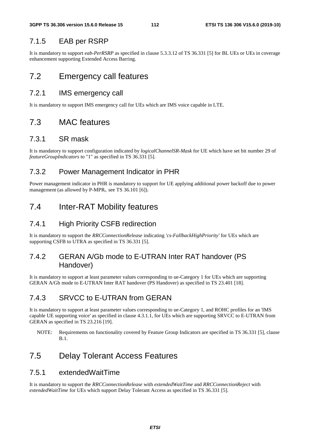#### 7.1.5 EAB per RSRP

It is mandatory to support *eab-PerRSRP* as specified in clause 5.3.3.12 of TS 36.331 [5] for BL UEs or UEs in coverage enhancement supporting Extended Access Barring.

## 7.2 Emergency call features

#### 7.2.1 IMS emergency call

It is mandatory to support IMS emergency call for UEs which are IMS voice capable in LTE.

## 7.3 MAC features

#### 7.3.1 SR mask

It is mandatory to support configuration indicated by *logicalChannelSR-Mask* for UE which have set bit number 29 of *featureGroupIndicators* to "1" as specified in TS 36.331 [5].

#### 7.3.2 Power Management Indicator in PHR

Power management indicator in PHR is mandatory to support for UE applying additional power backoff due to power management (as allowed by  $P-MPR<sub>c</sub>$ , see TS 36.101 [6]).

## 7.4 Inter-RAT Mobility features

#### 7.4.1 High Priority CSFB redirection

It is mandatory to support the *RRCConnectionRelease* indicating *'cs-FallbackHighPriority'* for UEs which are supporting CSFB to UTRA as specified in TS 36.331 [5].

## 7.4.2 GERAN A/Gb mode to E-UTRAN Inter RAT handover (PS Handover)

It is mandatory to support at least parameter values corresponding to ue-Category 1 for UEs which are supporting GERAN A/Gb mode to E-UTRAN Inter RAT handover (PS Handover) as specified in TS 23.401 [18].

## 7.4.3 SRVCC to E-UTRAN from GERAN

It is mandatory to support at least parameter values corresponding to ue-Category 1, and ROHC profiles for an 'IMS capable UE supporting voice' as specified in clause 4.3.1.1, for UEs which are supporting SRVCC to E-UTRAN from GERAN as specified in TS 23.216 [19].

NOTE: Requirements on functionality covered by Feature Group Indicators are specified in TS 36.331 [5], clause B.1.

## 7.5 Delay Tolerant Access Features

#### 7.5.1 extendedWaitTime

It is mandatory to support the *RRCConnectionRelease* with *extendedWaitTime* and *RRCConnectionReject* with *extendedWaitTime* for UEs which support Delay Tolerant Access as specified in TS 36.331 [5].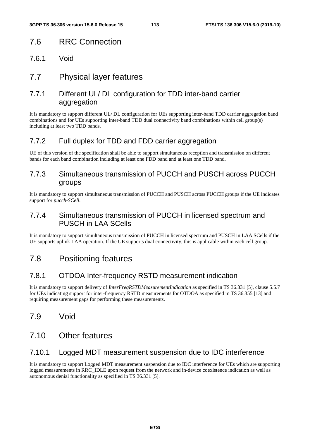## 7.6 RRC Connection

- 7.6.1 Void
- 7.7 Physical layer features

## 7.7.1 Different UL/ DL configuration for TDD inter-band carrier aggregation

It is mandatory to support different UL/ DL configuration for UEs supporting inter-band TDD carrier aggregation band combinations and for UEs supporting inter-band TDD dual connectivity band combinations within cell group(s) including at least two TDD bands.

## 7.7.2 Full duplex for TDD and FDD carrier aggregation

UE of this version of the specification shall be able to support simultaneous reception and transmission on different bands for each band combination including at least one FDD band and at least one TDD band.

## 7.7.3 Simultaneous transmission of PUCCH and PUSCH across PUCCH groups

It is mandatory to support simultaneous transmission of PUCCH and PUSCH across PUCCH groups if the UE indicates support for *pucch-SCell*.

## 7.7.4 Simultaneous transmission of PUCCH in licensed spectrum and PUSCH in LAA SCells

It is mandatory to support simultaneous transmission of PUCCH in licensed spectrum and PUSCH in LAA SCells if the UE supports uplink LAA operation. If the UE supports dual connectivity, this is applicable within each cell group.

## 7.8 Positioning features

## 7.8.1 OTDOA Inter-frequency RSTD measurement indication

It is mandatory to support delivery of *InterFreqRSTDMeasurementIndication* as specified in TS 36.331 [5], clause 5.5.7 for UEs indicating support for inter-frequency RSTD measurements for OTDOA as specified in TS 36.355 [13] and requiring measurement gaps for performing these measurements.

## 7.9 Void

## 7.10 Other features

## 7.10.1 Logged MDT measurement suspension due to IDC interference

It is mandatory to support Logged MDT measurement suspension due to IDC interference for UEs which are supporting logged measurements in RRC\_IDLE upon request from the network and in-device coexistence indication as well as autonomous denial functionality as specified in TS 36.331 [5].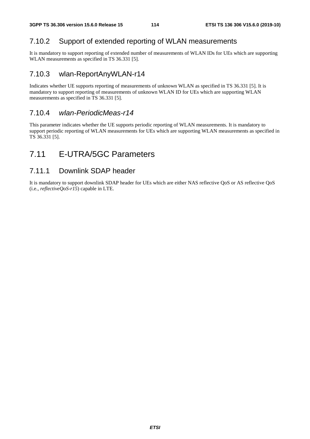## 7.10.2 Support of extended reporting of WLAN measurements

It is mandatory to support reporting of extended number of measurements of WLAN IDs for UEs which are supporting WLAN measurements as specified in TS 36.331 [5].

#### 7.10.3 wlan-ReportAnyWLAN-r14

Indicates whether UE supports reporting of measurements of unknown WLAN as specified in TS 36.331 [5]. It is mandatory to support reporting of measurements of unknown WLAN ID for UEs which are supporting WLAN measurements as specified in TS 36.331 [5].

#### 7.10.4 *wlan-PeriodicMeas-r14*

This parameter indicates whether the UE supports periodic reporting of WLAN measurements. It is mandatory to support periodic reporting of WLAN measurements for UEs which are supporting WLAN measurements as specified in TS 36.331 [5].

## 7.11 E-UTRA/5GC Parameters

## 7.11.1 Downlink SDAP header

It is mandatory to support downlink SDAP header for UEs which are either NAS reflective QoS or AS reflective QoS (i.e., *reflectiveQoS-r15*) capable in LTE.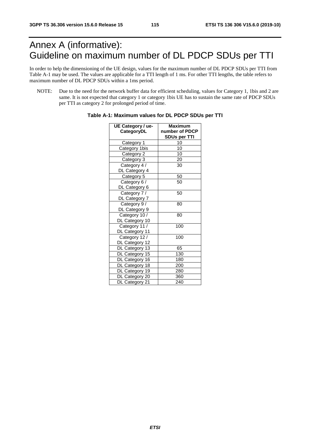# Annex A (informative): Guideline on maximum number of DL PDCP SDUs per TTI

In order to help the dimensioning of the UE design, values for the maximum number of DL PDCP SDUs per TTI from Table A-1 may be used. The values are applicable for a TTI length of 1 ms. For other TTI lengths, the table refers to maximum number of DL PDCP SDUs within a 1ms period.

NOTE: Due to the need for the network buffer data for efficient scheduling, values for Category 1, 1bis and 2 are same. It is not expected that category 1 or category 1bis UE has to sustain the same rate of PDCP SDUs per TTI as category 2 for prolonged period of time.

| UE Category / ue- | Maximum             |
|-------------------|---------------------|
| CategoryDL        | number of PDCP      |
|                   | <b>SDUs per TTI</b> |
| Category 1        | 10                  |
| Category 1bis     | 10                  |
| Category 2        | 10                  |
| Category 3        | 20                  |
| Category 4 /      | 30                  |
| DL Category 4     |                     |
| Category 5        | 50                  |
| Category 6 /      | 50                  |
| DL Category 6     |                     |
| Category 7 /      | 50                  |
| DL Category 7     |                     |
| Category 9 /      | 80                  |
| DL Category 9     |                     |
| Category 10 /     | 80                  |
| DL Category 10    |                     |
| Category 11 /     | 100                 |
| DL Category 11    |                     |
| Category 12 /     | 100                 |
| DL Category 12    |                     |
| DL Category 13    | 65                  |
| DL Category 15    | 130                 |
| DL Category 16    | 180                 |
| DL Category 18    | 200                 |
| DL Category 19    | 280                 |
| DL Category 20    | 360                 |
| DL Category 21    | 240                 |

**Table A-1: Maximum values for DL PDCP SDUs per TTI**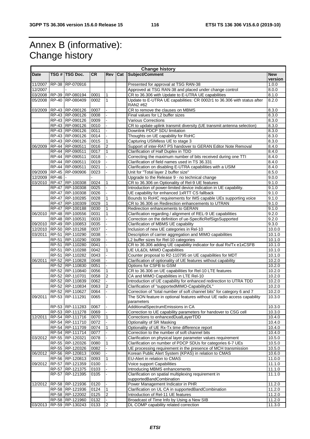# Annex B (informative): Change history

| <b>Change history</b> |         |                         |           |                |            |                                                                         |            |
|-----------------------|---------|-------------------------|-----------|----------------|------------|-------------------------------------------------------------------------|------------|
| <b>Date</b>           |         | TSG # TSG Doc.          | <b>CR</b> | <b>Rev</b>     | <b>Cat</b> | Subject/Comment                                                         | <b>New</b> |
|                       |         |                         |           |                |            |                                                                         | version    |
| 11/2007               |         | RP-38 RP-070916         |           |                |            | Presented for approval at TSG RAN-38                                    | 1.0.0      |
| 12/2007               |         |                         |           |                |            | Approved at TSG RAN-38 and placed under change control                  | 8.0.0      |
|                       |         | 03/2008 RP-39 RP-080194 | 0001      | $\mathbf{1}$   |            | CR to 36.306 with Update to E-UTRA UE capabilities                      | 8.1.0      |
| 05/2008               |         | RP-40 RP-080409         | 0002      | 1              |            | Update to E-UTRA UE capabilities: CR 0002r1 to 36.306 with status after | 8.2.0      |
|                       |         |                         |           |                |            | RAN2 #62                                                                |            |
| 03/2009               |         | RP-43 RP-090126         | 0007      | ÷.             |            | CR to remove the clauses on MBMS                                        | 8.3.0      |
|                       |         | RP-43 RP-090126         | 0008      |                |            | Final values for L2 buffer sizes                                        | 8.3.0      |
|                       |         | RP-43 RP-090126         | 0009      |                |            | Various Corrections                                                     | 8.3.0      |
|                       |         | RP-43 RP-090126         | 0010      |                |            | CR to update uplink transmit diversity (UE transmit antenna selection)  | 8.3.0      |
|                       |         | RP-43 RP-090126         | 0011      |                |            | Downlink PDCP SDU limitation                                            | 8.3.0      |
|                       |         | RP-43 RP-090126         | 0014      |                |            | Thoughts on UE capability for RoHC                                      | 8.3.0      |
|                       |         | RP-43 RP-090126         | 0015      | 1              |            | Capturing USIMless UE to stage 3                                        | 8.3.0      |
| 06/2009               |         | RP-44 RP-090511         | 0016      | $\overline{2}$ |            | Support of inter-RAT PS handover to GERAN Editor Note Removal           | 8.4.0      |
|                       |         | RP-44 RP-090511         | 0017      | 1              |            | Clarification of Half Duplex in TDD                                     | 8.4.0      |
|                       |         | RP-44 RP-090511         | 0018      |                |            | Correcting the maximum number of bits received during one TTI           | 8.4.0      |
|                       |         | RP-44 RP-090511         | 0019      |                |            | Clarification of field names used in TS 36.331                          | 8.4.0      |
|                       |         | RP-44 RP-090511         | 0021      |                |            | Clarification on disabling E-UTRA capabilities with a USIM              | 8.4.0      |
| 09/2009               |         | RP-45 RP-090906         | 0023      |                |            | Unit for "Total layer 2 buffer size"                                    | 8.5.0      |
| 12/2009               | $RP-46$ |                         |           |                |            | Upgrade to the Release 9 - no technical change                          | 9.0.0      |
| 03/2010               |         | RP-47 RP-100308         | 0024      | 1              |            | CR to 36.306 on Optionality of Rel-9 UE features                        | 9.1.0      |
|                       |         | RP-47 RP-100308         | 0025      |                |            | Introduction of power-limited device indication in UE capability.       | 9.1.0      |
|                       |         | RP-47 RP-100308         | 0026      |                |            | UE capability for enhanced 1xRTT CS fallback                            | 9.1.0      |
|                       |         | RP-47 RP-100285         | 0028      |                |            | Bounds to RoHC requirements for IMS capable UEs supporting voice        | 9.1.0      |
|                       |         | RP-47 RP-100309         | 0029      | 1              |            | CR to 36.306 on Redirection enhancements to UTRAN                       | 9.1.0      |
|                       |         | RP-47 RP-100188         | 0030      | 1              |            | Redirection enhancements to GERAN                                       | 9.1.0      |
| 06/2010               |         | RP-48 RP-100556         | 0031      |                |            | Clarification regarding / alignment of REL-9 UE capabilities            | 9.2.0      |
|                       |         | RP-48 RP-100531         | 0033      |                |            | Correction on the definition of ue-SpecificRefSigsSupported             | 9.2.0      |
|                       |         | 09/2010 RP-49 RP-100853 | 0035      |                |            | Clarification of MBMS UE capability                                     | 9.3.0      |
|                       |         | 12/2010 RP-50 RP-101268 | 0037      |                |            | Inclusion of new UE categories in Rel-10                                | 10.0.0     |
| 03/2011               |         | RP-51 RP-110290         | 0038      |                |            | Description of carrier aggregation and MIMO capabilities                | 10.1.0     |
|                       |         | RP-51 RP-110290         | 0039      |                |            | L2 buffer sizes for Rel-10 categories                                   | 10.1.0     |
|                       |         | RP-51 RP-110280         | 0041      |                |            | CR to 36.306 adding UE capability indicator for dual Rx/Tx e1xCSFB      | 10.1.0     |
|                       |         | RP-51 RP-110288         | 0042      | 1              |            | UE UL&DL MIMO Capabilities                                              | 10.1.0     |
|                       |         | RP-51 RP-110282         | 0043      |                |            | Counter proposal to R2-110795 on UE capabilities for MDT                | 10.1.0     |
| 06/2011               |         | RP-52 RP-110828         | 0048      |                |            | Clarification of optionality of UE features without capability          | 10.2.0     |
|                       |         | RP-52 RP-110830         | 0051      |                |            | Options for CSFB to GSM                                                 | 10.2.0     |
|                       |         | RP-52 RP-110840         | 0056      | 1              |            | CR to 36.306 on UE capabilities for Rel-10 LTE features                 | 10.2.0     |
|                       |         | RP-52 RP-110701         | 0058      | $\overline{2}$ |            | CA and MIMO Capabilities in LTE Rel-10                                  | 10.2.0     |
|                       |         | RP-52 RP-110839         | 0062      |                |            | Introduction of UE capability for enhanced redirection to UTRA TDD      | 10.2.0     |
|                       |         | RP-52 RP-110834         | 0063      | $\overline{2}$ |            | Clarification of "supportedMIMO-CapabilityDL"                           | 10.2.0     |
|                       |         | RP-52 RP-110627         | 0064      |                |            | Correction of "total number of soft channel bits" for category 6 and 7  | 10.2.0     |
| 09/2011               |         | RP-53 RP-111291         | 0065      |                |            | The SON feature in optional features without UE radio access capability | 10.3.0     |
|                       |         |                         |           |                |            | parameters                                                              |            |
|                       |         | RP-53 RP-111283         | 0067      | ä,             |            | AdditionalSpectrumEmissions in CA                                       | 10.3.0     |
|                       |         | RP-53 RP-111278         | 0069      |                |            | Correction to UE capability parameters for handover to CSG cell         | 10.3.0     |
| 12/2011               |         | RP-54 RP-111716         | 0070      | $\mathbf{1}$   |            | Corrections to enhancedDualLayerTDD                                     | 10.4.0     |
|                       |         | RP-54 RP-111710         | 0072      |                |            | Optionality of SR Masking                                               | 10.4.0     |
|                       |         | RP-54 RP-111709         | 0074      | 1              |            | Optionality of UE Rx-Tx time difference report                          | 10.4.0     |
|                       |         | RP-54 RP-111714         | 0077      |                |            | Correction to the number of soft channel bits                           | 10.4.0     |
| 03/2012               |         | RP-55 RP-120321         | 0078      |                |            | Clarification on physical layer parameter values requirement            | 10.5.0     |
|                       |         | RP-55 RP-120326         | 0080      | $\mathbf{1}$   |            | Clarification on number of PDCP SDUs for categories 6-7 UEs             | 10.5.0     |
|                       |         | RP-55 RP-120326         | 0082      |                |            | UE processing requirement in the presence of MCH transmission           | 10.5.0     |
| 06/2012               |         | RP-56 RP-120813         | 0090      |                |            | Korean Public Alert System (KPAS) in relation to CMAS                   | 10.6.0     |
|                       |         | RP-56 RP-120813         | 0093      | 1              |            | EU-Alert in relation to CMAS                                            | 11.0.0     |
| 09/2012               |         | RP-57 RP-121359         | 0100      |                |            | Voice support Capabilities                                              | 11.1.0     |
|                       |         | RP-57 RP-121375         | 0103      |                |            | Introducing MBMS enhancements                                           | 11.1.0     |
|                       |         | RP-57 RP-121395         | 0105      |                |            | Clarification on spatial multiplexing requirement in                    | 11.1.0     |
|                       |         |                         |           |                |            | supportedBandCombination                                                |            |
| 12/2012               |         | RP-58 RP-121936         | 0120      |                |            | Power Management Indicator in PHR                                       | 11.2.0     |
|                       |         | RP-58 RP-121936         | 0124      | $\mathbf{1}$   |            | Clarification on UL CA in supportedBandCombination                      | 11.2.0     |
|                       |         | RP-58 RP-122002         | 0125      | $\overline{2}$ |            | Introduction of Rel-11 UE features                                      | 11.2.0     |
|                       |         | RP-58 RP-121960         | 0132      |                |            | Broadcast of Time Info by Using a New SIB                               | 11.2.0     |
|                       |         | 03/2013 RP-59 RP-130243 | 0133      | $\overline{2}$ |            | DL COMP capability related correction                                   | 11.3.0     |
|                       |         |                         |           |                |            |                                                                         |            |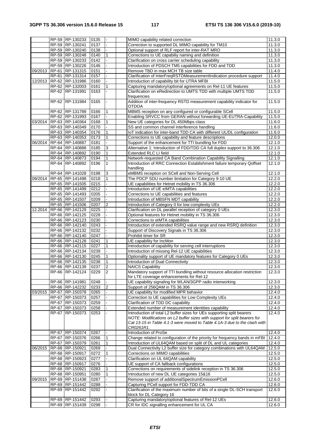|         |       | RP-59 RP-130233                    | 0135         |                | MIMO capability related correction       |                                                                             | 11.3.0           |
|---------|-------|------------------------------------|--------------|----------------|------------------------------------------|-----------------------------------------------------------------------------|------------------|
|         |       | RP-59 RP-130241                    | 0137         |                |                                          | Correction to supported DL MIMO capability for TM10                         | 11.3.0           |
|         |       | RP-59 RP-130240                    | 0138         |                |                                          | Optional support of RLF report for inter-RAT MRO                            | 11.3.0           |
|         |       | RP-59 RP-130248                    | 0140         |                |                                          | Corrections to UE capabiliy naming and definition                           | 11.3.0           |
|         |       | RP-59 RP-130233                    | 0142         |                |                                          | Clarification on cross carrier scheduling capability                        | 11.3.0           |
|         |       | RP-59 RP-130226                    | 0146         |                |                                          | Introduction of PDSCH TM5 capabilities for FDD and TDD                      | 11.3.0           |
| 09/2013 |       | RP-61 RP-131315                    | 0151         |                | Remove TBD in max MCH TB size table      |                                                                             | 11.4.0           |
|         | RP-61 | RP-131314                          | 0157         |                |                                          | Clarification of InterFreqRSTDMeasurementIndication procedure support       | 11.4.0           |
| 12/2013 |       | RP-62 RP-131986                    | 0160         |                |                                          | Introduction of capability bit for UTRA MFBI                                | 11.5.0           |
|         |       | RP-62 RP-132003                    | 0161         |                |                                          | Capturing mandatory/optional agreements on Rel-11 UE features               | 11.5.0           |
|         |       | RP-62 RP-131991                    | 0163         |                |                                          | Clarification on eRedirection to UMTS TDD with multiple UMTS TDD            | 11.5.0           |
|         |       |                                    |              |                | frequencies                              |                                                                             |                  |
|         |       | RP-62 RP-131984                    | 0165         |                |                                          | Addition of inter-frequency RSTD measurement capability indicator for       | 11.5.0           |
|         |       |                                    |              |                | <b>OTDOA</b>                             |                                                                             |                  |
|         |       | RP-62 RP-131789                    | 0166         |                |                                          | MBMS reception on any configured or configurable SCell                      | 11.5.0           |
|         |       | RP-62 RP-131993                    | 0167         |                |                                          | Enabling SRVCC from GERAN without forwarding UE-EUTRA-Capability            | 11.5.0           |
| 03/2014 |       | RP-63 RP-140364                    | 0168         | $\mathbf{1}$   |                                          | New UE categories for DL 450Mbps class                                      | 11.6.0           |
|         |       | RP-63 RP-140349                    | 0170         |                |                                          | SS and common channel interference handling                                 | 11.6.0           |
|         |       | RP-63 RP-140354                    | 0176         |                |                                          | IoT indication for inter-band TDD CA with different UL/DL configuration     | 11.6.0           |
|         |       | RP-63 RP-140353                    | 0173         | 1              |                                          | Corrections to UE capability and feature descriptions                       | 12.0.0           |
| 06/2014 |       | RP-64 RP-140887                    | 0181         |                |                                          | Support of the enhancement for TTI bundling for FDD                         | 12.1.0           |
|         |       | RP-64 RP-140888                    | 0185         | $\mathsf 3$    |                                          | Alternative 1: Introduction of FDD/TDD CA full duplex support to 36.306     | 12.1.0           |
|         |       | RP-64 RP-140892                    | 0190         |                | Extended RLC LI field                    |                                                                             | 12.1.0           |
|         |       | RP-64 RP-140873                    | 0194         | 1              |                                          | Network-requested CA Band Combination Capability Signalling                 | 12.1.0           |
|         |       | RP-64 RP-140892                    | 0196         | $\mathbf{1}$   | handling                                 | Introduction of RRC Connection Establishment failure temporary Qoffset      | 12.1.0           |
|         |       | RP-64 RP-141028                    | 0198         | 3              |                                          | eMBMS reception on SCell and Non-Serving Cell                               |                  |
| 09/2014 |       | RP-65 RP-141498                    | 0218         | $\mathbf{1}$   |                                          | The PDCP SDU number limitation for Category 9-10 UE                         | 12.1.0<br>12.2.0 |
|         |       | RP-65 RP-141505                    | 0215         |                |                                          | UE capabilities for Hetnet mobility in TS 36.306                            | 12.2.0           |
|         |       | RP-65 RP-141499                    | 0212         |                | Introduction of UE eIMTA capabilities    |                                                                             | 12.2.0           |
|         |       | RP-65 RP-141493                    | 0205         |                |                                          | Corrections to UE capabilities and features                                 | 12.2.0           |
|         |       | RP-65 RP-141507                    | 0209         |                | Introduction of MBSFN MDT capability     |                                                                             | 12.2.0           |
|         |       | RP-65 RP-141506                    | 0207         | $\overline{2}$ |                                          | Introduction of Category 0 for low complexity UEs                           | 12.2.0           |
| 12.2014 |       | RP-66 RP-142129                    | 0225         |                |                                          | Clarification on DL parallel reception of category 0 UEs                    | 12.3.0           |
|         |       | RP-66 RP-142125                    | 0228         |                |                                          | Optional features for Hetnet mobility in TS 36.306                          | 12.3.0           |
|         |       | RP-66 RP-142123                    | 0230         |                | Corrections to eIMTA capabilities        |                                                                             | 12.3.0           |
|         |       | RP-66 RP-142140                    | 0243         |                |                                          | Introduction of extended RSRQ value range and new RSRQ definition           | 12.3.0           |
|         |       | RP-66 RP-142132                    | 0232         |                |                                          | Support of Discovery Signals in TS 36.306                                   | 12.3.0           |
|         |       | RP-66 RP-142140                    | 0247         |                | Prohibit timer for SR                    |                                                                             | 12.3.0           |
|         |       | RP-66 RP-142128                    | 0241         | $\mathbf{1}$   | UE capability for IncMon                 |                                                                             | 12.3.0           |
|         |       | RP-66 RP-142115                    | 0227         | 1              |                                          | Introduction of capability for serving cell interruptions                   | 12.3.0           |
|         |       | RP-66 RP-142134                    | 0239         |                |                                          | Introduction of missing Rel-12 UE capabilities                              | 12.3.0           |
|         |       | RP-66 RP-142130                    | 0245         | 1              |                                          | Optionality support of UE mandatory features for Category 0 UEs             | 12.3.0           |
|         |       | RP-66 RP-142135                    | 0238         | 1              | Introduction of Dual Connectivity        |                                                                             | 12.3.0           |
|         |       | RP-66 RP-142139                    | 0237         | $\mathbf 2$    | <b>NAICS Capability</b>                  |                                                                             | 12.3.0           |
|         |       | RP-66 RP-142124                    | 0229         | $\overline{2}$ |                                          | Mandatory support of TTI bundling without resource allocation restriction   | 12.3.0           |
|         |       |                                    |              |                |                                          | for LTE coverage enhancements for Rel-12                                    |                  |
|         |       | RP-66 RP-141981                    | 0248         |                |                                          | UE capability signaling for WLAN/3GPP radio interworking                    | 12.3.0           |
|         |       | RP-66 RP-142232                    | 0233         | 2              | Support of 256QAM in TS 36.306           |                                                                             | 12.3.0           |
| 03/2015 |       | RP-67 RP-150378                    | 0265         |                | UE capability for modified MPR behavior  |                                                                             | 12.4.0           |
|         |       | RP-67 RP-150373                    | 0257         |                |                                          | Correction to UE capabilities for Low Complexity UEs                        | 12.4.0           |
|         |       | RP-67 RP-150373                    | 0259         |                | Clarification of TDD DC capability       | Extended number of measurement identities capability                        | 12.4.0           |
|         |       | RP-67 RP-150373<br>RP-67 RP-150373 | 0258         |                |                                          | Introduction of total L2 buffer sizes for UEs supporting split bearers      | 12.4.0           |
|         |       |                                    | 0253         |                |                                          | NOTE: Modifications on L2 buffer sizes with support for split bearers for   | 12.4.0           |
|         |       |                                    |              |                |                                          | Cat 13-15 in Table 4.1-3 were moved to Table 4.1A-3 due to the clash with   |                  |
|         |       |                                    |              |                | CR0261R1.                                |                                                                             |                  |
|         |       | RP-67 RP-150374                    | 0267         |                | Introduction of ProSe                    |                                                                             | 12.4.0           |
|         |       | RP-67 RP-150376                    | 0266         | 1              |                                          | Change related to configuration of the priority for frequency bands in mFBI | 12.4.0           |
|         |       | RP-67 RP-150379                    | 0261         |                |                                          | Introduction of UL64QAM based on split of DL and UL categories              | 12.4.0           |
| 06/2015 |       | RP-68 RP-150921                    | 0269         |                |                                          | Dual Connectivity L2 buffer size for category combinations with UL64QAM     | 12.5.0           |
|         |       | RP-68 RP-150917                    | 0272         |                | Corrections on MIMO capabilities         |                                                                             | 12.5.0           |
|         |       | RP-68 RP-150923                    | 0277         |                | Clarification on UL 64QAM capability     |                                                                             | 12.5.0           |
|         |       | RP-68 RP-150917                    | 0276         |                | UE support of CA fallback configurations |                                                                             | 12.5.0           |
|         |       | RP-68 RP-150921                    | 0283         | $\mathbf{1}$   |                                          | Corrections on requirements of sidelink reception in TS 36.306              | 12.5.0           |
|         |       | RP-68 RP-150951                    | 0280         |                |                                          | Introduction of new DL UE categories 15&16                                  | 12.5.0           |
| 09/2015 |       | RP-69 RP-151438                    | 0287         |                |                                          | Remove support of additionalSpectrumEmissionPCell                           | 12.6.0           |
|         |       | RP-69 RP-151442                    | 0288         |                |                                          | Capturing PCell support for FDD-TDD CA                                      | 12.6.0           |
|         | RP-69 | RP-151442                          | 0292         |                |                                          | Clarification of the maximum number of bits of a single DL-SCH transport    | 12.6.0           |
|         |       |                                    |              |                | block for DL Category 16                 | Capturing mandatory/optional features of Rel-12 UEs                         |                  |
|         |       | RP-69 RP-151442<br>RP-69 RP-151439 | 0293<br>0298 |                |                                          | CR for IDC signalling enhancement for UL CA                                 | 12.6.0<br>12.6.0 |
|         |       |                                    |              |                |                                          |                                                                             |                  |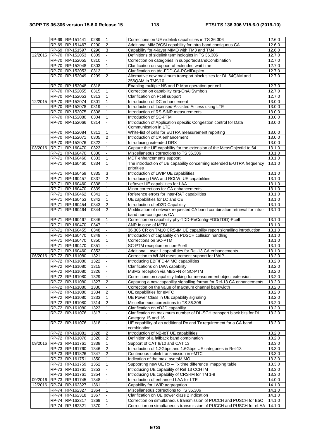|         |              | RP-69 RP-151441         | 0289 | $\mathbf{1}$   | Corrections on UE sidelink capabilities in TS 36.306                       | 12.6.0 |
|---------|--------------|-------------------------|------|----------------|----------------------------------------------------------------------------|--------|
|         |              | RP-69 RP-151467         | 0290 | $\overline{2}$ | Additional MIMO/CSI capability for intra-band contiguous CA                | 12.6.0 |
|         |              | RP-69 RP-151597         | 0296 | 3              | Capability for 4-layer MIMO with TM3 and TM4                               | 12.6.0 |
| 12/2015 |              | RP-70 RP-152053         | 0309 |                | Definitions of sidelink terminologies in TS 36.306                         | 12.7.0 |
|         |              |                         |      |                |                                                                            |        |
|         |              | RP-70 RP-152055         | 0310 |                | Correction on categories in supportedBandCombination                       | 12.7.0 |
|         |              | RP-70 RP-152048         | 0303 | $\mathbf{1}$   | Clarification on support of extended wait time                             | 12.7.0 |
|         |              | RP-70 RP-152053         | 0312 | $\mathbf{1}$   | Clarification on tdd-FDD-CA-PCellDuplex                                    | 12.7.0 |
|         |              | RP-70 RP-152049         | 0299 | $\overline{2}$ | Alternative new maximum transport block sizes for DL 64QAM and             | 12.7.0 |
|         |              |                         |      |                | 256QAM in TM9/10                                                           |        |
|         |              | RP-70 RP-152048         | 0318 |                | Enabling multiple NS and P-Max operation per cell                          | 12.7.0 |
|         |              | RP-70 RP-152055         | 0315 | $\mathbf{1}$   | Correction on capability rsrq-OnAllSymbols                                 | 12.7.0 |
|         |              | RP-70 RP-152053         | 0313 | $\mathbf{1}$   | Clarification on Pcell support                                             | 12.7.0 |
| 12/2015 |              | RP-70 RP-152074         | 0301 | 1              | Introduction of DC enhancement                                             | 13.0.0 |
|         |              | RP-70 RP-152078         | 0319 |                | Introduction of Licensed-Assisted Access using LTE                         | 13.0.0 |
|         |              | RP-70 RP-152075         | 0308 |                | Introduction of RS-SINR measurements                                       | 13.0.0 |
|         |              | RP-70 RP-152080         | 0304 | $\mathbf{1}$   | Introduction of SC-PTM                                                     | 13.0.0 |
|         |              | RP-70 RP-152066         | 0314 |                | Introduction of Application specific Congestion control for Data           | 13.0.0 |
|         |              |                         |      |                | Communication in LTE                                                       |        |
|         |              |                         | 0311 | 1              | White-list of cells for EUTRA measurement reporting                        |        |
|         |              | RP-70 RP-152084         |      |                |                                                                            | 13.0.0 |
|         |              | RP-70 RP-152071         | 0305 | $\overline{2}$ | Introduction of CA enhancement                                             | 13.0.0 |
|         |              | RP-70 RP-152076         | 0322 |                | Introducing extended DRX                                                   | 13.0.0 |
| 03/2016 |              | RP-71 RP-160470         | 0323 | $\mathbf{1}$   | Capture the UE capability for the extension of the MeasObjectId to 64      | 13.1.0 |
|         | <b>RP-71</b> | RP-160470               | 0330 |                | Miscellaneous corrections to TS 36.306                                     | 13.1.0 |
|         |              | RP-71 RP-160460         | 0333 | $\mathbf{1}$   | MDT enhancements support                                                   | 13.1.0 |
|         |              | RP-71 RP-160460         | 0334 | $\mathbf{1}$   | The introduction of UE capability concerning extended E-UTRA frequency     | 13.1.0 |
|         |              |                         |      |                | priorities                                                                 |        |
|         | RP-71        | RP-160459               | 0335 | 3              | Introduction of LWIP UE capabilities                                       | 13.1.0 |
|         |              | RP-71 RP-160457         | 0337 | $\overline{2}$ | Introducing LWA and RCLWI UE capabilities                                  | 13.1.0 |
|         |              | RP-71 RP-160460         | 0338 | $\mathbf{1}$   | Leftover UE capabilities for LAA                                           | 13.1.0 |
|         | <b>RP-71</b> |                         |      | 1              |                                                                            |        |
|         |              | RP-160470               | 0339 |                | Minor corrections for CA enhancements                                      | 13.1.0 |
|         |              | RP-71 RP-160462         | 0341 | $\mathbf{1}$   | Reference errors for inter-RAT capabilities                                | 13.1.0 |
|         | RP-71        | RP-160453               | 0342 | $\mathbf{1}$   | UE capabilities for LC and CE                                              | 13.1.0 |
|         |              | RP-71 RP-160454         | 0343 | $\overline{2}$ | Introduction of eD2D Capability                                            | 13.1.0 |
|         | <b>RP-71</b> | RP-160464               | 0344 | $\overline{2}$ | Modification of network requested CA band combination retrieval for intra- | 13.1.0 |
|         |              |                         |      |                | band non-contiguous CA                                                     |        |
|         | RP-71        | RP-160467               | 0346 | $\mathbf{1}$   | Correction on capability phy-TDD-ReConfig-FDD(TDD)-Pcell                   | 13.1.0 |
|         |              | RP-71 RP-160470         | 0347 | 1              | ANR in case of MFBI                                                        | 13.1.0 |
|         |              | RP-71 RP-160455         | 0348 |                | 36.306 CR on TM10 CRS-IM UE capability report signalling introduction      | 13.1.0 |
|         |              | RP-71 RP-160470         | 0349 |                | Introduction of capability on PDSCH collision handling                     | 13.1.0 |
|         | <b>RP-71</b> | RP-160470               | 0350 | $\mathbf{1}$   | Corrections on SC-PTM                                                      | 13.1.0 |
|         | <b>RP-71</b> | RP-160470               | 0351 |                | SC-PTM reception on non-Pcell                                              | 13.1.0 |
|         |              | RP-71 RP-160460         |      | $\mathbf{1}$   |                                                                            | 13.1.0 |
|         |              |                         | 0352 |                | Additional Layer 1 capabilities for Rel-13 CA enhancements                 |        |
| 06/2016 |              | RP-72 RP-161080         | 1321 |                | Correction to WLAN measurement support for LWIP                            | 13.2.0 |
|         |              | RP-72 RP-161080         | 1322 |                | Introducing EBF/FD-MIMO capabilities                                       | 13.2.0 |
|         |              | RP-72 RP-161080         | 1315 |                | Clarifications on LWA capability                                           | 13.2.0 |
|         |              | RP-72 RP-161080         | 1326 |                | MBMS reception via MBSFN or SC-PTM                                         | 13.2.0 |
|         |              | RP-72 RP-161080         | 1329 |                | Corrections on capability linking for measurement object extension         | 13.2.0 |
|         |              | RP-72 RP-161080         | 1327 | 2              | Capturing a new capability signalling format for Rel-13 CA enhancements    | 13.2.0 |
|         |              | RP-72 RP-161080         | 1330 |                | Correction on the value of maxmum channel bandwidth                        | 13.2.0 |
|         |              | RP-72 RP-161080         | 1334 | $\overline{2}$ | UE capabilities for eMTC                                                   | 13.2.0 |
|         |              | RP-72 RP-161080         | 1333 | $\mathbf{1}$   | UE Power Class in UE capability signaling                                  | 13.2.0 |
|         |              | RP-72 RP-161080         | 1314 |                | Miscellaneous corrections to TS 36.306                                     | 13.2.0 |
|         |              |                         |      | 2              |                                                                            |        |
|         |              | RP-72 RP-161080         | 1323 | $\mathbf{1}$   | Clarification on eD2D capability                                           | 13.2.0 |
|         |              | RP-72 RP-161076         | 1317 |                | Clarification on maximum number of DL-SCH transport block bits for DL      | 13.2.0 |
|         |              |                         |      |                | Category 15 and 16                                                         |        |
|         |              | RP-72 RP-161076         | 1318 |                | UE capability of an additional Rx and Tx requirement for a CA band         | 13.2.0 |
|         |              |                         |      |                | combination                                                                |        |
|         |              | RP-72 RP-161081         | 1328 | 2              | Introduction of NB-IoT UE capabilities                                     | 13.2.0 |
|         |              | RP-72 RP-161076         | 1320 | $\overline{2}$ | Definition of a fallback band combination                                  | 13.2.0 |
| 09/2016 |              | RP-73 RP-161761         | 1338 | $\mathbf{1}$   | Support of CAT 9/10 and CAT 13                                             | 13.3.0 |
|         |              | RP-73 RP-161760         | 1346 | $\overline{2}$ | Introduction of 1.2Gbps and 1.6Gbps UE categories in Rel-13                | 13.3.0 |
|         |              | RP-73 RP-161826         | 1347 | $\overline{2}$ | Continuous uplink transmission in eMTC                                     | 13.3.0 |
|         |              | RP-73 RP-161751         | 1350 | $\mathbf{1}$   | Indication of the maxLayersMIMO                                            | 13.3.0 |
|         |              | RP-73 RP-161759         | 1352 | 1              | Supporting new UE Rx - Tx time difference mapping table                    | 13.3.0 |
|         |              |                         |      |                |                                                                            |        |
|         |              | RP-73 RP-161761         | 1353 |                | Introducing UE capability of Rel 13 CCH IM                                 | 13.3.0 |
|         |              | RP-73 RP-161761         | 1354 |                | Introducing UE capability of CRS-IM for TM 1-9                             | 13.3.0 |
| 09/2016 |              | RP-73 RP-161745         | 1348 |                | Introduction of enhanced LAA for LTE                                       | 14.0.0 |
|         |              | 12/2016 RP-74 RP-162327 | 1361 | $\mathbf{1}$   | Capability for LWIP aggregation                                            | 14.1.0 |
|         |              | RP-74 RP-162327         | 1364 | $\mathbf{1}$   | Miscellaneous corrections to TS 36.306                                     | 14.1.0 |
|         |              | RP-74 RP-162318         | 1367 |                | Clarification on UE power class 2 indication                               | 14.1.0 |
|         |              | RP-74 RP-162317         | 1369 | $\vert$ 1      | Correction on simultaneous transmission of PUCCH and PUSCH for B5C         | 14.1.0 |
|         |              | RP-74 RP-162321         | 1370 | $\vert$ 1      | Correction on simultaneous transmission of PUCCH and PUSCH for eLAA        | 14.1.0 |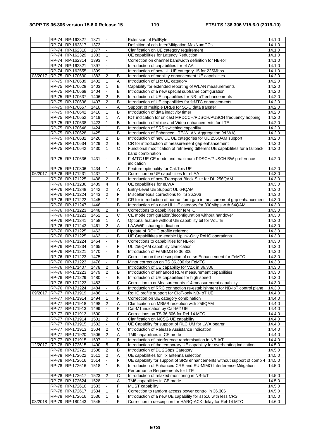|         |              | RP-74 RP-162327         | 1371 |                  |                       | <b>Extension of PollByte</b>                                                   | 14.1.0 |
|---------|--------------|-------------------------|------|------------------|-----------------------|--------------------------------------------------------------------------------|--------|
|         |              | RP-74 RP-162317         | 1373 | $\overline{a}$   |                       | Definition of cch-InterfMitigation-MaxNumCCs                                   | 14.1.0 |
|         |              | RP-74 RP-162310         | 1377 | $\Box$           |                       | Clarification on UE category requirement                                       | 14.1.0 |
|         |              | RP-74 RP-162329         | 1383 | $\mathbf{1}$     |                       | UE capabilities for Latency Reduction                                          | 14.1.0 |
|         |              | RP-74 RP-162314         | 1393 |                  |                       | Correction on channel bandwidth definition for NB-IoT                          | 14.1.0 |
|         |              | RP-74 RP-162321         | 1397 |                  |                       | Introduction of capabilities for eLAA                                          | 14.1.0 |
|         |              | RP-74 RP-162555         | 1399 | 1                |                       | Introduction of new UL UE category 15 for 225Mbps                              | 14.1.0 |
| 03/2017 |              | RP-75 RP-170630         | 1382 | $\boldsymbol{2}$ | B                     | Introduction of mobility enhancement UE capabilities                           | 14.2.0 |
|         |              | RP-75 RP-170639         | 1402 | $\mathbf{1}$     | $\overline{A}$        | Introduction of 1Rx UE category                                                | 14.2.0 |
|         |              | RP-75 RP-170628         | 1403 | $\mathbf{1}$     | $\,$ B                | Capability for extended reporting of WLAN measurements                         | 14.2.0 |
|         |              | RP-75 RP-170668         | 1404 |                  | $\overline{B}$        | Introduction of a new special subframe configuration                           | 14.2.0 |
|         |              | RP-75 RP-170637         | 1406 | $\overline{2}$   | $\sf B$               | Introduction of UE capabilities for NB-IoT enhancements                        | 14.2.0 |
|         |              | RP-75 RP-170636         | 1407 | $\overline{2}$   | B                     | Introduction of UE capabilities for feMTC enhancements                         | 14.2.0 |
|         |              | RP-75 RP-170657         | 1410 |                  | A                     | Support of multiple DRBs for S1-U data transfer                                | 14.2.0 |
|         |              | RP-75 RP-170642         | 1416 | 1                | $\overline{B}$        | Introduction of data inactivity timer                                          | 14.2.0 |
|         |              | RP-75 RP-170652         | 1419 | 1                | A                     | IOT indication for unicast MPDCCH/PDSCH/PUSCH frequency hopping                | 14.2.0 |
|         |              | RP-75 RP-170638         | 1423 | $\mathbf{1}$     | $\overline{B}$        | Introduction of Voice and Video enhancements for LTE                           | 14.2.0 |
|         |              | RP-75 RP-170646         | 1424 | $\mathbf{1}$     | $\overline{B}$        | Introduction of SRS switching capability                                       | 14.2.0 |
|         |              | RP-75 RP-170628         | 1425 | 1                | $\sf B$               | Introduction of Enhanced LTE-WLAN Aggregation (eLWA)                           | 14.2.0 |
|         |              | RP-75 RP-170632         | 1426 | $\overline{2}$   | $\,$ B                | Introduction of new UL UE categories for UL 256QAM support                     | 14.2.0 |
|         |              | RP-75 RP-170634         | 1429 | $\overline{2}$   | $\overline{B}$        | CR for introduction of measurement gap enhancement                             | 14.2.0 |
|         |              | RP-75 RP-170642         | 1430 | $\mathbf{1}$     | $\overline{\text{c}}$ | Functional modification of retrieving different UE capabilities for a fallback | 14.2.0 |
|         |              |                         |      |                  |                       | band combination                                                               |        |
|         |              | RP-75 RP-170636         | 1431 |                  | B                     | FeMTC UE CE mode and maximum PDSCH/PUSCH BW preference                         | 14.2.0 |
|         |              |                         |      |                  |                       | indication                                                                     |        |
|         |              | RP-75 RP-170806         | 1434 | 1                | Α                     | Feature optionality for Cat.1bis UE                                            | 14.2.0 |
| 06/2017 |              | RP-76 RP-171231         | 1437 | $\mathbf{1}$     | F                     | Correction on UE capabilities for eLAA                                         | 14.3.0 |
|         |              | RP-76 RP-171225         | 1438 | $\boldsymbol{2}$ | $\sf B$               | Introduction of new Transport Block Size for DL 256QAM                         | 14.3.0 |
|         |              | RP-76 RP-171236         | 1439 | 4                | F                     | UE capabilities for eLWA                                                       | 14.3.0 |
|         |              | RP-76 RP-171248         | 1442 | $\overline{2}$   | Α                     | Entry-Level UE Support UL 64QAM                                                | 14.3.0 |
|         |              | RP-76 RP-171224         | 1443 | $\overline{c}$   | F                     | Miscellaneous corrections to TS 36.306                                         | 14.3.0 |
|         |              | RP-76 RP-171222         | 1445 | 1                | F                     | CR for introduction of non-uniform gap in measurement gap enhancement          | 14.3.0 |
|         |              | RP-76 RP-171247         | 1446 | 1                | $\sf B$               | Introduction of a new UL UE category for 300Mbps with 64QAM                    | 14.3.0 |
|         |              | RP-76 RP-171223         | 1448 | $\overline{2}$   | F                     | Corrections to capabilities for feMTC                                          | 14.3.0 |
|         |              | RP-76 RP-171223         | 1452 | $\mathbf{1}$     | С                     | CE mode configuration/deconfiguration without handover                         | 14.3.0 |
|         |              | RP-76 RP-171241         | 1458 | $\mathbf{1}$     | Α                     | Optional feature without UE capability bit for VoLTE                           | 14.3.0 |
|         |              | RP-76 RP-171243         | 1461 | $\boldsymbol{2}$ | Α                     | LAA/WiFi sharing indication                                                    | 14.3.0 |
|         |              | RP-76 RP-171225         | 1462 | $\mathbf{1}$     | F                     | Update of ROHC profile referenc                                                | 14.3.0 |
|         |              | RP-76 RP-171225         | 1463 |                  | $\overline{B}$        | UE Capabilitites to enable Uplink-Only RoHC operations                         | 14.3.0 |
|         |              | RP-76 RP-171224         | 1464 |                  | F                     | Corrections to capabilities for NB-IoT                                         | 14.3.0 |
|         |              | RP-76 RP-171234         | 1465 |                  | F                     | UL 256QAM capability clarification                                             | 14.3.0 |
|         |              | RP-76 RP-171221         | 1470 |                  | $\sf B$               | Introduction of FeMBMS to 36.306                                               | 14.3.0 |
|         |              | RP-76 RP-171223         | 1475 |                  | F                     | Correction on the description of ce-srsEnhancement for FeMTC                   | 14.3.0 |
|         |              | RP-76 RP-171223         | 1476 |                  | $\overline{F}$        | Minor correction on TS 36.306 for FeMTC                                        | 14.3.0 |
|         |              | RP-76 RP-171407         | 1478 | $\overline{2}$   | $\overline{B}$        | Introduction of UE capability for V2X in 36.306                                | 14.3.0 |
|         |              | RP-76 RP-171223         | 1479 | $\overline{2}$   | B                     | Introduction of enhanced RLM measurement capabilities                          | 14.3.0 |
|         |              | RP-76 RP-171229         | 1480 |                  | $\overline{B}$        | Introduction of UE capabilities for high speed                                 | 14.3.0 |
|         |              | RP-76 RP-171223         | 1483 |                  | F                     | Correction to ceMeasurements-r14 measurement capability                        | 14.3.0 |
|         |              | RP-76 RP-171224         | 1484 |                  | B                     | Introduction of RRC connection re-establishment for NB-IoT control plane       | 14.3.0 |
| 09/2017 |              | RP-77 RP-171919         | 1486 |                  | Α                     | RoHC profile support for CloT-only NB-IoT UE                                   | 14.4.0 |
|         | <b>RP-77</b> | RP-171914               | 1494 | $\mathbf{1}$     | F                     | Correction on UE category combination                                          | 14.4.0 |
|         |              | RP-77 RP-171918         | 1498 | $\overline{2}$   | Α                     | Clarification on MBMS reception with 256QAM                                    | 14.4.0 |
|         |              | RP-77 RP-171913         | 1499 |                  | F                     | Cat-M1 indication by Cat-M2 UE                                                 | 14.4.0 |
|         |              | RP-77 RP-171913         | 1500 |                  | F                     | Corrections on TS 36.306 for Rel-14 MTC                                        | 14.4.0 |
|         |              | RP-77 RP-171914         | 1501 | $\overline{2}$   | F                     | Clarification on NCSG UE capability                                            | 14.4.0 |
|         |              | RP-77 RP-171915         | 1502 |                  | C                     | UE Capabilty for support of RLC UM for LWA bearer                              | 14.4.0 |
|         | <b>RP-77</b> | RP-171913               | 1504 | $\overline{2}$   | $\overline{\text{c}}$ | Introduction of Release Assistance Indication                                  | 14.4.0 |
|         | RP-77        | RP-171920               | 1506 | $\boldsymbol{2}$ | Α                     | TM9 capabilities in CE mode                                                    | 14.4.0 |
|         |              | RP-77 RP-171915         | 1507 | $\mathbf{1}$     | $\overline{F}$        | Introduction of interference randomisation in NB-IoT                           | 14.4.0 |
| 12/2017 |              | RP-78 RP-172615         | 1490 | $\mathbf 5$      | B                     | Introduction of the temporary UE capability for overheating indication         | 14.5.0 |
|         |              | RP-78 RP-172721         | 1508 | $\boldsymbol{2}$ | B                     | Introduction of DL 2Gbps Category                                              | 14.5.0 |
|         |              | RP-78 RP-172622         | 1511 | $\boldsymbol{2}$ | Α                     | UE capabilities for Tx antenna selection                                       | 14.5.0 |
|         |              | RP-78 RP-172616         | 1514 |                  | F                     | UE capability for support of SRS enhancements without support of comb 4        | 14.5.0 |
|         |              | RP-78 RP-172616         | 1518 | $\mathbf{1}$     | B                     | Introduction of Enhanced CRS and SU-MIMO Interference Mitigation               | 14.5.0 |
|         |              |                         |      |                  |                       | Performance Requirements for LTE                                               |        |
|         |              | RP-78 RP-172617         | 1523 | $\overline{2}$   | $\overline{C}$        | Introduction of relaxed monitoring in NB-IoT                                   | 14.5.0 |
|         |              | RP-78 RP-172624         | 1528 | $\mathbf{1}$     | Α                     | TM6 capabilities in CE mode                                                    | 14.5.0 |
|         |              | RP-78 RP-172616         | 1533 |                  | F                     | MUST capability                                                                | 14.5.0 |
|         |              | RP-78 RP-172617         | 1534 | $\mathbf{1}$     | F                     | Correction to random access power control in 36.306                            | 14.5.0 |
|         |              | RP-78 RP-172616         | 1536 | $\mathbf{1}$     | $\, {\bf B}$          | Introduction of a new UE capability for ssp10 with less CRS                    | 14.5.0 |
|         |              | 03/2018 RP-79 RP-180443 | 1545 |                  | F                     | Correction to description for HARQ-ACK delay for Rel-14 MTC                    | 14.6.0 |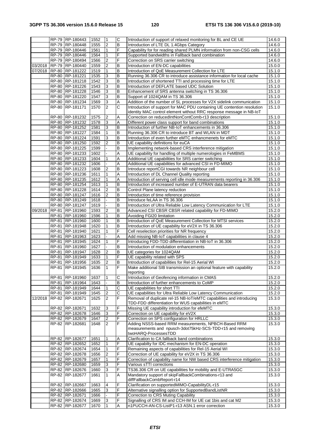|         |                | RP-79 RP-180443                    | 1552         | 1                            | $\overline{C}$          | Introduction of support of relaxed monitoring for BL and CE UE                                     | 14.6.0              |
|---------|----------------|------------------------------------|--------------|------------------------------|-------------------------|----------------------------------------------------------------------------------------------------|---------------------|
|         |                | RP-79 RP-180448                    | 1555         | $\boldsymbol{2}$             | $\overline{B}$          | Introduction of LTE DL 1.4Gbps Category                                                            | $\overline{14.6.0}$ |
|         |                | RP-79 RP-180446                    | 1561         | $\mathbf{1}$                 | F                       | Capability for for reading shared PLMN information from non-CSG cells                              | 14.6.0              |
|         |                | RP-79 RP-180446                    | 1564         | $\mathbf{1}$                 | F                       | Supported bandwidths in Fallback band combination                                                  | 14.6.0              |
|         |                | RP-79 RP-180494                    | 1566         | $\boldsymbol{2}$             | F                       | Correction on SRS carrier switching                                                                | 14.6.0              |
| 03/2018 |                | RP-79 RP-180440                    | 1559         | $\overline{2}$               | B                       | Introduction of EN-DC capabilities                                                                 | 15.0.0              |
| 07/2018 |                | RP-80 RP-181222                    | 1519         | $\mathbf{1}$                 | $\overline{B}$          | Introduction of QoE Measurement Collection for LTE                                                 | 15.1.0              |
|         |                | RP-80 RP-181221                    | 1535         | $\overline{3}$               | $\overline{B}$          | Running 36.306 CR to introduce assistance information for local cache                              | 15.1.0              |
|         |                | RP-80 RP-181218                    | 1542         | 3                            | $\mathsf B$             | Introduction of shortened TTI and processing time for LTE                                          | 15.1.0              |
|         |                | RP-80 RP-181226                    | 1543         | 3                            | B                       | Introduction of DEFLATE based UDC Solution                                                         | 15.1.0              |
|         |                | RP-80 RP-181228                    | 1546         | 3                            | $\overline{\mathsf{B}}$ | Enhancement of SRS antenna switching in TS 36.306                                                  | 15.1.0              |
|         |                | RP-80 RP-181220                    | 1547         | $\mathbf{3}$                 | B                       | Support of 1024QAM in TS 36.306                                                                    | 15.1.0              |
|         |                | RP-80 RP-181234                    | 1569         | 3                            | A                       | Addition of the number of SL processes for V2X sidelink communication                              | 15.1.0              |
|         |                | RP-80 RP-181171                    | 1570         | $\overline{2}$               | C                       | Introduction of support for MAC PDU containing UE contention resolution                            | 15.1.0              |
|         |                |                                    |              |                              |                         | identity MAC control element without RRC response message in NB-IoT                                |                     |
|         |                | RP-80 RP-181232                    | 1575         | $\boldsymbol{2}$             | Α                       | Correction on reducedIntNonContComb-r13 description                                                | 15.1.0              |
|         |                | RP-80 RP-181232                    | 1578         | 3                            | A                       | Different power class support for band combinations                                                | 15.1.0              |
|         |                | RP-80 RP-181252                    | 1581         | 3                            | B                       | Introduction of further NB-IoT enhancements in 36.306                                              | 15.1.0              |
|         | <b>RP-80</b>   | RP-181227                          | 1584         | $\mathbf{1}$                 | $\overline{B}$          | Running 36.306 CR to introduce BT and WLAN in MDT                                                  | 15.1.0              |
|         |                | RP-80 RP-181224                    | 1591         | $\overline{3}$               | $\mathsf B$             | Introduction of even further eMTC enhancmenets for eMTC                                            | 15.1.0              |
|         |                | RP-80 RP-181250                    | 1592         | $\overline{2}$               | $\mathsf B$             | UE capability definitions for euCA                                                                 | 15.1.0              |
|         | RP-80          | RP-181225                          | 1599         |                              | B                       | Implementing network-based CRS interference mitigation                                             | 15.1.0              |
|         |                | RP-80 RP-181233                    | 1602         |                              | A                       | UE capability for handling of multiple numerologies in FeMBMS                                      | 15.1.0              |
|         |                | RP-80 RP-181233                    | 1604         | $\mathbf{1}$                 | Α                       | Additional UE capabilities for SRS carrier switching                                               | 15.1.0              |
|         | RP-80          | RP-181232                          | 1606         |                              | Α                       | Additional UE capabilities for advanced CSI in FD-MIMO                                             | 15.1.0              |
|         |                | RP-80 RP-181223                    | 1608         | $\overline{2}$               | $\overline{B}$          | Introduce reportCGI towards NR neighbour cell                                                      | 15.1.0              |
|         |                | RP-80 RP-181236                    | 1611         | $\mathbf{1}$                 | Α                       | Introduction of DL Channel Quality reporting                                                       | 15.1.0              |
|         |                | RP-80 RP-181235                    | 1612         | $\mathbf{1}$                 | Α                       | Introduction of serving cell idle mode measurements reporting in 36.306                            | 15.1.0              |
|         |                | RP-80 RP-181254                    | 1613         | $\mathbf{1}$                 | B                       | Introduction of increased number of E-UTRAN data bearers                                           | 15.1.0              |
|         |                | RP-80 RP-181228                    | 1614         | $\overline{c}$               | B                       | Control Plane latency reduction                                                                    | 15.1.0              |
|         |                | RP-80 RP-181247                    | 1616         | $\overline{c}$               | $\sf B$                 | Introduction of time reference provision                                                           | 15.1.0              |
|         |                | RP-80 RP-181249                    | 1618         |                              | $\overline{B}$          | Introduce feLAA in TS 36.306                                                                       | 15.1.0              |
|         |                | RP-80 RP-181247                    | 1619         |                              | $\mathsf B$             | Introduction of Ultra Reliable Low Latency Communication for LTE                                   | 15.1.0              |
| 09/2018 | RP-81          | RP-181960                          | 1593         | $\overline{2}$               | $\overline{B}$          | Advanced CSI CBSR CBSR related capability for FD-MIMO                                              | 15.2.0              |
|         | RP-81          | RP-181960                          | 1596         | $\mathbf{1}$                 | $\mathsf B$             | Avoiding FGI20 limitation                                                                          | 15.2.0              |
|         |                | RP-81 RP-181960                    | 1600         | $\mathbf{1}$                 | $\mathsf B$             | Introduction of QoE Measurement Collection for MTSI services                                       | 15.2.0              |
|         | RP-81          | RP-181948                          | 1620         | $\mathbf{1}$<br>$\mathbf{1}$ | $\mathsf B$<br>F        | Introduction of UE capability for eV2X in TS 36.306                                                | 15.2.0              |
|         | RP-81          | RP-181940                          | 1621         |                              | A                       | Cell reselection priorities for NR frequency                                                       | 15.2.0              |
|         | RP-81<br>RP-81 | RP-181963                          | 1623<br>1624 | $\mathbf{1}$                 | F                       | Add missing NB-IoT capabilities in clause 4                                                        | 15.2.0              |
|         | RP-81          | RP-181945<br>RP-181960             | 1627         |                              | B                       | Introducing FDD-TDD differentiation in NB-IoT in 36.306<br>Introduction of modulation enhancements | 15.2.0<br>15.2.0    |
|         | RP-81          | RP-181947                          | 1628         | $\boldsymbol{2}$             | $\mathsf B$             | UE categories for 1024QAM                                                                          | 15.2.0              |
|         | RP-81          | RP-181949                          | 1633         | $\overline{1}$               | F                       | UE capability related with SPS                                                                     | 15.2.0              |
|         | $RP-81$        | RP-181956                          | 1635         | $\overline{2}$               | $\overline{B}$          | Introduction of capabilities for Rel-15 Aerial WI                                                  | 15.2.0              |
|         |                | RP-81 RP-181945                    | 1636         | $\overline{1}$               | F                       | Make additional SIB transmission an optional feature with capability                               | 15.2.0              |
|         |                |                                    |              |                              |                         | reporting                                                                                          |                     |
|         | RP-81          | RP-181960                          | 1637         | $\mathbf{1}$                 | $\overline{C}$          | Introduction of Geofencing information in CMAS                                                     | 15.2.0              |
|         | RP-81          | RP-181964                          | 1643         |                              | $\overline{B}$          | Introduction of further enhancements to CoMP                                                       | 15.2.0              |
|         | RP-81          | RP-181949                          | 1644         | $\mathbf{1}$                 | $\overline{c}$          | UE capabilities for short TTI                                                                      | 15.2.0              |
|         | RP-81          | RP-181949                          | 1645         | 2                            | $\overline{C}$          | UE capabilities for Ultra Reliable Low Latency Communication                                       | 15.2.0              |
| 12/2018 | RP-82          | RP-182671                          | 1625         | $\overline{2}$               | $\overline{F}$          | Removal of duplicate rel-15 NB-IoT/eMTC capabilities and introducing                               | 15.3.0              |
|         |                |                                    |              |                              |                         | TDD-FDD differentiation for WUS capabilities in eMTC                                               |                     |
|         |                | RP-82 RP-182671                    | 1632         | 3                            | $\overline{F}$          | Missing UE capability introduction for efeMTC                                                      | 15.3.0              |
|         |                | RP-82 RP-182678                    | 1646         | 3                            | F                       | Correction on UE capability for eV2X                                                               | 15.3.0              |
|         |                | RP-82 RP-182679                    | 1647         | $\overline{2}$               | F                       | Correction on SPS configuration for HRLLC                                                          | 15.3.0              |
|         |                | RP-82 RP-182681                    | 1648         | 2                            | $\overline{\mathsf{F}}$ | Adding NSSS-based RRM measurements, NPBCH-Based RRM                                                | 15.3.0              |
|         |                |                                    |              |                              |                         | measurements and npusch-3dot75kHz-SCS-TDD-r15 and removing                                         |                     |
|         |                |                                    |              |                              |                         | twoHARQ-ProcessesTDD                                                                               |                     |
|         |                | RP-82 RP-182677                    | 1651         | $\mathbf{1}$                 | Α                       | Clarification to CA fallback band combinations                                                     | 15.3.0              |
|         |                | RP-82 RP-182652                    | 1652         | $\mathbf{1}$                 | $\overline{F}$          | UE capabilty for IDC mechanism for EN-DC operation                                                 | 15.3.0              |
|         |                | RP-82 RP-182674                    | 1654         | $\mathbf{1}$                 | $\overline{F}$          | Remaining aspects of capabilities for Rel-15 Aerial WI                                             | 15.3.0              |
|         |                | RP-82 RP-182678                    | 1656         | $\boldsymbol{2}$             | F                       | Correction of UE capability for eV2X in TS 36.306                                                  | 15.3.0              |
|         |                | RP-82 RP-182679                    | 1657         | $\mathbf{1}$                 | F                       | Correction of capability name for NW based CRS interference mitigation                             | 15.3.0              |
|         |                | RP-82 RP-182680                    | 1659         | $\overline{3}$               | $\overline{F}$          | Various sTTI corrections                                                                           | 15.3.0              |
|         |                | RP-82 RP-182676                    | 1660         | $\overline{3}$               | F                       | TS36.306 CR on UE capabilities for mobility and E-UTRA5GC                                          | 15.3.0              |
|         | RP-82          | RP-182677                          | 1661         | $\mathbf{1}$                 | A                       | Mandatory support of skipFallbackCombinations-r13 and                                              | 15.3.0              |
|         |                |                                    |              |                              |                         | diffFallbackCombReport-r14                                                                         |                     |
|         |                | RP-82 RP-182667                    | 1663         | $\overline{\mathbf{4}}$      | F                       | Clarification on supportedMIMO-CapabilityDL-r15                                                    | 15.3.0              |
|         |                | RP-82 RP-182666                    | 1665         | 3                            | F<br>F                  | Alternative signalling option for SupportedBandListNR                                              | 15.3.0              |
|         |                | RP-82 RP-182671<br>RP-82 RP-182674 | 1666<br>1669 | $\mathbf{3}$                 | $\overline{F}$          | Correction to CRS Muting Capability<br>Signalling of CRS IM and CCH-IM for UE cat 1bis and cat M2  | 15.3.0<br>15.3.0    |
|         |                | RP-82 RP-182677                    | 1670         | $\mathbf{1}$                 | $\overline{A}$          | n1PUCCH-AN-CS-ListP1-r13 ASN.1 error correction                                                    | 15.3.0              |
|         |                |                                    |              |                              |                         |                                                                                                    |                     |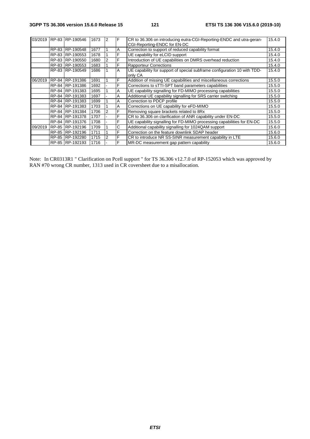|         | 03/2019 RP-83 RP-190546 | 1673 | 2 | F | CR to 36.306 on introducing eutra-CGI-Reporting-ENDC and utra-geran-<br>CGI-Reporting-ENDC for EN-DC | 15.4.0 |
|---------|-------------------------|------|---|---|------------------------------------------------------------------------------------------------------|--------|
|         | RP-83 RP-190548         | 1677 |   | Α | Correction to support of reduced capability format                                                   | 15.4.0 |
|         | RP-83 RP-190553         | 1678 |   | F | UE capability for eLCID support                                                                      | 15.4.0 |
|         | RP-83 RP-190550         | 1680 | 2 | F | Introduction of UE capabilities on DMRS overhead reduction                                           | 15.4.0 |
|         | RP-83 RP-190553         | 1683 |   | F | <b>Rapporteur Corrections</b>                                                                        | 15.4.0 |
|         | RP-83 RP-190549         | 1686 |   | A | UE capability for support of special subframe configuration 10 with TDD-<br>only CA                  | 15.4.0 |
| 06/2019 | RP-84 RP-191386         | 1691 |   | F | Addition of missing UE capabilities and miscellaneous corrections                                    | 15.5.0 |
|         | RP-84 RP-191386         | 1692 |   | F | Corrections to sTTI-SPT band parameters capabilities                                                 | 15.5.0 |
|         | RP-84 RP-191383         | 1695 |   | A | UE capability signalling for FD-MIMO processing capabilities                                         | 15.5.0 |
|         | RP-84 RP-191383         | 1697 |   | A | Additional UE capability signalling for SRS carrier switching                                        | 15.5.0 |
|         | RP-84 RP-191383         | 1699 |   | A | Correction to PDCP profile                                                                           | 15.5.0 |
|         | RP-84 RP-191383         | 1703 |   | A | Corrections on UE capability for eFD-MIMO                                                            | 15.5.0 |
|         | RP-84 RP-191384         | 1706 |   | F | Removing square brackets related to 8Rx                                                              | 15.5.0 |
|         | RP-84 RP-191378         | 1707 |   | F | CR to 36.306 on clarification of ANR capability under EN-DC                                          | 15.5.0 |
|         | RP-84 RP-191376         | 1708 |   | F | UE capability signalling for FD-MIMO processing capabilities for EN-DC                               | 15.5.0 |
| 09/2019 | RP-85 RP-192196         | 1709 |   | C | Additional capability signalling for 1024QAM support                                                 | 15.6.0 |
|         | RP-85 RP-192196         | 1711 |   | F | Correction on the feature downlink SDAP header                                                       | 15.6.0 |
|         | RP-85 RP-192280         | 1715 |   | F | CR to introduce NR SS-SINR measurement capability in LTE                                             | 15.6.0 |
|         | RP-85 RP-192193         | 1716 |   | F | MR-DC measurement gap pattern capability                                                             | 15.6.0 |

Note: In CR0313R1 " Clarification on Pcell support " for TS 36.306 v12.7.0 of RP-152053 which was approved by RAN #70 wrong CR number, 1313 used in CR coversheet due to a misallocation.